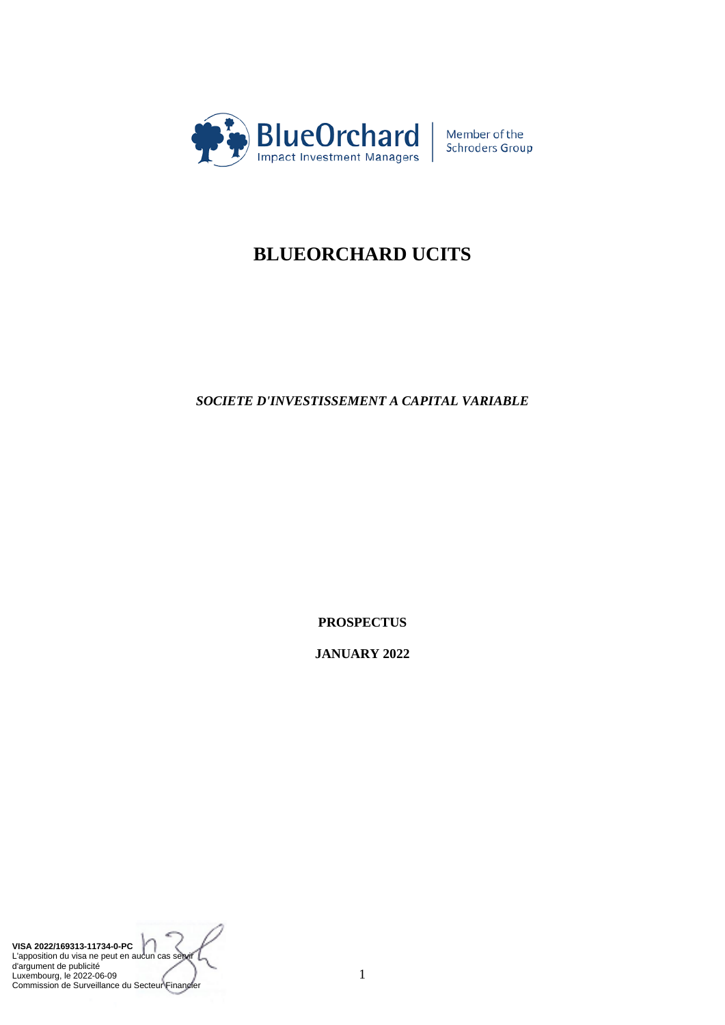

Member of the<br>Schroders Group

# **BLUEORCHARD UCITS**

*SOCIETE D'INVESTISSEMENT A CAPITAL VARIABLE*

**PROSPECTUS**

**JANUARY 2022**

**VISA 2022/169313-11734-0-PC** L'apposition du visa ne peut en aucun cas se d'argument de publicité Luxembourg, le 2022-06-09 Commission de Surveillance du Secteur Financier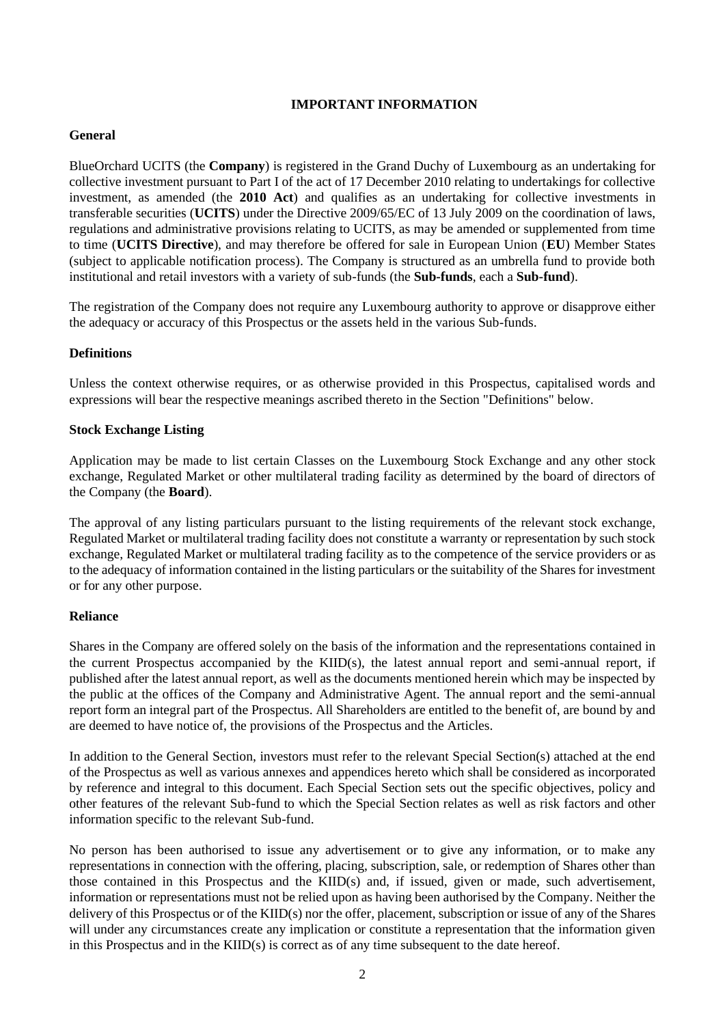## **IMPORTANT INFORMATION**

## **General**

BlueOrchard UCITS (the **Company**) is registered in the Grand Duchy of Luxembourg as an undertaking for collective investment pursuant to Part I of the act of 17 December 2010 relating to undertakings for collective investment, as amended (the **2010 Act**) and qualifies as an undertaking for collective investments in transferable securities (**UCITS**) under the Directive 2009/65/EC of 13 July 2009 on the coordination of laws, regulations and administrative provisions relating to UCITS, as may be amended or supplemented from time to time (**UCITS Directive**), and may therefore be offered for sale in European Union (**EU**) Member States (subject to applicable notification process). The Company is structured as an umbrella fund to provide both institutional and retail investors with a variety of sub-funds (the **Sub-funds**, each a **Sub-fund**).

The registration of the Company does not require any Luxembourg authority to approve or disapprove either the adequacy or accuracy of this Prospectus or the assets held in the various Sub-funds.

## **Definitions**

Unless the context otherwise requires, or as otherwise provided in this Prospectus, capitalised words and expressions will bear the respective meanings ascribed thereto in the Section "Definitions" below.

#### **Stock Exchange Listing**

Application may be made to list certain Classes on the Luxembourg Stock Exchange and any other stock exchange, Regulated Market or other multilateral trading facility as determined by the board of directors of the Company (the **Board**).

The approval of any listing particulars pursuant to the listing requirements of the relevant stock exchange, Regulated Market or multilateral trading facility does not constitute a warranty or representation by such stock exchange, Regulated Market or multilateral trading facility as to the competence of the service providers or as to the adequacy of information contained in the listing particulars or the suitability of the Shares for investment or for any other purpose.

#### **Reliance**

Shares in the Company are offered solely on the basis of the information and the representations contained in the current Prospectus accompanied by the KIID(s), the latest annual report and semi-annual report, if published after the latest annual report, as well as the documents mentioned herein which may be inspected by the public at the offices of the Company and Administrative Agent. The annual report and the semi-annual report form an integral part of the Prospectus. All Shareholders are entitled to the benefit of, are bound by and are deemed to have notice of, the provisions of the Prospectus and the Articles.

In addition to the General Section, investors must refer to the relevant Special Section(s) attached at the end of the Prospectus as well as various annexes and appendices hereto which shall be considered as incorporated by reference and integral to this document. Each Special Section sets out the specific objectives, policy and other features of the relevant Sub-fund to which the Special Section relates as well as risk factors and other information specific to the relevant Sub-fund.

No person has been authorised to issue any advertisement or to give any information, or to make any representations in connection with the offering, placing, subscription, sale, or redemption of Shares other than those contained in this Prospectus and the KIID(s) and, if issued, given or made, such advertisement, information or representations must not be relied upon as having been authorised by the Company. Neither the delivery of this Prospectus or of the KIID(s) nor the offer, placement, subscription or issue of any of the Shares will under any circumstances create any implication or constitute a representation that the information given in this Prospectus and in the KIID(s) is correct as of any time subsequent to the date hereof.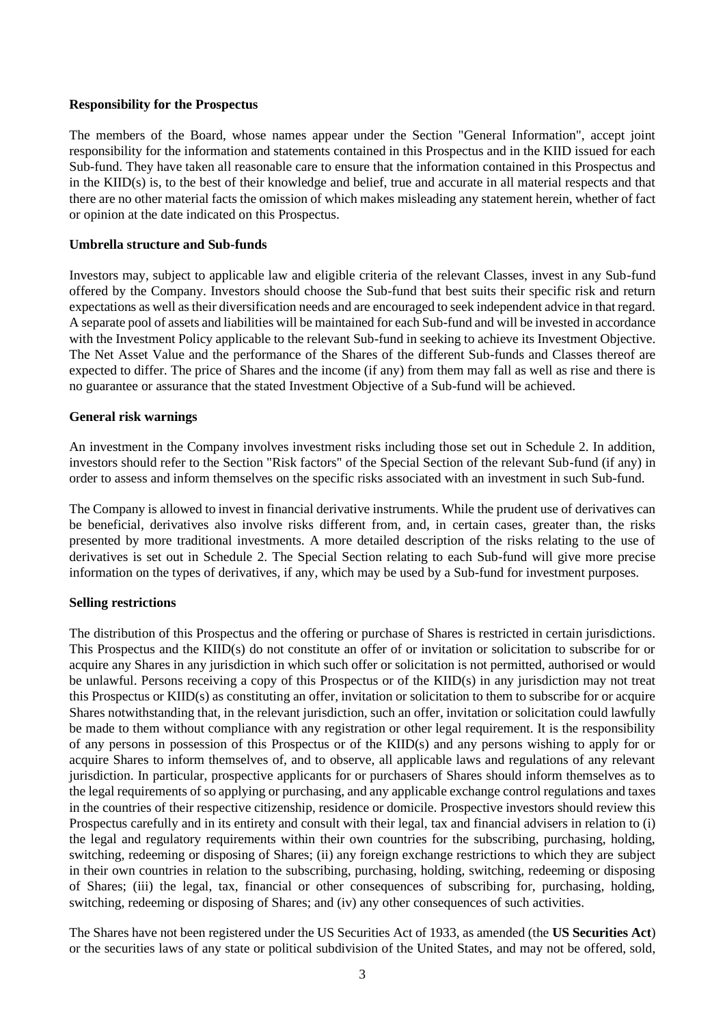#### **Responsibility for the Prospectus**

The members of the Board, whose names appear under the Section "General Information", accept joint responsibility for the information and statements contained in this Prospectus and in the KIID issued for each Sub-fund. They have taken all reasonable care to ensure that the information contained in this Prospectus and in the KIID(s) is, to the best of their knowledge and belief, true and accurate in all material respects and that there are no other material facts the omission of which makes misleading any statement herein, whether of fact or opinion at the date indicated on this Prospectus.

#### **Umbrella structure and Sub-funds**

Investors may, subject to applicable law and eligible criteria of the relevant Classes, invest in any Sub-fund offered by the Company. Investors should choose the Sub-fund that best suits their specific risk and return expectations as well as their diversification needs and are encouraged to seek independent advice in that regard. A separate pool of assets and liabilities will be maintained for each Sub-fund and will be invested in accordance with the Investment Policy applicable to the relevant Sub-fund in seeking to achieve its Investment Objective. The Net Asset Value and the performance of the Shares of the different Sub-funds and Classes thereof are expected to differ. The price of Shares and the income (if any) from them may fall as well as rise and there is no guarantee or assurance that the stated Investment Objective of a Sub-fund will be achieved.

#### **General risk warnings**

An investment in the Company involves investment risks including those set out in Schedule 2. In addition, investors should refer to the Section "Risk factors" of the Special Section of the relevant Sub-fund (if any) in order to assess and inform themselves on the specific risks associated with an investment in such Sub-fund.

The Company is allowed to invest in financial derivative instruments. While the prudent use of derivatives can be beneficial, derivatives also involve risks different from, and, in certain cases, greater than, the risks presented by more traditional investments. A more detailed description of the risks relating to the use of derivatives is set out in Schedule 2. The Special Section relating to each Sub-fund will give more precise information on the types of derivatives, if any, which may be used by a Sub-fund for investment purposes.

#### **Selling restrictions**

The distribution of this Prospectus and the offering or purchase of Shares is restricted in certain jurisdictions. This Prospectus and the KIID(s) do not constitute an offer of or invitation or solicitation to subscribe for or acquire any Shares in any jurisdiction in which such offer or solicitation is not permitted, authorised or would be unlawful. Persons receiving a copy of this Prospectus or of the KIID(s) in any jurisdiction may not treat this Prospectus or KIID(s) as constituting an offer, invitation or solicitation to them to subscribe for or acquire Shares notwithstanding that, in the relevant jurisdiction, such an offer, invitation or solicitation could lawfully be made to them without compliance with any registration or other legal requirement. It is the responsibility of any persons in possession of this Prospectus or of the KIID(s) and any persons wishing to apply for or acquire Shares to inform themselves of, and to observe, all applicable laws and regulations of any relevant jurisdiction. In particular, prospective applicants for or purchasers of Shares should inform themselves as to the legal requirements of so applying or purchasing, and any applicable exchange control regulations and taxes in the countries of their respective citizenship, residence or domicile. Prospective investors should review this Prospectus carefully and in its entirety and consult with their legal, tax and financial advisers in relation to (i) the legal and regulatory requirements within their own countries for the subscribing, purchasing, holding, switching, redeeming or disposing of Shares; (ii) any foreign exchange restrictions to which they are subject in their own countries in relation to the subscribing, purchasing, holding, switching, redeeming or disposing of Shares; (iii) the legal, tax, financial or other consequences of subscribing for, purchasing, holding, switching, redeeming or disposing of Shares; and (iv) any other consequences of such activities.

The Shares have not been registered under the US Securities Act of 1933, as amended (the **US Securities Act**) or the securities laws of any state or political subdivision of the United States, and may not be offered, sold,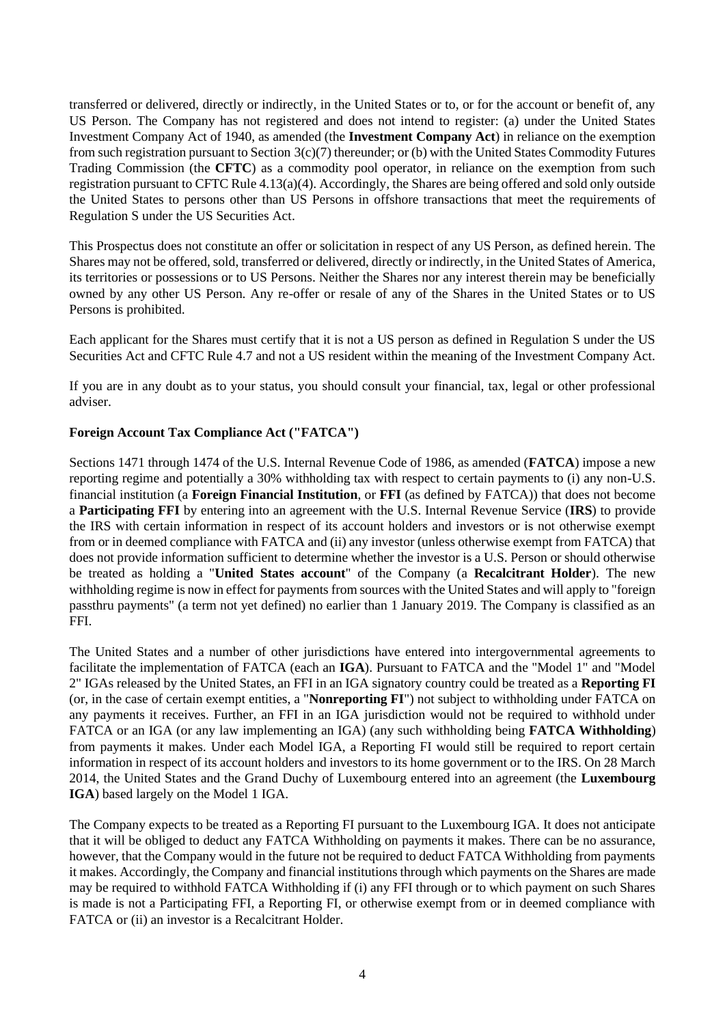transferred or delivered, directly or indirectly, in the United States or to, or for the account or benefit of, any US Person. The Company has not registered and does not intend to register: (a) under the United States Investment Company Act of 1940, as amended (the **Investment Company Act**) in reliance on the exemption from such registration pursuant to Section 3(c)(7) thereunder; or (b) with the United States Commodity Futures Trading Commission (the **CFTC**) as a commodity pool operator, in reliance on the exemption from such registration pursuant to CFTC Rule 4.13(a)(4). Accordingly, the Shares are being offered and sold only outside the United States to persons other than US Persons in offshore transactions that meet the requirements of Regulation S under the US Securities Act.

This Prospectus does not constitute an offer or solicitation in respect of any US Person, as defined herein. The Shares may not be offered, sold, transferred or delivered, directly or indirectly, in the United States of America, its territories or possessions or to US Persons. Neither the Shares nor any interest therein may be beneficially owned by any other US Person. Any re-offer or resale of any of the Shares in the United States or to US Persons is prohibited.

Each applicant for the Shares must certify that it is not a US person as defined in Regulation S under the US Securities Act and CFTC Rule 4.7 and not a US resident within the meaning of the Investment Company Act.

If you are in any doubt as to your status, you should consult your financial, tax, legal or other professional adviser.

## **Foreign Account Tax Compliance Act ("FATCA")**

Sections 1471 through 1474 of the U.S. Internal Revenue Code of 1986, as amended (**FATCA**) impose a new reporting regime and potentially a 30% withholding tax with respect to certain payments to (i) any non-U.S. financial institution (a **Foreign Financial Institution**, or **FFI** (as defined by FATCA)) that does not become a **Participating FFI** by entering into an agreement with the U.S. Internal Revenue Service (**IRS**) to provide the IRS with certain information in respect of its account holders and investors or is not otherwise exempt from or in deemed compliance with FATCA and (ii) any investor (unless otherwise exempt from FATCA) that does not provide information sufficient to determine whether the investor is a U.S. Person or should otherwise be treated as holding a "**United States account**" of the Company (a **Recalcitrant Holder**). The new withholding regime is now in effect for payments from sources with the United States and will apply to "foreign passthru payments" (a term not yet defined) no earlier than 1 January 2019. The Company is classified as an FFI.

The United States and a number of other jurisdictions have entered into intergovernmental agreements to facilitate the implementation of FATCA (each an **IGA**). Pursuant to FATCA and the "Model 1" and "Model 2" IGAs released by the United States, an FFI in an IGA signatory country could be treated as a **Reporting FI** (or, in the case of certain exempt entities, a "**Nonreporting FI**") not subject to withholding under FATCA on any payments it receives. Further, an FFI in an IGA jurisdiction would not be required to withhold under FATCA or an IGA (or any law implementing an IGA) (any such withholding being **FATCA Withholding**) from payments it makes. Under each Model IGA, a Reporting FI would still be required to report certain information in respect of its account holders and investors to its home government or to the IRS. On 28 March 2014, the United States and the Grand Duchy of Luxembourg entered into an agreement (the **Luxembourg IGA**) based largely on the Model 1 IGA.

The Company expects to be treated as a Reporting FI pursuant to the Luxembourg IGA. It does not anticipate that it will be obliged to deduct any FATCA Withholding on payments it makes. There can be no assurance, however, that the Company would in the future not be required to deduct FATCA Withholding from payments it makes. Accordingly, the Company and financial institutions through which payments on the Shares are made may be required to withhold FATCA Withholding if (i) any FFI through or to which payment on such Shares is made is not a Participating FFI, a Reporting FI, or otherwise exempt from or in deemed compliance with FATCA or (ii) an investor is a Recalcitrant Holder.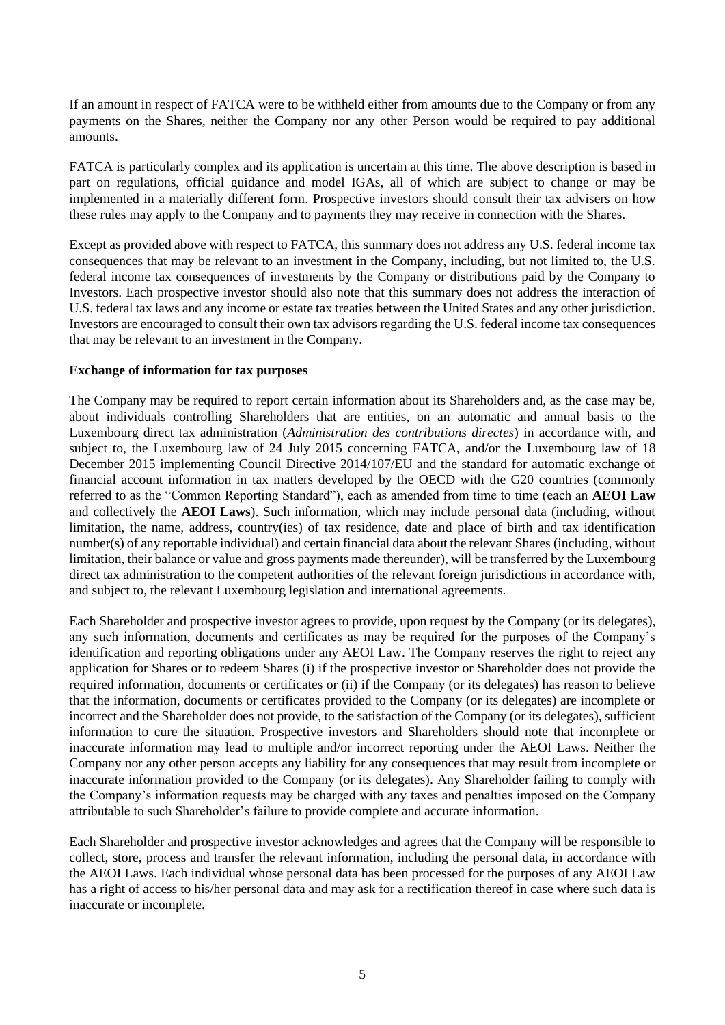If an amount in respect of FATCA were to be withheld either from amounts due to the Company or from any payments on the Shares, neither the Company nor any other Person would be required to pay additional amounts.

FATCA is particularly complex and its application is uncertain at this time. The above description is based in part on regulations, official guidance and model IGAs, all of which are subject to change or may be implemented in a materially different form. Prospective investors should consult their tax advisers on how these rules may apply to the Company and to payments they may receive in connection with the Shares.

Except as provided above with respect to FATCA, this summary does not address any U.S. federal income tax consequences that may be relevant to an investment in the Company, including, but not limited to, the U.S. federal income tax consequences of investments by the Company or distributions paid by the Company to Investors. Each prospective investor should also note that this summary does not address the interaction of U.S. federal tax laws and any income or estate tax treaties between the United States and any other jurisdiction. Investors are encouraged to consult their own tax advisors regarding the U.S. federal income tax consequences that may be relevant to an investment in the Company.

#### **Exchange of information for tax purposes**

The Company may be required to report certain information about its Shareholders and, as the case may be, about individuals controlling Shareholders that are entities, on an automatic and annual basis to the Luxembourg direct tax administration (*Administration des contributions directes*) in accordance with, and subject to, the Luxembourg law of 24 July 2015 concerning FATCA, and/or the Luxembourg law of 18 December 2015 implementing Council Directive 2014/107/EU and the standard for automatic exchange of financial account information in tax matters developed by the OECD with the G20 countries (commonly referred to as the "Common Reporting Standard"), each as amended from time to time (each an **AEOI Law** and collectively the **AEOI Laws**). Such information, which may include personal data (including, without limitation, the name, address, country(ies) of tax residence, date and place of birth and tax identification number(s) of any reportable individual) and certain financial data about the relevant Shares (including, without limitation, their balance or value and gross payments made thereunder), will be transferred by the Luxembourg direct tax administration to the competent authorities of the relevant foreign jurisdictions in accordance with, and subject to, the relevant Luxembourg legislation and international agreements.

Each Shareholder and prospective investor agrees to provide, upon request by the Company (or its delegates), any such information, documents and certificates as may be required for the purposes of the Company's identification and reporting obligations under any AEOI Law. The Company reserves the right to reject any application for Shares or to redeem Shares (i) if the prospective investor or Shareholder does not provide the required information, documents or certificates or (ii) if the Company (or its delegates) has reason to believe that the information, documents or certificates provided to the Company (or its delegates) are incomplete or incorrect and the Shareholder does not provide, to the satisfaction of the Company (or its delegates), sufficient information to cure the situation. Prospective investors and Shareholders should note that incomplete or inaccurate information may lead to multiple and/or incorrect reporting under the AEOI Laws. Neither the Company nor any other person accepts any liability for any consequences that may result from incomplete or inaccurate information provided to the Company (or its delegates). Any Shareholder failing to comply with the Company's information requests may be charged with any taxes and penalties imposed on the Company attributable to such Shareholder's failure to provide complete and accurate information.

Each Shareholder and prospective investor acknowledges and agrees that the Company will be responsible to collect, store, process and transfer the relevant information, including the personal data, in accordance with the AEOI Laws. Each individual whose personal data has been processed for the purposes of any AEOI Law has a right of access to his/her personal data and may ask for a rectification thereof in case where such data is inaccurate or incomplete.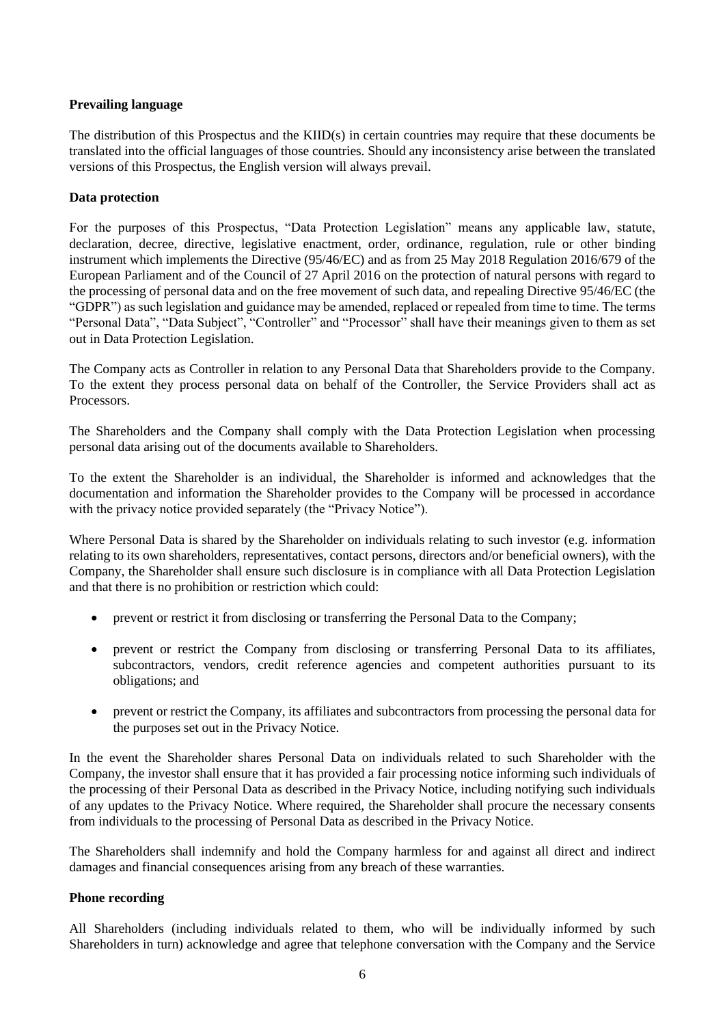## **Prevailing language**

The distribution of this Prospectus and the KIID(s) in certain countries may require that these documents be translated into the official languages of those countries. Should any inconsistency arise between the translated versions of this Prospectus, the English version will always prevail.

## **Data protection**

For the purposes of this Prospectus, "Data Protection Legislation" means any applicable law, statute, declaration, decree, directive, legislative enactment, order, ordinance, regulation, rule or other binding instrument which implements the Directive (95/46/EC) and as from 25 May 2018 Regulation 2016/679 of the European Parliament and of the Council of 27 April 2016 on the protection of natural persons with regard to the processing of personal data and on the free movement of such data, and repealing Directive 95/46/EC (the "GDPR") as such legislation and guidance may be amended, replaced or repealed from time to time. The terms "Personal Data", "Data Subject", "Controller" and "Processor" shall have their meanings given to them as set out in Data Protection Legislation.

The Company acts as Controller in relation to any Personal Data that Shareholders provide to the Company. To the extent they process personal data on behalf of the Controller, the Service Providers shall act as **Processors**.

The Shareholders and the Company shall comply with the Data Protection Legislation when processing personal data arising out of the documents available to Shareholders.

To the extent the Shareholder is an individual, the Shareholder is informed and acknowledges that the documentation and information the Shareholder provides to the Company will be processed in accordance with the privacy notice provided separately (the "Privacy Notice").

Where Personal Data is shared by the Shareholder on individuals relating to such investor (e.g. information relating to its own shareholders, representatives, contact persons, directors and/or beneficial owners), with the Company, the Shareholder shall ensure such disclosure is in compliance with all Data Protection Legislation and that there is no prohibition or restriction which could:

- prevent or restrict it from disclosing or transferring the Personal Data to the Company;
- prevent or restrict the Company from disclosing or transferring Personal Data to its affiliates, subcontractors, vendors, credit reference agencies and competent authorities pursuant to its obligations; and
- prevent or restrict the Company, its affiliates and subcontractors from processing the personal data for the purposes set out in the Privacy Notice.

In the event the Shareholder shares Personal Data on individuals related to such Shareholder with the Company, the investor shall ensure that it has provided a fair processing notice informing such individuals of the processing of their Personal Data as described in the Privacy Notice, including notifying such individuals of any updates to the Privacy Notice. Where required, the Shareholder shall procure the necessary consents from individuals to the processing of Personal Data as described in the Privacy Notice.

The Shareholders shall indemnify and hold the Company harmless for and against all direct and indirect damages and financial consequences arising from any breach of these warranties.

#### **Phone recording**

All Shareholders (including individuals related to them, who will be individually informed by such Shareholders in turn) acknowledge and agree that telephone conversation with the Company and the Service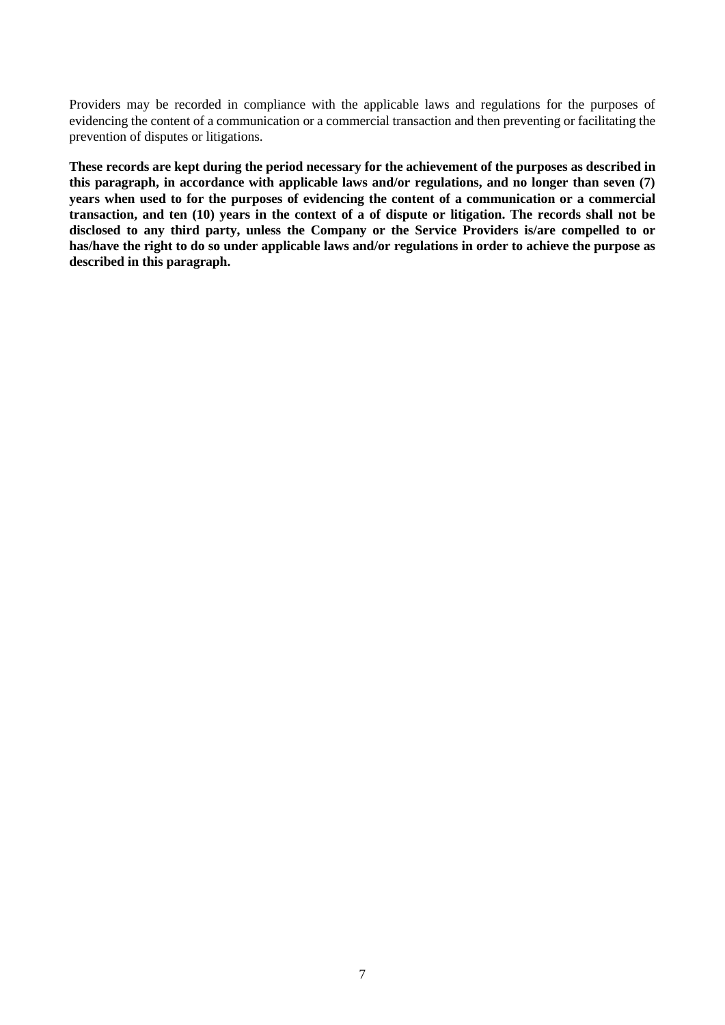Providers may be recorded in compliance with the applicable laws and regulations for the purposes of evidencing the content of a communication or a commercial transaction and then preventing or facilitating the prevention of disputes or litigations.

**These records are kept during the period necessary for the achievement of the purposes as described in this paragraph, in accordance with applicable laws and/or regulations, and no longer than seven (7) years when used to for the purposes of evidencing the content of a communication or a commercial transaction, and ten (10) years in the context of a of dispute or litigation. The records shall not be disclosed to any third party, unless the Company or the Service Providers is/are compelled to or has/have the right to do so under applicable laws and/or regulations in order to achieve the purpose as described in this paragraph.**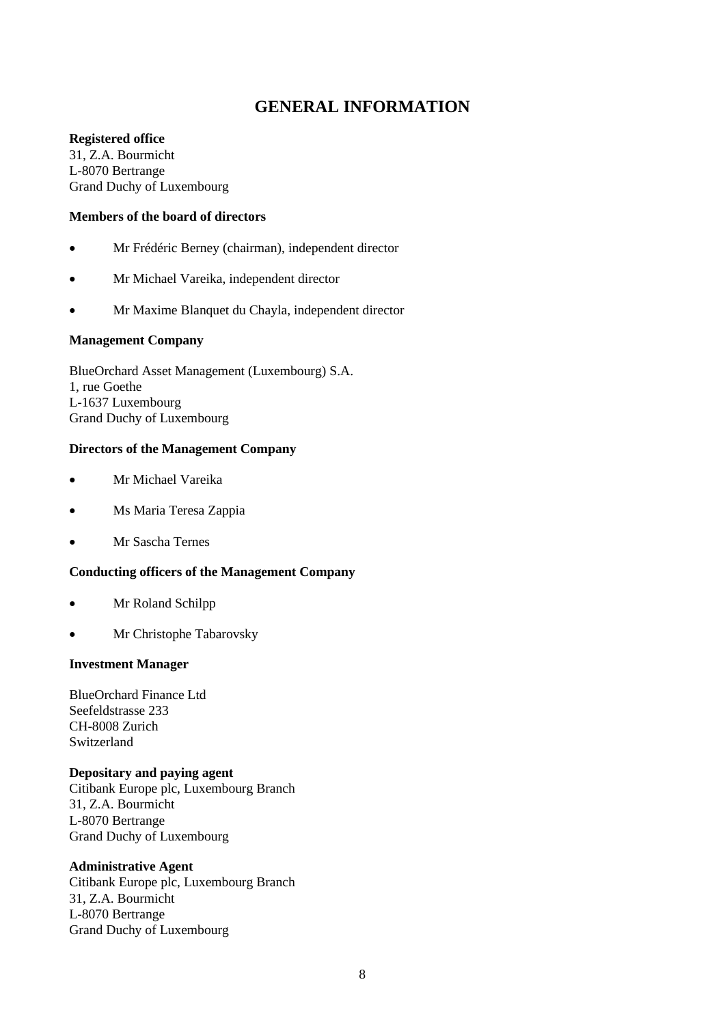## **GENERAL INFORMATION**

## **Registered office**

31, Z.A. Bourmicht L-8070 Bertrange Grand Duchy of Luxembourg

## **Members of the board of directors**

- Mr Frédéric Berney (chairman), independent director
- Mr Michael Vareika, independent director
- Mr Maxime Blanquet du Chayla, independent director

## **Management Company**

BlueOrchard Asset Management (Luxembourg) S.A. 1, rue Goethe L-1637 Luxembourg Grand Duchy of Luxembourg

#### **Directors of the Management Company**

- Mr Michael Vareika
- Ms Maria Teresa Zappia
- Mr Sascha Ternes

#### **Conducting officers of the Management Company**

- Mr Roland Schilpp
- Mr Christophe Tabarovsky

#### **Investment Manager**

BlueOrchard Finance Ltd Seefeldstrasse 233 CH-8008 Zurich Switzerland

#### **Depositary and paying agent**

Citibank Europe plc, Luxembourg Branch 31, Z.A. Bourmicht L-8070 Bertrange Grand Duchy of Luxembourg

#### **Administrative Agent**

Citibank Europe plc, Luxembourg Branch 31, Z.A. Bourmicht L-8070 Bertrange Grand Duchy of Luxembourg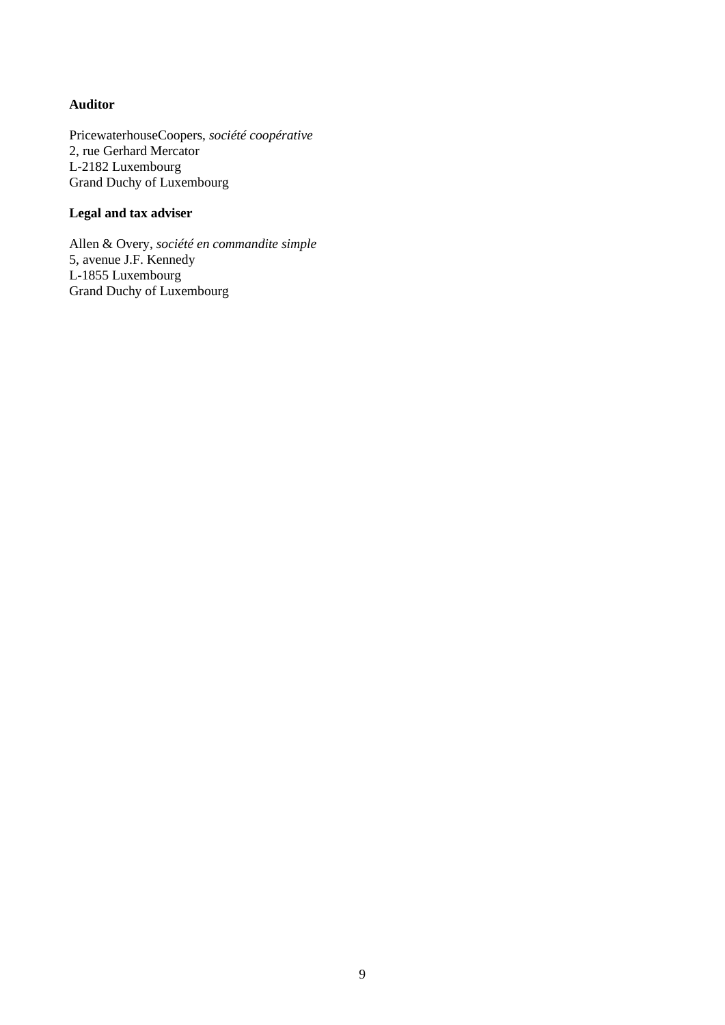## **Auditor**

PricewaterhouseCoopers, *société coopérative* 2, rue Gerhard Mercator L-2182 Luxembourg Grand Duchy of Luxembourg

## **Legal and tax adviser**

Allen & Overy, *société en commandite simple* 5, avenue J.F. Kennedy L-1855 Luxembourg Grand Duchy of Luxembourg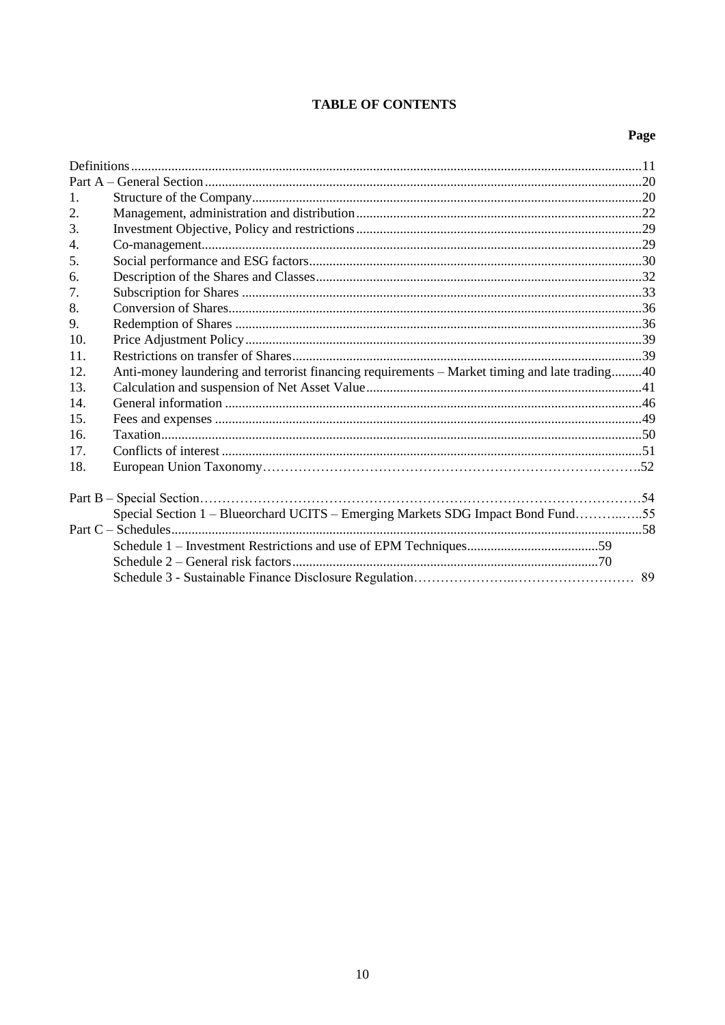## **TABLE OF CONTENTS**

## Page

| $\mathbf{1}$ .   |                                                                                               |  |
|------------------|-----------------------------------------------------------------------------------------------|--|
| 2.               |                                                                                               |  |
| 3.               |                                                                                               |  |
| $\overline{4}$ . |                                                                                               |  |
| 5.               |                                                                                               |  |
| 6.               |                                                                                               |  |
| 7.               |                                                                                               |  |
| 8.               |                                                                                               |  |
| 9.               |                                                                                               |  |
| 10.              |                                                                                               |  |
| 11.              |                                                                                               |  |
| 12.              | Anti-money laundering and terrorist financing requirements – Market timing and late trading40 |  |
| 13.              |                                                                                               |  |
| 14.              |                                                                                               |  |
| 15.              |                                                                                               |  |
| 16.              |                                                                                               |  |
| 17.              |                                                                                               |  |
| 18.              |                                                                                               |  |
|                  |                                                                                               |  |
|                  | Special Section 1 - Blueorchard UCITS - Emerging Markets SDG Impact Bond Fund55               |  |
|                  |                                                                                               |  |
|                  |                                                                                               |  |
|                  |                                                                                               |  |
|                  |                                                                                               |  |
|                  |                                                                                               |  |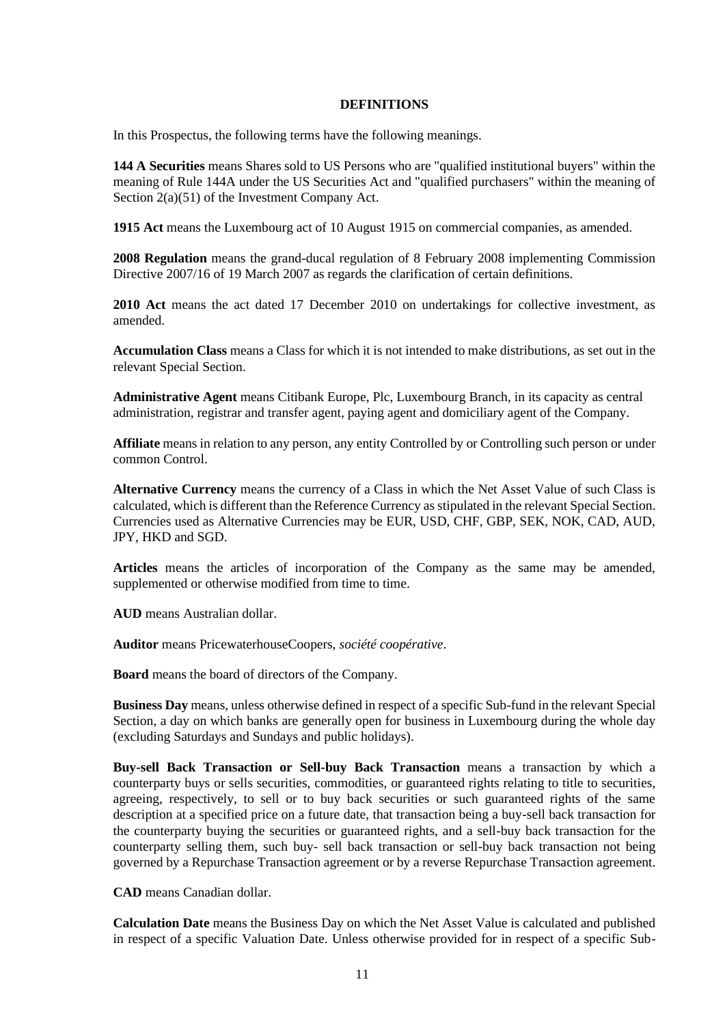#### **DEFINITIONS**

In this Prospectus, the following terms have the following meanings.

**144 A Securities** means Shares sold to US Persons who are "qualified institutional buyers" within the meaning of Rule 144A under the US Securities Act and "qualified purchasers" within the meaning of Section 2(a)(51) of the Investment Company Act.

**1915 Act** means the Luxembourg act of 10 August 1915 on commercial companies, as amended.

**2008 Regulation** means the grand-ducal regulation of 8 February 2008 implementing Commission Directive 2007/16 of 19 March 2007 as regards the clarification of certain definitions.

**2010 Act** means the act dated 17 December 2010 on undertakings for collective investment, as amended.

**Accumulation Class** means a Class for which it is not intended to make distributions, as set out in the relevant Special Section.

**Administrative Agent** means Citibank Europe, Plc, Luxembourg Branch, in its capacity as central administration, registrar and transfer agent, paying agent and domiciliary agent of the Company.

**Affiliate** means in relation to any person, any entity Controlled by or Controlling such person or under common Control.

**Alternative Currency** means the currency of a Class in which the Net Asset Value of such Class is calculated, which is different than the Reference Currency as stipulated in the relevant Special Section. Currencies used as Alternative Currencies may be EUR, USD, CHF, GBP, SEK, NOK, CAD, AUD, JPY, HKD and SGD.

**Articles** means the articles of incorporation of the Company as the same may be amended, supplemented or otherwise modified from time to time.

**AUD** means Australian dollar.

**Auditor** means PricewaterhouseCoopers, *société coopérative*.

**Board** means the board of directors of the Company.

**Business Day** means, unless otherwise defined in respect of a specific Sub-fund in the relevant Special Section, a day on which banks are generally open for business in Luxembourg during the whole day (excluding Saturdays and Sundays and public holidays).

**Buy-sell Back Transaction or Sell-buy Back Transaction** means a transaction by which a counterparty buys or sells securities, commodities, or guaranteed rights relating to title to securities, agreeing, respectively, to sell or to buy back securities or such guaranteed rights of the same description at a specified price on a future date, that transaction being a buy-sell back transaction for the counterparty buying the securities or guaranteed rights, and a sell-buy back transaction for the counterparty selling them, such buy- sell back transaction or sell-buy back transaction not being governed by a Repurchase Transaction agreement or by a reverse Repurchase Transaction agreement.

**CAD** means Canadian dollar.

**Calculation Date** means the Business Day on which the Net Asset Value is calculated and published in respect of a specific Valuation Date. Unless otherwise provided for in respect of a specific Sub-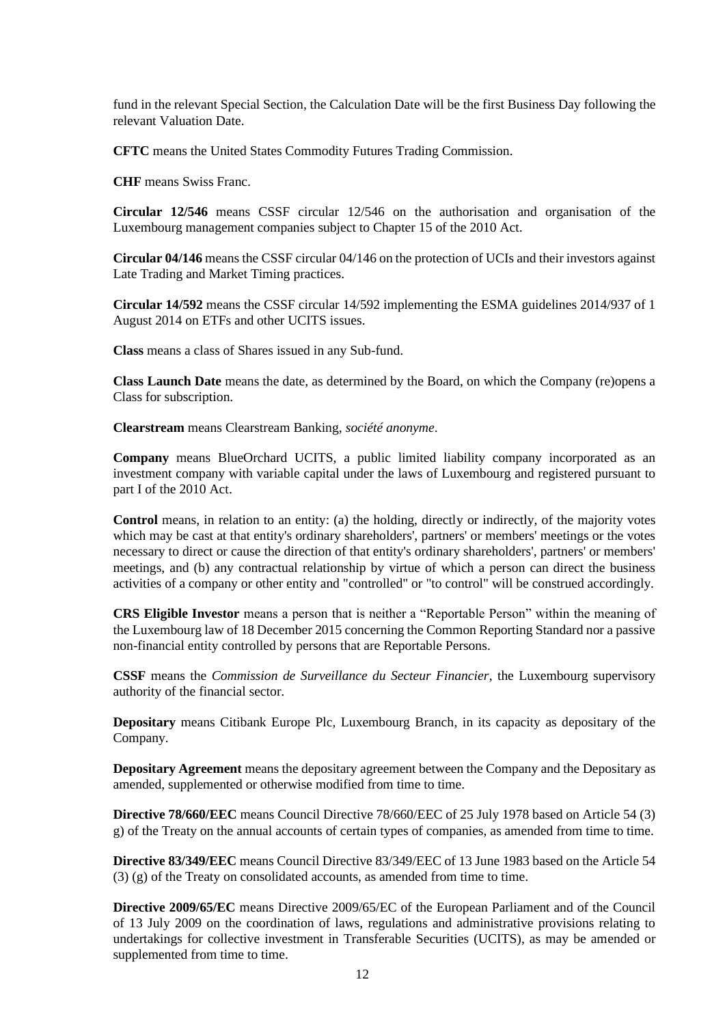fund in the relevant Special Section, the Calculation Date will be the first Business Day following the relevant Valuation Date.

**CFTC** means the United States Commodity Futures Trading Commission.

**CHF** means Swiss Franc.

**Circular 12/546** means CSSF circular 12/546 on the authorisation and organisation of the Luxembourg management companies subject to Chapter 15 of the 2010 Act.

**Circular 04/146** means the CSSF circular 04/146 on the protection of UCIs and their investors against Late Trading and Market Timing practices.

**Circular 14/592** means the CSSF circular 14/592 implementing the ESMA guidelines 2014/937 of 1 August 2014 on ETFs and other UCITS issues.

**Class** means a class of Shares issued in any Sub-fund.

**Class Launch Date** means the date, as determined by the Board, on which the Company (re)opens a Class for subscription.

**Clearstream** means Clearstream Banking, *société anonyme*.

**Company** means BlueOrchard UCITS, a public limited liability company incorporated as an investment company with variable capital under the laws of Luxembourg and registered pursuant to part I of the 2010 Act.

Control means, in relation to an entity: (a) the holding, directly or indirectly, of the majority votes which may be cast at that entity's ordinary shareholders', partners' or members' meetings or the votes necessary to direct or cause the direction of that entity's ordinary shareholders', partners' or members' meetings, and (b) any contractual relationship by virtue of which a person can direct the business activities of a company or other entity and "controlled" or "to control" will be construed accordingly.

**CRS Eligible Investor** means a person that is neither a "Reportable Person" within the meaning of the Luxembourg law of 18 December 2015 concerning the Common Reporting Standard nor a passive non-financial entity controlled by persons that are Reportable Persons.

**CSSF** means the *Commission de Surveillance du Secteur Financier*, the Luxembourg supervisory authority of the financial sector.

**Depositary** means Citibank Europe Plc, Luxembourg Branch, in its capacity as depositary of the Company.

**Depositary Agreement** means the depositary agreement between the Company and the Depositary as amended, supplemented or otherwise modified from time to time.

**Directive 78/660/EEC** means Council Directive 78/660/EEC of 25 July 1978 based on Article 54 (3) g) of the Treaty on the annual accounts of certain types of companies, as amended from time to time.

**Directive 83/349/EEC** means Council Directive 83/349/EEC of 13 June 1983 based on the Article 54 (3) (g) of the Treaty on consolidated accounts, as amended from time to time.

**Directive 2009/65/EC** means Directive 2009/65/EC of the European Parliament and of the Council of 13 July 2009 on the coordination of laws, regulations and administrative provisions relating to undertakings for collective investment in Transferable Securities (UCITS), as may be amended or supplemented from time to time.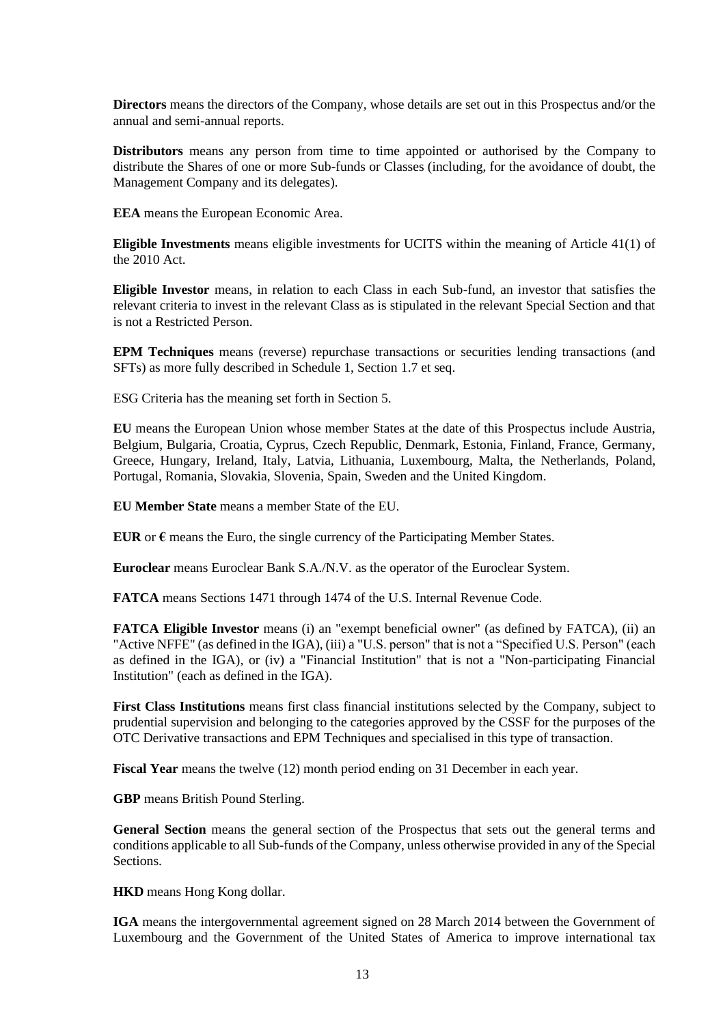**Directors** means the directors of the Company, whose details are set out in this Prospectus and/or the annual and semi-annual reports.

**Distributors** means any person from time to time appointed or authorised by the Company to distribute the Shares of one or more Sub-funds or Classes (including, for the avoidance of doubt, the Management Company and its delegates).

**EEA** means the European Economic Area.

**Eligible Investments** means eligible investments for UCITS within the meaning of Article 41(1) of the 2010 Act.

**Eligible Investor** means, in relation to each Class in each Sub-fund, an investor that satisfies the relevant criteria to invest in the relevant Class as is stipulated in the relevant Special Section and that is not a Restricted Person.

**EPM Techniques** means (reverse) repurchase transactions or securities lending transactions (and SFTs) as more fully described in Schedule 1, Section [1.7](#page-63-0) et seq.

ESG Criteria has the meaning set forth in Section [5.](#page-29-0)

**EU** means the European Union whose member States at the date of this Prospectus include Austria, Belgium, Bulgaria, Croatia, Cyprus, Czech Republic, Denmark, Estonia, Finland, France, Germany, Greece, Hungary, Ireland, Italy, Latvia, Lithuania, Luxembourg, Malta, the Netherlands, Poland, Portugal, Romania, Slovakia, Slovenia, Spain, Sweden and the United Kingdom.

**EU Member State** means a member State of the EU.

**EUR** or  $\epsilon$  means the Euro, the single currency of the Participating Member States.

**Euroclear** means Euroclear Bank S.A./N.V. as the operator of the Euroclear System.

**FATCA** means Sections 1471 through 1474 of the U.S. Internal Revenue Code.

**FATCA Eligible Investor** means (i) an "exempt beneficial owner" (as defined by FATCA), (ii) an "Active NFFE" (as defined in the IGA), (iii) a "U.S. person" that is not a "Specified U.S. Person" (each as defined in the IGA), or (iv) a "Financial Institution" that is not a "Non-participating Financial Institution" (each as defined in the IGA).

**First Class Institutions** means first class financial institutions selected by the Company, subject to prudential supervision and belonging to the categories approved by the CSSF for the purposes of the OTC Derivative transactions and EPM Techniques and specialised in this type of transaction.

**Fiscal Year** means the twelve (12) month period ending on 31 December in each year.

**GBP** means British Pound Sterling.

**General Section** means the general section of the Prospectus that sets out the general terms and conditions applicable to all Sub-funds of the Company, unless otherwise provided in any of the Special Sections.

**HKD** means Hong Kong dollar.

**IGA** means the intergovernmental agreement signed on 28 March 2014 between the Government of Luxembourg and the Government of the United States of America to improve international tax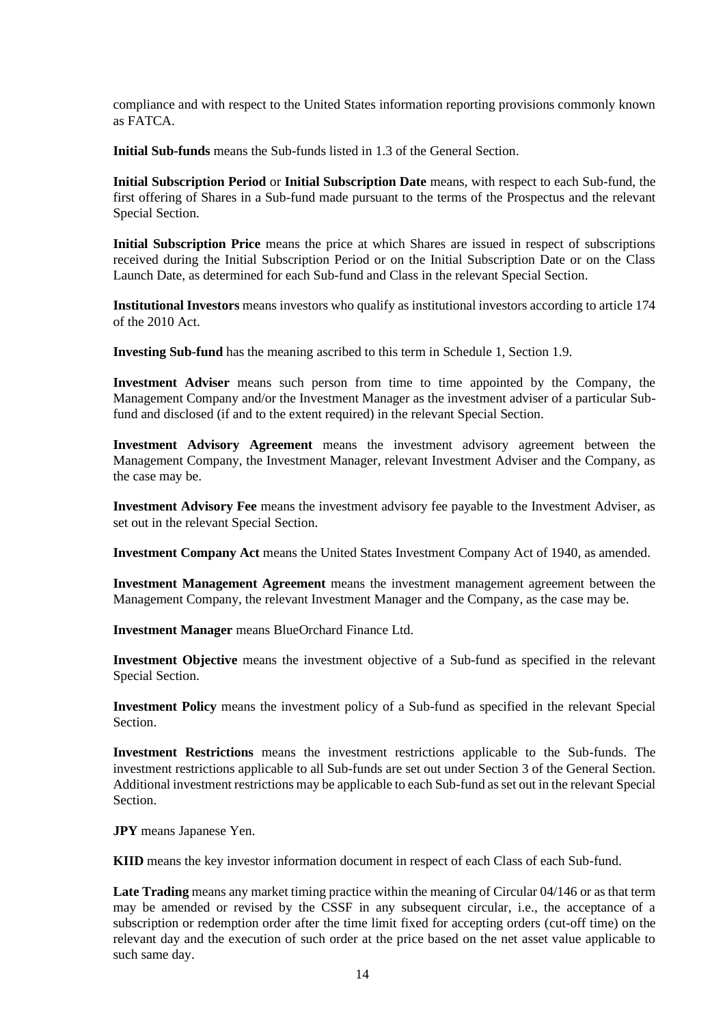compliance and with respect to the United States information reporting provisions commonly known as FATCA.

**Initial Sub-funds** means the Sub-funds listed in [1.3](#page-20-0) of the General Section.

**Initial Subscription Period** or **Initial Subscription Date** means, with respect to each Sub-fund, the first offering of Shares in a Sub-fund made pursuant to the terms of the Prospectus and the relevant Special Section.

**Initial Subscription Price** means the price at which Shares are issued in respect of subscriptions received during the Initial Subscription Period or on the Initial Subscription Date or on the Class Launch Date, as determined for each Sub-fund and Class in the relevant Special Section.

**Institutional Investors** means investors who qualify as institutional investors according to article 174 of the 2010 Act.

**Investing Sub-fund** has the meaning ascribed to this term in Schedule 1, Section [1.9.](#page-67-0)

**Investment Adviser** means such person from time to time appointed by the Company, the Management Company and/or the Investment Manager as the investment adviser of a particular Subfund and disclosed (if and to the extent required) in the relevant Special Section.

**Investment Advisory Agreement** means the investment advisory agreement between the Management Company, the Investment Manager, relevant Investment Adviser and the Company, as the case may be.

**Investment Advisory Fee** means the investment advisory fee payable to the Investment Adviser, as set out in the relevant Special Section.

**Investment Company Act** means the United States Investment Company Act of 1940, as amended.

**Investment Management Agreement** means the investment management agreement between the Management Company, the relevant Investment Manager and the Company, as the case may be.

**Investment Manager** means BlueOrchard Finance Ltd.

**Investment Objective** means the investment objective of a Sub-fund as specified in the relevant Special Section.

**Investment Policy** means the investment policy of a Sub-fund as specified in the relevant Special Section.

**Investment Restrictions** means the investment restrictions applicable to the Sub-funds. The investment restrictions applicable to all Sub-funds are set out under Section [3](#page-28-0) of the General Section. Additional investment restrictions may be applicable to each Sub-fund as set out in the relevant Special Section.

**JPY** means Japanese Yen.

**KIID** means the key investor information document in respect of each Class of each Sub-fund.

**Late Trading** means any market timing practice within the meaning of Circular 04/146 or as that term may be amended or revised by the CSSF in any subsequent circular, i.e., the acceptance of a subscription or redemption order after the time limit fixed for accepting orders (cut-off time) on the relevant day and the execution of such order at the price based on the net asset value applicable to such same day.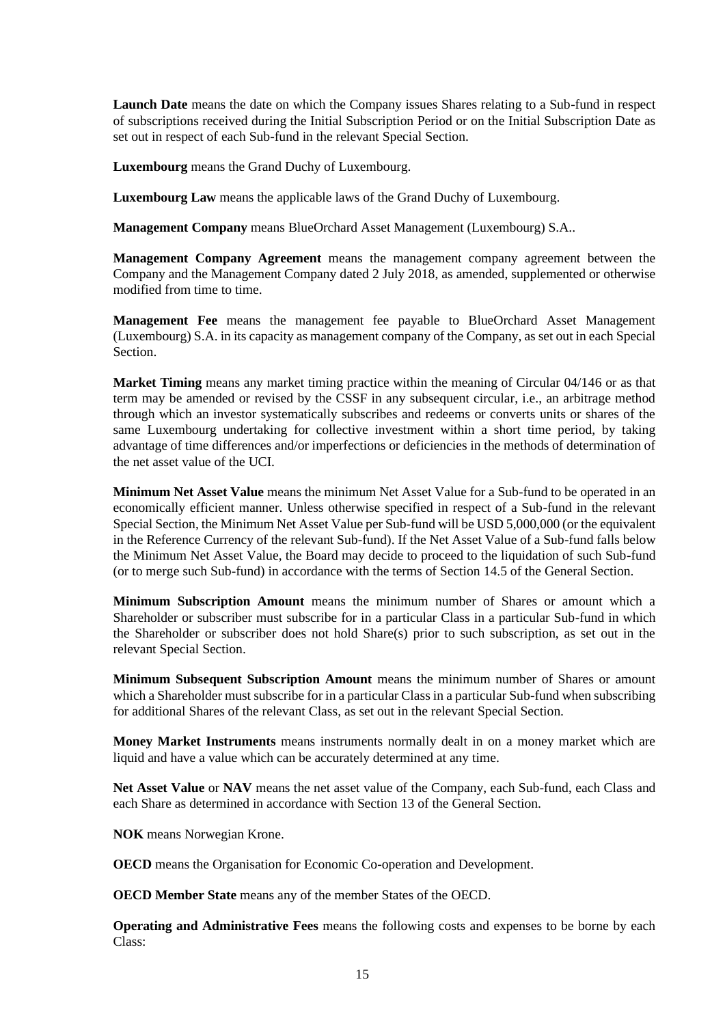**Launch Date** means the date on which the Company issues Shares relating to a Sub-fund in respect of subscriptions received during the Initial Subscription Period or on the Initial Subscription Date as set out in respect of each Sub-fund in the relevant Special Section.

**Luxembourg** means the Grand Duchy of Luxembourg.

**Luxembourg Law** means the applicable laws of the Grand Duchy of Luxembourg.

**Management Company** means BlueOrchard Asset Management (Luxembourg) S.A..

**Management Company Agreement** means the management company agreement between the Company and the Management Company dated 2 July 2018, as amended, supplemented or otherwise modified from time to time.

**Management Fee** means the management fee payable to BlueOrchard Asset Management (Luxembourg) S.A. in its capacity as management company of the Company, as set out in each Special Section.

**Market Timing** means any market timing practice within the meaning of Circular 04/146 or as that term may be amended or revised by the CSSF in any subsequent circular, i.e., an arbitrage method through which an investor systematically subscribes and redeems or converts units or shares of the same Luxembourg undertaking for collective investment within a short time period, by taking advantage of time differences and/or imperfections or deficiencies in the methods of determination of the net asset value of the UCI.

**Minimum Net Asset Value** means the minimum Net Asset Value for a Sub-fund to be operated in an economically efficient manner. Unless otherwise specified in respect of a Sub-fund in the relevant Special Section, the Minimum Net Asset Value per Sub-fund will be USD 5,000,000 (or the equivalent in the Reference Currency of the relevant Sub-fund). If the Net Asset Value of a Sub-fund falls below the Minimum Net Asset Value, the Board may decide to proceed to the liquidation of such Sub-fund (or to merge such Sub-fund) in accordance with the terms of Section [14.5](#page-46-0) of the General Section.

**Minimum Subscription Amount** means the minimum number of Shares or amount which a Shareholder or subscriber must subscribe for in a particular Class in a particular Sub-fund in which the Shareholder or subscriber does not hold Share(s) prior to such subscription, as set out in the relevant Special Section.

**Minimum Subsequent Subscription Amount** means the minimum number of Shares or amount which a Shareholder must subscribe for in a particular Class in a particular Sub-fund when subscribing for additional Shares of the relevant Class, as set out in the relevant Special Section.

**Money Market Instruments** means instruments normally dealt in on a money market which are liquid and have a value which can be accurately determined at any time.

**Net Asset Value** or **NAV** means the net asset value of the Company, each Sub-fund, each Class and each Share as determined in accordance with Section [13](#page-40-0) of the General Section.

**NOK** means Norwegian Krone.

**OECD** means the Organisation for Economic Co-operation and Development.

**OECD Member State** means any of the member States of the OECD.

**Operating and Administrative Fees** means the following costs and expenses to be borne by each Class: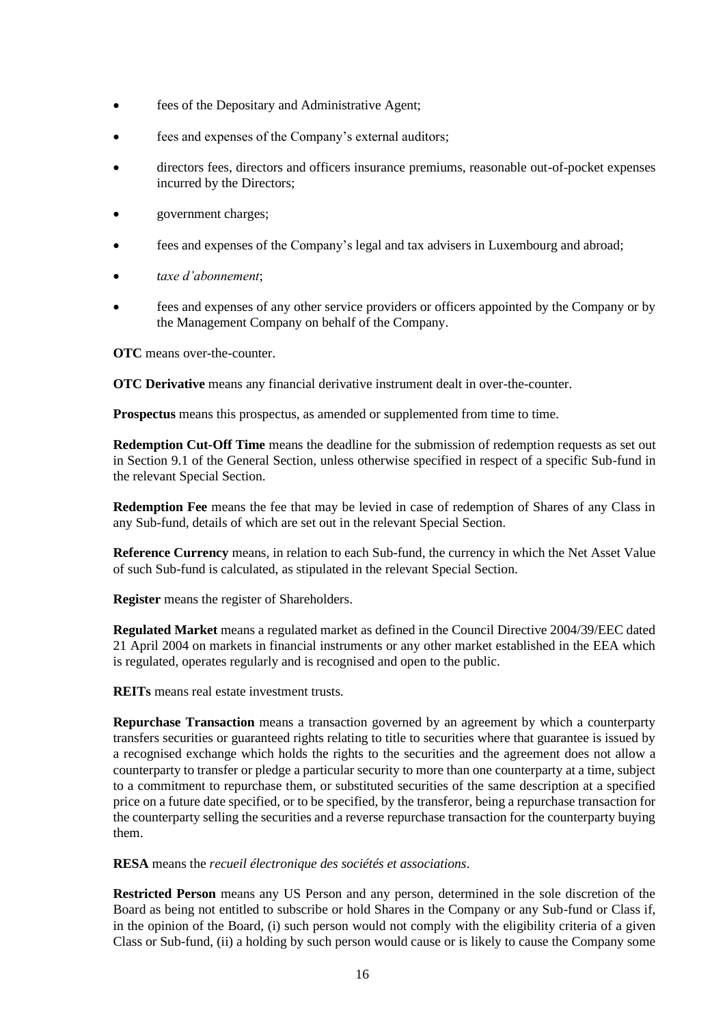- fees of the Depositary and Administrative Agent:
- fees and expenses of the Company's external auditors;
- directors fees, directors and officers insurance premiums, reasonable out-of-pocket expenses incurred by the Directors;
- government charges;
- fees and expenses of the Company's legal and tax advisers in Luxembourg and abroad;
- *taxe d'abonnement*;
- fees and expenses of any other service providers or officers appointed by the Company or by the Management Company on behalf of the Company.

**OTC** means over-the-counter.

**OTC Derivative** means any financial derivative instrument dealt in over-the-counter.

**Prospectus** means this prospectus, as amended or supplemented from time to time.

**Redemption Cut-Off Time** means the deadline for the submission of redemption requests as set out in Section [9.1](#page-35-0) of the General Section, unless otherwise specified in respect of a specific Sub-fund in the relevant Special Section.

**Redemption Fee** means the fee that may be levied in case of redemption of Shares of any Class in any Sub-fund, details of which are set out in the relevant Special Section.

**Reference Currency** means, in relation to each Sub-fund, the currency in which the Net Asset Value of such Sub-fund is calculated, as stipulated in the relevant Special Section.

**Register** means the register of Shareholders.

**Regulated Market** means a regulated market as defined in the Council Directive 2004/39/EEC dated 21 April 2004 on markets in financial instruments or any other market established in the EEA which is regulated, operates regularly and is recognised and open to the public.

**REITs** means real estate investment trusts.

**Repurchase Transaction** means a transaction governed by an agreement by which a counterparty transfers securities or guaranteed rights relating to title to securities where that guarantee is issued by a recognised exchange which holds the rights to the securities and the agreement does not allow a counterparty to transfer or pledge a particular security to more than one counterparty at a time, subject to a commitment to repurchase them, or substituted securities of the same description at a specified price on a future date specified, or to be specified, by the transferor, being a repurchase transaction for the counterparty selling the securities and a reverse repurchase transaction for the counterparty buying them.

**RESA** means the *recueil électronique des sociétés et associations*.

**Restricted Person** means any US Person and any person, determined in the sole discretion of the Board as being not entitled to subscribe or hold Shares in the Company or any Sub-fund or Class if, in the opinion of the Board, (i) such person would not comply with the eligibility criteria of a given Class or Sub-fund, (ii) a holding by such person would cause or is likely to cause the Company some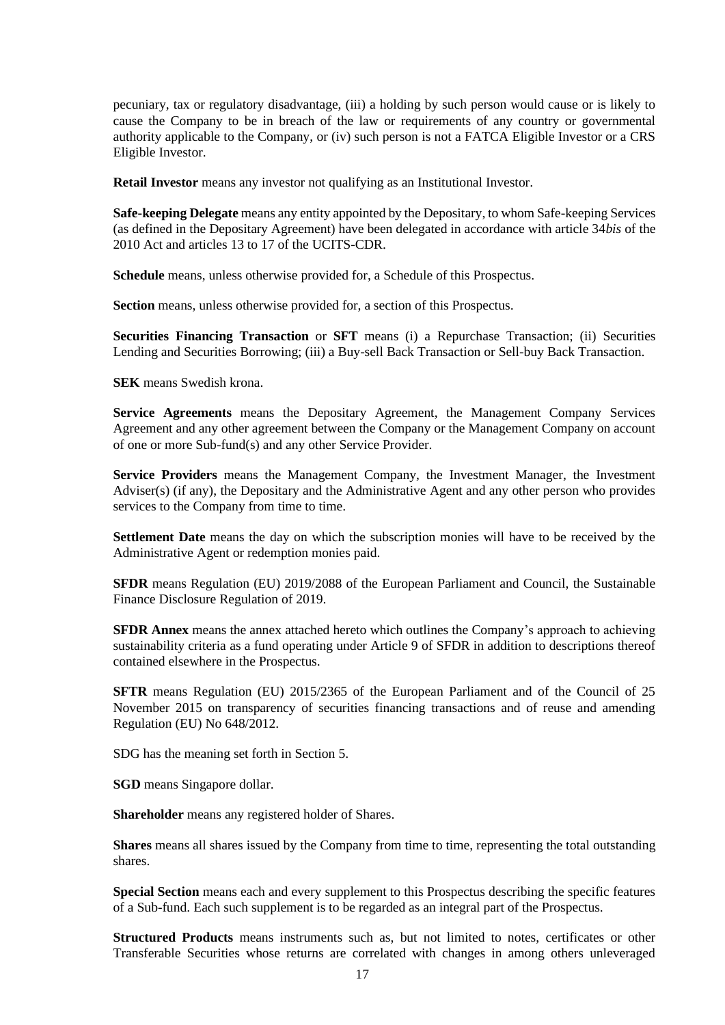pecuniary, tax or regulatory disadvantage, (iii) a holding by such person would cause or is likely to cause the Company to be in breach of the law or requirements of any country or governmental authority applicable to the Company, or (iv) such person is not a FATCA Eligible Investor or a CRS Eligible Investor.

**Retail Investor** means any investor not qualifying as an Institutional Investor.

**Safe-keeping Delegate** means any entity appointed by the Depositary, to whom Safe-keeping Services (as defined in the Depositary Agreement) have been delegated in accordance with article 34*bis* of the 2010 Act and articles 13 to 17 of the UCITS-CDR.

**Schedule** means, unless otherwise provided for, a Schedule of this Prospectus.

**Section** means, unless otherwise provided for, a section of this Prospectus.

**Securities Financing Transaction** or **SFT** means (i) a Repurchase Transaction; (ii) Securities Lending and Securities Borrowing; (iii) a Buy-sell Back Transaction or Sell-buy Back Transaction.

**SEK** means Swedish krona.

**Service Agreements** means the Depositary Agreement, the Management Company Services Agreement and any other agreement between the Company or the Management Company on account of one or more Sub-fund(s) and any other Service Provider.

**Service Providers** means the Management Company, the Investment Manager, the Investment Adviser(s) (if any), the Depositary and the Administrative Agent and any other person who provides services to the Company from time to time.

**Settlement Date** means the day on which the subscription monies will have to be received by the Administrative Agent or redemption monies paid.

**SFDR** means Regulation (EU) 2019/2088 of the European Parliament and Council, the Sustainable Finance Disclosure Regulation of 2019.

**SFDR Annex** means the annex attached hereto which outlines the Company's approach to achieving sustainability criteria as a fund operating under Article 9 of SFDR in addition to descriptions thereof contained elsewhere in the Prospectus.

**SFTR** means Regulation (EU) 2015/2365 of the European Parliament and of the Council of 25 November 2015 on transparency of securities financing transactions and of reuse and amending Regulation (EU) No 648/2012.

SDG has the meaning set forth in Section [5.](#page-29-0)

**SGD** means Singapore dollar.

**Shareholder** means any registered holder of Shares.

**Shares** means all shares issued by the Company from time to time, representing the total outstanding shares.

**Special Section** means each and every supplement to this Prospectus describing the specific features of a Sub-fund. Each such supplement is to be regarded as an integral part of the Prospectus.

**Structured Products** means instruments such as, but not limited to notes, certificates or other Transferable Securities whose returns are correlated with changes in among others unleveraged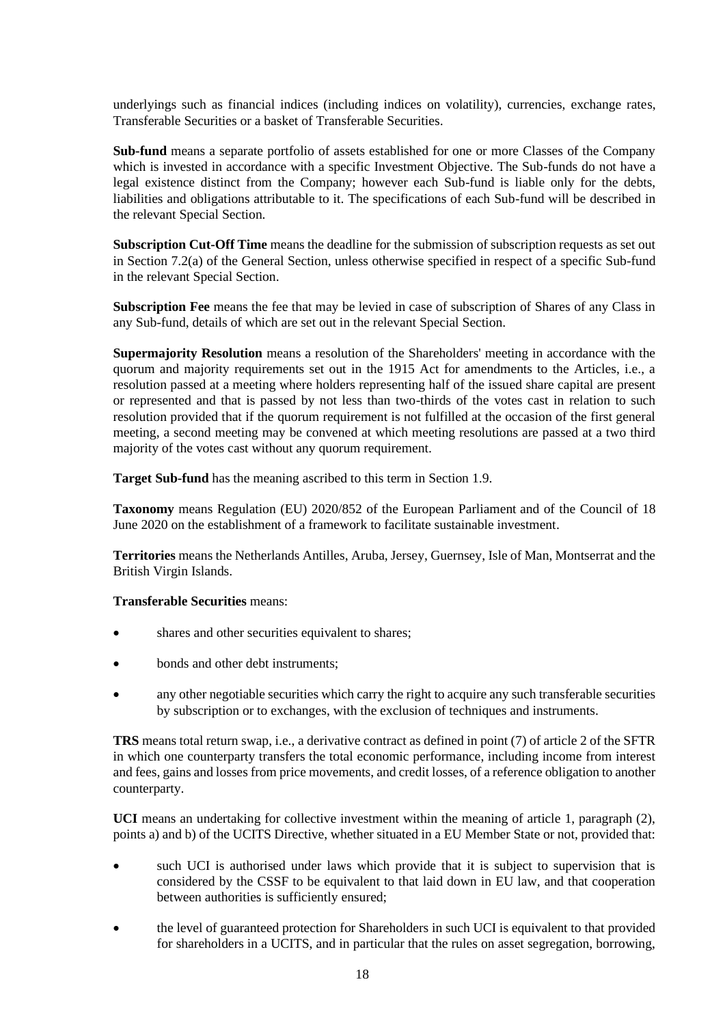underlyings such as financial indices (including indices on volatility), currencies, exchange rates, Transferable Securities or a basket of Transferable Securities.

**Sub-fund** means a separate portfolio of assets established for one or more Classes of the Company which is invested in accordance with a specific Investment Objective. The Sub-funds do not have a legal existence distinct from the Company; however each Sub-fund is liable only for the debts, liabilities and obligations attributable to it. The specifications of each Sub-fund will be described in the relevant Special Section.

**Subscription Cut-Off Time** means the deadline for the submission of subscription requests as set out in Section [7.2\(a\)](#page-33-0) of the General Section, unless otherwise specified in respect of a specific Sub-fund in the relevant Special Section.

**Subscription Fee** means the fee that may be levied in case of subscription of Shares of any Class in any Sub-fund, details of which are set out in the relevant Special Section.

**Supermajority Resolution** means a resolution of the Shareholders' meeting in accordance with the quorum and majority requirements set out in the 1915 Act for amendments to the Articles, i.e., a resolution passed at a meeting where holders representing half of the issued share capital are present or represented and that is passed by not less than two-thirds of the votes cast in relation to such resolution provided that if the quorum requirement is not fulfilled at the occasion of the first general meeting, a second meeting may be convened at which meeting resolutions are passed at a two third majority of the votes cast without any quorum requirement.

**Target Sub-fund** has the meaning ascribed to this term in Sectio[n 1.9.](#page-67-0)

**Taxonomy** means Regulation (EU) 2020/852 of the European Parliament and of the Council of 18 June 2020 on the establishment of a framework to facilitate sustainable investment.

**Territories** means the Netherlands Antilles, Aruba, Jersey, Guernsey, Isle of Man, Montserrat and the British Virgin Islands.

#### **Transferable Securities** means:

- shares and other securities equivalent to shares;
- bonds and other debt instruments;
- any other negotiable securities which carry the right to acquire any such transferable securities by subscription or to exchanges, with the exclusion of techniques and instruments.

**TRS** means total return swap, i.e., a derivative contract as defined in point (7) of article 2 of the SFTR in which one counterparty transfers the total economic performance, including income from interest and fees, gains and losses from price movements, and credit losses, of a reference obligation to another counterparty.

**UCI** means an undertaking for collective investment within the meaning of article 1, paragraph (2), points a) and b) of the UCITS Directive, whether situated in a EU Member State or not, provided that:

- such UCI is authorised under laws which provide that it is subject to supervision that is considered by the CSSF to be equivalent to that laid down in EU law, and that cooperation between authorities is sufficiently ensured;
- the level of guaranteed protection for Shareholders in such UCI is equivalent to that provided for shareholders in a UCITS, and in particular that the rules on asset segregation, borrowing,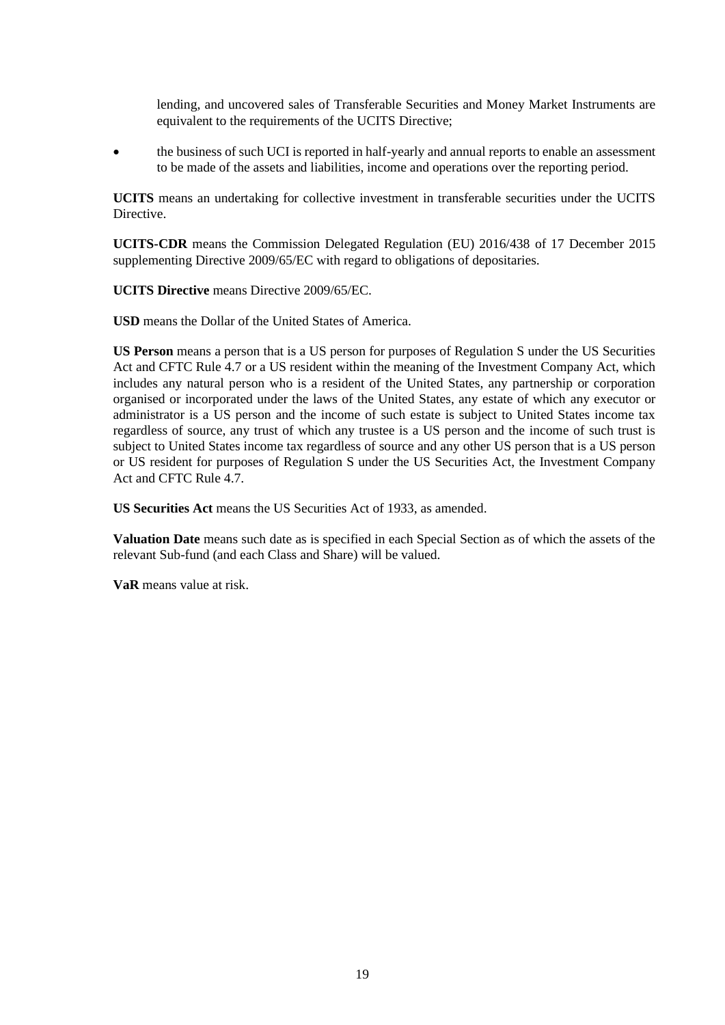lending, and uncovered sales of Transferable Securities and Money Market Instruments are equivalent to the requirements of the UCITS Directive;

• the business of such UCI is reported in half-yearly and annual reports to enable an assessment to be made of the assets and liabilities, income and operations over the reporting period.

**UCITS** means an undertaking for collective investment in transferable securities under the UCITS **Directive** 

**UCITS-CDR** means the Commission Delegated Regulation (EU) 2016/438 of 17 December 2015 supplementing Directive 2009/65/EC with regard to obligations of depositaries.

**UCITS Directive** means Directive 2009/65/EC.

**USD** means the Dollar of the United States of America.

**US Person** means a person that is a US person for purposes of Regulation S under the US Securities Act and CFTC Rule 4.7 or a US resident within the meaning of the Investment Company Act, which includes any natural person who is a resident of the United States, any partnership or corporation organised or incorporated under the laws of the United States, any estate of which any executor or administrator is a US person and the income of such estate is subject to United States income tax regardless of source, any trust of which any trustee is a US person and the income of such trust is subject to United States income tax regardless of source and any other US person that is a US person or US resident for purposes of Regulation S under the US Securities Act, the Investment Company Act and CFTC Rule 4.7.

**US Securities Act** means the US Securities Act of 1933, as amended.

**Valuation Date** means such date as is specified in each Special Section as of which the assets of the relevant Sub-fund (and each Class and Share) will be valued.

**VaR** means value at risk.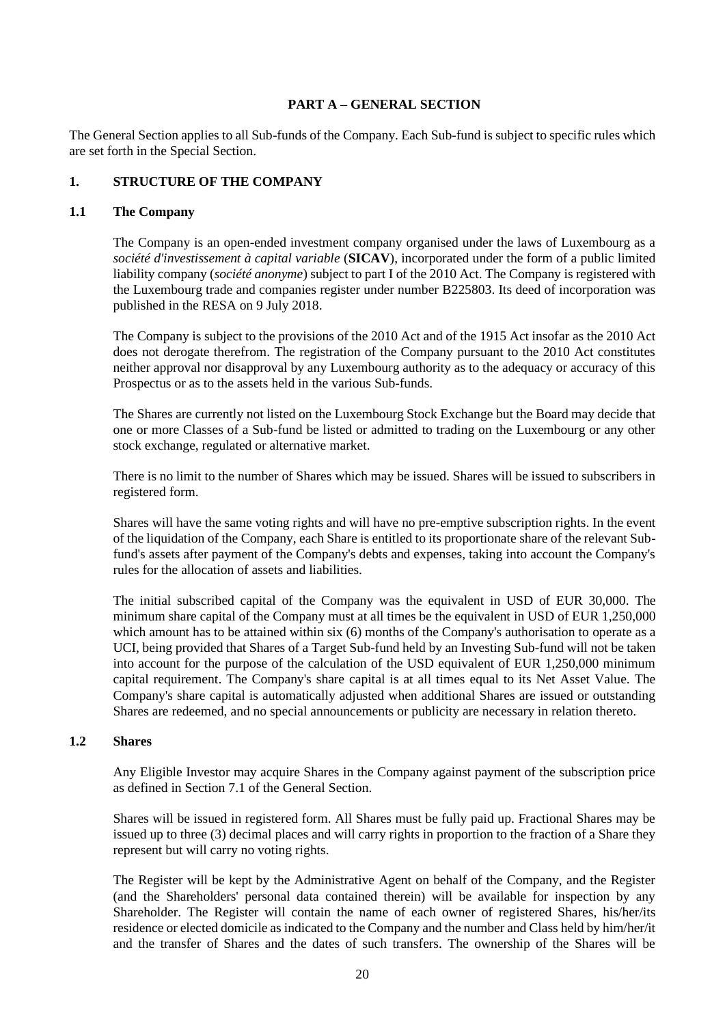## **PART A – GENERAL SECTION**

The General Section applies to all Sub-funds of the Company. Each Sub-fund is subject to specific rules which are set forth in the Special Section.

## **1. STRUCTURE OF THE COMPANY**

#### **1.1 The Company**

The Company is an open-ended investment company organised under the laws of Luxembourg as a *société d'investissement à capital variable* (**SICAV**), incorporated under the form of a public limited liability company (*société anonyme*) subject to part I of the 2010 Act. The Company is registered with the Luxembourg trade and companies register under number B225803. Its deed of incorporation was published in the RESA on 9 July 2018.

The Company is subject to the provisions of the 2010 Act and of the 1915 Act insofar as the 2010 Act does not derogate therefrom. The registration of the Company pursuant to the 2010 Act constitutes neither approval nor disapproval by any Luxembourg authority as to the adequacy or accuracy of this Prospectus or as to the assets held in the various Sub-funds.

The Shares are currently not listed on the Luxembourg Stock Exchange but the Board may decide that one or more Classes of a Sub-fund be listed or admitted to trading on the Luxembourg or any other stock exchange, regulated or alternative market.

There is no limit to the number of Shares which may be issued. Shares will be issued to subscribers in registered form.

Shares will have the same voting rights and will have no pre-emptive subscription rights. In the event of the liquidation of the Company, each Share is entitled to its proportionate share of the relevant Subfund's assets after payment of the Company's debts and expenses, taking into account the Company's rules for the allocation of assets and liabilities.

The initial subscribed capital of the Company was the equivalent in USD of EUR 30,000. The minimum share capital of the Company must at all times be the equivalent in USD of EUR 1,250,000 which amount has to be attained within six (6) months of the Company's authorisation to operate as a UCI, being provided that Shares of a Target Sub-fund held by an Investing Sub-fund will not be taken into account for the purpose of the calculation of the USD equivalent of EUR 1,250,000 minimum capital requirement. The Company's share capital is at all times equal to its Net Asset Value. The Company's share capital is automatically adjusted when additional Shares are issued or outstanding Shares are redeemed, and no special announcements or publicity are necessary in relation thereto.

#### **1.2 Shares**

Any Eligible Investor may acquire Shares in the Company against payment of the subscription price as defined in Section [7.1](#page-32-0) of the General Section.

Shares will be issued in registered form. All Shares must be fully paid up. Fractional Shares may be issued up to three (3) decimal places and will carry rights in proportion to the fraction of a Share they represent but will carry no voting rights.

The Register will be kept by the Administrative Agent on behalf of the Company, and the Register (and the Shareholders' personal data contained therein) will be available for inspection by any Shareholder. The Register will contain the name of each owner of registered Shares, his/her/its residence or elected domicile as indicated to the Company and the number and Class held by him/her/it and the transfer of Shares and the dates of such transfers. The ownership of the Shares will be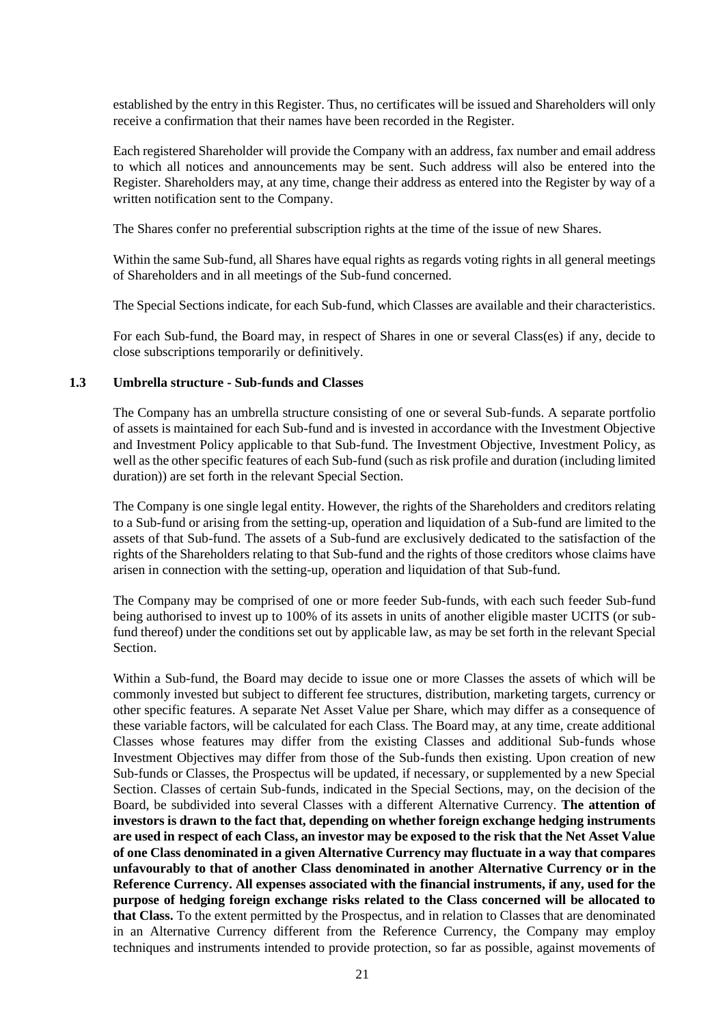established by the entry in this Register. Thus, no certificates will be issued and Shareholders will only receive a confirmation that their names have been recorded in the Register.

Each registered Shareholder will provide the Company with an address, fax number and email address to which all notices and announcements may be sent. Such address will also be entered into the Register. Shareholders may, at any time, change their address as entered into the Register by way of a written notification sent to the Company.

The Shares confer no preferential subscription rights at the time of the issue of new Shares.

Within the same Sub-fund, all Shares have equal rights as regards voting rights in all general meetings of Shareholders and in all meetings of the Sub-fund concerned.

The Special Sections indicate, for each Sub-fund, which Classes are available and their characteristics.

For each Sub-fund, the Board may, in respect of Shares in one or several Class(es) if any, decide to close subscriptions temporarily or definitively.

#### <span id="page-20-0"></span>**1.3 Umbrella structure - Sub-funds and Classes**

The Company has an umbrella structure consisting of one or several Sub-funds. A separate portfolio of assets is maintained for each Sub-fund and is invested in accordance with the Investment Objective and Investment Policy applicable to that Sub-fund. The Investment Objective, Investment Policy, as well as the other specific features of each Sub-fund (such as risk profile and duration (including limited duration)) are set forth in the relevant Special Section.

The Company is one single legal entity. However, the rights of the Shareholders and creditors relating to a Sub-fund or arising from the setting-up, operation and liquidation of a Sub-fund are limited to the assets of that Sub-fund. The assets of a Sub-fund are exclusively dedicated to the satisfaction of the rights of the Shareholders relating to that Sub-fund and the rights of those creditors whose claims have arisen in connection with the setting-up, operation and liquidation of that Sub-fund.

The Company may be comprised of one or more feeder Sub-funds, with each such feeder Sub-fund being authorised to invest up to 100% of its assets in units of another eligible master UCITS (or subfund thereof) under the conditions set out by applicable law, as may be set forth in the relevant Special Section.

Within a Sub-fund, the Board may decide to issue one or more Classes the assets of which will be commonly invested but subject to different fee structures, distribution, marketing targets, currency or other specific features. A separate Net Asset Value per Share, which may differ as a consequence of these variable factors, will be calculated for each Class. The Board may, at any time, create additional Classes whose features may differ from the existing Classes and additional Sub-funds whose Investment Objectives may differ from those of the Sub-funds then existing. Upon creation of new Sub-funds or Classes, the Prospectus will be updated, if necessary, or supplemented by a new Special Section. Classes of certain Sub-funds, indicated in the Special Sections, may, on the decision of the Board, be subdivided into several Classes with a different Alternative Currency. **The attention of investors is drawn to the fact that, depending on whether foreign exchange hedging instruments are used in respect of each Class, an investor may be exposed to the risk that the Net Asset Value of one Class denominated in a given Alternative Currency may fluctuate in a way that compares unfavourably to that of another Class denominated in another Alternative Currency or in the Reference Currency. All expenses associated with the financial instruments, if any, used for the purpose of hedging foreign exchange risks related to the Class concerned will be allocated to that Class.** To the extent permitted by the Prospectus, and in relation to Classes that are denominated in an Alternative Currency different from the Reference Currency, the Company may employ techniques and instruments intended to provide protection, so far as possible, against movements of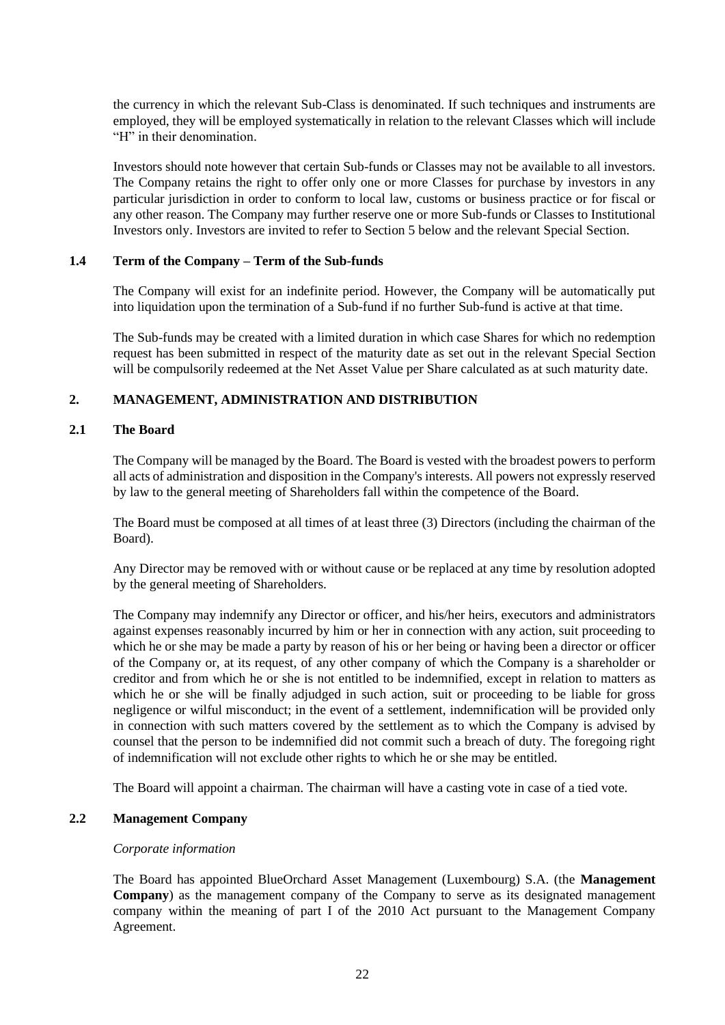the currency in which the relevant Sub-Class is denominated. If such techniques and instruments are employed, they will be employed systematically in relation to the relevant Classes which will include "H" in their denomination.

Investors should note however that certain Sub-funds or Classes may not be available to all investors. The Company retains the right to offer only one or more Classes for purchase by investors in any particular jurisdiction in order to conform to local law, customs or business practice or for fiscal or any other reason. The Company may further reserve one or more Sub-funds or Classes to Institutional Investors only. Investors are invited to refer to Section [5](#page-29-0) below and the relevant Special Section.

#### **1.4 Term of the Company – Term of the Sub-funds**

The Company will exist for an indefinite period. However, the Company will be automatically put into liquidation upon the termination of a Sub-fund if no further Sub-fund is active at that time.

The Sub-funds may be created with a limited duration in which case Shares for which no redemption request has been submitted in respect of the maturity date as set out in the relevant Special Section will be compulsorily redeemed at the Net Asset Value per Share calculated as at such maturity date.

## **2. MANAGEMENT, ADMINISTRATION AND DISTRIBUTION**

#### **2.1 The Board**

The Company will be managed by the Board. The Board is vested with the broadest powers to perform all acts of administration and disposition in the Company's interests. All powers not expressly reserved by law to the general meeting of Shareholders fall within the competence of the Board.

The Board must be composed at all times of at least three (3) Directors (including the chairman of the Board).

Any Director may be removed with or without cause or be replaced at any time by resolution adopted by the general meeting of Shareholders.

The Company may indemnify any Director or officer, and his/her heirs, executors and administrators against expenses reasonably incurred by him or her in connection with any action, suit proceeding to which he or she may be made a party by reason of his or her being or having been a director or officer of the Company or, at its request, of any other company of which the Company is a shareholder or creditor and from which he or she is not entitled to be indemnified, except in relation to matters as which he or she will be finally adjudged in such action, suit or proceeding to be liable for gross negligence or wilful misconduct; in the event of a settlement, indemnification will be provided only in connection with such matters covered by the settlement as to which the Company is advised by counsel that the person to be indemnified did not commit such a breach of duty. The foregoing right of indemnification will not exclude other rights to which he or she may be entitled.

The Board will appoint a chairman. The chairman will have a casting vote in case of a tied vote.

## **2.2 Management Company**

## *Corporate information*

The Board has appointed BlueOrchard Asset Management (Luxembourg) S.A. (the **Management Company**) as the management company of the Company to serve as its designated management company within the meaning of part I of the 2010 Act pursuant to the Management Company Agreement.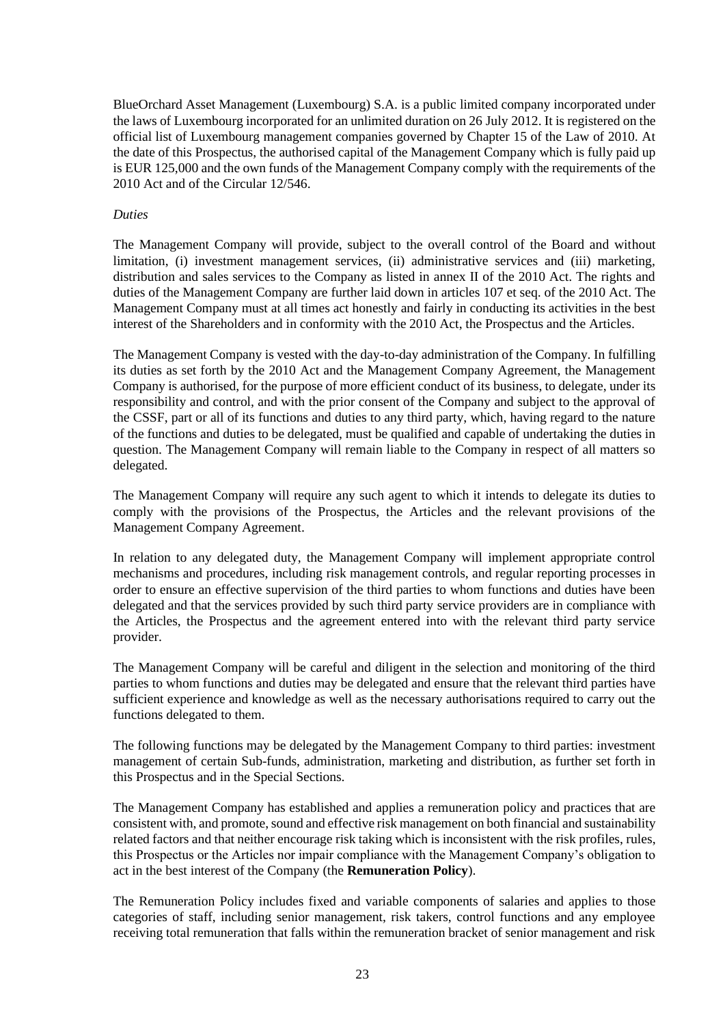BlueOrchard Asset Management (Luxembourg) S.A. is a public limited company incorporated under the laws of Luxembourg incorporated for an unlimited duration on 26 July 2012. It is registered on the official list of Luxembourg management companies governed by Chapter 15 of the Law of 2010. At the date of this Prospectus, the authorised capital of the Management Company which is fully paid up is EUR 125,000 and the own funds of the Management Company comply with the requirements of the 2010 Act and of the Circular 12/546.

#### *Duties*

The Management Company will provide, subject to the overall control of the Board and without limitation, (i) investment management services, (ii) administrative services and (iii) marketing, distribution and sales services to the Company as listed in annex II of the 2010 Act. The rights and duties of the Management Company are further laid down in articles 107 et seq. of the 2010 Act. The Management Company must at all times act honestly and fairly in conducting its activities in the best interest of the Shareholders and in conformity with the 2010 Act, the Prospectus and the Articles.

The Management Company is vested with the day-to-day administration of the Company. In fulfilling its duties as set forth by the 2010 Act and the Management Company Agreement, the Management Company is authorised, for the purpose of more efficient conduct of its business, to delegate, under its responsibility and control, and with the prior consent of the Company and subject to the approval of the CSSF, part or all of its functions and duties to any third party, which, having regard to the nature of the functions and duties to be delegated, must be qualified and capable of undertaking the duties in question. The Management Company will remain liable to the Company in respect of all matters so delegated.

The Management Company will require any such agent to which it intends to delegate its duties to comply with the provisions of the Prospectus, the Articles and the relevant provisions of the Management Company Agreement.

In relation to any delegated duty, the Management Company will implement appropriate control mechanisms and procedures, including risk management controls, and regular reporting processes in order to ensure an effective supervision of the third parties to whom functions and duties have been delegated and that the services provided by such third party service providers are in compliance with the Articles, the Prospectus and the agreement entered into with the relevant third party service provider.

The Management Company will be careful and diligent in the selection and monitoring of the third parties to whom functions and duties may be delegated and ensure that the relevant third parties have sufficient experience and knowledge as well as the necessary authorisations required to carry out the functions delegated to them.

The following functions may be delegated by the Management Company to third parties: investment management of certain Sub-funds, administration, marketing and distribution, as further set forth in this Prospectus and in the Special Sections.

The Management Company has established and applies a remuneration policy and practices that are consistent with, and promote, sound and effective risk management on both financial and sustainability related factors and that neither encourage risk taking which is inconsistent with the risk profiles, rules, this Prospectus or the Articles nor impair compliance with the Management Company's obligation to act in the best interest of the Company (the **Remuneration Policy**).

The Remuneration Policy includes fixed and variable components of salaries and applies to those categories of staff, including senior management, risk takers, control functions and any employee receiving total remuneration that falls within the remuneration bracket of senior management and risk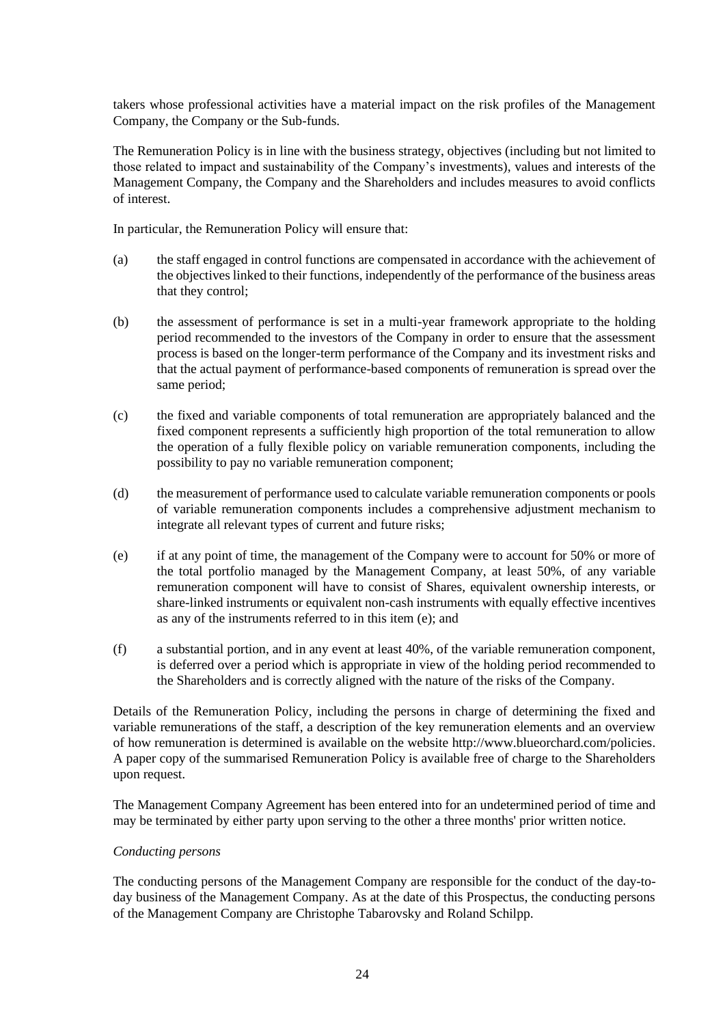takers whose professional activities have a material impact on the risk profiles of the Management Company, the Company or the Sub-funds.

The Remuneration Policy is in line with the business strategy, objectives (including but not limited to those related to impact and sustainability of the Company's investments), values and interests of the Management Company, the Company and the Shareholders and includes measures to avoid conflicts of interest.

In particular, the Remuneration Policy will ensure that:

- (a) the staff engaged in control functions are compensated in accordance with the achievement of the objectives linked to their functions, independently of the performance of the business areas that they control;
- (b) the assessment of performance is set in a multi-year framework appropriate to the holding period recommended to the investors of the Company in order to ensure that the assessment process is based on the longer-term performance of the Company and its investment risks and that the actual payment of performance-based components of remuneration is spread over the same period;
- (c) the fixed and variable components of total remuneration are appropriately balanced and the fixed component represents a sufficiently high proportion of the total remuneration to allow the operation of a fully flexible policy on variable remuneration components, including the possibility to pay no variable remuneration component;
- (d) the measurement of performance used to calculate variable remuneration components or pools of variable remuneration components includes a comprehensive adjustment mechanism to integrate all relevant types of current and future risks;
- (e) if at any point of time, the management of the Company were to account for 50% or more of the total portfolio managed by the Management Company, at least 50%, of any variable remuneration component will have to consist of Shares, equivalent ownership interests, or share-linked instruments or equivalent non-cash instruments with equally effective incentives as any of the instruments referred to in this item (e); and
- (f) a substantial portion, and in any event at least 40%, of the variable remuneration component, is deferred over a period which is appropriate in view of the holding period recommended to the Shareholders and is correctly aligned with the nature of the risks of the Company.

Details of the Remuneration Policy, including the persons in charge of determining the fixed and variable remunerations of the staff, a description of the key remuneration elements and an overview of how remuneration is determined is available on the website [http://www.blueorchard.com/policies.](http://www.blueorchard.com/policies) A paper copy of the summarised Remuneration Policy is available free of charge to the Shareholders upon request.

The Management Company Agreement has been entered into for an undetermined period of time and may be terminated by either party upon serving to the other a three months' prior written notice.

#### *Conducting persons*

The conducting persons of the Management Company are responsible for the conduct of the day-today business of the Management Company. As at the date of this Prospectus, the conducting persons of the Management Company are Christophe Tabarovsky and Roland Schilpp.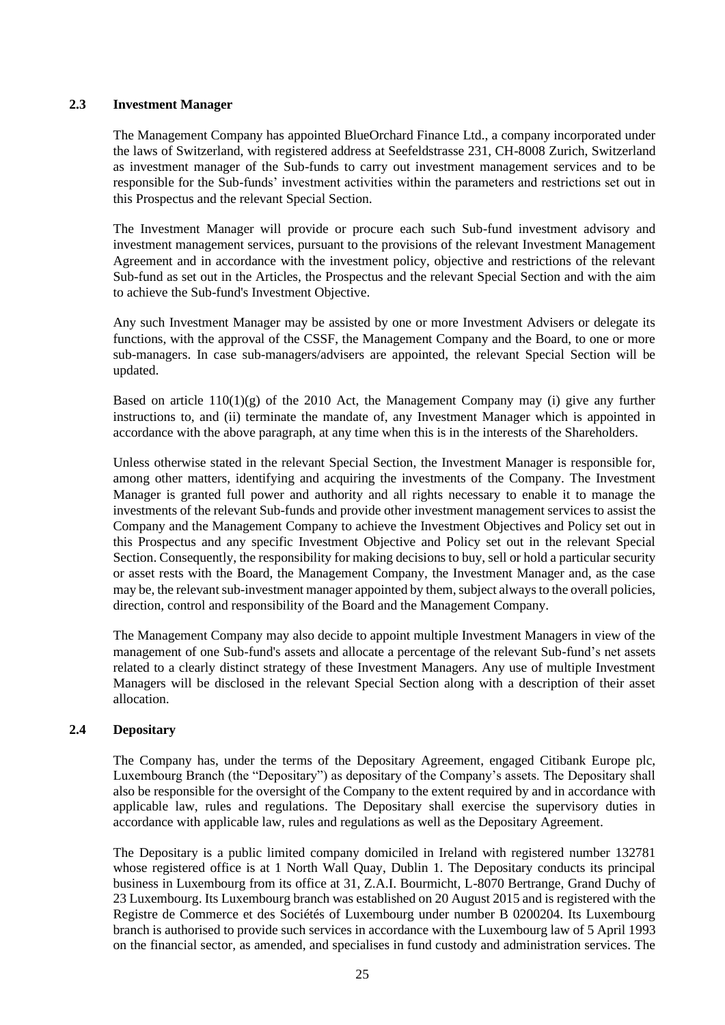#### **2.3 Investment Manager**

The Management Company has appointed BlueOrchard Finance Ltd., a company incorporated under the laws of Switzerland, with registered address at Seefeldstrasse 231, CH-8008 Zurich, Switzerland as investment manager of the Sub-funds to carry out investment management services and to be responsible for the Sub-funds' investment activities within the parameters and restrictions set out in this Prospectus and the relevant Special Section.

The Investment Manager will provide or procure each such Sub-fund investment advisory and investment management services, pursuant to the provisions of the relevant Investment Management Agreement and in accordance with the investment policy, objective and restrictions of the relevant Sub-fund as set out in the Articles, the Prospectus and the relevant Special Section and with the aim to achieve the Sub-fund's Investment Objective.

Any such Investment Manager may be assisted by one or more Investment Advisers or delegate its functions, with the approval of the CSSF, the Management Company and the Board, to one or more sub-managers. In case sub-managers/advisers are appointed, the relevant Special Section will be updated.

Based on article  $110(1)(g)$  of the 2010 Act, the Management Company may (i) give any further instructions to, and (ii) terminate the mandate of, any Investment Manager which is appointed in accordance with the above paragraph, at any time when this is in the interests of the Shareholders.

Unless otherwise stated in the relevant Special Section, the Investment Manager is responsible for, among other matters, identifying and acquiring the investments of the Company. The Investment Manager is granted full power and authority and all rights necessary to enable it to manage the investments of the relevant Sub-funds and provide other investment management services to assist the Company and the Management Company to achieve the Investment Objectives and Policy set out in this Prospectus and any specific Investment Objective and Policy set out in the relevant Special Section. Consequently, the responsibility for making decisions to buy, sell or hold a particular security or asset rests with the Board, the Management Company, the Investment Manager and, as the case may be, the relevant sub-investment manager appointed by them, subject always to the overall policies, direction, control and responsibility of the Board and the Management Company.

The Management Company may also decide to appoint multiple Investment Managers in view of the management of one Sub-fund's assets and allocate a percentage of the relevant Sub-fund's net assets related to a clearly distinct strategy of these Investment Managers. Any use of multiple Investment Managers will be disclosed in the relevant Special Section along with a description of their asset allocation.

## **2.4 Depositary**

The Company has, under the terms of the Depositary Agreement, engaged Citibank Europe plc, Luxembourg Branch (the "Depositary") as depositary of the Company's assets. The Depositary shall also be responsible for the oversight of the Company to the extent required by and in accordance with applicable law, rules and regulations. The Depositary shall exercise the supervisory duties in accordance with applicable law, rules and regulations as well as the Depositary Agreement.

The Depositary is a public limited company domiciled in Ireland with registered number 132781 whose registered office is at 1 North Wall Quay, Dublin 1. The Depositary conducts its principal business in Luxembourg from its office at 31, Z.A.I. Bourmicht, L-8070 Bertrange, Grand Duchy of 23 Luxembourg. Its Luxembourg branch was established on 20 August 2015 and is registered with the Registre de Commerce et des Sociétés of Luxembourg under number B 0200204. Its Luxembourg branch is authorised to provide such services in accordance with the Luxembourg law of 5 April 1993 on the financial sector, as amended, and specialises in fund custody and administration services. The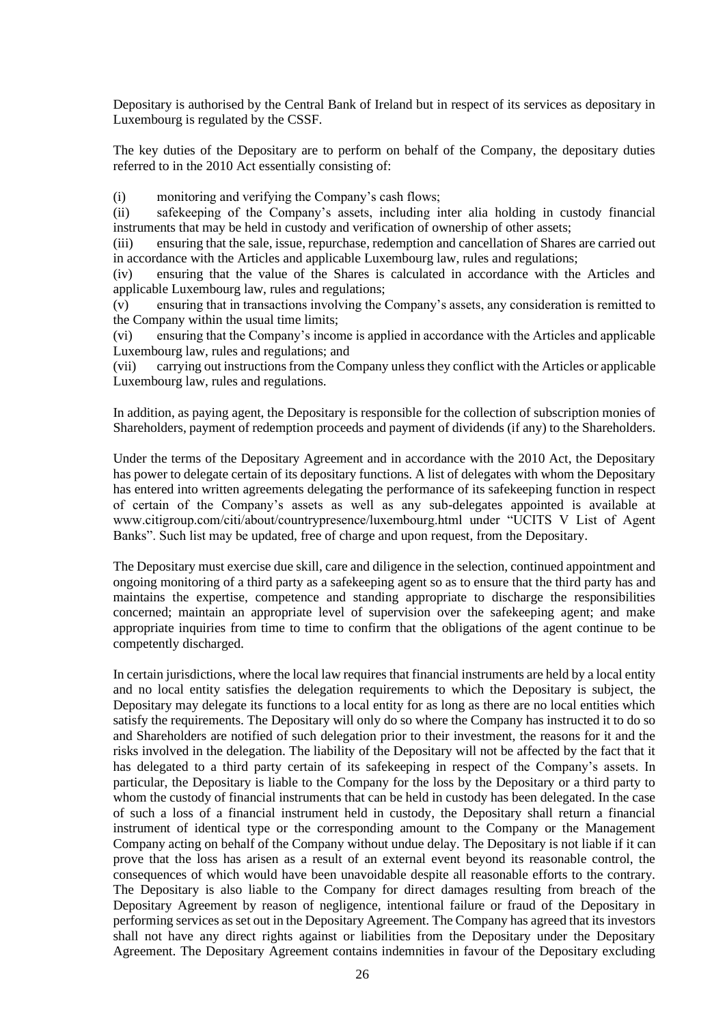Depositary is authorised by the Central Bank of Ireland but in respect of its services as depositary in Luxembourg is regulated by the CSSF.

The key duties of the Depositary are to perform on behalf of the Company, the depositary duties referred to in the 2010 Act essentially consisting of:

(i) monitoring and verifying the Company's cash flows;

(ii) safekeeping of the Company's assets, including inter alia holding in custody financial instruments that may be held in custody and verification of ownership of other assets;

(iii) ensuring that the sale, issue, repurchase, redemption and cancellation of Shares are carried out in accordance with the Articles and applicable Luxembourg law, rules and regulations;

(iv) ensuring that the value of the Shares is calculated in accordance with the Articles and applicable Luxembourg law, rules and regulations;

(v) ensuring that in transactions involving the Company's assets, any consideration is remitted to the Company within the usual time limits;

(vi) ensuring that the Company's income is applied in accordance with the Articles and applicable Luxembourg law, rules and regulations; and

(vii) carrying out instructions from the Company unless they conflict with the Articles or applicable Luxembourg law, rules and regulations.

In addition, as paying agent, the Depositary is responsible for the collection of subscription monies of Shareholders, payment of redemption proceeds and payment of dividends (if any) to the Shareholders.

Under the terms of the Depositary Agreement and in accordance with the 2010 Act, the Depositary has power to delegate certain of its depositary functions. A list of delegates with whom the Depositary has entered into written agreements delegating the performance of its safekeeping function in respect of certain of the Company's assets as well as any sub-delegates appointed is available at www.citigroup.com/citi/about/countrypresence/luxembourg.html under "UCITS V List of Agent Banks". Such list may be updated, free of charge and upon request, from the Depositary.

The Depositary must exercise due skill, care and diligence in the selection, continued appointment and ongoing monitoring of a third party as a safekeeping agent so as to ensure that the third party has and maintains the expertise, competence and standing appropriate to discharge the responsibilities concerned; maintain an appropriate level of supervision over the safekeeping agent; and make appropriate inquiries from time to time to confirm that the obligations of the agent continue to be competently discharged.

In certain jurisdictions, where the local law requires that financial instruments are held by a local entity and no local entity satisfies the delegation requirements to which the Depositary is subject, the Depositary may delegate its functions to a local entity for as long as there are no local entities which satisfy the requirements. The Depositary will only do so where the Company has instructed it to do so and Shareholders are notified of such delegation prior to their investment, the reasons for it and the risks involved in the delegation. The liability of the Depositary will not be affected by the fact that it has delegated to a third party certain of its safekeeping in respect of the Company's assets. In particular, the Depositary is liable to the Company for the loss by the Depositary or a third party to whom the custody of financial instruments that can be held in custody has been delegated. In the case of such a loss of a financial instrument held in custody, the Depositary shall return a financial instrument of identical type or the corresponding amount to the Company or the Management Company acting on behalf of the Company without undue delay. The Depositary is not liable if it can prove that the loss has arisen as a result of an external event beyond its reasonable control, the consequences of which would have been unavoidable despite all reasonable efforts to the contrary. The Depositary is also liable to the Company for direct damages resulting from breach of the Depositary Agreement by reason of negligence, intentional failure or fraud of the Depositary in performing services as set out in the Depositary Agreement. The Company has agreed that its investors shall not have any direct rights against or liabilities from the Depositary under the Depositary Agreement. The Depositary Agreement contains indemnities in favour of the Depositary excluding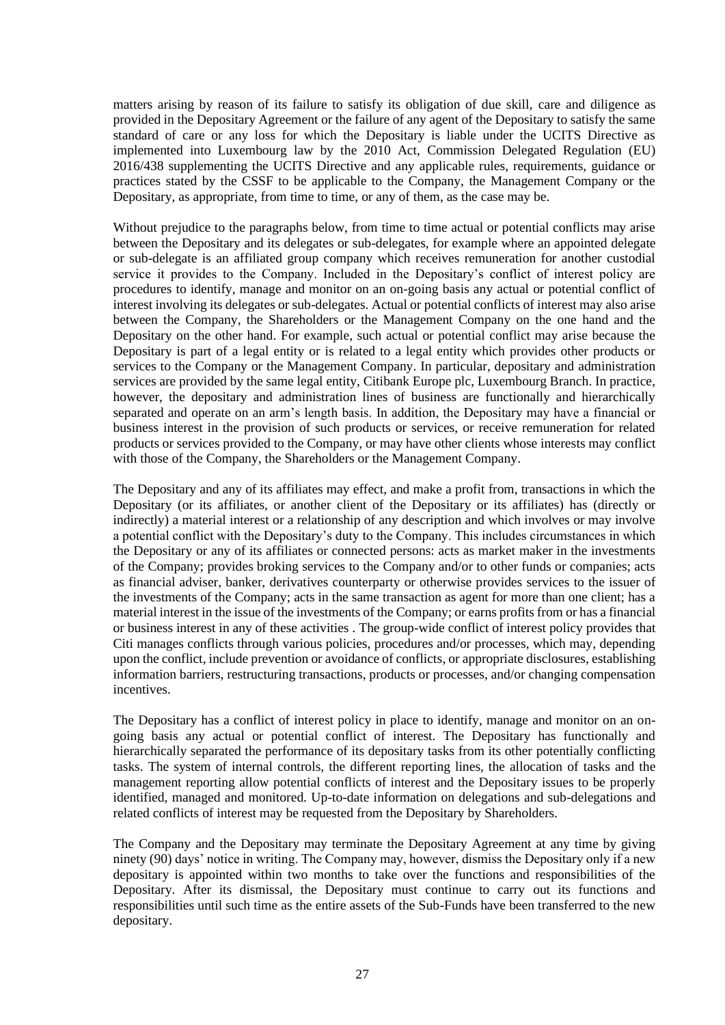matters arising by reason of its failure to satisfy its obligation of due skill, care and diligence as provided in the Depositary Agreement or the failure of any agent of the Depositary to satisfy the same standard of care or any loss for which the Depositary is liable under the UCITS Directive as implemented into Luxembourg law by the 2010 Act, Commission Delegated Regulation (EU) 2016/438 supplementing the UCITS Directive and any applicable rules, requirements, guidance or practices stated by the CSSF to be applicable to the Company, the Management Company or the Depositary, as appropriate, from time to time, or any of them, as the case may be.

Without prejudice to the paragraphs below, from time to time actual or potential conflicts may arise between the Depositary and its delegates or sub-delegates, for example where an appointed delegate or sub-delegate is an affiliated group company which receives remuneration for another custodial service it provides to the Company. Included in the Depositary's conflict of interest policy are procedures to identify, manage and monitor on an on-going basis any actual or potential conflict of interest involving its delegates or sub-delegates. Actual or potential conflicts of interest may also arise between the Company, the Shareholders or the Management Company on the one hand and the Depositary on the other hand. For example, such actual or potential conflict may arise because the Depositary is part of a legal entity or is related to a legal entity which provides other products or services to the Company or the Management Company. In particular, depositary and administration services are provided by the same legal entity, Citibank Europe plc, Luxembourg Branch. In practice, however, the depositary and administration lines of business are functionally and hierarchically separated and operate on an arm's length basis. In addition, the Depositary may have a financial or business interest in the provision of such products or services, or receive remuneration for related products or services provided to the Company, or may have other clients whose interests may conflict with those of the Company, the Shareholders or the Management Company.

The Depositary and any of its affiliates may effect, and make a profit from, transactions in which the Depositary (or its affiliates, or another client of the Depositary or its affiliates) has (directly or indirectly) a material interest or a relationship of any description and which involves or may involve a potential conflict with the Depositary's duty to the Company. This includes circumstances in which the Depositary or any of its affiliates or connected persons: acts as market maker in the investments of the Company; provides broking services to the Company and/or to other funds or companies; acts as financial adviser, banker, derivatives counterparty or otherwise provides services to the issuer of the investments of the Company; acts in the same transaction as agent for more than one client; has a material interest in the issue of the investments of the Company; or earns profits from or has a financial or business interest in any of these activities . The group-wide conflict of interest policy provides that Citi manages conflicts through various policies, procedures and/or processes, which may, depending upon the conflict, include prevention or avoidance of conflicts, or appropriate disclosures, establishing information barriers, restructuring transactions, products or processes, and/or changing compensation incentives.

The Depositary has a conflict of interest policy in place to identify, manage and monitor on an ongoing basis any actual or potential conflict of interest. The Depositary has functionally and hierarchically separated the performance of its depositary tasks from its other potentially conflicting tasks. The system of internal controls, the different reporting lines, the allocation of tasks and the management reporting allow potential conflicts of interest and the Depositary issues to be properly identified, managed and monitored. Up-to-date information on delegations and sub-delegations and related conflicts of interest may be requested from the Depositary by Shareholders.

The Company and the Depositary may terminate the Depositary Agreement at any time by giving ninety (90) days' notice in writing. The Company may, however, dismiss the Depositary only if a new depositary is appointed within two months to take over the functions and responsibilities of the Depositary. After its dismissal, the Depositary must continue to carry out its functions and responsibilities until such time as the entire assets of the Sub-Funds have been transferred to the new depositary.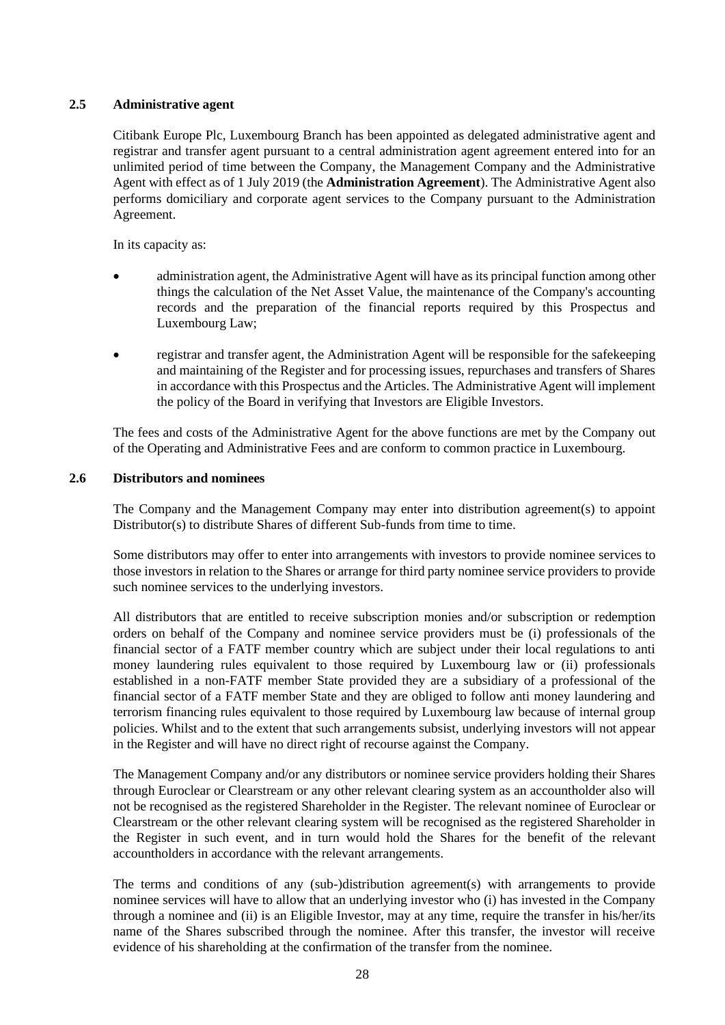## **2.5 Administrative agent**

Citibank Europe Plc, Luxembourg Branch has been appointed as delegated administrative agent and registrar and transfer agent pursuant to a central administration agent agreement entered into for an unlimited period of time between the Company, the Management Company and the Administrative Agent with effect as of 1 July 2019 (the **Administration Agreement**). The Administrative Agent also performs domiciliary and corporate agent services to the Company pursuant to the Administration Agreement.

In its capacity as:

- administration agent, the Administrative Agent will have as its principal function among other things the calculation of the Net Asset Value, the maintenance of the Company's accounting records and the preparation of the financial reports required by this Prospectus and Luxembourg Law;
- registrar and transfer agent, the Administration Agent will be responsible for the safekeeping and maintaining of the Register and for processing issues, repurchases and transfers of Shares in accordance with this Prospectus and the Articles. The Administrative Agent will implement the policy of the Board in verifying that Investors are Eligible Investors.

The fees and costs of the Administrative Agent for the above functions are met by the Company out of the Operating and Administrative Fees and are conform to common practice in Luxembourg.

#### **2.6 Distributors and nominees**

The Company and the Management Company may enter into distribution agreement(s) to appoint Distributor(s) to distribute Shares of different Sub-funds from time to time.

Some distributors may offer to enter into arrangements with investors to provide nominee services to those investors in relation to the Shares or arrange for third party nominee service providers to provide such nominee services to the underlying investors.

All distributors that are entitled to receive subscription monies and/or subscription or redemption orders on behalf of the Company and nominee service providers must be (i) professionals of the financial sector of a FATF member country which are subject under their local regulations to anti money laundering rules equivalent to those required by Luxembourg law or (ii) professionals established in a non-FATF member State provided they are a subsidiary of a professional of the financial sector of a FATF member State and they are obliged to follow anti money laundering and terrorism financing rules equivalent to those required by Luxembourg law because of internal group policies. Whilst and to the extent that such arrangements subsist, underlying investors will not appear in the Register and will have no direct right of recourse against the Company.

The Management Company and/or any distributors or nominee service providers holding their Shares through Euroclear or Clearstream or any other relevant clearing system as an accountholder also will not be recognised as the registered Shareholder in the Register. The relevant nominee of Euroclear or Clearstream or the other relevant clearing system will be recognised as the registered Shareholder in the Register in such event, and in turn would hold the Shares for the benefit of the relevant accountholders in accordance with the relevant arrangements.

The terms and conditions of any (sub-)distribution agreement(s) with arrangements to provide nominee services will have to allow that an underlying investor who (i) has invested in the Company through a nominee and (ii) is an Eligible Investor, may at any time, require the transfer in his/her/its name of the Shares subscribed through the nominee. After this transfer, the investor will receive evidence of his shareholding at the confirmation of the transfer from the nominee.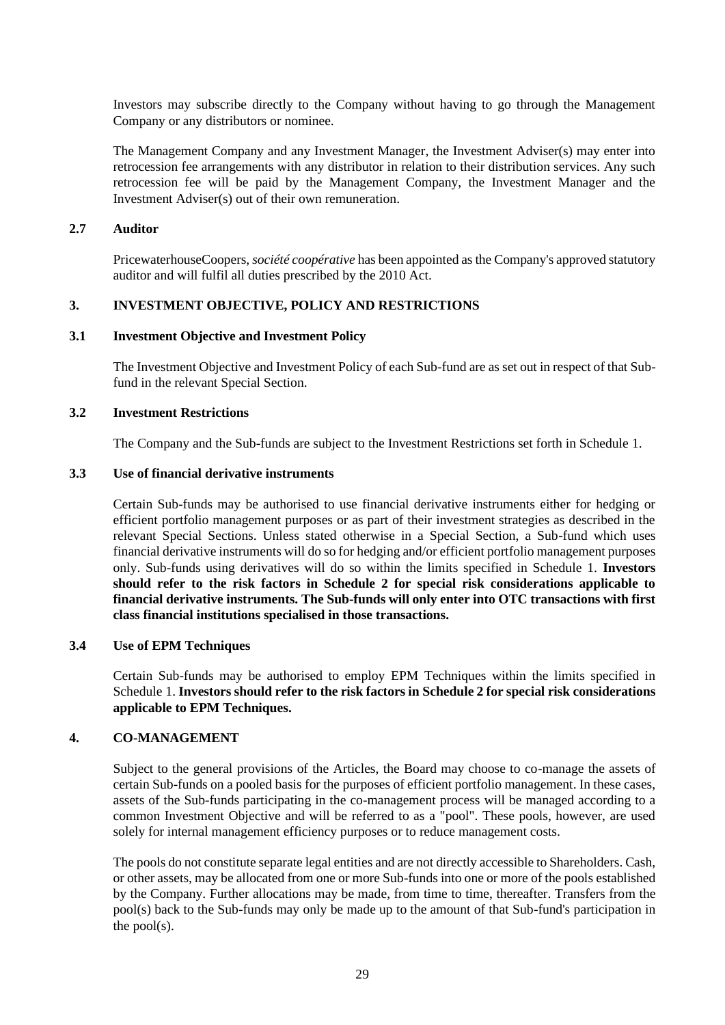Investors may subscribe directly to the Company without having to go through the Management Company or any distributors or nominee.

The Management Company and any Investment Manager, the Investment Adviser(s) may enter into retrocession fee arrangements with any distributor in relation to their distribution services. Any such retrocession fee will be paid by the Management Company, the Investment Manager and the Investment Adviser(s) out of their own remuneration.

#### **2.7 Auditor**

PricewaterhouseCoopers, *société coopérative* has been appointed as the Company's approved statutory auditor and will fulfil all duties prescribed by the 2010 Act.

#### <span id="page-28-0"></span>**3. INVESTMENT OBJECTIVE, POLICY AND RESTRICTIONS**

#### **3.1 Investment Objective and Investment Policy**

The Investment Objective and Investment Policy of each Sub-fund are as set out in respect of that Subfund in the relevant Special Section.

#### **3.2 Investment Restrictions**

The Company and the Sub-funds are subject to the Investment Restrictions set forth in Schedule [1.](#page-58-0)

#### **3.3 Use of financial derivative instruments**

Certain Sub-funds may be authorised to use financial derivative instruments either for hedging or efficient portfolio management purposes or as part of their investment strategies as described in the relevant Special Sections. Unless stated otherwise in a Special Section, a Sub-fund which uses financial derivative instruments will do so for hedging and/or efficient portfolio management purposes only. Sub-funds using derivatives will do so within the limits specified in Schedule 1. **Investors should refer to the risk factors in Schedule 2 for special risk considerations applicable to financial derivative instruments. The Sub-funds will only enter into OTC transactions with first class financial institutions specialised in those transactions.** 

#### **3.4 Use of EPM Techniques**

Certain Sub-funds may be authorised to employ EPM Techniques within the limits specified in Schedule 1. **Investors should refer to the risk factors in [Schedule 2](#page-69-0) for special risk considerations applicable to EPM Techniques.**

#### **4. CO-MANAGEMENT**

Subject to the general provisions of the Articles, the Board may choose to co-manage the assets of certain Sub-funds on a pooled basis for the purposes of efficient portfolio management. In these cases, assets of the Sub-funds participating in the co-management process will be managed according to a common Investment Objective and will be referred to as a "pool". These pools, however, are used solely for internal management efficiency purposes or to reduce management costs.

The pools do not constitute separate legal entities and are not directly accessible to Shareholders. Cash, or other assets, may be allocated from one or more Sub-funds into one or more of the pools established by the Company. Further allocations may be made, from time to time, thereafter. Transfers from the pool(s) back to the Sub-funds may only be made up to the amount of that Sub-fund's participation in the pool(s).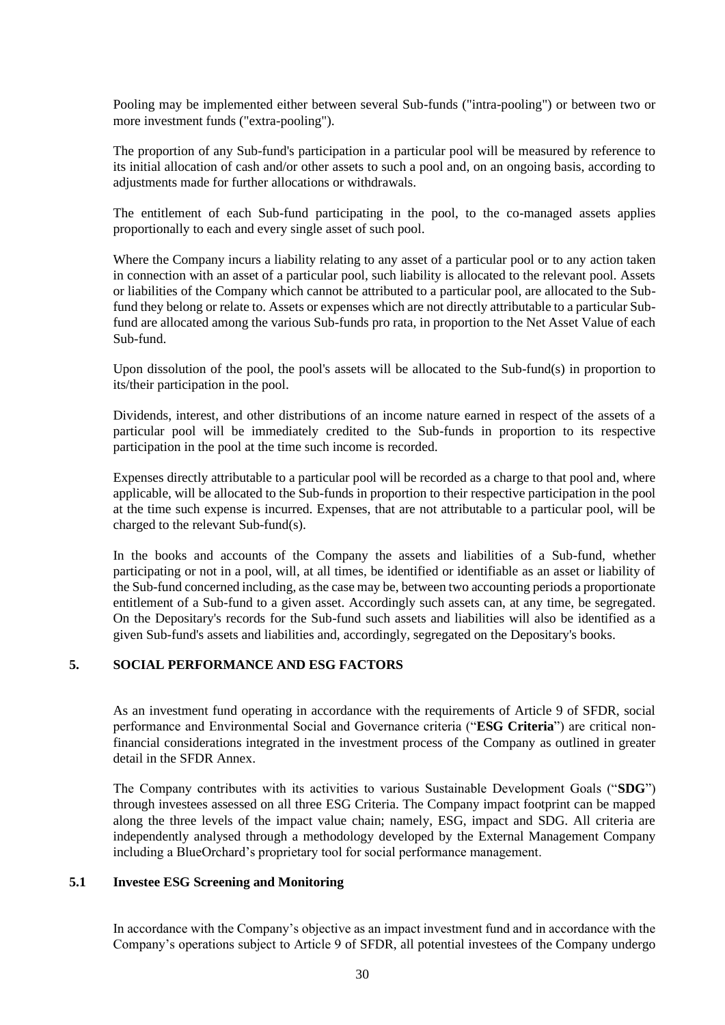Pooling may be implemented either between several Sub-funds ("intra-pooling") or between two or more investment funds ("extra-pooling").

The proportion of any Sub-fund's participation in a particular pool will be measured by reference to its initial allocation of cash and/or other assets to such a pool and, on an ongoing basis, according to adjustments made for further allocations or withdrawals.

The entitlement of each Sub-fund participating in the pool, to the co-managed assets applies proportionally to each and every single asset of such pool.

Where the Company incurs a liability relating to any asset of a particular pool or to any action taken in connection with an asset of a particular pool, such liability is allocated to the relevant pool. Assets or liabilities of the Company which cannot be attributed to a particular pool, are allocated to the Subfund they belong or relate to. Assets or expenses which are not directly attributable to a particular Subfund are allocated among the various Sub-funds pro rata, in proportion to the Net Asset Value of each Sub-fund.

Upon dissolution of the pool, the pool's assets will be allocated to the Sub-fund(s) in proportion to its/their participation in the pool.

Dividends, interest, and other distributions of an income nature earned in respect of the assets of a particular pool will be immediately credited to the Sub-funds in proportion to its respective participation in the pool at the time such income is recorded.

Expenses directly attributable to a particular pool will be recorded as a charge to that pool and, where applicable, will be allocated to the Sub-funds in proportion to their respective participation in the pool at the time such expense is incurred. Expenses, that are not attributable to a particular pool, will be charged to the relevant Sub-fund(s).

In the books and accounts of the Company the assets and liabilities of a Sub-fund, whether participating or not in a pool, will, at all times, be identified or identifiable as an asset or liability of the Sub-fund concerned including, as the case may be, between two accounting periods a proportionate entitlement of a Sub-fund to a given asset. Accordingly such assets can, at any time, be segregated. On the Depositary's records for the Sub-fund such assets and liabilities will also be identified as a given Sub-fund's assets and liabilities and, accordingly, segregated on the Depositary's books.

## <span id="page-29-0"></span>**5. SOCIAL PERFORMANCE AND ESG FACTORS**

As an investment fund operating in accordance with the requirements of Article 9 of SFDR, social performance and Environmental Social and Governance criteria ("**ESG Criteria**") are critical nonfinancial considerations integrated in the investment process of the Company as outlined in greater detail in the SFDR Annex.

The Company contributes with its activities to various Sustainable Development Goals ("**SDG**") through investees assessed on all three ESG Criteria. The Company impact footprint can be mapped along the three levels of the impact value chain; namely, ESG, impact and SDG. All criteria are independently analysed through a methodology developed by the External Management Company including a BlueOrchard's proprietary tool for social performance management.

#### **5.1 Investee ESG Screening and Monitoring**

In accordance with the Company's objective as an impact investment fund and in accordance with the Company's operations subject to Article 9 of SFDR, all potential investees of the Company undergo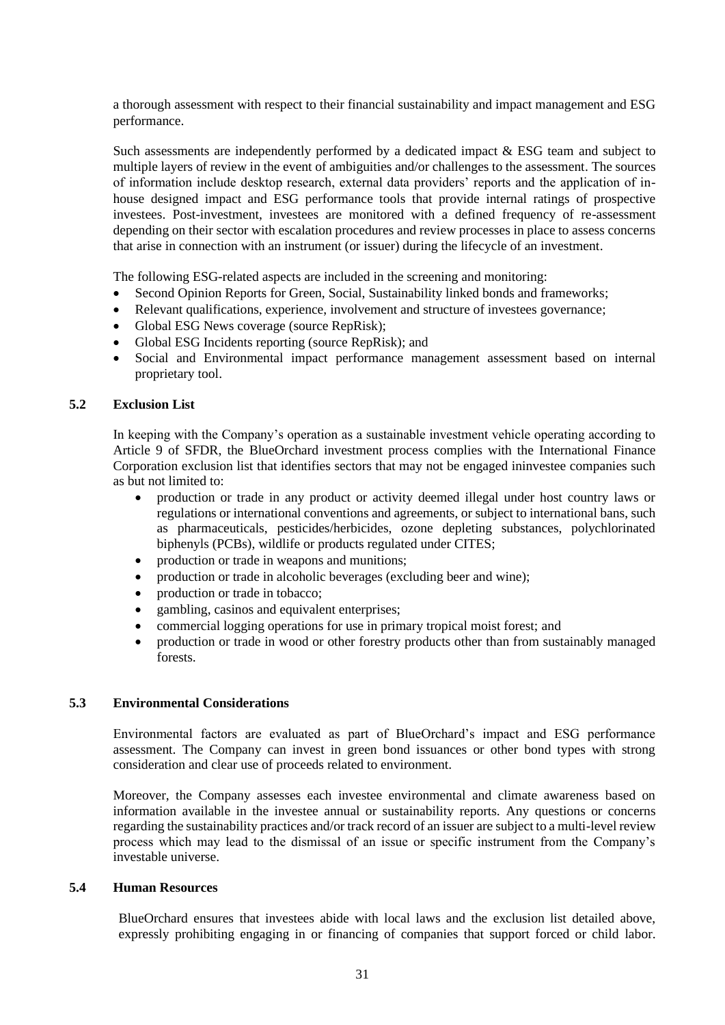a thorough assessment with respect to their financial sustainability and impact management and ESG performance.

Such assessments are independently performed by a dedicated impact & ESG team and subject to multiple layers of review in the event of ambiguities and/or challenges to the assessment. The sources of information include desktop research, external data providers' reports and the application of inhouse designed impact and ESG performance tools that provide internal ratings of prospective investees. Post-investment, investees are monitored with a defined frequency of re-assessment depending on their sector with escalation procedures and review processes in place to assess concerns that arise in connection with an instrument (or issuer) during the lifecycle of an investment.

The following ESG-related aspects are included in the screening and monitoring:

- Second Opinion Reports for Green, Social, Sustainability linked bonds and frameworks;
- Relevant qualifications, experience, involvement and structure of investees governance;
- Global ESG News coverage (source RepRisk);
- Global ESG Incidents reporting (source RepRisk); and
- Social and Environmental impact performance management assessment based on internal proprietary tool.

#### **5.2 Exclusion List**

In keeping with the Company's operation as a sustainable investment vehicle operating according to Article 9 of SFDR, the BlueOrchard investment process complies with the International Finance Corporation exclusion list that identifies sectors that may not be engaged ininvestee companies such as but not limited to:

- production or trade in any product or activity deemed illegal under host country laws or regulations or international conventions and agreements, or subject to international bans, such as pharmaceuticals, pesticides/herbicides, ozone depleting substances, polychlorinated biphenyls (PCBs), wildlife or products regulated under CITES;
- production or trade in weapons and munitions;
- production or trade in alcoholic beverages (excluding beer and wine);
- production or trade in tobacco;
- gambling, casinos and equivalent enterprises;
- commercial logging operations for use in primary tropical moist forest; and
- production or trade in wood or other forestry products other than from sustainably managed forests.

#### **5.3 Environmental Considerations**

Environmental factors are evaluated as part of BlueOrchard's impact and ESG performance assessment. The Company can invest in green bond issuances or other bond types with strong consideration and clear use of proceeds related to environment.

Moreover, the Company assesses each investee environmental and climate awareness based on information available in the investee annual or sustainability reports. Any questions or concerns regarding the sustainability practices and/or track record of an issuer are subject to a multi-level review process which may lead to the dismissal of an issue or specific instrument from the Company's investable universe.

#### **5.4 Human Resources**

BlueOrchard ensures that investees abide with local laws and the exclusion list detailed above, expressly prohibiting engaging in or financing of companies that support forced or child labor.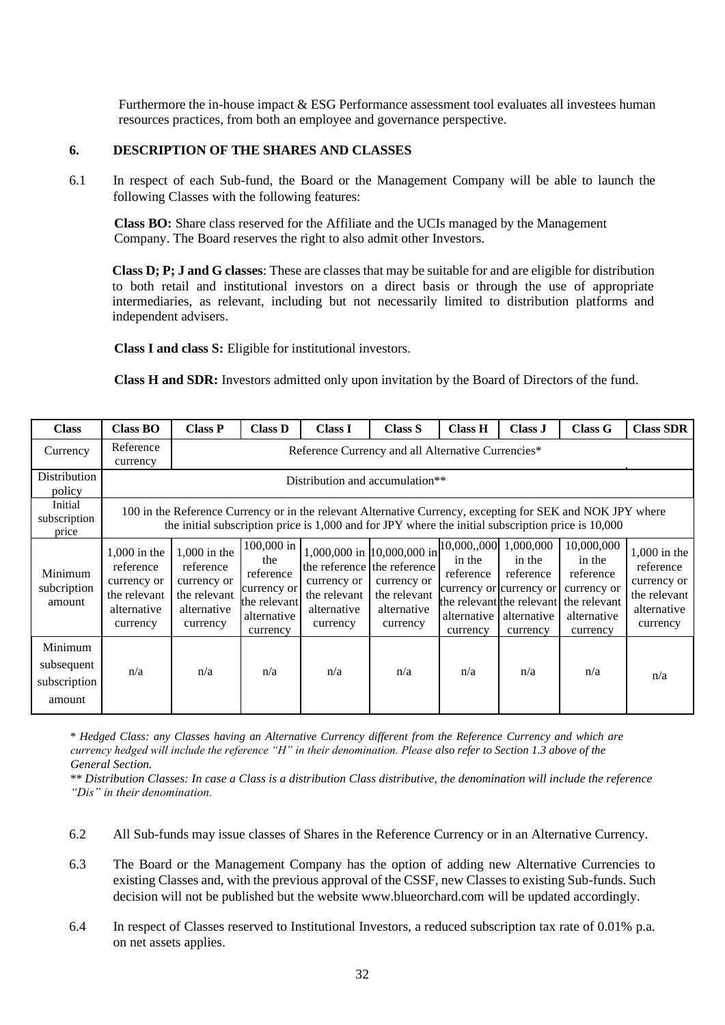Furthermore the in-house impact & ESG Performance assessment tool evaluates all investees human resources practices, from both an employee and governance perspective.

#### **6. DESCRIPTION OF THE SHARES AND CLASSES**

6.1 In respect of each Sub-fund, the Board or the Management Company will be able to launch the following Classes with the following features:

**Class BO:** Share class reserved for the Affiliate and the UCIs managed by the Management Company. The Board reserves the right to also admit other Investors.

**Class D; P; J and G classes**: These are classes that may be suitable for and are eligible for distribution to both retail and institutional investors on a direct basis or through the use of appropriate intermediaries, as relevant, including but not necessarily limited to distribution platforms and independent advisers.

**Class I and class S:** Eligible for institutional investors.

**Class H and SDR:** Investors admitted only upon invitation by the Board of Directors of the fund.

| <b>Class</b>                                    | <b>Class BO</b>                                                                                                                                                                                                  | <b>Class P</b>                                                                        | <b>Class D</b>                                                                           | <b>Class I</b>                                         | <b>Class S</b>                                                                                                      | <b>Class H</b>                                 | Class J                                                                                            | <b>Class G</b>                                                                                                        | <b>Class SDR</b>                                                                      |  |  |  |
|-------------------------------------------------|------------------------------------------------------------------------------------------------------------------------------------------------------------------------------------------------------------------|---------------------------------------------------------------------------------------|------------------------------------------------------------------------------------------|--------------------------------------------------------|---------------------------------------------------------------------------------------------------------------------|------------------------------------------------|----------------------------------------------------------------------------------------------------|-----------------------------------------------------------------------------------------------------------------------|---------------------------------------------------------------------------------------|--|--|--|
| Currency                                        | Reference<br>currency                                                                                                                                                                                            | Reference Currency and all Alternative Currencies*                                    |                                                                                          |                                                        |                                                                                                                     |                                                |                                                                                                    |                                                                                                                       |                                                                                       |  |  |  |
| Distribution<br>policy                          | Distribution and accumulation <sup>**</sup>                                                                                                                                                                      |                                                                                       |                                                                                          |                                                        |                                                                                                                     |                                                |                                                                                                    |                                                                                                                       |                                                                                       |  |  |  |
| Initial<br>subscription<br>price                | 100 in the Reference Currency or in the relevant Alternative Currency, excepting for SEK and NOK JPY where<br>the initial subscription price is 1,000 and for JPY where the initial subscription price is 10,000 |                                                                                       |                                                                                          |                                                        |                                                                                                                     |                                                |                                                                                                    |                                                                                                                       |                                                                                       |  |  |  |
| Minimum<br>subcription<br>amount                | $1,000$ in the<br>reference<br>currency or<br>the relevant<br>alternative<br>currency                                                                                                                            | $1,000$ in the<br>reference<br>currency or<br>the relevant<br>alternative<br>currency | 100,000 in<br>the<br>reference<br>currency or<br>the relevant<br>alternative<br>currency | currency or<br>the relevant<br>alternative<br>currency | 1,000,000 in 10,000,000 in<br>the reference the reference<br>currency or<br>the relevant<br>alternative<br>currency | in the<br>reference<br>alternative<br>currency | 10,000,,000 1,000,000<br>in the<br>reference<br>currency or currency or<br>alternative<br>currency | 10,000,000<br>in the<br>reference<br>currency or<br>the relevant the relevant the relevant<br>alternative<br>currency | $1,000$ in the<br>reference<br>currency or<br>the relevant<br>alternative<br>currency |  |  |  |
| Minimum<br>subsequent<br>subscription<br>amount | n/a                                                                                                                                                                                                              | n/a                                                                                   | n/a                                                                                      | n/a                                                    | n/a                                                                                                                 | n/a                                            | n/a                                                                                                | n/a                                                                                                                   | n/a                                                                                   |  |  |  |

\* *Hedged Class: any Classes having an Alternative Currency different from the Reference Currency and which are currency hedged will include the reference "H" in their denomination. Please also refer to Section 1.3 above of the General Section.*

\*\* *Distribution Classes: In case a Class is a distribution Class distributive, the denomination will include the reference "Dis" in their denomination.*

- 6.2 All Sub-funds may issue classes of Shares in the Reference Currency or in an Alternative Currency.
- 6.3 The Board or the Management Company has the option of adding new Alternative Currencies to existing Classes and, with the previous approval of the CSSF, new Classes to existing Sub-funds. Such decision will not be published but the website [www.blueorchard.com](http://www.blueorchard.com/) will be updated accordingly.
- 6.4 In respect of Classes reserved to Institutional Investors, a reduced subscription tax rate of 0.01% p.a. on net assets applies.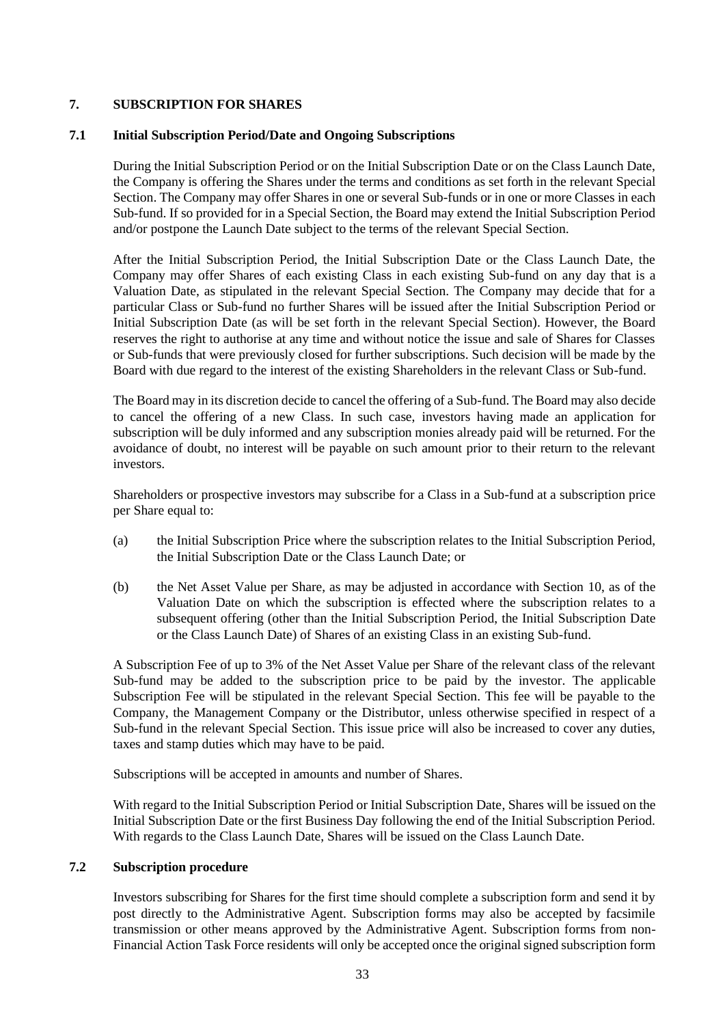## **7. SUBSCRIPTION FOR SHARES**

## <span id="page-32-0"></span>**7.1 Initial Subscription Period/Date and Ongoing Subscriptions**

During the Initial Subscription Period or on the Initial Subscription Date or on the Class Launch Date, the Company is offering the Shares under the terms and conditions as set forth in the relevant Special Section. The Company may offer Shares in one or several Sub-funds or in one or more Classes in each Sub-fund. If so provided for in a Special Section, the Board may extend the Initial Subscription Period and/or postpone the Launch Date subject to the terms of the relevant Special Section.

After the Initial Subscription Period, the Initial Subscription Date or the Class Launch Date, the Company may offer Shares of each existing Class in each existing Sub-fund on any day that is a Valuation Date, as stipulated in the relevant Special Section. The Company may decide that for a particular Class or Sub-fund no further Shares will be issued after the Initial Subscription Period or Initial Subscription Date (as will be set forth in the relevant Special Section). However, the Board reserves the right to authorise at any time and without notice the issue and sale of Shares for Classes or Sub-funds that were previously closed for further subscriptions. Such decision will be made by the Board with due regard to the interest of the existing Shareholders in the relevant Class or Sub-fund.

The Board may in its discretion decide to cancel the offering of a Sub-fund. The Board may also decide to cancel the offering of a new Class. In such case, investors having made an application for subscription will be duly informed and any subscription monies already paid will be returned. For the avoidance of doubt, no interest will be payable on such amount prior to their return to the relevant investors.

Shareholders or prospective investors may subscribe for a Class in a Sub-fund at a subscription price per Share equal to:

- (a) the Initial Subscription Price where the subscription relates to the Initial Subscription Period, the Initial Subscription Date or the Class Launch Date; or
- (b) the Net Asset Value per Share, as may be adjusted in accordance with Section [10,](#page-38-0) as of the Valuation Date on which the subscription is effected where the subscription relates to a subsequent offering (other than the Initial Subscription Period, the Initial Subscription Date or the Class Launch Date) of Shares of an existing Class in an existing Sub-fund.

A Subscription Fee of up to 3% of the Net Asset Value per Share of the relevant class of the relevant Sub-fund may be added to the subscription price to be paid by the investor. The applicable Subscription Fee will be stipulated in the relevant Special Section. This fee will be payable to the Company, the Management Company or the Distributor, unless otherwise specified in respect of a Sub-fund in the relevant Special Section. This issue price will also be increased to cover any duties, taxes and stamp duties which may have to be paid.

Subscriptions will be accepted in amounts and number of Shares.

With regard to the Initial Subscription Period or Initial Subscription Date, Shares will be issued on the Initial Subscription Date or the first Business Day following the end of the Initial Subscription Period. With regards to the Class Launch Date, Shares will be issued on the Class Launch Date.

#### **7.2 Subscription procedure**

Investors subscribing for Shares for the first time should complete a subscription form and send it by post directly to the Administrative Agent. Subscription forms may also be accepted by facsimile transmission or other means approved by the Administrative Agent. Subscription forms from non-Financial Action Task Force residents will only be accepted once the original signed subscription form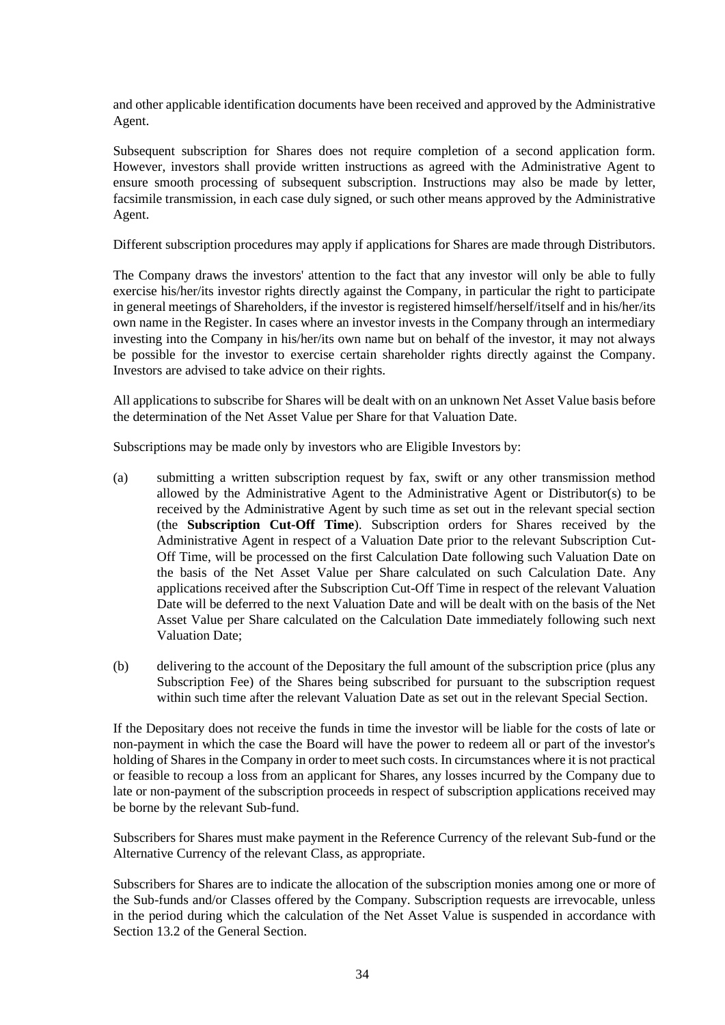and other applicable identification documents have been received and approved by the Administrative Agent.

Subsequent subscription for Shares does not require completion of a second application form. However, investors shall provide written instructions as agreed with the Administrative Agent to ensure smooth processing of subsequent subscription. Instructions may also be made by letter, facsimile transmission, in each case duly signed, or such other means approved by the Administrative Agent.

Different subscription procedures may apply if applications for Shares are made through Distributors.

The Company draws the investors' attention to the fact that any investor will only be able to fully exercise his/her/its investor rights directly against the Company, in particular the right to participate in general meetings of Shareholders, if the investor is registered himself/herself/itself and in his/her/its own name in the Register. In cases where an investor invests in the Company through an intermediary investing into the Company in his/her/its own name but on behalf of the investor, it may not always be possible for the investor to exercise certain shareholder rights directly against the Company. Investors are advised to take advice on their rights.

All applications to subscribe for Shares will be dealt with on an unknown Net Asset Value basis before the determination of the Net Asset Value per Share for that Valuation Date.

Subscriptions may be made only by investors who are Eligible Investors by:

- <span id="page-33-0"></span>(a) submitting a written subscription request by fax, swift or any other transmission method allowed by the Administrative Agent to the Administrative Agent or Distributor(s) to be received by the Administrative Agent by such time as set out in the relevant special section (the **Subscription Cut-Off Time**). Subscription orders for Shares received by the Administrative Agent in respect of a Valuation Date prior to the relevant Subscription Cut-Off Time, will be processed on the first Calculation Date following such Valuation Date on the basis of the Net Asset Value per Share calculated on such Calculation Date. Any applications received after the Subscription Cut-Off Time in respect of the relevant Valuation Date will be deferred to the next Valuation Date and will be dealt with on the basis of the Net Asset Value per Share calculated on the Calculation Date immediately following such next Valuation Date;
- (b) delivering to the account of the Depositary the full amount of the subscription price (plus any Subscription Fee) of the Shares being subscribed for pursuant to the subscription request within such time after the relevant Valuation Date as set out in the relevant Special Section.

If the Depositary does not receive the funds in time the investor will be liable for the costs of late or non-payment in which the case the Board will have the power to redeem all or part of the investor's holding of Shares in the Company in order to meet such costs. In circumstances where it is not practical or feasible to recoup a loss from an applicant for Shares, any losses incurred by the Company due to late or non-payment of the subscription proceeds in respect of subscription applications received may be borne by the relevant Sub-fund.

Subscribers for Shares must make payment in the Reference Currency of the relevant Sub-fund or the Alternative Currency of the relevant Class, as appropriate.

Subscribers for Shares are to indicate the allocation of the subscription monies among one or more of the Sub-funds and/or Classes offered by the Company. Subscription requests are irrevocable, unless in the period during which the calculation of the Net Asset Value is suspended in accordance with Sectio[n 13.2](#page-44-0) of the General Section.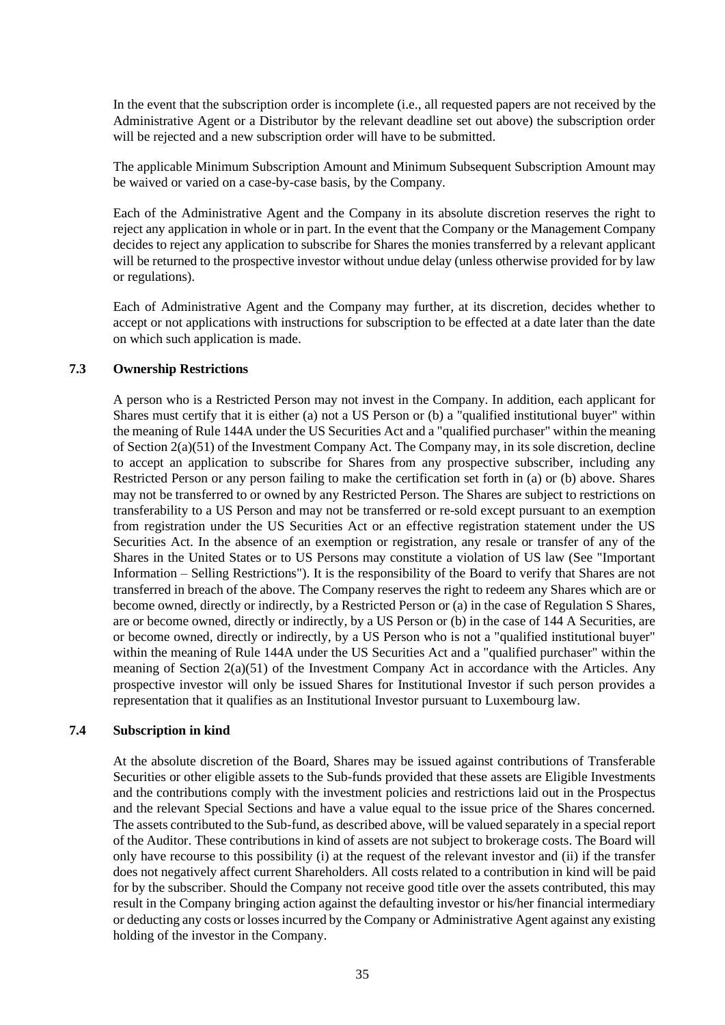In the event that the subscription order is incomplete (i.e., all requested papers are not received by the Administrative Agent or a Distributor by the relevant deadline set out above) the subscription order will be rejected and a new subscription order will have to be submitted.

The applicable Minimum Subscription Amount and Minimum Subsequent Subscription Amount may be waived or varied on a case-by-case basis, by the Company.

Each of the Administrative Agent and the Company in its absolute discretion reserves the right to reject any application in whole or in part. In the event that the Company or the Management Company decides to reject any application to subscribe for Shares the monies transferred by a relevant applicant will be returned to the prospective investor without undue delay (unless otherwise provided for by law or regulations).

Each of Administrative Agent and the Company may further, at its discretion, decides whether to accept or not applications with instructions for subscription to be effected at a date later than the date on which such application is made.

## **7.3 Ownership Restrictions**

A person who is a Restricted Person may not invest in the Company. In addition, each applicant for Shares must certify that it is either (a) not a US Person or (b) a "qualified institutional buyer" within the meaning of Rule 144A under the US Securities Act and a "qualified purchaser" within the meaning of Section 2(a)(51) of the Investment Company Act. The Company may, in its sole discretion, decline to accept an application to subscribe for Shares from any prospective subscriber, including any Restricted Person or any person failing to make the certification set forth in (a) or (b) above. Shares may not be transferred to or owned by any Restricted Person. The Shares are subject to restrictions on transferability to a US Person and may not be transferred or re-sold except pursuant to an exemption from registration under the US Securities Act or an effective registration statement under the US Securities Act. In the absence of an exemption or registration, any resale or transfer of any of the Shares in the United States or to US Persons may constitute a violation of US law (See "Important Information – Selling Restrictions"). It is the responsibility of the Board to verify that Shares are not transferred in breach of the above. The Company reserves the right to redeem any Shares which are or become owned, directly or indirectly, by a Restricted Person or (a) in the case of Regulation S Shares, are or become owned, directly or indirectly, by a US Person or (b) in the case of 144 A Securities, are or become owned, directly or indirectly, by a US Person who is not a "qualified institutional buyer" within the meaning of Rule 144A under the US Securities Act and a "qualified purchaser" within the meaning of Section  $2(a)(51)$  of the Investment Company Act in accordance with the Articles. Any prospective investor will only be issued Shares for Institutional Investor if such person provides a representation that it qualifies as an Institutional Investor pursuant to Luxembourg law.

## **7.4 Subscription in kind**

At the absolute discretion of the Board, Shares may be issued against contributions of Transferable Securities or other eligible assets to the Sub-funds provided that these assets are Eligible Investments and the contributions comply with the investment policies and restrictions laid out in the Prospectus and the relevant Special Sections and have a value equal to the issue price of the Shares concerned. The assets contributed to the Sub-fund, as described above, will be valued separately in a special report of the Auditor. These contributions in kind of assets are not subject to brokerage costs. The Board will only have recourse to this possibility (i) at the request of the relevant investor and (ii) if the transfer does not negatively affect current Shareholders. All costs related to a contribution in kind will be paid for by the subscriber. Should the Company not receive good title over the assets contributed, this may result in the Company bringing action against the defaulting investor or his/her financial intermediary or deducting any costs or losses incurred by the Company or Administrative Agent against any existing holding of the investor in the Company.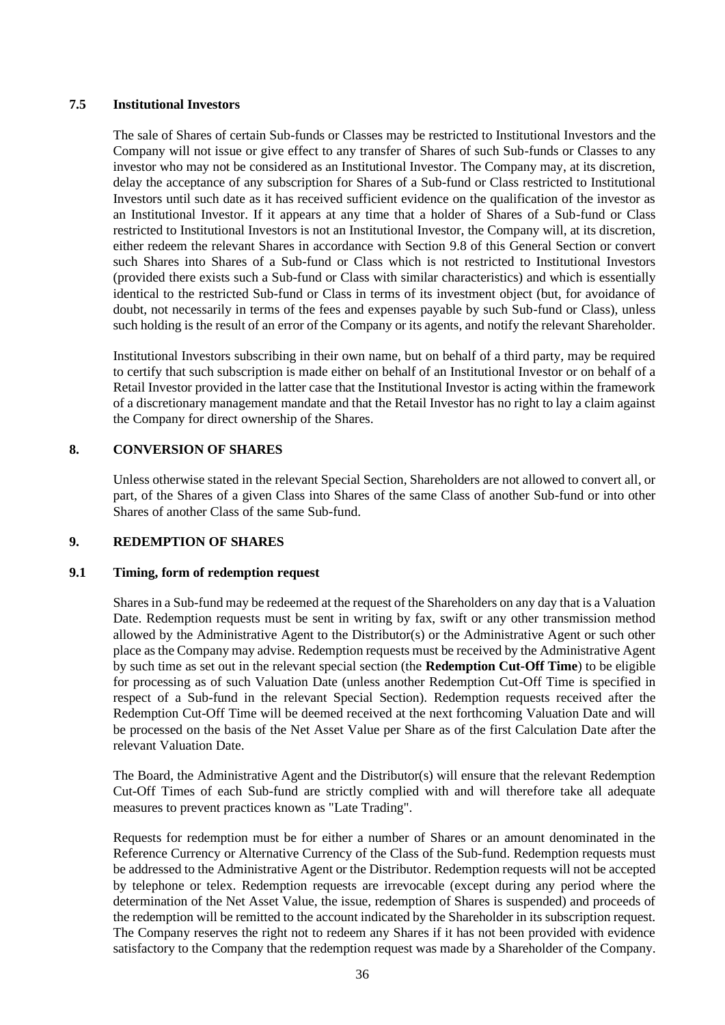## **7.5 Institutional Investors**

The sale of Shares of certain Sub-funds or Classes may be restricted to Institutional Investors and the Company will not issue or give effect to any transfer of Shares of such Sub-funds or Classes to any investor who may not be considered as an Institutional Investor. The Company may, at its discretion, delay the acceptance of any subscription for Shares of a Sub-fund or Class restricted to Institutional Investors until such date as it has received sufficient evidence on the qualification of the investor as an Institutional Investor. If it appears at any time that a holder of Shares of a Sub-fund or Class restricted to Institutional Investors is not an Institutional Investor, the Company will, at its discretion, either redeem the relevant Shares in accordance with Section [9.8](#page-37-0) of this General Section or convert such Shares into Shares of a Sub-fund or Class which is not restricted to Institutional Investors (provided there exists such a Sub-fund or Class with similar characteristics) and which is essentially identical to the restricted Sub-fund or Class in terms of its investment object (but, for avoidance of doubt, not necessarily in terms of the fees and expenses payable by such Sub-fund or Class), unless such holding is the result of an error of the Company or its agents, and notify the relevant Shareholder.

Institutional Investors subscribing in their own name, but on behalf of a third party, may be required to certify that such subscription is made either on behalf of an Institutional Investor or on behalf of a Retail Investor provided in the latter case that the Institutional Investor is acting within the framework of a discretionary management mandate and that the Retail Investor has no right to lay a claim against the Company for direct ownership of the Shares.

## **8. CONVERSION OF SHARES**

Unless otherwise stated in the relevant Special Section, Shareholders are not allowed to convert all, or part, of the Shares of a given Class into Shares of the same Class of another Sub-fund or into other Shares of another Class of the same Sub-fund.

## <span id="page-35-0"></span>**9. REDEMPTION OF SHARES**

#### **9.1 Timing, form of redemption request**

Shares in a Sub-fund may be redeemed at the request of the Shareholders on any day that is a Valuation Date. Redemption requests must be sent in writing by fax, swift or any other transmission method allowed by the Administrative Agent to the Distributor(s) or the Administrative Agent or such other place as the Company may advise. Redemption requests must be received by the Administrative Agent by such time as set out in the relevant special section (the **Redemption Cut-Off Time**) to be eligible for processing as of such Valuation Date (unless another Redemption Cut-Off Time is specified in respect of a Sub-fund in the relevant Special Section). Redemption requests received after the Redemption Cut-Off Time will be deemed received at the next forthcoming Valuation Date and will be processed on the basis of the Net Asset Value per Share as of the first Calculation Date after the relevant Valuation Date.

The Board, the Administrative Agent and the Distributor(s) will ensure that the relevant Redemption Cut-Off Times of each Sub-fund are strictly complied with and will therefore take all adequate measures to prevent practices known as "Late Trading".

Requests for redemption must be for either a number of Shares or an amount denominated in the Reference Currency or Alternative Currency of the Class of the Sub-fund. Redemption requests must be addressed to the Administrative Agent or the Distributor. Redemption requests will not be accepted by telephone or telex. Redemption requests are irrevocable (except during any period where the determination of the Net Asset Value, the issue, redemption of Shares is suspended) and proceeds of the redemption will be remitted to the account indicated by the Shareholder in its subscription request. The Company reserves the right not to redeem any Shares if it has not been provided with evidence satisfactory to the Company that the redemption request was made by a Shareholder of the Company.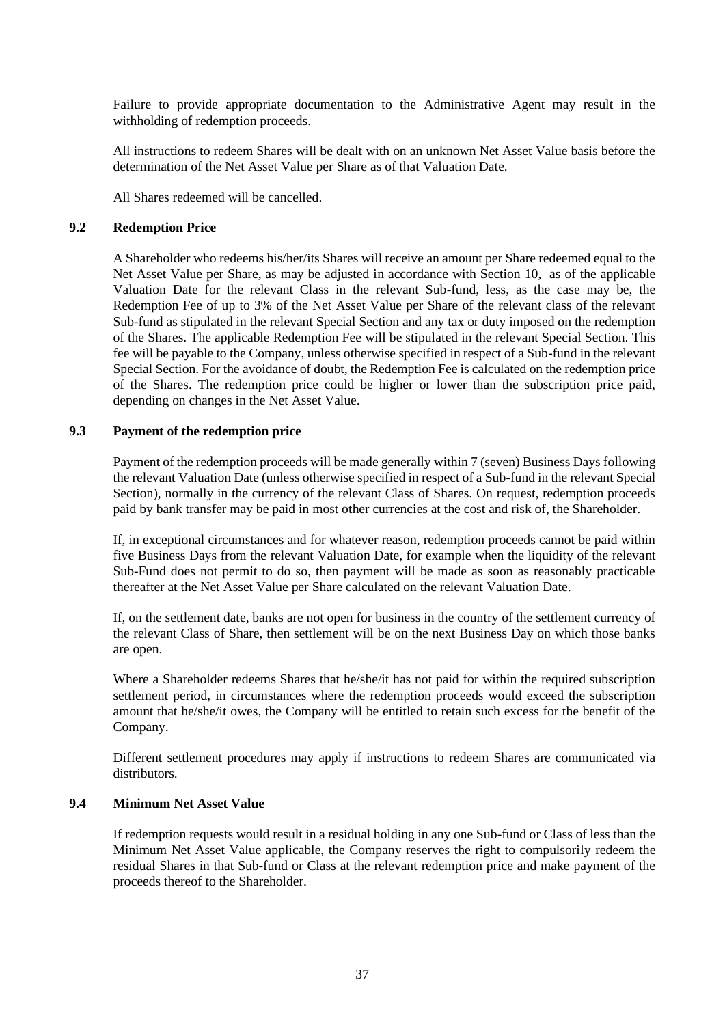Failure to provide appropriate documentation to the Administrative Agent may result in the withholding of redemption proceeds.

All instructions to redeem Shares will be dealt with on an unknown Net Asset Value basis before the determination of the Net Asset Value per Share as of that Valuation Date.

All Shares redeemed will be cancelled.

#### **9.2 Redemption Price**

A Shareholder who redeems his/her/its Shares will receive an amount per Share redeemed equal to the Net Asset Value per Share, as may be adjusted in accordance with Section [10,](#page-38-0) as of the applicable Valuation Date for the relevant Class in the relevant Sub-fund, less, as the case may be, the Redemption Fee of up to 3% of the Net Asset Value per Share of the relevant class of the relevant Sub-fund as stipulated in the relevant Special Section and any tax or duty imposed on the redemption of the Shares. The applicable Redemption Fee will be stipulated in the relevant Special Section. This fee will be payable to the Company, unless otherwise specified in respect of a Sub-fund in the relevant Special Section. For the avoidance of doubt, the Redemption Fee is calculated on the redemption price of the Shares. The redemption price could be higher or lower than the subscription price paid, depending on changes in the Net Asset Value.

#### **9.3 Payment of the redemption price**

Payment of the redemption proceeds will be made generally within 7 (seven) Business Days following the relevant Valuation Date (unless otherwise specified in respect of a Sub-fund in the relevant Special Section), normally in the currency of the relevant Class of Shares. On request, redemption proceeds paid by bank transfer may be paid in most other currencies at the cost and risk of, the Shareholder.

If, in exceptional circumstances and for whatever reason, redemption proceeds cannot be paid within five Business Days from the relevant Valuation Date, for example when the liquidity of the relevant Sub-Fund does not permit to do so, then payment will be made as soon as reasonably practicable thereafter at the Net Asset Value per Share calculated on the relevant Valuation Date.

If, on the settlement date, banks are not open for business in the country of the settlement currency of the relevant Class of Share, then settlement will be on the next Business Day on which those banks are open.

Where a Shareholder redeems Shares that he/she/it has not paid for within the required subscription settlement period, in circumstances where the redemption proceeds would exceed the subscription amount that he/she/it owes, the Company will be entitled to retain such excess for the benefit of the Company.

Different settlement procedures may apply if instructions to redeem Shares are communicated via distributors.

#### **9.4 Minimum Net Asset Value**

If redemption requests would result in a residual holding in any one Sub-fund or Class of less than the Minimum Net Asset Value applicable, the Company reserves the right to compulsorily redeem the residual Shares in that Sub-fund or Class at the relevant redemption price and make payment of the proceeds thereof to the Shareholder.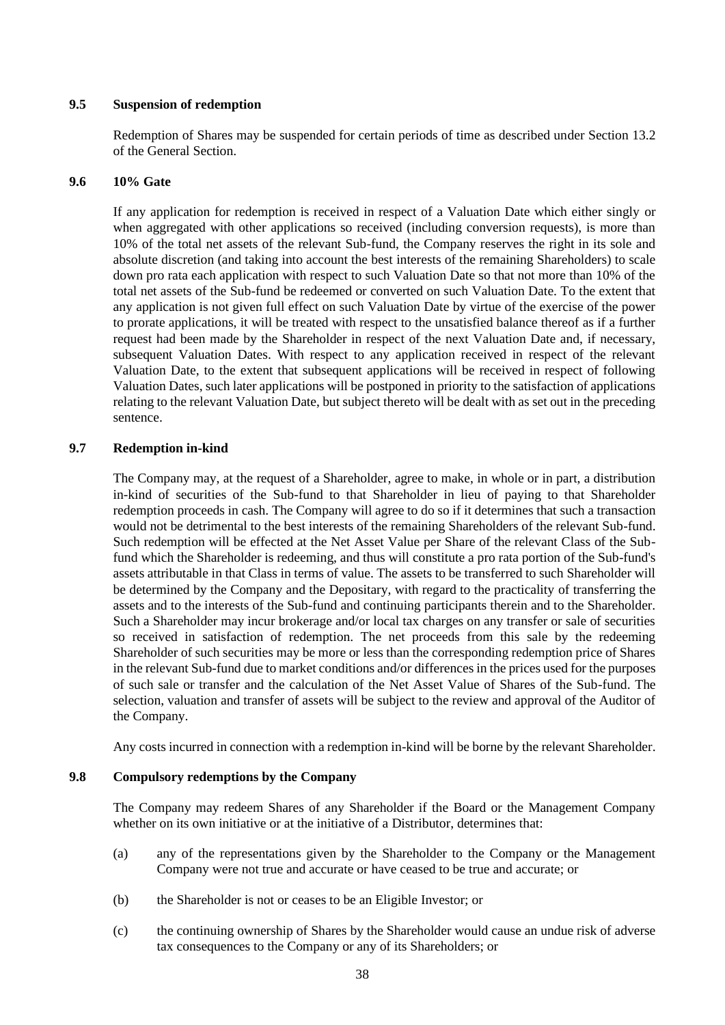# **9.5 Suspension of redemption**

Redemption of Shares may be suspended for certain periods of time as described under Section [13.2](#page-44-0) of the General Section.

## **9.6 10% Gate**

If any application for redemption is received in respect of a Valuation Date which either singly or when aggregated with other applications so received (including conversion requests), is more than 10% of the total net assets of the relevant Sub-fund, the Company reserves the right in its sole and absolute discretion (and taking into account the best interests of the remaining Shareholders) to scale down pro rata each application with respect to such Valuation Date so that not more than 10% of the total net assets of the Sub-fund be redeemed or converted on such Valuation Date. To the extent that any application is not given full effect on such Valuation Date by virtue of the exercise of the power to prorate applications, it will be treated with respect to the unsatisfied balance thereof as if a further request had been made by the Shareholder in respect of the next Valuation Date and, if necessary, subsequent Valuation Dates. With respect to any application received in respect of the relevant Valuation Date, to the extent that subsequent applications will be received in respect of following Valuation Dates, such later applications will be postponed in priority to the satisfaction of applications relating to the relevant Valuation Date, but subject thereto will be dealt with as set out in the preceding sentence.

# **9.7 Redemption in-kind**

The Company may, at the request of a Shareholder, agree to make, in whole or in part, a distribution in-kind of securities of the Sub-fund to that Shareholder in lieu of paying to that Shareholder redemption proceeds in cash. The Company will agree to do so if it determines that such a transaction would not be detrimental to the best interests of the remaining Shareholders of the relevant Sub-fund. Such redemption will be effected at the Net Asset Value per Share of the relevant Class of the Subfund which the Shareholder is redeeming, and thus will constitute a pro rata portion of the Sub-fund's assets attributable in that Class in terms of value. The assets to be transferred to such Shareholder will be determined by the Company and the Depositary, with regard to the practicality of transferring the assets and to the interests of the Sub-fund and continuing participants therein and to the Shareholder. Such a Shareholder may incur brokerage and/or local tax charges on any transfer or sale of securities so received in satisfaction of redemption. The net proceeds from this sale by the redeeming Shareholder of such securities may be more or less than the corresponding redemption price of Shares in the relevant Sub-fund due to market conditions and/or differences in the prices used for the purposes of such sale or transfer and the calculation of the Net Asset Value of Shares of the Sub-fund. The selection, valuation and transfer of assets will be subject to the review and approval of the Auditor of the Company.

Any costs incurred in connection with a redemption in-kind will be borne by the relevant Shareholder.

# **9.8 Compulsory redemptions by the Company**

The Company may redeem Shares of any Shareholder if the Board or the Management Company whether on its own initiative or at the initiative of a Distributor, determines that:

- (a) any of the representations given by the Shareholder to the Company or the Management Company were not true and accurate or have ceased to be true and accurate; or
- (b) the Shareholder is not or ceases to be an Eligible Investor; or
- (c) the continuing ownership of Shares by the Shareholder would cause an undue risk of adverse tax consequences to the Company or any of its Shareholders; or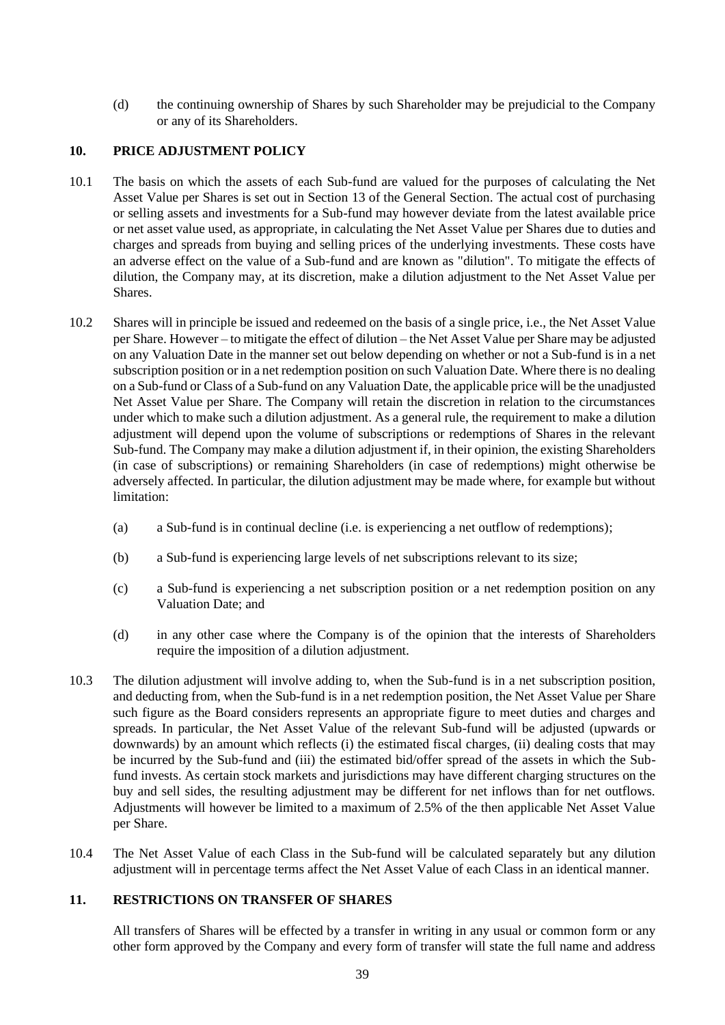(d) the continuing ownership of Shares by such Shareholder may be prejudicial to the Company or any of its Shareholders.

## <span id="page-38-0"></span>**10. PRICE ADJUSTMENT POLICY**

- 10.1 The basis on which the assets of each Sub-fund are valued for the purposes of calculating the Net Asset Value per Shares is set out in Section [13](#page-40-0) of the General Section. The actual cost of purchasing or selling assets and investments for a Sub-fund may however deviate from the latest available price or net asset value used, as appropriate, in calculating the Net Asset Value per Shares due to duties and charges and spreads from buying and selling prices of the underlying investments. These costs have an adverse effect on the value of a Sub-fund and are known as "dilution". To mitigate the effects of dilution, the Company may, at its discretion, make a dilution adjustment to the Net Asset Value per Shares.
- 10.2 Shares will in principle be issued and redeemed on the basis of a single price, i.e., the Net Asset Value per Share. However – to mitigate the effect of dilution – the Net Asset Value per Share may be adjusted on any Valuation Date in the manner set out below depending on whether or not a Sub-fund is in a net subscription position or in a net redemption position on such Valuation Date. Where there is no dealing on a Sub-fund or Class of a Sub-fund on any Valuation Date, the applicable price will be the unadjusted Net Asset Value per Share. The Company will retain the discretion in relation to the circumstances under which to make such a dilution adjustment. As a general rule, the requirement to make a dilution adjustment will depend upon the volume of subscriptions or redemptions of Shares in the relevant Sub-fund. The Company may make a dilution adjustment if, in their opinion, the existing Shareholders (in case of subscriptions) or remaining Shareholders (in case of redemptions) might otherwise be adversely affected. In particular, the dilution adjustment may be made where, for example but without limitation:
	- (a) a Sub-fund is in continual decline (i.e. is experiencing a net outflow of redemptions);
	- (b) a Sub-fund is experiencing large levels of net subscriptions relevant to its size;
	- (c) a Sub-fund is experiencing a net subscription position or a net redemption position on any Valuation Date; and
	- (d) in any other case where the Company is of the opinion that the interests of Shareholders require the imposition of a dilution adjustment.
- 10.3 The dilution adjustment will involve adding to, when the Sub-fund is in a net subscription position, and deducting from, when the Sub-fund is in a net redemption position, the Net Asset Value per Share such figure as the Board considers represents an appropriate figure to meet duties and charges and spreads. In particular, the Net Asset Value of the relevant Sub-fund will be adjusted (upwards or downwards) by an amount which reflects (i) the estimated fiscal charges, (ii) dealing costs that may be incurred by the Sub-fund and (iii) the estimated bid/offer spread of the assets in which the Subfund invests. As certain stock markets and jurisdictions may have different charging structures on the buy and sell sides, the resulting adjustment may be different for net inflows than for net outflows. Adjustments will however be limited to a maximum of 2.5% of the then applicable Net Asset Value per Share.
- 10.4 The Net Asset Value of each Class in the Sub-fund will be calculated separately but any dilution adjustment will in percentage terms affect the Net Asset Value of each Class in an identical manner.

# **11. RESTRICTIONS ON TRANSFER OF SHARES**

All transfers of Shares will be effected by a transfer in writing in any usual or common form or any other form approved by the Company and every form of transfer will state the full name and address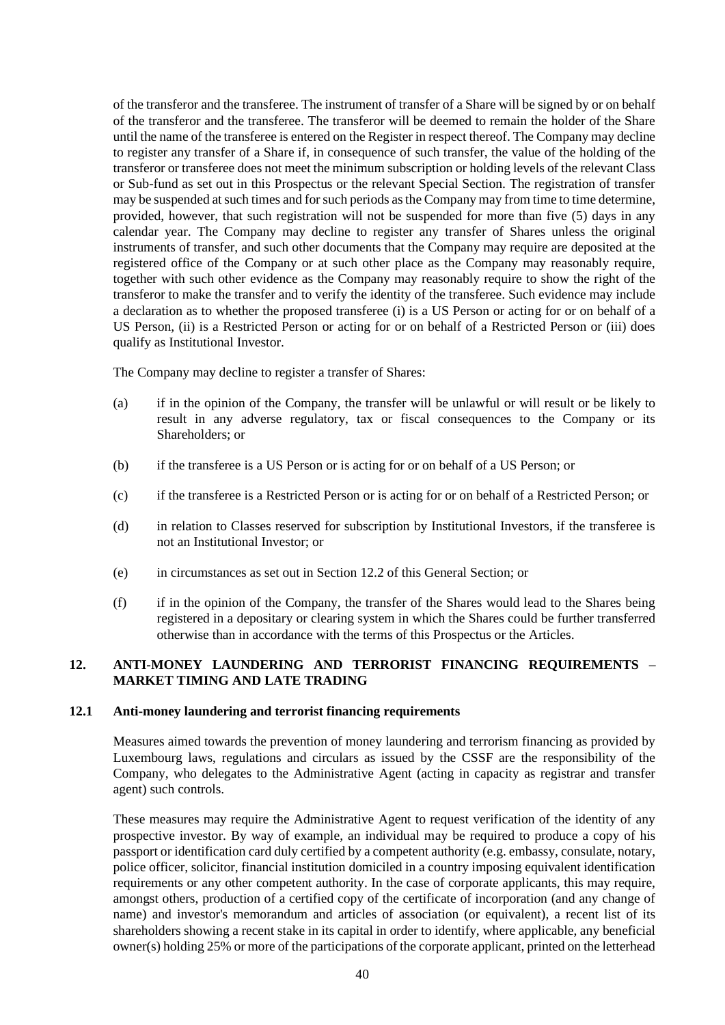of the transferor and the transferee. The instrument of transfer of a Share will be signed by or on behalf of the transferor and the transferee. The transferor will be deemed to remain the holder of the Share until the name of the transferee is entered on the Register in respect thereof. The Company may decline to register any transfer of a Share if, in consequence of such transfer, the value of the holding of the transferor or transferee does not meet the minimum subscription or holding levels of the relevant Class or Sub-fund as set out in this Prospectus or the relevant Special Section. The registration of transfer may be suspended at such times and for such periods as the Company may from time to time determine, provided, however, that such registration will not be suspended for more than five (5) days in any calendar year. The Company may decline to register any transfer of Shares unless the original instruments of transfer, and such other documents that the Company may require are deposited at the registered office of the Company or at such other place as the Company may reasonably require, together with such other evidence as the Company may reasonably require to show the right of the transferor to make the transfer and to verify the identity of the transferee. Such evidence may include a declaration as to whether the proposed transferee (i) is a US Person or acting for or on behalf of a US Person, (ii) is a Restricted Person or acting for or on behalf of a Restricted Person or (iii) does qualify as Institutional Investor.

The Company may decline to register a transfer of Shares:

- (a) if in the opinion of the Company, the transfer will be unlawful or will result or be likely to result in any adverse regulatory, tax or fiscal consequences to the Company or its Shareholders; or
- (b) if the transferee is a US Person or is acting for or on behalf of a US Person; or
- (c) if the transferee is a Restricted Person or is acting for or on behalf of a Restricted Person; or
- (d) in relation to Classes reserved for subscription by Institutional Investors, if the transferee is not an Institutional Investor; or
- (e) in circumstances as set out in Section [12.2](#page-40-1) of this General Section; or
- (f) if in the opinion of the Company, the transfer of the Shares would lead to the Shares being registered in a depositary or clearing system in which the Shares could be further transferred otherwise than in accordance with the terms of this Prospectus or the Articles.

# **12. ANTI-MONEY LAUNDERING AND TERRORIST FINANCING REQUIREMENTS – MARKET TIMING AND LATE TRADING**

#### **12.1 Anti-money laundering and terrorist financing requirements**

Measures aimed towards the prevention of money laundering and terrorism financing as provided by Luxembourg laws, regulations and circulars as issued by the CSSF are the responsibility of the Company, who delegates to the Administrative Agent (acting in capacity as registrar and transfer agent) such controls.

These measures may require the Administrative Agent to request verification of the identity of any prospective investor. By way of example, an individual may be required to produce a copy of his passport or identification card duly certified by a competent authority (e.g. embassy, consulate, notary, police officer, solicitor, financial institution domiciled in a country imposing equivalent identification requirements or any other competent authority. In the case of corporate applicants, this may require, amongst others, production of a certified copy of the certificate of incorporation (and any change of name) and investor's memorandum and articles of association (or equivalent), a recent list of its shareholders showing a recent stake in its capital in order to identify, where applicable, any beneficial owner(s) holding 25% or more of the participations of the corporate applicant, printed on the letterhead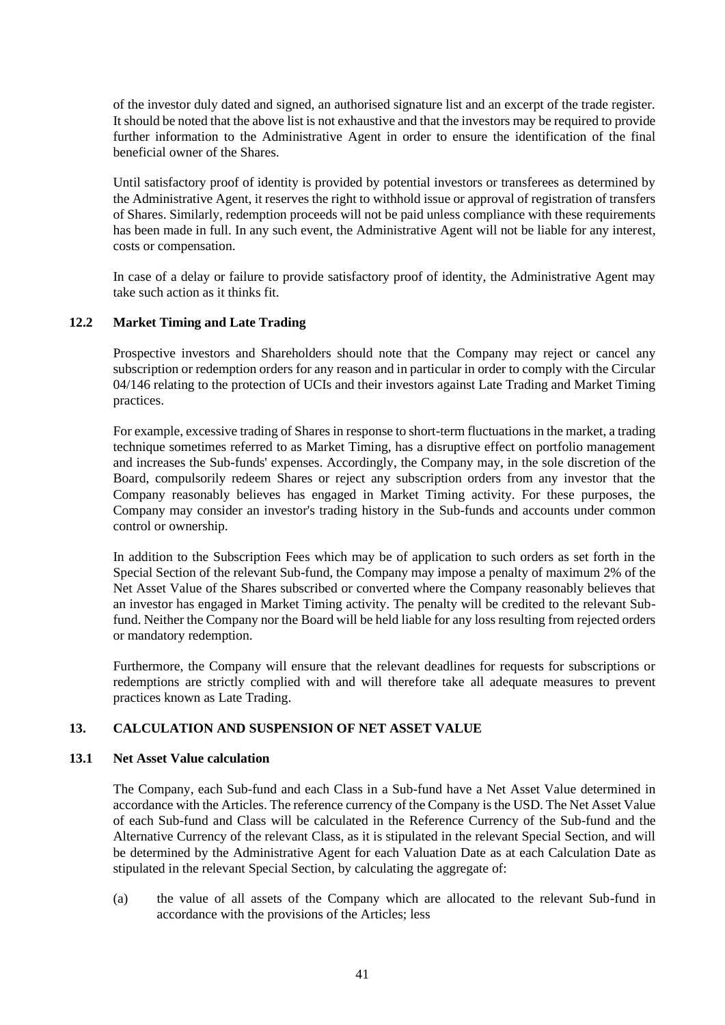of the investor duly dated and signed, an authorised signature list and an excerpt of the trade register. It should be noted that the above list is not exhaustive and that the investors may be required to provide further information to the Administrative Agent in order to ensure the identification of the final beneficial owner of the Shares.

Until satisfactory proof of identity is provided by potential investors or transferees as determined by the Administrative Agent, it reserves the right to withhold issue or approval of registration of transfers of Shares. Similarly, redemption proceeds will not be paid unless compliance with these requirements has been made in full. In any such event, the Administrative Agent will not be liable for any interest, costs or compensation.

In case of a delay or failure to provide satisfactory proof of identity, the Administrative Agent may take such action as it thinks fit.

# <span id="page-40-1"></span>**12.2 Market Timing and Late Trading**

Prospective investors and Shareholders should note that the Company may reject or cancel any subscription or redemption orders for any reason and in particular in order to comply with the Circular 04/146 relating to the protection of UCIs and their investors against Late Trading and Market Timing practices.

For example, excessive trading of Shares in response to short-term fluctuations in the market, a trading technique sometimes referred to as Market Timing, has a disruptive effect on portfolio management and increases the Sub-funds' expenses. Accordingly, the Company may, in the sole discretion of the Board, compulsorily redeem Shares or reject any subscription orders from any investor that the Company reasonably believes has engaged in Market Timing activity. For these purposes, the Company may consider an investor's trading history in the Sub-funds and accounts under common control or ownership.

In addition to the Subscription Fees which may be of application to such orders as set forth in the Special Section of the relevant Sub-fund, the Company may impose a penalty of maximum 2% of the Net Asset Value of the Shares subscribed or converted where the Company reasonably believes that an investor has engaged in Market Timing activity. The penalty will be credited to the relevant Subfund. Neither the Company nor the Board will be held liable for any loss resulting from rejected orders or mandatory redemption.

Furthermore, the Company will ensure that the relevant deadlines for requests for subscriptions or redemptions are strictly complied with and will therefore take all adequate measures to prevent practices known as Late Trading.

## <span id="page-40-0"></span>**13. CALCULATION AND SUSPENSION OF NET ASSET VALUE**

## **13.1 Net Asset Value calculation**

The Company, each Sub-fund and each Class in a Sub-fund have a Net Asset Value determined in accordance with the Articles. The reference currency of the Company is the USD. The Net Asset Value of each Sub-fund and Class will be calculated in the Reference Currency of the Sub-fund and the Alternative Currency of the relevant Class, as it is stipulated in the relevant Special Section, and will be determined by the Administrative Agent for each Valuation Date as at each Calculation Date as stipulated in the relevant Special Section, by calculating the aggregate of:

(a) the value of all assets of the Company which are allocated to the relevant Sub-fund in accordance with the provisions of the Articles; less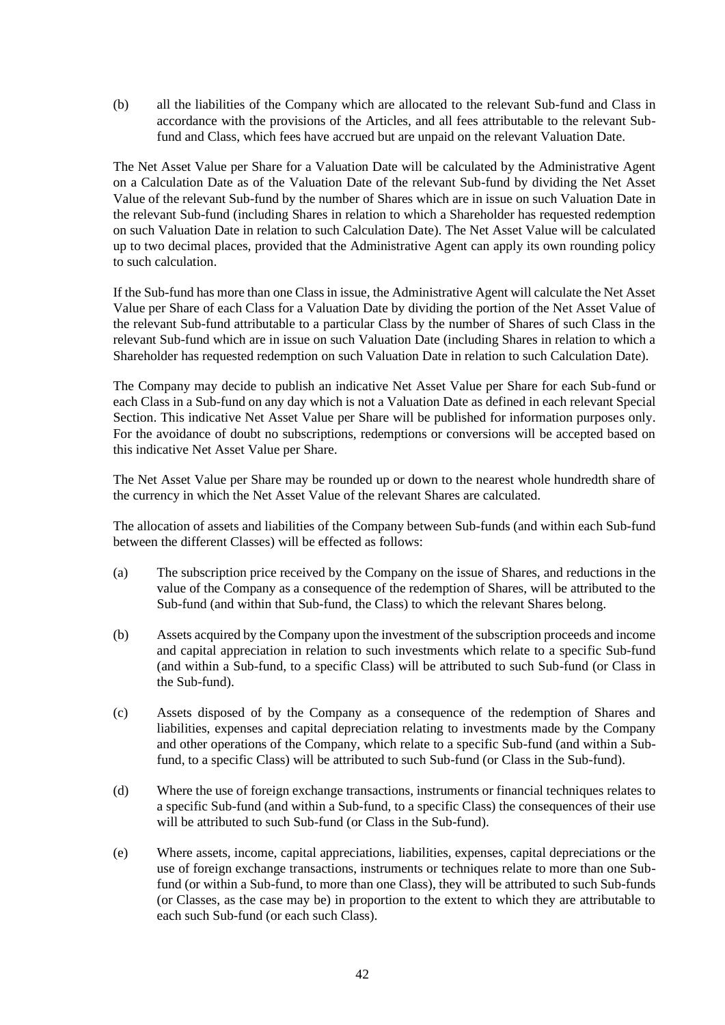(b) all the liabilities of the Company which are allocated to the relevant Sub-fund and Class in accordance with the provisions of the Articles, and all fees attributable to the relevant Subfund and Class, which fees have accrued but are unpaid on the relevant Valuation Date.

The Net Asset Value per Share for a Valuation Date will be calculated by the Administrative Agent on a Calculation Date as of the Valuation Date of the relevant Sub-fund by dividing the Net Asset Value of the relevant Sub-fund by the number of Shares which are in issue on such Valuation Date in the relevant Sub-fund (including Shares in relation to which a Shareholder has requested redemption on such Valuation Date in relation to such Calculation Date). The Net Asset Value will be calculated up to two decimal places, provided that the Administrative Agent can apply its own rounding policy to such calculation.

If the Sub-fund has more than one Class in issue, the Administrative Agent will calculate the Net Asset Value per Share of each Class for a Valuation Date by dividing the portion of the Net Asset Value of the relevant Sub-fund attributable to a particular Class by the number of Shares of such Class in the relevant Sub-fund which are in issue on such Valuation Date (including Shares in relation to which a Shareholder has requested redemption on such Valuation Date in relation to such Calculation Date).

The Company may decide to publish an indicative Net Asset Value per Share for each Sub-fund or each Class in a Sub-fund on any day which is not a Valuation Date as defined in each relevant Special Section. This indicative Net Asset Value per Share will be published for information purposes only. For the avoidance of doubt no subscriptions, redemptions or conversions will be accepted based on this indicative Net Asset Value per Share.

The Net Asset Value per Share may be rounded up or down to the nearest whole hundredth share of the currency in which the Net Asset Value of the relevant Shares are calculated.

The allocation of assets and liabilities of the Company between Sub-funds (and within each Sub-fund between the different Classes) will be effected as follows:

- (a) The subscription price received by the Company on the issue of Shares, and reductions in the value of the Company as a consequence of the redemption of Shares, will be attributed to the Sub-fund (and within that Sub-fund, the Class) to which the relevant Shares belong.
- (b) Assets acquired by the Company upon the investment of the subscription proceeds and income and capital appreciation in relation to such investments which relate to a specific Sub-fund (and within a Sub-fund, to a specific Class) will be attributed to such Sub-fund (or Class in the Sub-fund).
- (c) Assets disposed of by the Company as a consequence of the redemption of Shares and liabilities, expenses and capital depreciation relating to investments made by the Company and other operations of the Company, which relate to a specific Sub-fund (and within a Subfund, to a specific Class) will be attributed to such Sub-fund (or Class in the Sub-fund).
- (d) Where the use of foreign exchange transactions, instruments or financial techniques relates to a specific Sub-fund (and within a Sub-fund, to a specific Class) the consequences of their use will be attributed to such Sub-fund (or Class in the Sub-fund).
- (e) Where assets, income, capital appreciations, liabilities, expenses, capital depreciations or the use of foreign exchange transactions, instruments or techniques relate to more than one Subfund (or within a Sub-fund, to more than one Class), they will be attributed to such Sub-funds (or Classes, as the case may be) in proportion to the extent to which they are attributable to each such Sub-fund (or each such Class).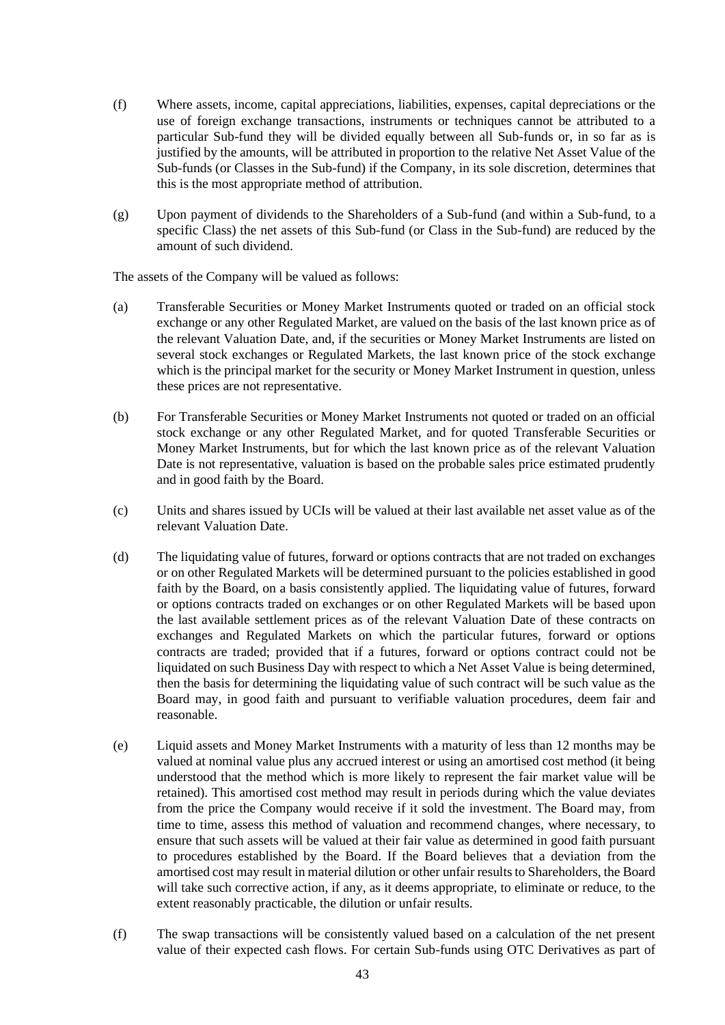- (f) Where assets, income, capital appreciations, liabilities, expenses, capital depreciations or the use of foreign exchange transactions, instruments or techniques cannot be attributed to a particular Sub-fund they will be divided equally between all Sub-funds or, in so far as is justified by the amounts, will be attributed in proportion to the relative Net Asset Value of the Sub-funds (or Classes in the Sub-fund) if the Company, in its sole discretion, determines that this is the most appropriate method of attribution.
- (g) Upon payment of dividends to the Shareholders of a Sub-fund (and within a Sub-fund, to a specific Class) the net assets of this Sub-fund (or Class in the Sub-fund) are reduced by the amount of such dividend.

The assets of the Company will be valued as follows:

- (a) Transferable Securities or Money Market Instruments quoted or traded on an official stock exchange or any other Regulated Market, are valued on the basis of the last known price as of the relevant Valuation Date, and, if the securities or Money Market Instruments are listed on several stock exchanges or Regulated Markets, the last known price of the stock exchange which is the principal market for the security or Money Market Instrument in question, unless these prices are not representative.
- (b) For Transferable Securities or Money Market Instruments not quoted or traded on an official stock exchange or any other Regulated Market, and for quoted Transferable Securities or Money Market Instruments, but for which the last known price as of the relevant Valuation Date is not representative, valuation is based on the probable sales price estimated prudently and in good faith by the Board.
- (c) Units and shares issued by UCIs will be valued at their last available net asset value as of the relevant Valuation Date.
- (d) The liquidating value of futures, forward or options contracts that are not traded on exchanges or on other Regulated Markets will be determined pursuant to the policies established in good faith by the Board, on a basis consistently applied. The liquidating value of futures, forward or options contracts traded on exchanges or on other Regulated Markets will be based upon the last available settlement prices as of the relevant Valuation Date of these contracts on exchanges and Regulated Markets on which the particular futures, forward or options contracts are traded; provided that if a futures, forward or options contract could not be liquidated on such Business Day with respect to which a Net Asset Value is being determined, then the basis for determining the liquidating value of such contract will be such value as the Board may, in good faith and pursuant to verifiable valuation procedures, deem fair and reasonable.
- (e) Liquid assets and Money Market Instruments with a maturity of less than 12 months may be valued at nominal value plus any accrued interest or using an amortised cost method (it being understood that the method which is more likely to represent the fair market value will be retained). This amortised cost method may result in periods during which the value deviates from the price the Company would receive if it sold the investment. The Board may, from time to time, assess this method of valuation and recommend changes, where necessary, to ensure that such assets will be valued at their fair value as determined in good faith pursuant to procedures established by the Board. If the Board believes that a deviation from the amortised cost may result in material dilution or other unfair results to Shareholders, the Board will take such corrective action, if any, as it deems appropriate, to eliminate or reduce, to the extent reasonably practicable, the dilution or unfair results.
- (f) The swap transactions will be consistently valued based on a calculation of the net present value of their expected cash flows. For certain Sub-funds using OTC Derivatives as part of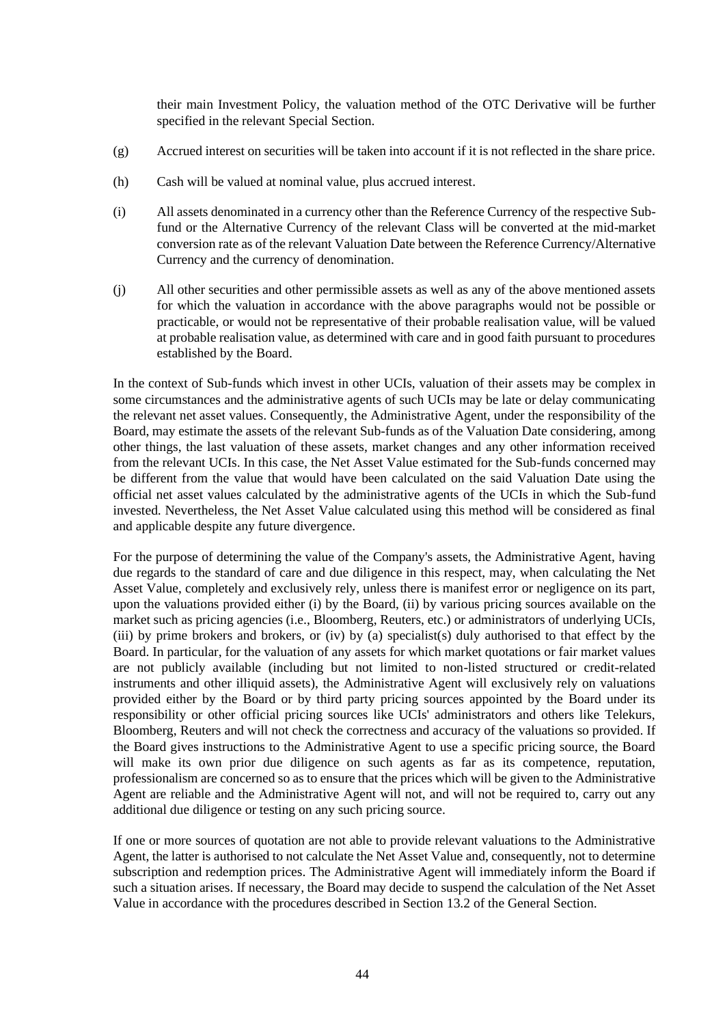their main Investment Policy, the valuation method of the OTC Derivative will be further specified in the relevant Special Section.

- (g) Accrued interest on securities will be taken into account if it is not reflected in the share price.
- (h) Cash will be valued at nominal value, plus accrued interest.
- (i) All assets denominated in a currency other than the Reference Currency of the respective Subfund or the Alternative Currency of the relevant Class will be converted at the mid-market conversion rate as of the relevant Valuation Date between the Reference Currency/Alternative Currency and the currency of denomination.
- (j) All other securities and other permissible assets as well as any of the above mentioned assets for which the valuation in accordance with the above paragraphs would not be possible or practicable, or would not be representative of their probable realisation value, will be valued at probable realisation value, as determined with care and in good faith pursuant to procedures established by the Board.

In the context of Sub-funds which invest in other UCIs, valuation of their assets may be complex in some circumstances and the administrative agents of such UCIs may be late or delay communicating the relevant net asset values. Consequently, the Administrative Agent, under the responsibility of the Board, may estimate the assets of the relevant Sub-funds as of the Valuation Date considering, among other things, the last valuation of these assets, market changes and any other information received from the relevant UCIs. In this case, the Net Asset Value estimated for the Sub-funds concerned may be different from the value that would have been calculated on the said Valuation Date using the official net asset values calculated by the administrative agents of the UCIs in which the Sub-fund invested. Nevertheless, the Net Asset Value calculated using this method will be considered as final and applicable despite any future divergence.

For the purpose of determining the value of the Company's assets, the Administrative Agent, having due regards to the standard of care and due diligence in this respect, may, when calculating the Net Asset Value, completely and exclusively rely, unless there is manifest error or negligence on its part, upon the valuations provided either (i) by the Board, (ii) by various pricing sources available on the market such as pricing agencies (i.e., Bloomberg, Reuters, etc.) or administrators of underlying UCIs, (iii) by prime brokers and brokers, or (iv) by (a) specialist(s) duly authorised to that effect by the Board. In particular, for the valuation of any assets for which market quotations or fair market values are not publicly available (including but not limited to non-listed structured or credit-related instruments and other illiquid assets), the Administrative Agent will exclusively rely on valuations provided either by the Board or by third party pricing sources appointed by the Board under its responsibility or other official pricing sources like UCIs' administrators and others like Telekurs, Bloomberg, Reuters and will not check the correctness and accuracy of the valuations so provided. If the Board gives instructions to the Administrative Agent to use a specific pricing source, the Board will make its own prior due diligence on such agents as far as its competence, reputation, professionalism are concerned so as to ensure that the prices which will be given to the Administrative Agent are reliable and the Administrative Agent will not, and will not be required to, carry out any additional due diligence or testing on any such pricing source.

If one or more sources of quotation are not able to provide relevant valuations to the Administrative Agent, the latter is authorised to not calculate the Net Asset Value and, consequently, not to determine subscription and redemption prices. The Administrative Agent will immediately inform the Board if such a situation arises. If necessary, the Board may decide to suspend the calculation of the Net Asset Value in accordance with the procedures described in Section [13.2](#page-44-0) of the General Section.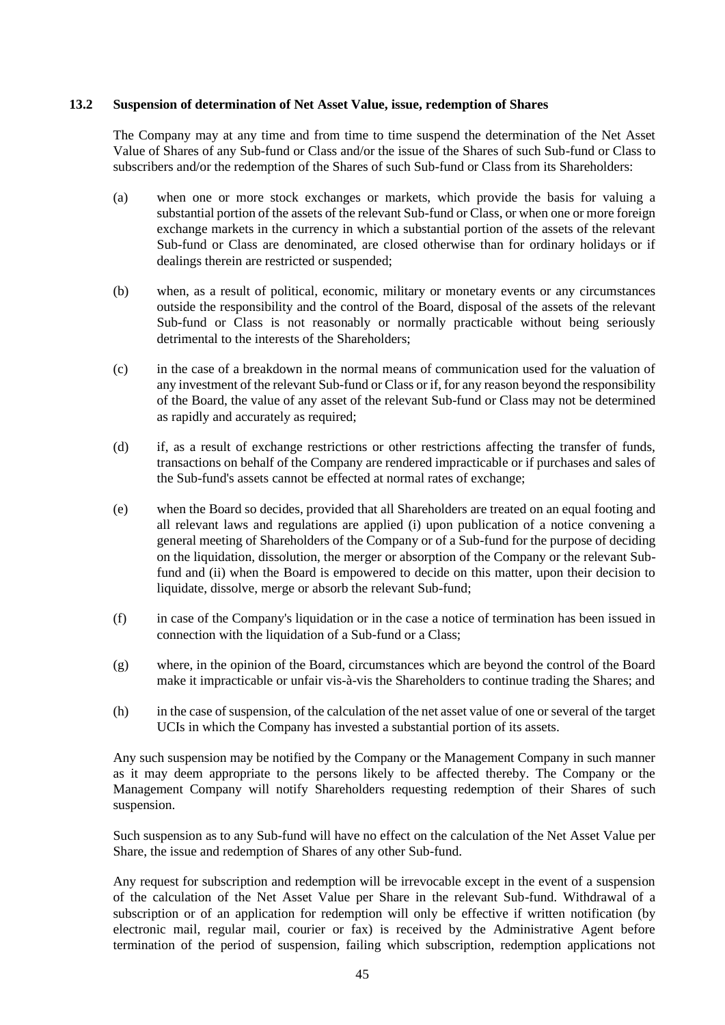#### <span id="page-44-0"></span>**13.2 Suspension of determination of Net Asset Value, issue, redemption of Shares**

The Company may at any time and from time to time suspend the determination of the Net Asset Value of Shares of any Sub-fund or Class and/or the issue of the Shares of such Sub-fund or Class to subscribers and/or the redemption of the Shares of such Sub-fund or Class from its Shareholders:

- (a) when one or more stock exchanges or markets, which provide the basis for valuing a substantial portion of the assets of the relevant Sub-fund or Class, or when one or more foreign exchange markets in the currency in which a substantial portion of the assets of the relevant Sub-fund or Class are denominated, are closed otherwise than for ordinary holidays or if dealings therein are restricted or suspended;
- (b) when, as a result of political, economic, military or monetary events or any circumstances outside the responsibility and the control of the Board, disposal of the assets of the relevant Sub-fund or Class is not reasonably or normally practicable without being seriously detrimental to the interests of the Shareholders;
- (c) in the case of a breakdown in the normal means of communication used for the valuation of any investment of the relevant Sub-fund or Class or if, for any reason beyond the responsibility of the Board, the value of any asset of the relevant Sub-fund or Class may not be determined as rapidly and accurately as required;
- (d) if, as a result of exchange restrictions or other restrictions affecting the transfer of funds, transactions on behalf of the Company are rendered impracticable or if purchases and sales of the Sub-fund's assets cannot be effected at normal rates of exchange;
- (e) when the Board so decides, provided that all Shareholders are treated on an equal footing and all relevant laws and regulations are applied (i) upon publication of a notice convening a general meeting of Shareholders of the Company or of a Sub-fund for the purpose of deciding on the liquidation, dissolution, the merger or absorption of the Company or the relevant Subfund and (ii) when the Board is empowered to decide on this matter, upon their decision to liquidate, dissolve, merge or absorb the relevant Sub-fund;
- (f) in case of the Company's liquidation or in the case a notice of termination has been issued in connection with the liquidation of a Sub-fund or a Class;
- (g) where, in the opinion of the Board, circumstances which are beyond the control of the Board make it impracticable or unfair vis-à-vis the Shareholders to continue trading the Shares; and
- (h) in the case of suspension, of the calculation of the net asset value of one or several of the target UCIs in which the Company has invested a substantial portion of its assets.

Any such suspension may be notified by the Company or the Management Company in such manner as it may deem appropriate to the persons likely to be affected thereby. The Company or the Management Company will notify Shareholders requesting redemption of their Shares of such suspension.

Such suspension as to any Sub-fund will have no effect on the calculation of the Net Asset Value per Share, the issue and redemption of Shares of any other Sub-fund.

Any request for subscription and redemption will be irrevocable except in the event of a suspension of the calculation of the Net Asset Value per Share in the relevant Sub-fund. Withdrawal of a subscription or of an application for redemption will only be effective if written notification (by electronic mail, regular mail, courier or fax) is received by the Administrative Agent before termination of the period of suspension, failing which subscription, redemption applications not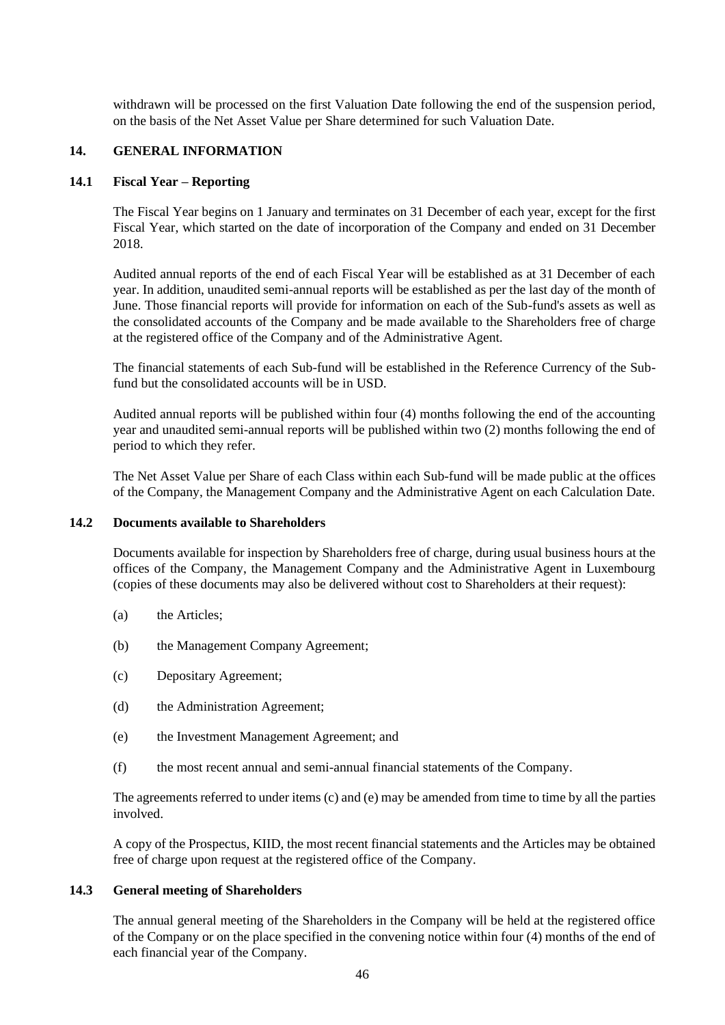withdrawn will be processed on the first Valuation Date following the end of the suspension period, on the basis of the Net Asset Value per Share determined for such Valuation Date.

#### **14. GENERAL INFORMATION**

#### **14.1 Fiscal Year – Reporting**

The Fiscal Year begins on 1 January and terminates on 31 December of each year, except for the first Fiscal Year, which started on the date of incorporation of the Company and ended on 31 December 2018.

Audited annual reports of the end of each Fiscal Year will be established as at 31 December of each year. In addition, unaudited semi-annual reports will be established as per the last day of the month of June. Those financial reports will provide for information on each of the Sub-fund's assets as well as the consolidated accounts of the Company and be made available to the Shareholders free of charge at the registered office of the Company and of the Administrative Agent.

The financial statements of each Sub-fund will be established in the Reference Currency of the Subfund but the consolidated accounts will be in USD.

Audited annual reports will be published within four (4) months following the end of the accounting year and unaudited semi-annual reports will be published within two (2) months following the end of period to which they refer.

The Net Asset Value per Share of each Class within each Sub-fund will be made public at the offices of the Company, the Management Company and the Administrative Agent on each Calculation Date.

#### **14.2 Documents available to Shareholders**

Documents available for inspection by Shareholders free of charge, during usual business hours at the offices of the Company, the Management Company and the Administrative Agent in Luxembourg (copies of these documents may also be delivered without cost to Shareholders at their request):

- (a) the Articles;
- (b) the Management Company Agreement;
- (c) Depositary Agreement;
- (d) the Administration Agreement;
- (e) the Investment Management Agreement; and
- (f) the most recent annual and semi-annual financial statements of the Company.

The agreements referred to under items (c) and (e) may be amended from time to time by all the parties involved.

A copy of the Prospectus, KIID, the most recent financial statements and the Articles may be obtained free of charge upon request at the registered office of the Company.

#### **14.3 General meeting of Shareholders**

The annual general meeting of the Shareholders in the Company will be held at the registered office of the Company or on the place specified in the convening notice within four (4) months of the end of each financial year of the Company.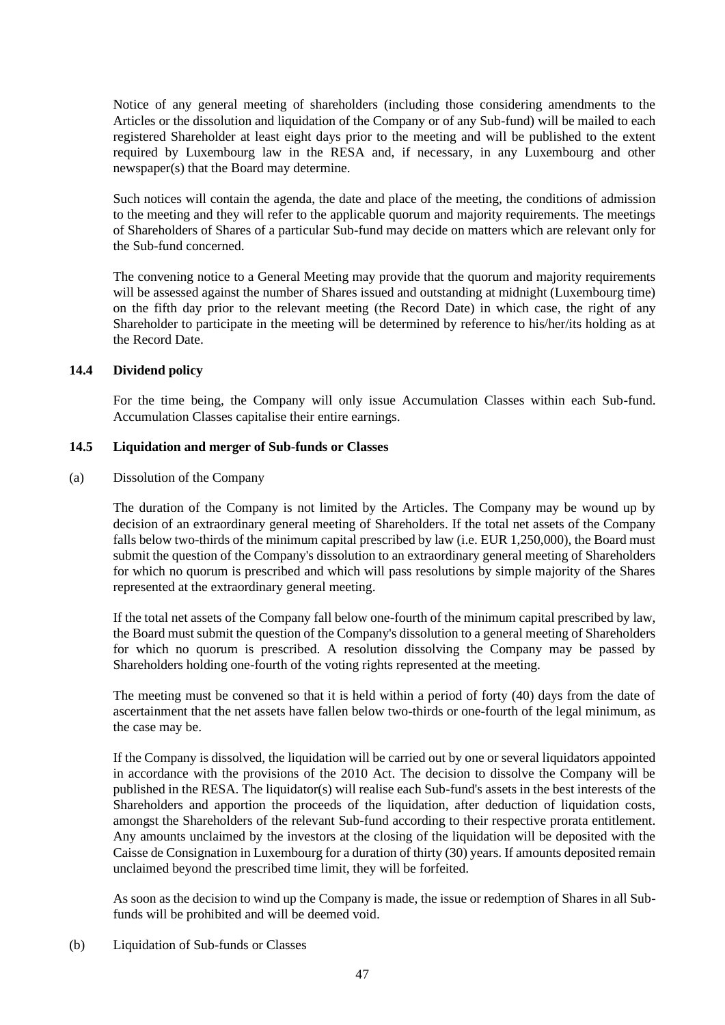Notice of any general meeting of shareholders (including those considering amendments to the Articles or the dissolution and liquidation of the Company or of any Sub-fund) will be mailed to each registered Shareholder at least eight days prior to the meeting and will be published to the extent required by Luxembourg law in the RESA and, if necessary, in any Luxembourg and other newspaper(s) that the Board may determine.

Such notices will contain the agenda, the date and place of the meeting, the conditions of admission to the meeting and they will refer to the applicable quorum and majority requirements. The meetings of Shareholders of Shares of a particular Sub-fund may decide on matters which are relevant only for the Sub-fund concerned.

The convening notice to a General Meeting may provide that the quorum and majority requirements will be assessed against the number of Shares issued and outstanding at midnight (Luxembourg time) on the fifth day prior to the relevant meeting (the Record Date) in which case, the right of any Shareholder to participate in the meeting will be determined by reference to his/her/its holding as at the Record Date.

## **14.4 Dividend policy**

For the time being, the Company will only issue Accumulation Classes within each Sub-fund. Accumulation Classes capitalise their entire earnings.

## <span id="page-46-0"></span>**14.5 Liquidation and merger of Sub-funds or Classes**

(a) Dissolution of the Company

The duration of the Company is not limited by the Articles. The Company may be wound up by decision of an extraordinary general meeting of Shareholders. If the total net assets of the Company falls below two-thirds of the minimum capital prescribed by law (i.e. EUR 1,250,000), the Board must submit the question of the Company's dissolution to an extraordinary general meeting of Shareholders for which no quorum is prescribed and which will pass resolutions by simple majority of the Shares represented at the extraordinary general meeting.

If the total net assets of the Company fall below one-fourth of the minimum capital prescribed by law, the Board must submit the question of the Company's dissolution to a general meeting of Shareholders for which no quorum is prescribed. A resolution dissolving the Company may be passed by Shareholders holding one-fourth of the voting rights represented at the meeting.

The meeting must be convened so that it is held within a period of forty (40) days from the date of ascertainment that the net assets have fallen below two-thirds or one-fourth of the legal minimum, as the case may be.

If the Company is dissolved, the liquidation will be carried out by one or several liquidators appointed in accordance with the provisions of the 2010 Act. The decision to dissolve the Company will be published in the RESA. The liquidator(s) will realise each Sub-fund's assets in the best interests of the Shareholders and apportion the proceeds of the liquidation, after deduction of liquidation costs, amongst the Shareholders of the relevant Sub-fund according to their respective prorata entitlement. Any amounts unclaimed by the investors at the closing of the liquidation will be deposited with the Caisse de Consignation in Luxembourg for a duration of thirty (30) years. If amounts deposited remain unclaimed beyond the prescribed time limit, they will be forfeited.

As soon as the decision to wind up the Company is made, the issue or redemption of Shares in all Subfunds will be prohibited and will be deemed void.

<span id="page-46-1"></span>(b) Liquidation of Sub-funds or Classes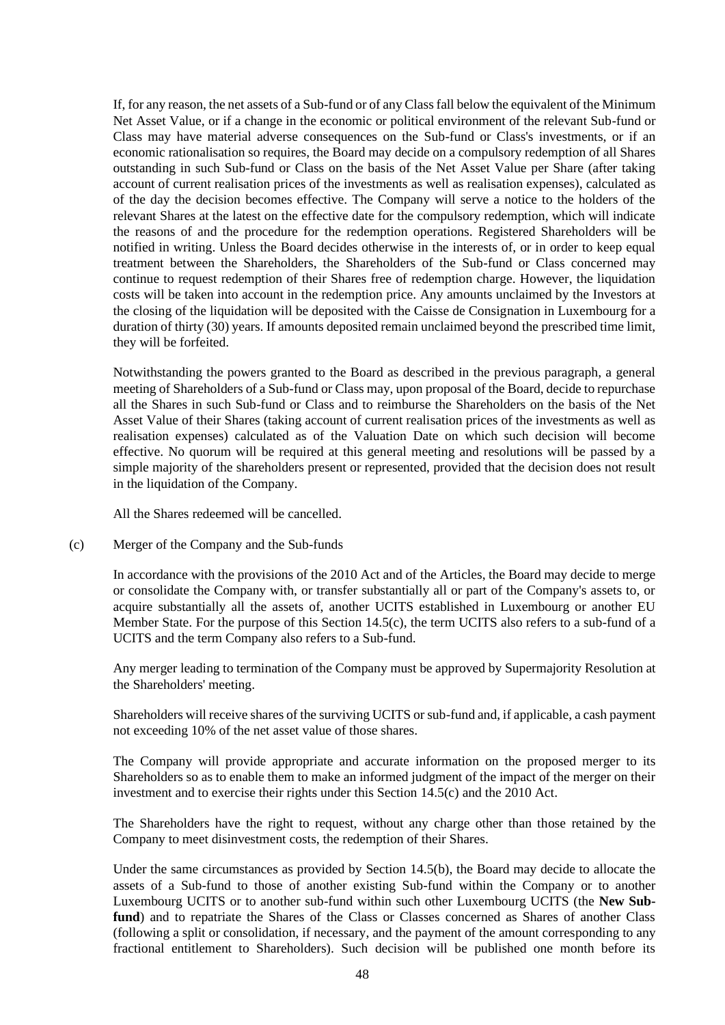If, for any reason, the net assets of a Sub-fund or of any Class fall below the equivalent of the Minimum Net Asset Value, or if a change in the economic or political environment of the relevant Sub-fund or Class may have material adverse consequences on the Sub-fund or Class's investments, or if an economic rationalisation so requires, the Board may decide on a compulsory redemption of all Shares outstanding in such Sub-fund or Class on the basis of the Net Asset Value per Share (after taking account of current realisation prices of the investments as well as realisation expenses), calculated as of the day the decision becomes effective. The Company will serve a notice to the holders of the relevant Shares at the latest on the effective date for the compulsory redemption, which will indicate the reasons of and the procedure for the redemption operations. Registered Shareholders will be notified in writing. Unless the Board decides otherwise in the interests of, or in order to keep equal treatment between the Shareholders, the Shareholders of the Sub-fund or Class concerned may continue to request redemption of their Shares free of redemption charge. However, the liquidation costs will be taken into account in the redemption price. Any amounts unclaimed by the Investors at the closing of the liquidation will be deposited with the Caisse de Consignation in Luxembourg for a duration of thirty (30) years. If amounts deposited remain unclaimed beyond the prescribed time limit, they will be forfeited.

Notwithstanding the powers granted to the Board as described in the previous paragraph, a general meeting of Shareholders of a Sub-fund or Class may, upon proposal of the Board, decide to repurchase all the Shares in such Sub-fund or Class and to reimburse the Shareholders on the basis of the Net Asset Value of their Shares (taking account of current realisation prices of the investments as well as realisation expenses) calculated as of the Valuation Date on which such decision will become effective. No quorum will be required at this general meeting and resolutions will be passed by a simple majority of the shareholders present or represented, provided that the decision does not result in the liquidation of the Company.

All the Shares redeemed will be cancelled.

## <span id="page-47-0"></span>(c) Merger of the Company and the Sub-funds

In accordance with the provisions of the 2010 Act and of the Articles, the Board may decide to merge or consolidate the Company with, or transfer substantially all or part of the Company's assets to, or acquire substantially all the assets of, another UCITS established in Luxembourg or another EU Member State. For the purpose of this Section [14.5](#page-46-0)[\(c\),](#page-47-0) the term UCITS also refers to a sub-fund of a UCITS and the term Company also refers to a Sub-fund.

Any merger leading to termination of the Company must be approved by Supermajority Resolution at the Shareholders' meeting.

Shareholders will receive shares of the surviving UCITS or sub-fund and, if applicable, a cash payment not exceeding 10% of the net asset value of those shares.

The Company will provide appropriate and accurate information on the proposed merger to its Shareholders so as to enable them to make an informed judgment of the impact of the merger on their investment and to exercise their rights under this Section [14.5](#page-46-0)[\(c\)](#page-47-0) and the 2010 Act.

The Shareholders have the right to request, without any charge other than those retained by the Company to meet disinvestment costs, the redemption of their Shares.

Under the same circumstances as provided by Section [14.5](#page-46-0)[\(b\),](#page-46-1) the Board may decide to allocate the assets of a Sub-fund to those of another existing Sub-fund within the Company or to another Luxembourg UCITS or to another sub-fund within such other Luxembourg UCITS (the **New Subfund**) and to repatriate the Shares of the Class or Classes concerned as Shares of another Class (following a split or consolidation, if necessary, and the payment of the amount corresponding to any fractional entitlement to Shareholders). Such decision will be published one month before its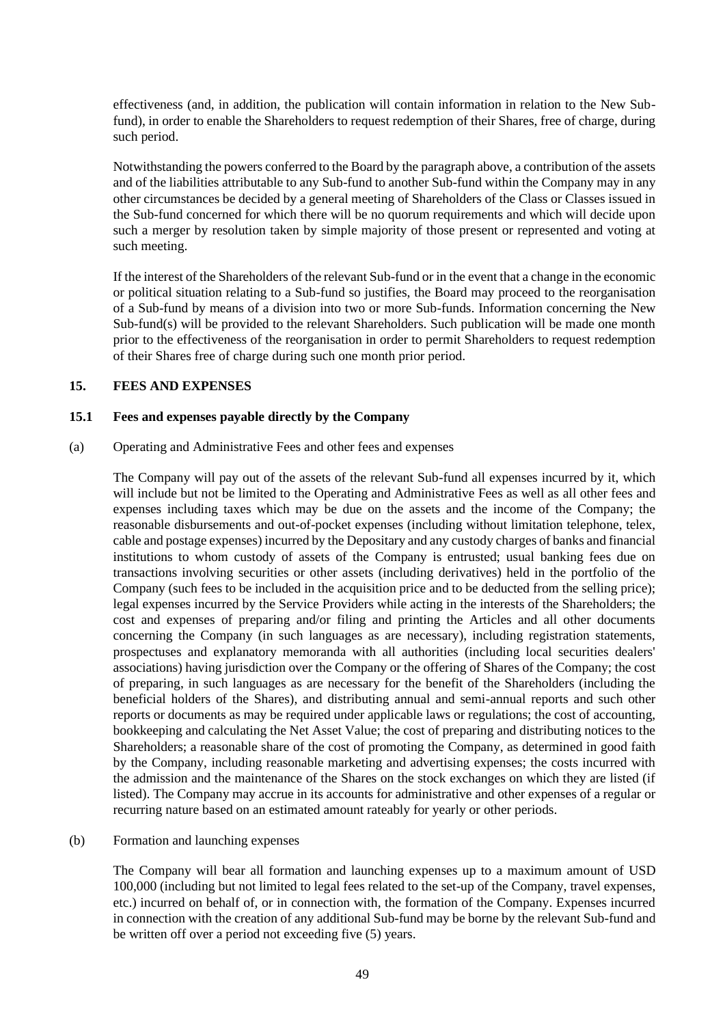effectiveness (and, in addition, the publication will contain information in relation to the New Subfund), in order to enable the Shareholders to request redemption of their Shares, free of charge, during such period.

Notwithstanding the powers conferred to the Board by the paragraph above, a contribution of the assets and of the liabilities attributable to any Sub-fund to another Sub-fund within the Company may in any other circumstances be decided by a general meeting of Shareholders of the Class or Classes issued in the Sub-fund concerned for which there will be no quorum requirements and which will decide upon such a merger by resolution taken by simple majority of those present or represented and voting at such meeting.

If the interest of the Shareholders of the relevant Sub-fund or in the event that a change in the economic or political situation relating to a Sub-fund so justifies, the Board may proceed to the reorganisation of a Sub-fund by means of a division into two or more Sub-funds. Information concerning the New Sub-fund(s) will be provided to the relevant Shareholders. Such publication will be made one month prior to the effectiveness of the reorganisation in order to permit Shareholders to request redemption of their Shares free of charge during such one month prior period.

## **15. FEES AND EXPENSES**

#### **15.1 Fees and expenses payable directly by the Company**

(a) Operating and Administrative Fees and other fees and expenses

The Company will pay out of the assets of the relevant Sub-fund all expenses incurred by it, which will include but not be limited to the Operating and Administrative Fees as well as all other fees and expenses including taxes which may be due on the assets and the income of the Company; the reasonable disbursements and out-of-pocket expenses (including without limitation telephone, telex, cable and postage expenses) incurred by the Depositary and any custody charges of banks and financial institutions to whom custody of assets of the Company is entrusted; usual banking fees due on transactions involving securities or other assets (including derivatives) held in the portfolio of the Company (such fees to be included in the acquisition price and to be deducted from the selling price); legal expenses incurred by the Service Providers while acting in the interests of the Shareholders; the cost and expenses of preparing and/or filing and printing the Articles and all other documents concerning the Company (in such languages as are necessary), including registration statements, prospectuses and explanatory memoranda with all authorities (including local securities dealers' associations) having jurisdiction over the Company or the offering of Shares of the Company; the cost of preparing, in such languages as are necessary for the benefit of the Shareholders (including the beneficial holders of the Shares), and distributing annual and semi-annual reports and such other reports or documents as may be required under applicable laws or regulations; the cost of accounting, bookkeeping and calculating the Net Asset Value; the cost of preparing and distributing notices to the Shareholders; a reasonable share of the cost of promoting the Company, as determined in good faith by the Company, including reasonable marketing and advertising expenses; the costs incurred with the admission and the maintenance of the Shares on the stock exchanges on which they are listed (if listed). The Company may accrue in its accounts for administrative and other expenses of a regular or recurring nature based on an estimated amount rateably for yearly or other periods.

#### (b) Formation and launching expenses

The Company will bear all formation and launching expenses up to a maximum amount of USD 100,000 (including but not limited to legal fees related to the set-up of the Company, travel expenses, etc.) incurred on behalf of, or in connection with, the formation of the Company. Expenses incurred in connection with the creation of any additional Sub-fund may be borne by the relevant Sub-fund and be written off over a period not exceeding five (5) years.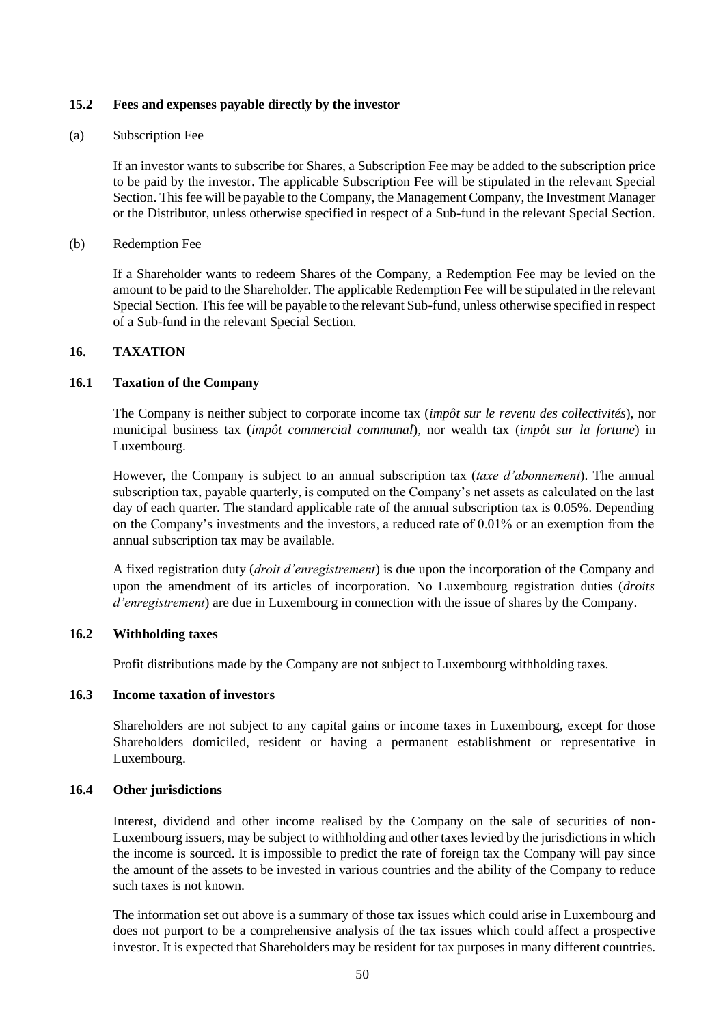## **15.2 Fees and expenses payable directly by the investor**

## (a) Subscription Fee

If an investor wants to subscribe for Shares, a Subscription Fee may be added to the subscription price to be paid by the investor. The applicable Subscription Fee will be stipulated in the relevant Special Section. This fee will be payable to the Company, the Management Company, the Investment Manager or the Distributor, unless otherwise specified in respect of a Sub-fund in the relevant Special Section.

## (b) Redemption Fee

If a Shareholder wants to redeem Shares of the Company, a Redemption Fee may be levied on the amount to be paid to the Shareholder. The applicable Redemption Fee will be stipulated in the relevant Special Section. This fee will be payable to the relevant Sub-fund, unless otherwise specified in respect of a Sub-fund in the relevant Special Section.

# **16. TAXATION**

# **16.1 Taxation of the Company**

The Company is neither subject to corporate income tax (*impôt sur le revenu des collectivités*), nor municipal business tax (*impôt commercial communal*), nor wealth tax (*impôt sur la fortune*) in Luxembourg.

However, the Company is subject to an annual subscription tax (*taxe d'abonnement*). The annual subscription tax, payable quarterly, is computed on the Company's net assets as calculated on the last day of each quarter. The standard applicable rate of the annual subscription tax is 0.05%. Depending on the Company's investments and the investors, a reduced rate of 0.01% or an exemption from the annual subscription tax may be available.

A fixed registration duty (*droit d'enregistrement*) is due upon the incorporation of the Company and upon the amendment of its articles of incorporation. No Luxembourg registration duties (*droits d'enregistrement*) are due in Luxembourg in connection with the issue of shares by the Company.

## **16.2 Withholding taxes**

Profit distributions made by the Company are not subject to Luxembourg withholding taxes.

# **16.3 Income taxation of investors**

Shareholders are not subject to any capital gains or income taxes in Luxembourg, except for those Shareholders domiciled, resident or having a permanent establishment or representative in Luxembourg.

## **16.4 Other jurisdictions**

Interest, dividend and other income realised by the Company on the sale of securities of non-Luxembourg issuers, may be subject to withholding and other taxes levied by the jurisdictions in which the income is sourced. It is impossible to predict the rate of foreign tax the Company will pay since the amount of the assets to be invested in various countries and the ability of the Company to reduce such taxes is not known.

The information set out above is a summary of those tax issues which could arise in Luxembourg and does not purport to be a comprehensive analysis of the tax issues which could affect a prospective investor. It is expected that Shareholders may be resident for tax purposes in many different countries.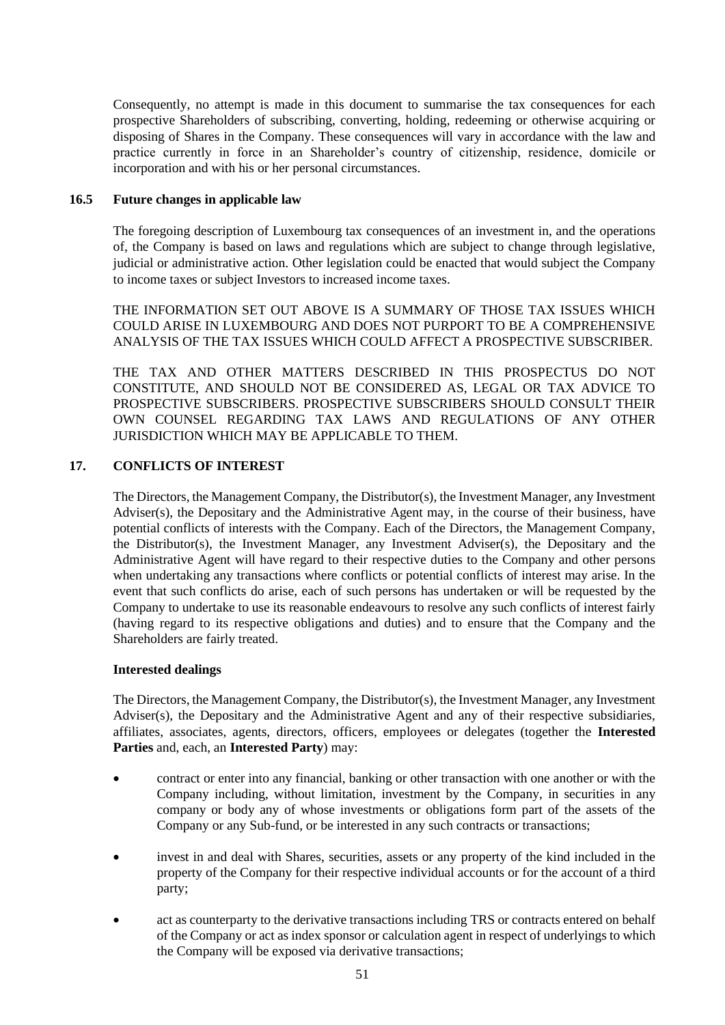Consequently, no attempt is made in this document to summarise the tax consequences for each prospective Shareholders of subscribing, converting, holding, redeeming or otherwise acquiring or disposing of Shares in the Company. These consequences will vary in accordance with the law and practice currently in force in an Shareholder's country of citizenship, residence, domicile or incorporation and with his or her personal circumstances.

## **16.5 Future changes in applicable law**

The foregoing description of Luxembourg tax consequences of an investment in, and the operations of, the Company is based on laws and regulations which are subject to change through legislative, judicial or administrative action. Other legislation could be enacted that would subject the Company to income taxes or subject Investors to increased income taxes.

THE INFORMATION SET OUT ABOVE IS A SUMMARY OF THOSE TAX ISSUES WHICH COULD ARISE IN LUXEMBOURG AND DOES NOT PURPORT TO BE A COMPREHENSIVE ANALYSIS OF THE TAX ISSUES WHICH COULD AFFECT A PROSPECTIVE SUBSCRIBER.

THE TAX AND OTHER MATTERS DESCRIBED IN THIS PROSPECTUS DO NOT CONSTITUTE, AND SHOULD NOT BE CONSIDERED AS, LEGAL OR TAX ADVICE TO PROSPECTIVE SUBSCRIBERS. PROSPECTIVE SUBSCRIBERS SHOULD CONSULT THEIR OWN COUNSEL REGARDING TAX LAWS AND REGULATIONS OF ANY OTHER JURISDICTION WHICH MAY BE APPLICABLE TO THEM.

# **17. CONFLICTS OF INTEREST**

The Directors, the Management Company, the Distributor(s), the Investment Manager, any Investment Adviser(s), the Depositary and the Administrative Agent may, in the course of their business, have potential conflicts of interests with the Company. Each of the Directors, the Management Company, the Distributor(s), the Investment Manager, any Investment Adviser(s), the Depositary and the Administrative Agent will have regard to their respective duties to the Company and other persons when undertaking any transactions where conflicts or potential conflicts of interest may arise. In the event that such conflicts do arise, each of such persons has undertaken or will be requested by the Company to undertake to use its reasonable endeavours to resolve any such conflicts of interest fairly (having regard to its respective obligations and duties) and to ensure that the Company and the Shareholders are fairly treated.

## **Interested dealings**

The Directors, the Management Company, the Distributor(s), the Investment Manager, any Investment Adviser(s), the Depositary and the Administrative Agent and any of their respective subsidiaries, affiliates, associates, agents, directors, officers, employees or delegates (together the **Interested Parties** and, each, an **Interested Party**) may:

- contract or enter into any financial, banking or other transaction with one another or with the Company including, without limitation, investment by the Company, in securities in any company or body any of whose investments or obligations form part of the assets of the Company or any Sub-fund, or be interested in any such contracts or transactions;
- invest in and deal with Shares, securities, assets or any property of the kind included in the property of the Company for their respective individual accounts or for the account of a third party;
- act as counterparty to the derivative transactions including TRS or contracts entered on behalf of the Company or act as index sponsor or calculation agent in respect of underlyings to which the Company will be exposed via derivative transactions;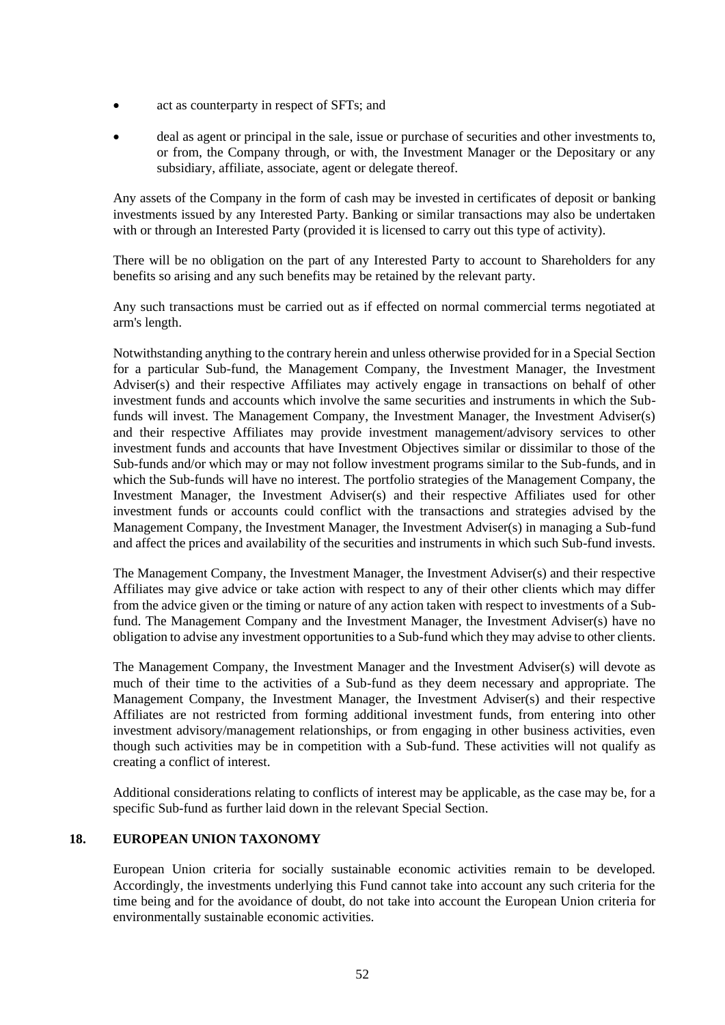- act as counterparty in respect of SFTs; and
- deal as agent or principal in the sale, issue or purchase of securities and other investments to, or from, the Company through, or with, the Investment Manager or the Depositary or any subsidiary, affiliate, associate, agent or delegate thereof.

Any assets of the Company in the form of cash may be invested in certificates of deposit or banking investments issued by any Interested Party. Banking or similar transactions may also be undertaken with or through an Interested Party (provided it is licensed to carry out this type of activity).

There will be no obligation on the part of any Interested Party to account to Shareholders for any benefits so arising and any such benefits may be retained by the relevant party.

Any such transactions must be carried out as if effected on normal commercial terms negotiated at arm's length.

Notwithstanding anything to the contrary herein and unless otherwise provided for in a Special Section for a particular Sub-fund, the Management Company, the Investment Manager, the Investment Adviser(s) and their respective Affiliates may actively engage in transactions on behalf of other investment funds and accounts which involve the same securities and instruments in which the Subfunds will invest. The Management Company, the Investment Manager, the Investment Adviser(s) and their respective Affiliates may provide investment management/advisory services to other investment funds and accounts that have Investment Objectives similar or dissimilar to those of the Sub-funds and/or which may or may not follow investment programs similar to the Sub-funds, and in which the Sub-funds will have no interest. The portfolio strategies of the Management Company, the Investment Manager, the Investment Adviser(s) and their respective Affiliates used for other investment funds or accounts could conflict with the transactions and strategies advised by the Management Company, the Investment Manager, the Investment Adviser(s) in managing a Sub-fund and affect the prices and availability of the securities and instruments in which such Sub-fund invests.

The Management Company, the Investment Manager, the Investment Adviser(s) and their respective Affiliates may give advice or take action with respect to any of their other clients which may differ from the advice given or the timing or nature of any action taken with respect to investments of a Subfund. The Management Company and the Investment Manager, the Investment Adviser(s) have no obligation to advise any investment opportunities to a Sub-fund which they may advise to other clients.

The Management Company, the Investment Manager and the Investment Adviser(s) will devote as much of their time to the activities of a Sub-fund as they deem necessary and appropriate. The Management Company, the Investment Manager, the Investment Adviser(s) and their respective Affiliates are not restricted from forming additional investment funds, from entering into other investment advisory/management relationships, or from engaging in other business activities, even though such activities may be in competition with a Sub-fund. These activities will not qualify as creating a conflict of interest.

Additional considerations relating to conflicts of interest may be applicable, as the case may be, for a specific Sub-fund as further laid down in the relevant Special Section.

## **18. EUROPEAN UNION TAXONOMY**

European Union criteria for socially sustainable economic activities remain to be developed. Accordingly, the investments underlying this Fund cannot take into account any such criteria for the time being and for the avoidance of doubt, do not take into account the European Union criteria for environmentally sustainable economic activities.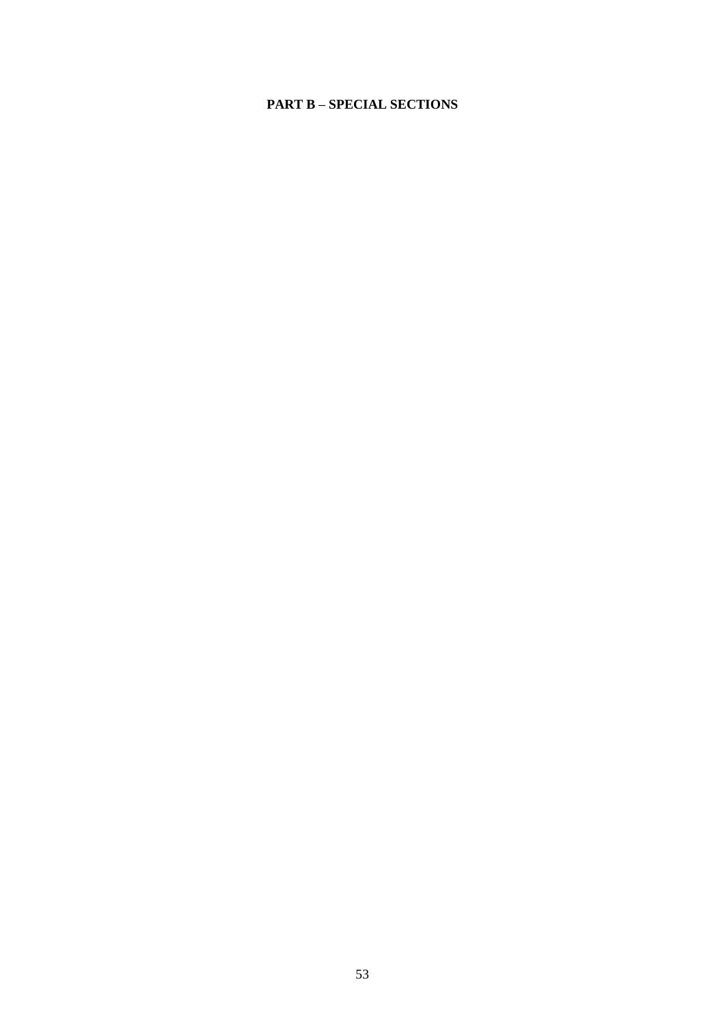# **PART B – SPECIAL SECTIONS**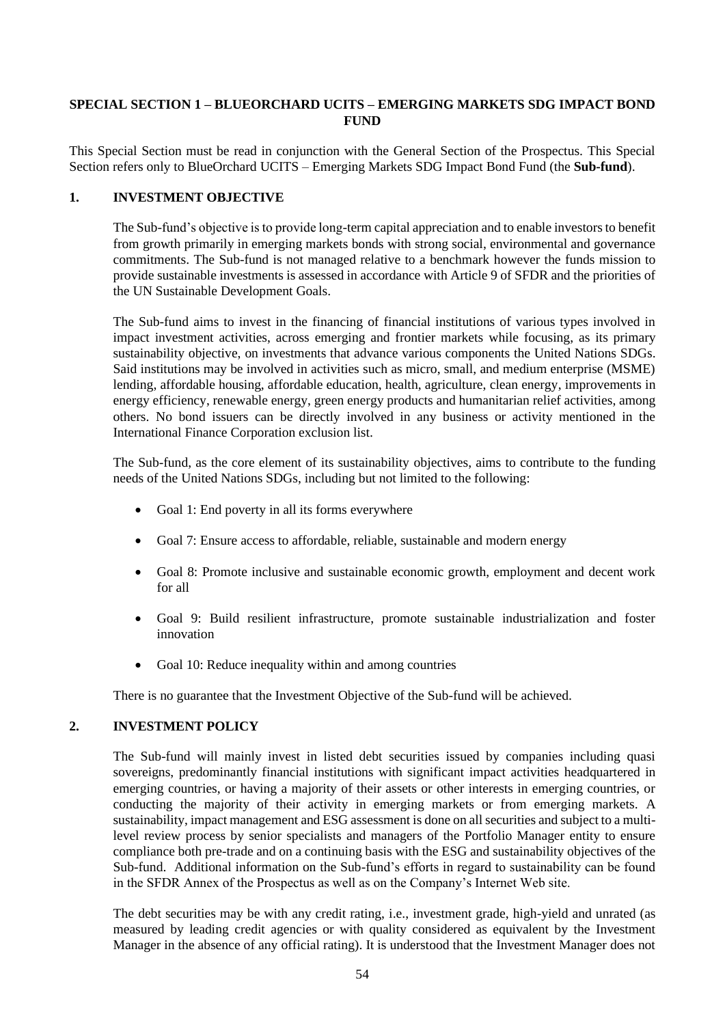# **SPECIAL SECTION 1 – BLUEORCHARD UCITS – EMERGING MARKETS SDG IMPACT BOND FUND**

This Special Section must be read in conjunction with the General Section of the Prospectus. This Special Section refers only to BlueOrchard UCITS – Emerging Markets SDG Impact Bond Fund (the **Sub-fund**).

# **1. INVESTMENT OBJECTIVE**

The Sub-fund's objective is to provide long-term capital appreciation and to enable investors to benefit from growth primarily in emerging markets bonds with strong social, environmental and governance commitments. The Sub-fund is not managed relative to a benchmark however the funds mission to provide sustainable investments is assessed in accordance with Article 9 of SFDR and the priorities of the UN Sustainable Development Goals.

The Sub-fund aims to invest in the financing of financial institutions of various types involved in impact investment activities, across emerging and frontier markets while focusing, as its primary sustainability objective, on investments that advance various components the United Nations SDGs. Said institutions may be involved in activities such as micro, small, and medium enterprise (MSME) lending, affordable housing, affordable education, health, agriculture, clean energy, improvements in energy efficiency, renewable energy, green energy products and humanitarian relief activities, among others. No bond issuers can be directly involved in any business or activity mentioned in the International Finance Corporation exclusion list.

The Sub-fund, as the core element of its sustainability objectives, aims to contribute to the funding needs of the United Nations SDGs, including but not limited to the following:

- Goal 1: End poverty in all its forms everywhere
- Goal 7: Ensure access to affordable, reliable, sustainable and modern energy
- Goal 8: Promote inclusive and sustainable economic growth, employment and decent work for all
- Goal 9: Build resilient infrastructure, promote sustainable industrialization and foster innovation
- Goal 10: Reduce inequality within and among countries

There is no guarantee that the Investment Objective of the Sub-fund will be achieved.

## **2. INVESTMENT POLICY**

The Sub-fund will mainly invest in listed debt securities issued by companies including quasi sovereigns, predominantly financial institutions with significant impact activities headquartered in emerging countries, or having a majority of their assets or other interests in emerging countries, or conducting the majority of their activity in emerging markets or from emerging markets. A sustainability, impact management and ESG assessment is done on all securities and subject to a multilevel review process by senior specialists and managers of the Portfolio Manager entity to ensure compliance both pre-trade and on a continuing basis with the ESG and sustainability objectives of the Sub-fund. Additional information on the Sub-fund's efforts in regard to sustainability can be found in the SFDR Annex of the Prospectus as well as on the Company's Internet Web site.

The debt securities may be with any credit rating, i.e., investment grade, high-yield and unrated (as measured by leading credit agencies or with quality considered as equivalent by the Investment Manager in the absence of any official rating). It is understood that the Investment Manager does not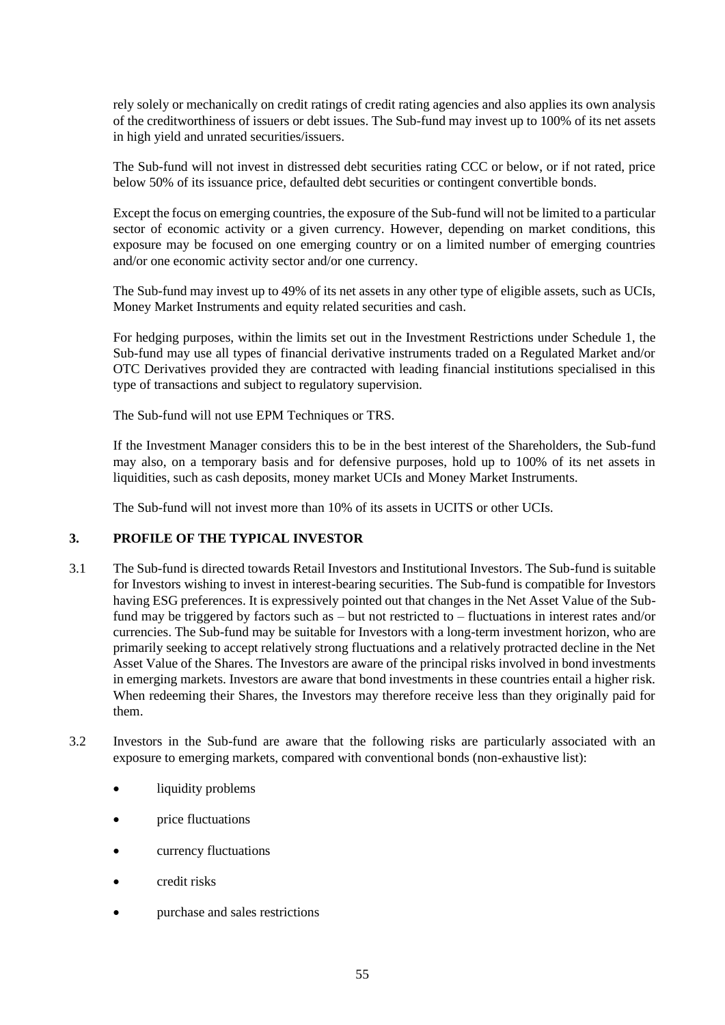rely solely or mechanically on credit ratings of credit rating agencies and also applies its own analysis of the creditworthiness of issuers or debt issues. The Sub-fund may invest up to 100% of its net assets in high yield and unrated securities/issuers.

The Sub-fund will not invest in distressed debt securities rating CCC or below, or if not rated, price below 50% of its issuance price, defaulted debt securities or contingent convertible bonds.

Except the focus on emerging countries, the exposure of the Sub-fund will not be limited to a particular sector of economic activity or a given currency. However, depending on market conditions, this exposure may be focused on one emerging country or on a limited number of emerging countries and/or one economic activity sector and/or one currency.

The Sub-fund may invest up to 49% of its net assets in any other type of eligible assets, such as UCIs, Money Market Instruments and equity related securities and cash.

For hedging purposes, within the limits set out in the Investment Restrictions under [Schedule 1,](#page-58-0) the Sub-fund may use all types of financial derivative instruments traded on a Regulated Market and/or OTC Derivatives provided they are contracted with leading financial institutions specialised in this type of transactions and subject to regulatory supervision.

The Sub-fund will not use EPM Techniques or TRS.

If the Investment Manager considers this to be in the best interest of the Shareholders, the Sub-fund may also, on a temporary basis and for defensive purposes, hold up to 100% of its net assets in liquidities, such as cash deposits, money market UCIs and Money Market Instruments.

The Sub-fund will not invest more than 10% of its assets in UCITS or other UCIs.

## **3. PROFILE OF THE TYPICAL INVESTOR**

- 3.1 The Sub-fund is directed towards Retail Investors and Institutional Investors. The Sub-fund is suitable for Investors wishing to invest in interest-bearing securities. The Sub-fund is compatible for Investors having ESG preferences. It is expressively pointed out that changes in the Net Asset Value of the Subfund may be triggered by factors such as – but not restricted to – fluctuations in interest rates and/or currencies. The Sub-fund may be suitable for Investors with a long-term investment horizon, who are primarily seeking to accept relatively strong fluctuations and a relatively protracted decline in the Net Asset Value of the Shares. The Investors are aware of the principal risks involved in bond investments in emerging markets. Investors are aware that bond investments in these countries entail a higher risk. When redeeming their Shares, the Investors may therefore receive less than they originally paid for them.
- 3.2 Investors in the Sub-fund are aware that the following risks are particularly associated with an exposure to emerging markets, compared with conventional bonds (non-exhaustive list):
	- liquidity problems
	- price fluctuations
	- currency fluctuations
	- credit risks
	- purchase and sales restrictions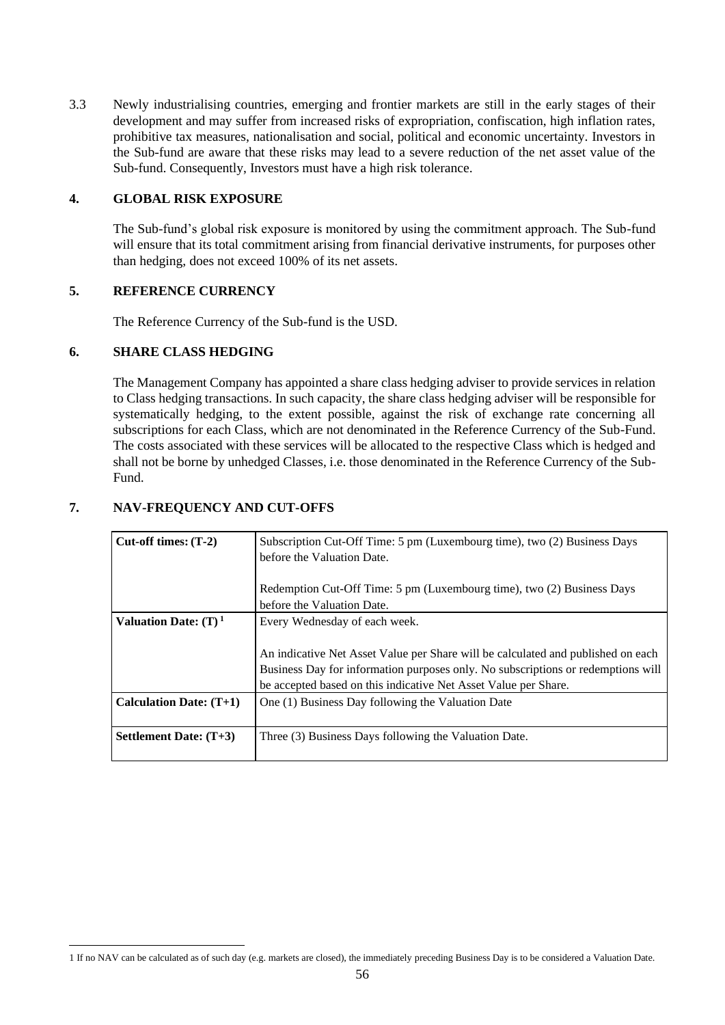3.3 Newly industrialising countries, emerging and frontier markets are still in the early stages of their development and may suffer from increased risks of expropriation, confiscation, high inflation rates, prohibitive tax measures, nationalisation and social, political and economic uncertainty. Investors in the Sub-fund are aware that these risks may lead to a severe reduction of the net asset value of the Sub-fund. Consequently, Investors must have a high risk tolerance.

## **4. GLOBAL RISK EXPOSURE**

The Sub-fund's global risk exposure is monitored by using the commitment approach. The Sub-fund will ensure that its total commitment arising from financial derivative instruments, for purposes other than hedging, does not exceed 100% of its net assets.

# **5. REFERENCE CURRENCY**

The Reference Currency of the Sub-fund is the USD.

# **6. SHARE CLASS HEDGING**

The Management Company has appointed a share class hedging adviser to provide services in relation to Class hedging transactions. In such capacity, the share class hedging adviser will be responsible for systematically hedging, to the extent possible, against the risk of exchange rate concerning all subscriptions for each Class, which are not denominated in the Reference Currency of the Sub-Fund. The costs associated with these services will be allocated to the respective Class which is hedged and shall not be borne by unhedged Classes, i.e. those denominated in the Reference Currency of the Sub-Fund.

# **7. NAV-FREQUENCY AND CUT-OFFS**

| $Cut-off times: (T-2)$           | Subscription Cut-Off Time: 5 pm (Luxembourg time), two (2) Business Days<br>before the Valuation Date.                                                                                                                                                                   |  |  |  |
|----------------------------------|--------------------------------------------------------------------------------------------------------------------------------------------------------------------------------------------------------------------------------------------------------------------------|--|--|--|
|                                  | Redemption Cut-Off Time: 5 pm (Luxembourg time), two (2) Business Days<br>before the Valuation Date.                                                                                                                                                                     |  |  |  |
| Valuation Date: $(T)^1$          | Every Wednesday of each week.<br>An indicative Net Asset Value per Share will be calculated and published on each<br>Business Day for information purposes only. No subscriptions or redemptions will<br>be accepted based on this indicative Net Asset Value per Share. |  |  |  |
| <b>Calculation Date:</b> $(T+1)$ | One (1) Business Day following the Valuation Date                                                                                                                                                                                                                        |  |  |  |
| <b>Settlement Date:</b> $(T+3)$  | Three (3) Business Days following the Valuation Date.                                                                                                                                                                                                                    |  |  |  |

<sup>1</sup> If no NAV can be calculated as of such day (e.g. markets are closed), the immediately preceding Business Day is to be considered a Valuation Date.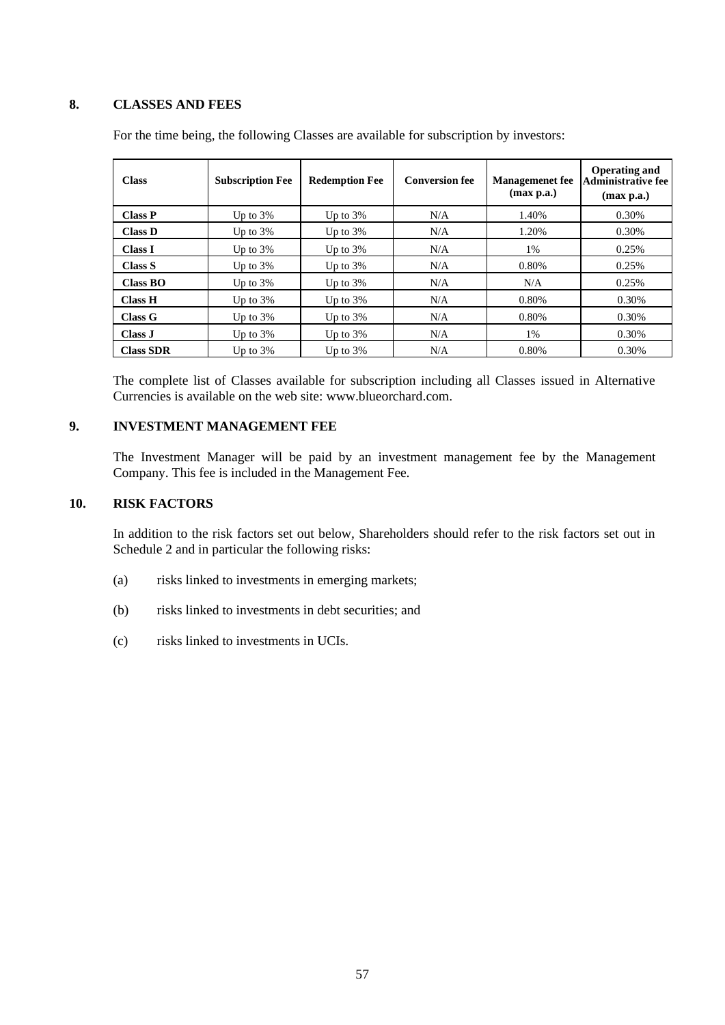## **8. CLASSES AND FEES**

| <b>Class</b>     | <b>Subscription Fee</b> | <b>Redemption Fee</b> | <b>Conversion fee</b> | <b>Managemenet</b> fee<br>(max p.a.) | Operating and<br>Administrative fee<br>(max p.a.) |
|------------------|-------------------------|-----------------------|-----------------------|--------------------------------------|---------------------------------------------------|
| <b>Class P</b>   | Up to $3\%$             | Up to $3\%$           | N/A                   | 1.40%                                | 0.30%                                             |
| <b>Class D</b>   | Up to $3\%$             | Up to $3\%$           | N/A                   | 1.20%                                | 0.30%                                             |
| <b>Class I</b>   | Up to $3\%$             | Up to $3\%$           | N/A                   | 1%                                   | 0.25%                                             |
| Class S          | Up to $3\%$             | Up to $3\%$           | N/A                   | 0.80%                                | 0.25%                                             |
| Class BO         | Up to $3\%$             | Up to $3\%$           | N/A                   | N/A                                  | 0.25%                                             |
| <b>Class H</b>   | Up to $3\%$             | Up to $3\%$           | N/A                   | 0.80%                                | 0.30%                                             |
| Class G          | Up to $3\%$             | Up to $3\%$           | N/A                   | 0.80%                                | 0.30%                                             |
| Class J          | Up to $3\%$             | Up to $3\%$           | N/A                   | 1%                                   | 0.30%                                             |
| <b>Class SDR</b> | Up to $3\%$             | Up to $3\%$           | N/A                   | 0.80%                                | 0.30%                                             |

For the time being, the following Classes are available for subscription by investors:

The complete list of Classes available for subscription including all Classes issued in Alternative Currencies is available on the web site: [www.blueorchard.com.](http://www.blueorchard.com/)

# **9. INVESTMENT MANAGEMENT FEE**

The Investment Manager will be paid by an investment management fee by the Management Company. This fee is included in the Management Fee.

# **10. RISK FACTORS**

In addition to the risk factors set out below, Shareholders should refer to the risk factors set out in Schedule 2 and in particular the following risks:

- (a) risks linked to investments in emerging markets;
- (b) risks linked to investments in debt securities; and
- (c) risks linked to investments in UCIs.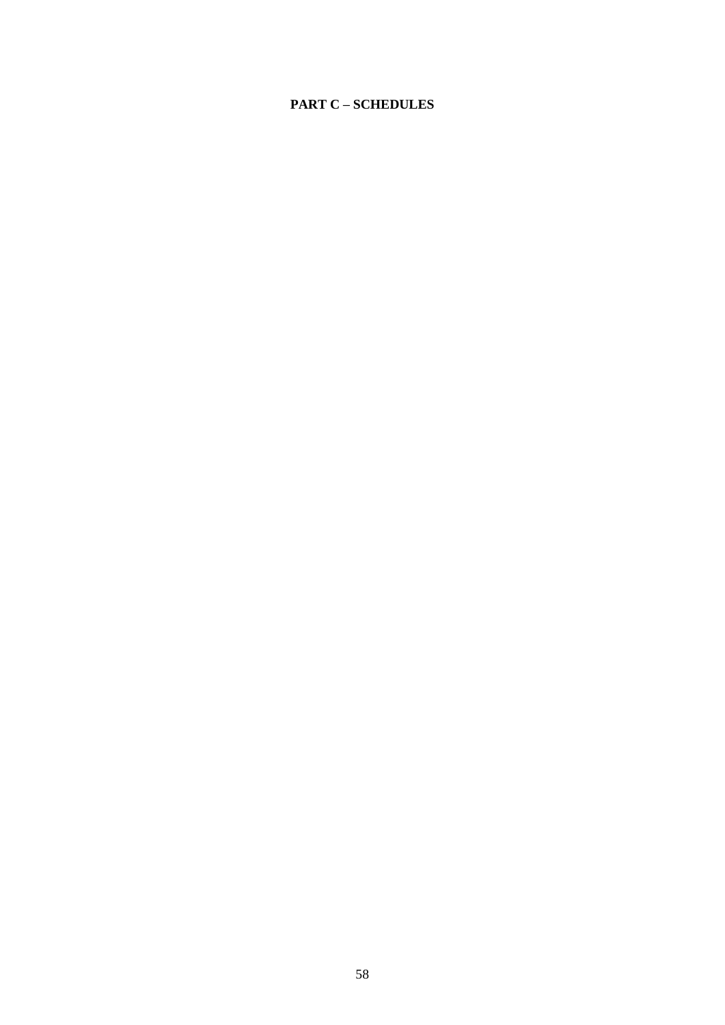# **PART C – SCHEDULES**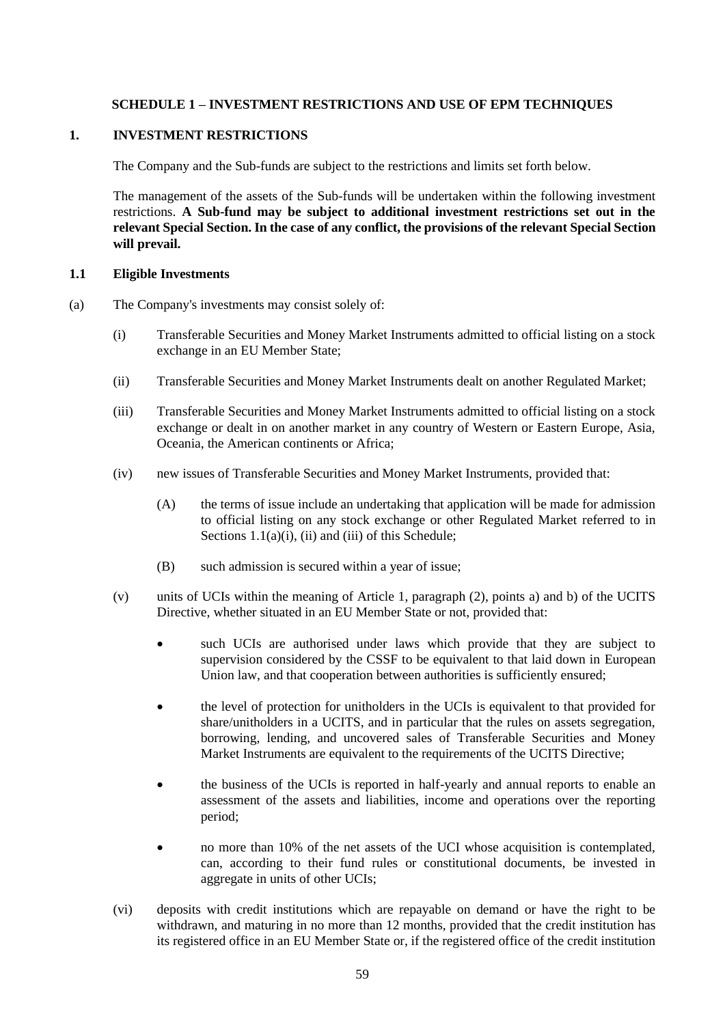# **SCHEDULE 1 – INVESTMENT RESTRICTIONS AND USE OF EPM TECHNIQUES**

## <span id="page-58-6"></span><span id="page-58-0"></span>**1. INVESTMENT RESTRICTIONS**

The Company and the Sub-funds are subject to the restrictions and limits set forth below.

The management of the assets of the Sub-funds will be undertaken within the following investment restrictions. **A Sub-fund may be subject to additional investment restrictions set out in the relevant Special Section. In the case of any conflict, the provisions of the relevant Special Section will prevail.**

## <span id="page-58-4"></span>**1.1 Eligible Investments**

- <span id="page-58-5"></span><span id="page-58-3"></span><span id="page-58-2"></span><span id="page-58-1"></span>(a) The Company's investments may consist solely of:
	- (i) Transferable Securities and Money Market Instruments admitted to official listing on a stock exchange in an EU Member State;
	- (ii) Transferable Securities and Money Market Instruments dealt on another Regulated Market;
	- (iii) Transferable Securities and Money Market Instruments admitted to official listing on a stock exchange or dealt in on another market in any country of Western or Eastern Europe, Asia, Oceania, the American continents or Africa;
	- (iv) new issues of Transferable Securities and Money Market Instruments, provided that:
		- (A) the terms of issue include an undertaking that application will be made for admission to official listing on any stock exchange or other Regulated Market referred to in Sections  $1.1(a)(i)$ , [\(ii\)](#page-58-2) an[d \(iii\)](#page-58-3) of this Schedule;
		- (B) such admission is secured within a year of issue;
	- (v) units of UCIs within the meaning of Article 1, paragraph (2), points a) and b) of the UCITS Directive, whether situated in an EU Member State or not, provided that:
		- such UCIs are authorised under laws which provide that they are subject to supervision considered by the CSSF to be equivalent to that laid down in European Union law, and that cooperation between authorities is sufficiently ensured;
		- the level of protection for unitholders in the UCIs is equivalent to that provided for share/unitholders in a UCITS, and in particular that the rules on assets segregation, borrowing, lending, and uncovered sales of Transferable Securities and Money Market Instruments are equivalent to the requirements of the UCITS Directive;
		- the business of the UCIs is reported in half-yearly and annual reports to enable an assessment of the assets and liabilities, income and operations over the reporting period;
		- no more than 10% of the net assets of the UCI whose acquisition is contemplated, can, according to their fund rules or constitutional documents, be invested in aggregate in units of other UCIs;
	- (vi) deposits with credit institutions which are repayable on demand or have the right to be withdrawn, and maturing in no more than 12 months, provided that the credit institution has its registered office in an EU Member State or, if the registered office of the credit institution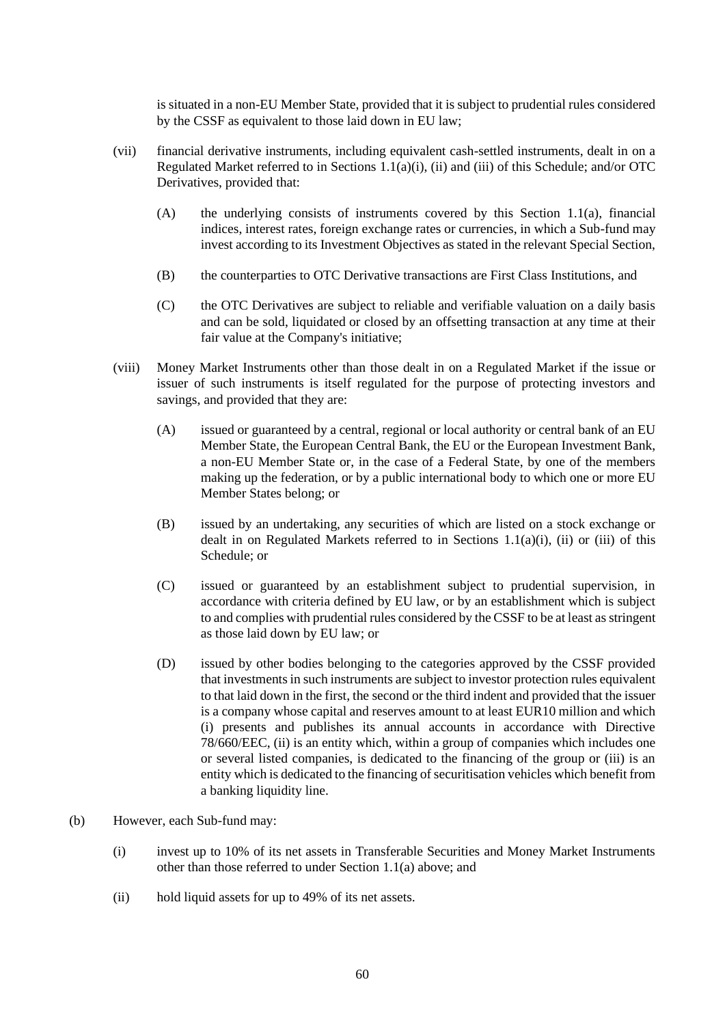is situated in a non-EU Member State, provided that it is subject to prudential rules considered by the CSSF as equivalent to those laid down in EU law;

- <span id="page-59-0"></span>(vii) financial derivative instruments, including equivalent cash-settled instruments, dealt in on a Regulated Market referred to in Sections [1.1\(a\)\(i\),](#page-58-1) [\(ii\)](#page-58-2) and [\(iii\)](#page-58-3) of this Schedule; and/or OTC Derivatives, provided that:
	- (A) the underlying consists of instruments covered by this Section [1.1\(a\),](#page-58-4) financial indices, interest rates, foreign exchange rates or currencies, in which a Sub-fund may invest according to its Investment Objectives as stated in the relevant Special Section,
	- (B) the counterparties to OTC Derivative transactions are First Class Institutions, and
	- (C) the OTC Derivatives are subject to reliable and verifiable valuation on a daily basis and can be sold, liquidated or closed by an offsetting transaction at any time at their fair value at the Company's initiative;
- <span id="page-59-1"></span>(viii) Money Market Instruments other than those dealt in on a Regulated Market if the issue or issuer of such instruments is itself regulated for the purpose of protecting investors and savings, and provided that they are:
	- (A) issued or guaranteed by a central, regional or local authority or central bank of an EU Member State, the European Central Bank, the EU or the European Investment Bank, a non-EU Member State or, in the case of a Federal State, by one of the members making up the federation, or by a public international body to which one or more EU Member States belong; or
	- (B) issued by an undertaking, any securities of which are listed on a stock exchange or dealt in on Regulated Markets referred to in Sections  $1.1(a)(i)$ , [\(ii\)](#page-58-2) or [\(iii\)](#page-58-3) of this Schedule; or
	- (C) issued or guaranteed by an establishment subject to prudential supervision, in accordance with criteria defined by EU law, or by an establishment which is subject to and complies with prudential rules considered by the CSSF to be at least as stringent as those laid down by EU law; or
	- (D) issued by other bodies belonging to the categories approved by the CSSF provided that investments in such instruments are subject to investor protection rules equivalent to that laid down in the first, the second or the third indent and provided that the issuer is a company whose capital and reserves amount to at least EUR10 million and which (i) presents and publishes its annual accounts in accordance with Directive 78/660/EEC, (ii) is an entity which, within a group of companies which includes one or several listed companies, is dedicated to the financing of the group or (iii) is an entity which is dedicated to the financing of securitisation vehicles which benefit from a banking liquidity line.
- (b) However, each Sub-fund may:
	- (i) invest up to 10% of its net assets in Transferable Securities and Money Market Instruments other than those referred to under Section [1.1\(a\) above;](#page-58-4) and
	- (ii) hold liquid assets for up to 49% of its net assets.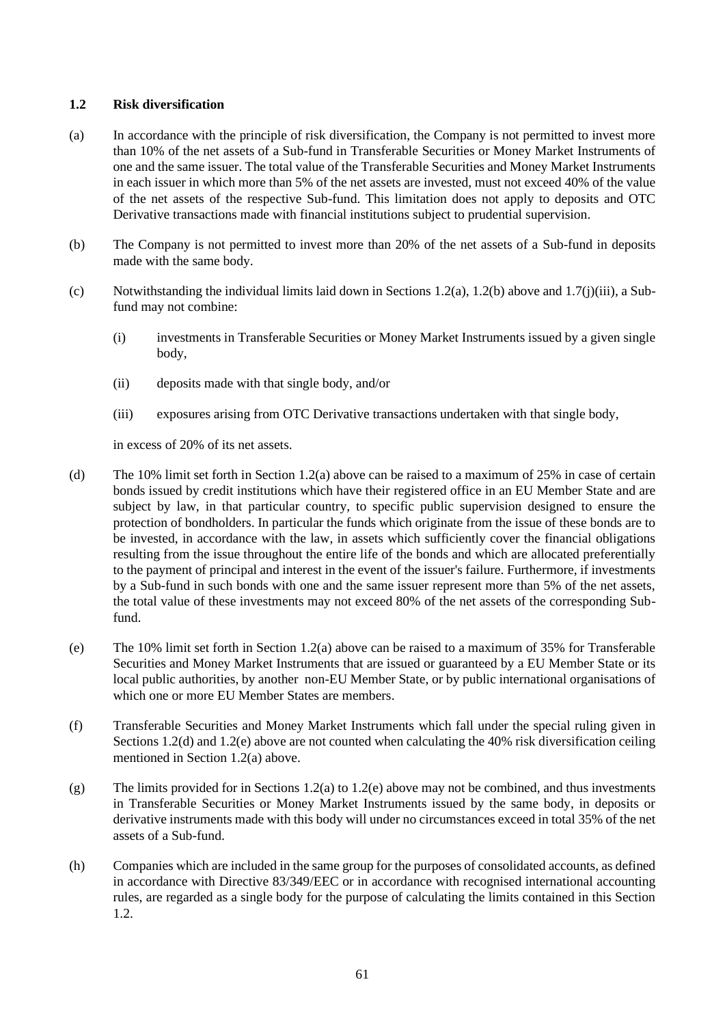# <span id="page-60-4"></span>**1.2 Risk diversification**

- <span id="page-60-0"></span>(a) In accordance with the principle of risk diversification, the Company is not permitted to invest more than 10% of the net assets of a Sub-fund in Transferable Securities or Money Market Instruments of one and the same issuer. The total value of the Transferable Securities and Money Market Instruments in each issuer in which more than 5% of the net assets are invested, must not exceed 40% of the value of the net assets of the respective Sub-fund. This limitation does not apply to deposits and OTC Derivative transactions made with financial institutions subject to prudential supervision.
- <span id="page-60-1"></span>(b) The Company is not permitted to invest more than 20% of the net assets of a Sub-fund in deposits made with the same body.
- (c) Notwithstanding the individual limits laid down in Section[s 1.2\(a\),](#page-60-0) [1.2\(b\)](#page-60-1) above and [1.7\(j\)\(iii\),](#page-64-0) a Subfund may not combine:
	- (i) investments in Transferable Securities or Money Market Instruments issued by a given single body,
	- (ii) deposits made with that single body, and/or
	- (iii) exposures arising from OTC Derivative transactions undertaken with that single body,

in excess of 20% of its net assets.

- <span id="page-60-2"></span>(d) The 10% limit set forth in Section [1.2\(a\) above](#page-60-0) can be raised to a maximum of 25% in case of certain bonds issued by credit institutions which have their registered office in an EU Member State and are subject by law, in that particular country, to specific public supervision designed to ensure the protection of bondholders. In particular the funds which originate from the issue of these bonds are to be invested, in accordance with the law, in assets which sufficiently cover the financial obligations resulting from the issue throughout the entire life of the bonds and which are allocated preferentially to the payment of principal and interest in the event of the issuer's failure. Furthermore, if investments by a Sub-fund in such bonds with one and the same issuer represent more than 5% of the net assets, the total value of these investments may not exceed 80% of the net assets of the corresponding Subfund.
- <span id="page-60-3"></span>(e) The 10% limit set forth in Section [1.2\(a\) above](#page-60-0) can be raised to a maximum of 35% for Transferable Securities and Money Market Instruments that are issued or guaranteed by a EU Member State or its local public authorities, by another non-EU Member State, or by public international organisations of which one or more EU Member States are members.
- (f) Transferable Securities and Money Market Instruments which fall under the special ruling given in Section[s 1.2\(d\)](#page-60-2) and [1.2\(e\) above](#page-60-3) are not counted when calculating the 40% risk diversification ceiling mentioned in Section [1.2\(a\) above.](#page-60-0)
- $(g)$  The limits provided for in Sections [1.2\(a\)](#page-60-0) t[o 1.2\(e\) above](#page-60-3) may not be combined, and thus investments in Transferable Securities or Money Market Instruments issued by the same body, in deposits or derivative instruments made with this body will under no circumstances exceed in total 35% of the net assets of a Sub-fund.
- (h) Companies which are included in the same group for the purposes of consolidated accounts, as defined in accordance with Directive 83/349/EEC or in accordance with recognised international accounting rules, are regarded as a single body for the purpose of calculating the limits contained in this Section [1.2.](#page-60-4)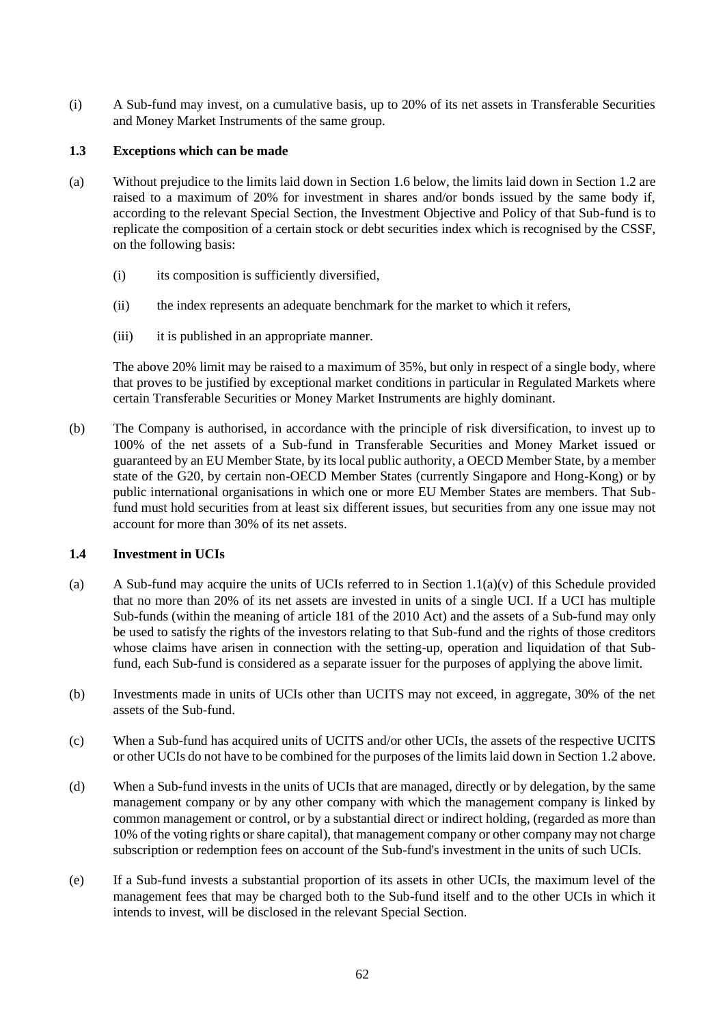(i) A Sub-fund may invest, on a cumulative basis, up to 20% of its net assets in Transferable Securities and Money Market Instruments of the same group.

## <span id="page-61-0"></span>**1.3 Exceptions which can be made**

- <span id="page-61-2"></span>(a) Without prejudice to the limits laid down in Section [1.6 below,](#page-62-0) the limits laid down in Section [1.2](#page-60-4) are raised to a maximum of 20% for investment in shares and/or bonds issued by the same body if, according to the relevant Special Section, the Investment Objective and Policy of that Sub-fund is to replicate the composition of a certain stock or debt securities index which is recognised by the CSSF, on the following basis:
	- (i) its composition is sufficiently diversified,
	- (ii) the index represents an adequate benchmark for the market to which it refers,
	- (iii) it is published in an appropriate manner.

The above 20% limit may be raised to a maximum of 35%, but only in respect of a single body, where that proves to be justified by exceptional market conditions in particular in Regulated Markets where certain Transferable Securities or Money Market Instruments are highly dominant.

(b) The Company is authorised, in accordance with the principle of risk diversification, to invest up to 100% of the net assets of a Sub-fund in Transferable Securities and Money Market issued or guaranteed by an EU Member State, by its local public authority, a OECD Member State, by a member state of the G20, by certain non-OECD Member States (currently Singapore and Hong-Kong) or by public international organisations in which one or more EU Member States are members. That Subfund must hold securities from at least six different issues, but securities from any one issue may not account for more than 30% of its net assets.

# <span id="page-61-1"></span>**1.4 Investment in UCIs**

- (a) A Sub-fund may acquire the units of UCIs referred to in Section [1.1\(a\)\(v\)](#page-58-5) of this Schedule provided that no more than 20% of its net assets are invested in units of a single UCI. If a UCI has multiple Sub-funds (within the meaning of article 181 of the 2010 Act) and the assets of a Sub-fund may only be used to satisfy the rights of the investors relating to that Sub-fund and the rights of those creditors whose claims have arisen in connection with the setting-up, operation and liquidation of that Subfund, each Sub-fund is considered as a separate issuer for the purposes of applying the above limit.
- (b) Investments made in units of UCIs other than UCITS may not exceed, in aggregate, 30% of the net assets of the Sub-fund.
- (c) When a Sub-fund has acquired units of UCITS and/or other UCIs, the assets of the respective UCITS or other UCIs do not have to be combined for the purposes of the limits laid down in Sectio[n 1.2 above.](#page-60-4)
- (d) When a Sub-fund invests in the units of UCIs that are managed, directly or by delegation, by the same management company or by any other company with which the management company is linked by common management or control, or by a substantial direct or indirect holding, (regarded as more than 10% of the voting rights or share capital), that management company or other company may not charge subscription or redemption fees on account of the Sub-fund's investment in the units of such UCIs.
- (e) If a Sub-fund invests a substantial proportion of its assets in other UCIs, the maximum level of the management fees that may be charged both to the Sub-fund itself and to the other UCIs in which it intends to invest, will be disclosed in the relevant Special Section.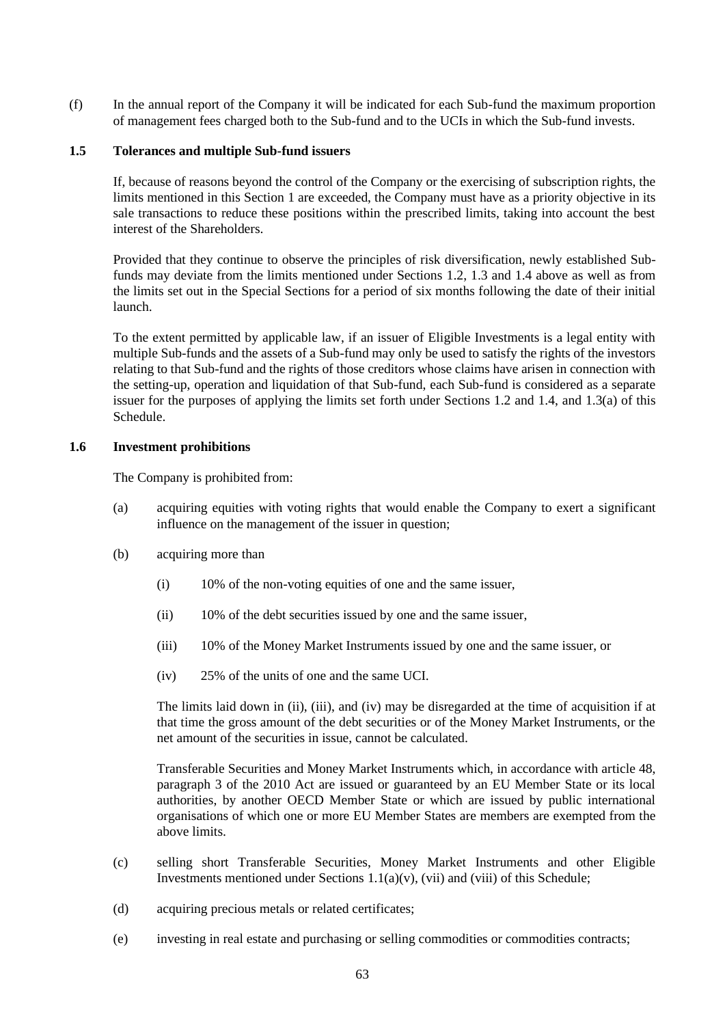(f) In the annual report of the Company it will be indicated for each Sub-fund the maximum proportion of management fees charged both to the Sub-fund and to the UCIs in which the Sub-fund invests.

#### **1.5 Tolerances and multiple Sub-fund issuers**

If, because of reasons beyond the control of the Company or the exercising of subscription rights, the limits mentioned in this Section [1](#page-58-6) are exceeded, the Company must have as a priority objective in its sale transactions to reduce these positions within the prescribed limits, taking into account the best interest of the Shareholders.

Provided that they continue to observe the principles of risk diversification, newly established Subfunds may deviate from the limits mentioned under Sections [1.2,](#page-60-4) [1.3](#page-61-0) and [1.4](#page-61-1) above as well as from the limits set out in the Special Sections for a period of six months following the date of their initial launch.

To the extent permitted by applicable law, if an issuer of Eligible Investments is a legal entity with multiple Sub-funds and the assets of a Sub-fund may only be used to satisfy the rights of the investors relating to that Sub-fund and the rights of those creditors whose claims have arisen in connection with the setting-up, operation and liquidation of that Sub-fund, each Sub-fund is considered as a separate issuer for the purposes of applying the limits set forth under Sections [1.2](#page-60-4) and [1.4,](#page-61-1) and [1.3\(a\)](#page-61-2) of this Schedule.

## <span id="page-62-0"></span>**1.6 Investment prohibitions**

The Company is prohibited from:

- (a) acquiring equities with voting rights that would enable the Company to exert a significant influence on the management of the issuer in question;
- <span id="page-62-1"></span>(b) acquiring more than
	- (i) 10% of the non-voting equities of one and the same issuer,
	- (ii) 10% of the debt securities issued by one and the same issuer,
	- (iii) 10% of the Money Market Instruments issued by one and the same issuer, or
	- (iv) 25% of the units of one and the same UCI.

The limits laid down in (ii), (iii), and (iv) may be disregarded at the time of acquisition if at that time the gross amount of the debt securities or of the Money Market Instruments, or the net amount of the securities in issue, cannot be calculated.

Transferable Securities and Money Market Instruments which, in accordance with article 48, paragraph 3 of the 2010 Act are issued or guaranteed by an EU Member State or its local authorities, by another OECD Member State or which are issued by public international organisations of which one or more EU Member States are members are exempted from the above limits.

- (c) selling short Transferable Securities, Money Market Instruments and other Eligible Investments mentioned under Sections [1.1\(a\)\(v\),](#page-58-5) [\(vii\)](#page-59-0) and [\(viii\)](#page-59-1) of this Schedule;
- (d) acquiring precious metals or related certificates;
- (e) investing in real estate and purchasing or selling commodities or commodities contracts;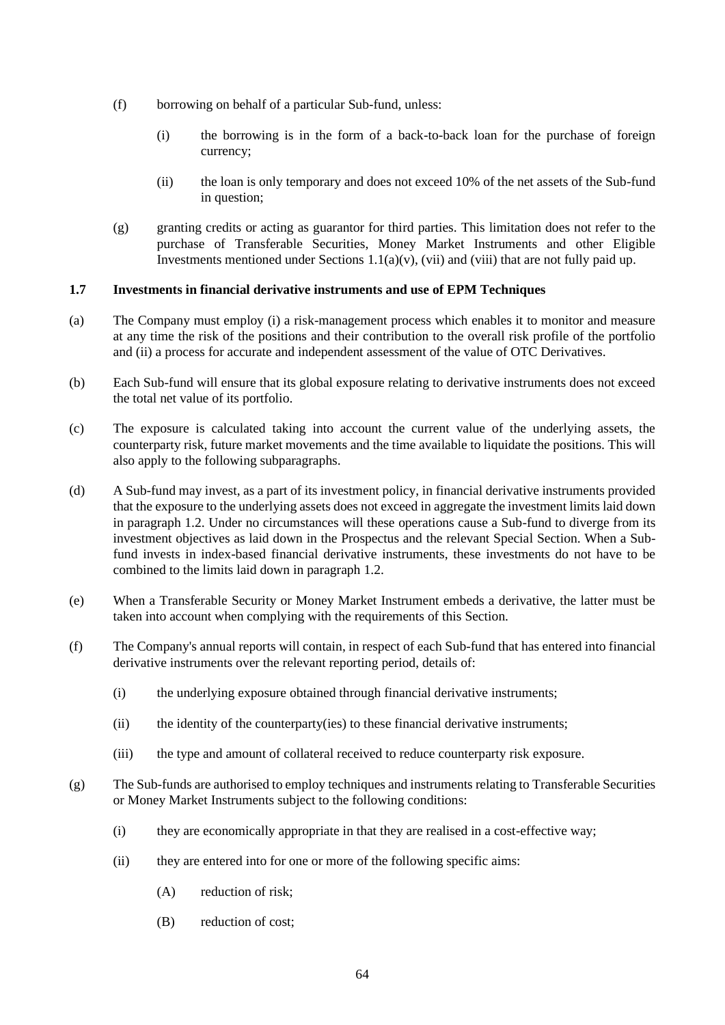- (f) borrowing on behalf of a particular Sub-fund, unless:
	- (i) the borrowing is in the form of a back-to-back loan for the purchase of foreign currency;
	- (ii) the loan is only temporary and does not exceed 10% of the net assets of the Sub-fund in question;
- (g) granting credits or acting as guarantor for third parties. This limitation does not refer to the purchase of Transferable Securities, Money Market Instruments and other Eligible Investments mentioned under Sections  $1.1(a)(v)$ , [\(vii\)](#page-59-0) and [\(viii\)](#page-59-1) that are not fully paid up.

# **1.7 Investments in financial derivative instruments and use of EPM Techniques**

- (a) The Company must employ (i) a risk-management process which enables it to monitor and measure at any time the risk of the positions and their contribution to the overall risk profile of the portfolio and (ii) a process for accurate and independent assessment of the value of OTC Derivatives.
- (b) Each Sub-fund will ensure that its global exposure relating to derivative instruments does not exceed the total net value of its portfolio.
- (c) The exposure is calculated taking into account the current value of the underlying assets, the counterparty risk, future market movements and the time available to liquidate the positions. This will also apply to the following subparagraphs.
- (d) A Sub-fund may invest, as a part of its investment policy, in financial derivative instruments provided that the exposure to the underlying assets does not exceed in aggregate the investment limits laid down in paragraph [1.2.](#page-60-4) Under no circumstances will these operations cause a Sub-fund to diverge from its investment objectives as laid down in the Prospectus and the relevant Special Section. When a Subfund invests in index-based financial derivative instruments, these investments do not have to be combined to the limits laid down in paragraph [1.2.](#page-60-4)
- (e) When a Transferable Security or Money Market Instrument embeds a derivative, the latter must be taken into account when complying with the requirements of this Section.
- (f) The Company's annual reports will contain, in respect of each Sub-fund that has entered into financial derivative instruments over the relevant reporting period, details of:
	- (i) the underlying exposure obtained through financial derivative instruments;
	- (ii) the identity of the counterparty(ies) to these financial derivative instruments;
	- (iii) the type and amount of collateral received to reduce counterparty risk exposure.
- (g) The Sub-funds are authorised to employ techniques and instruments relating to Transferable Securities or Money Market Instruments subject to the following conditions:
	- (i) they are economically appropriate in that they are realised in a cost-effective way;
	- (ii) they are entered into for one or more of the following specific aims:
		- (A) reduction of risk;
		- (B) reduction of cost;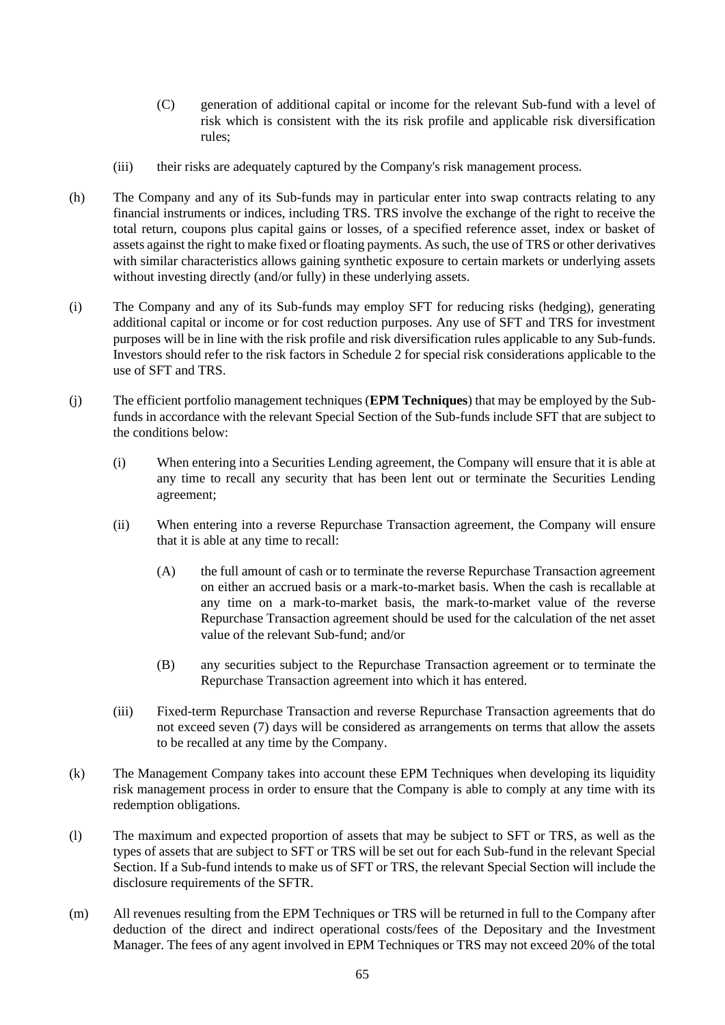- (C) generation of additional capital or income for the relevant Sub-fund with a level of risk which is consistent with the its risk profile and applicable risk diversification rules;
- (iii) their risks are adequately captured by the Company's risk management process.
- (h) The Company and any of its Sub-funds may in particular enter into swap contracts relating to any financial instruments or indices, including TRS. TRS involve the exchange of the right to receive the total return, coupons plus capital gains or losses, of a specified reference asset, index or basket of assets against the right to make fixed or floating payments. As such, the use of TRS or other derivatives with similar characteristics allows gaining synthetic exposure to certain markets or underlying assets without investing directly (and/or fully) in these underlying assets.
- (i) The Company and any of its Sub-funds may employ SFT for reducing risks (hedging), generating additional capital or income or for cost reduction purposes. Any use of SFT and TRS for investment purposes will be in line with the risk profile and risk diversification rules applicable to any Sub-funds. Investors should refer to the risk factors in [Schedule 2](#page-69-0) for special risk considerations applicable to the use of SFT and TRS.
- (j) The efficient portfolio management techniques (**EPM Techniques**) that may be employed by the Subfunds in accordance with the relevant Special Section of the Sub-funds include SFT that are subject to the conditions below:
	- (i) When entering into a Securities Lending agreement, the Company will ensure that it is able at any time to recall any security that has been lent out or terminate the Securities Lending agreement;
	- (ii) When entering into a reverse Repurchase Transaction agreement, the Company will ensure that it is able at any time to recall:
		- (A) the full amount of cash or to terminate the reverse Repurchase Transaction agreement on either an accrued basis or a mark-to-market basis. When the cash is recallable at any time on a mark-to-market basis, the mark-to-market value of the reverse Repurchase Transaction agreement should be used for the calculation of the net asset value of the relevant Sub-fund; and/or
		- (B) any securities subject to the Repurchase Transaction agreement or to terminate the Repurchase Transaction agreement into which it has entered.
	- (iii) Fixed-term Repurchase Transaction and reverse Repurchase Transaction agreements that do not exceed seven (7) days will be considered as arrangements on terms that allow the assets to be recalled at any time by the Company.
- <span id="page-64-0"></span>(k) The Management Company takes into account these EPM Techniques when developing its liquidity risk management process in order to ensure that the Company is able to comply at any time with its redemption obligations.
- (l) The maximum and expected proportion of assets that may be subject to SFT or TRS, as well as the types of assets that are subject to SFT or TRS will be set out for each Sub-fund in the relevant Special Section. If a Sub-fund intends to make us of SFT or TRS, the relevant Special Section will include the disclosure requirements of the SFTR.
- (m) All revenues resulting from the EPM Techniques or TRS will be returned in full to the Company after deduction of the direct and indirect operational costs/fees of the Depositary and the Investment Manager. The fees of any agent involved in EPM Techniques or TRS may not exceed 20% of the total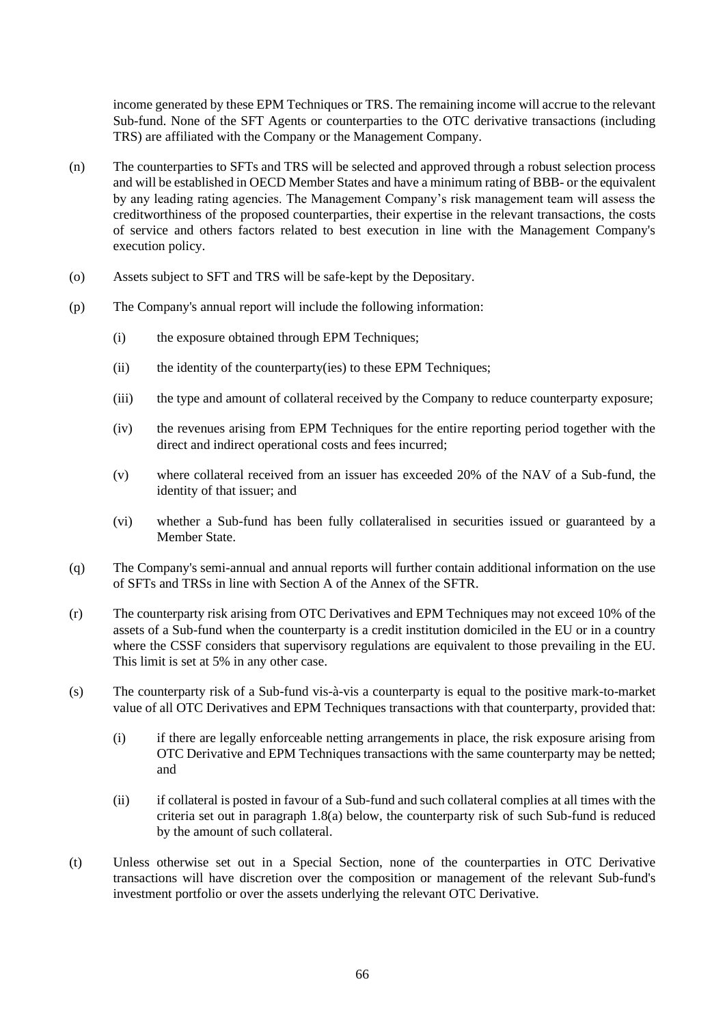income generated by these EPM Techniques or TRS. The remaining income will accrue to the relevant Sub-fund. None of the SFT Agents or counterparties to the OTC derivative transactions (including TRS) are affiliated with the Company or the Management Company.

- (n) The counterparties to SFTs and TRS will be selected and approved through a robust selection process and will be established in OECD Member States and have a minimum rating of BBB- or the equivalent by any leading rating agencies. The Management Company's risk management team will assess the creditworthiness of the proposed counterparties, their expertise in the relevant transactions, the costs of service and others factors related to best execution in line with the Management Company's execution policy.
- (o) Assets subject to SFT and TRS will be safe-kept by the Depositary.
- (p) The Company's annual report will include the following information:
	- (i) the exposure obtained through EPM Techniques;
	- (ii) the identity of the counterparty(ies) to these EPM Techniques;
	- (iii) the type and amount of collateral received by the Company to reduce counterparty exposure;
	- (iv) the revenues arising from EPM Techniques for the entire reporting period together with the direct and indirect operational costs and fees incurred;
	- (v) where collateral received from an issuer has exceeded 20% of the NAV of a Sub-fund, the identity of that issuer; and
	- (vi) whether a Sub-fund has been fully collateralised in securities issued or guaranteed by a Member State.
- (q) The Company's semi-annual and annual reports will further contain additional information on the use of SFTs and TRSs in line with Section A of the Annex of the SFTR.
- (r) The counterparty risk arising from OTC Derivatives and EPM Techniques may not exceed 10% of the assets of a Sub-fund when the counterparty is a credit institution domiciled in the EU or in a country where the CSSF considers that supervisory regulations are equivalent to those prevailing in the EU. This limit is set at 5% in any other case.
- (s) The counterparty risk of a Sub-fund vis-à-vis a counterparty is equal to the positive mark-to-market value of all OTC Derivatives and EPM Techniques transactions with that counterparty, provided that:
	- (i) if there are legally enforceable netting arrangements in place, the risk exposure arising from OTC Derivative and EPM Techniques transactions with the same counterparty may be netted; and
	- (ii) if collateral is posted in favour of a Sub-fund and such collateral complies at all times with the criteria set out in paragraph [1.8\(a\)](#page-66-0) below, the counterparty risk of such Sub-fund is reduced by the amount of such collateral.
- (t) Unless otherwise set out in a Special Section, none of the counterparties in OTC Derivative transactions will have discretion over the composition or management of the relevant Sub-fund's investment portfolio or over the assets underlying the relevant OTC Derivative.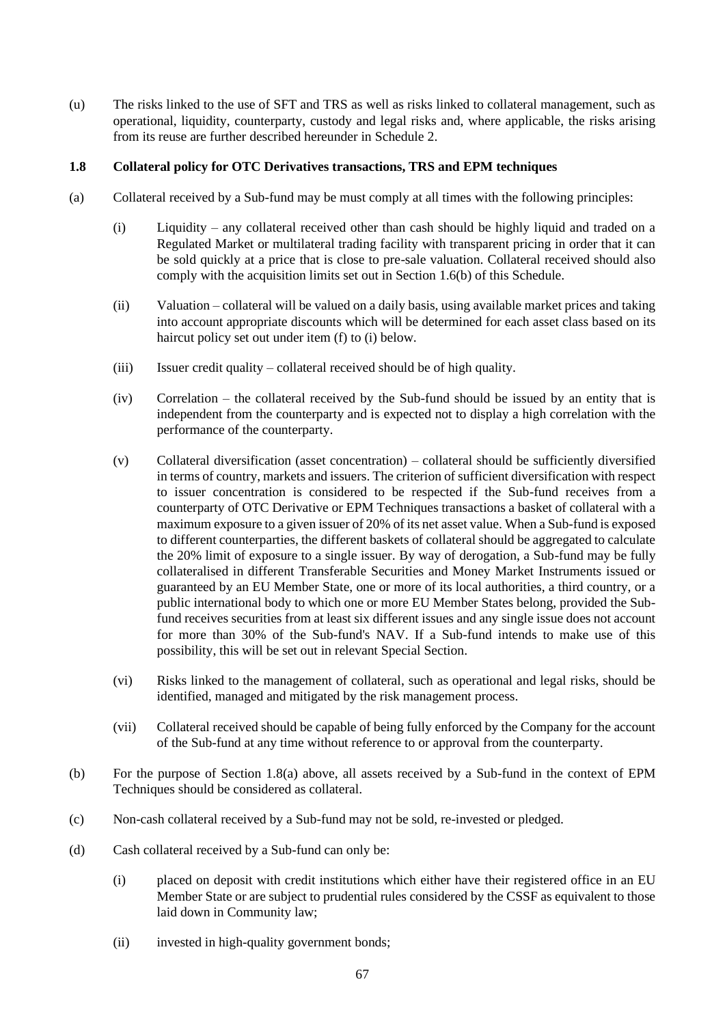(u) The risks linked to the use of SFT and TRS as well as risks linked to collateral management, such as operational, liquidity, counterparty, custody and legal risks and, where applicable, the risks arising from its reuse are further described hereunder in [Schedule 2.](#page-69-0)

## **1.8 Collateral policy for OTC Derivatives transactions, TRS and EPM techniques**

- <span id="page-66-0"></span>(a) Collateral received by a Sub-fund may be must comply at all times with the following principles:
	- (i) Liquidity any collateral received other than cash should be highly liquid and traded on a Regulated Market or multilateral trading facility with transparent pricing in order that it can be sold quickly at a price that is close to pre-sale valuation. Collateral received should also comply with the acquisition limits set out in Section [1.6\(b\)](#page-62-1) of this Schedule.
	- (ii) Valuation collateral will be valued on a daily basis, using available market prices and taking into account appropriate discounts which will be determined for each asset class based on its haircut policy set out under item [\(f\)](#page-67-0) to [\(i\) below.](#page-67-1)
	- (iii) Issuer credit quality collateral received should be of high quality.
	- (iv) Correlation the collateral received by the Sub-fund should be issued by an entity that is independent from the counterparty and is expected not to display a high correlation with the performance of the counterparty.
	- (v) Collateral diversification (asset concentration) collateral should be sufficiently diversified in terms of country, markets and issuers. The criterion of sufficient diversification with respect to issuer concentration is considered to be respected if the Sub-fund receives from a counterparty of OTC Derivative or EPM Techniques transactions a basket of collateral with a maximum exposure to a given issuer of 20% of its net asset value. When a Sub-fund is exposed to different counterparties, the different baskets of collateral should be aggregated to calculate the 20% limit of exposure to a single issuer. By way of derogation, a Sub-fund may be fully collateralised in different Transferable Securities and Money Market Instruments issued or guaranteed by an EU Member State, one or more of its local authorities, a third country, or a public international body to which one or more EU Member States belong, provided the Subfund receives securities from at least six different issues and any single issue does not account for more than 30% of the Sub-fund's NAV. If a Sub-fund intends to make use of this possibility, this will be set out in relevant Special Section.
	- (vi) Risks linked to the management of collateral, such as operational and legal risks, should be identified, managed and mitigated by the risk management process.
	- (vii) Collateral received should be capable of being fully enforced by the Company for the account of the Sub-fund at any time without reference to or approval from the counterparty.
- (b) For the purpose of Section [1.8\(a\) above,](#page-66-0) all assets received by a Sub-fund in the context of EPM Techniques should be considered as collateral.
- (c) Non-cash collateral received by a Sub-fund may not be sold, re-invested or pledged.
- (d) Cash collateral received by a Sub-fund can only be:
	- (i) placed on deposit with credit institutions which either have their registered office in an EU Member State or are subject to prudential rules considered by the CSSF as equivalent to those laid down in Community law;
	- (ii) invested in high-quality government bonds;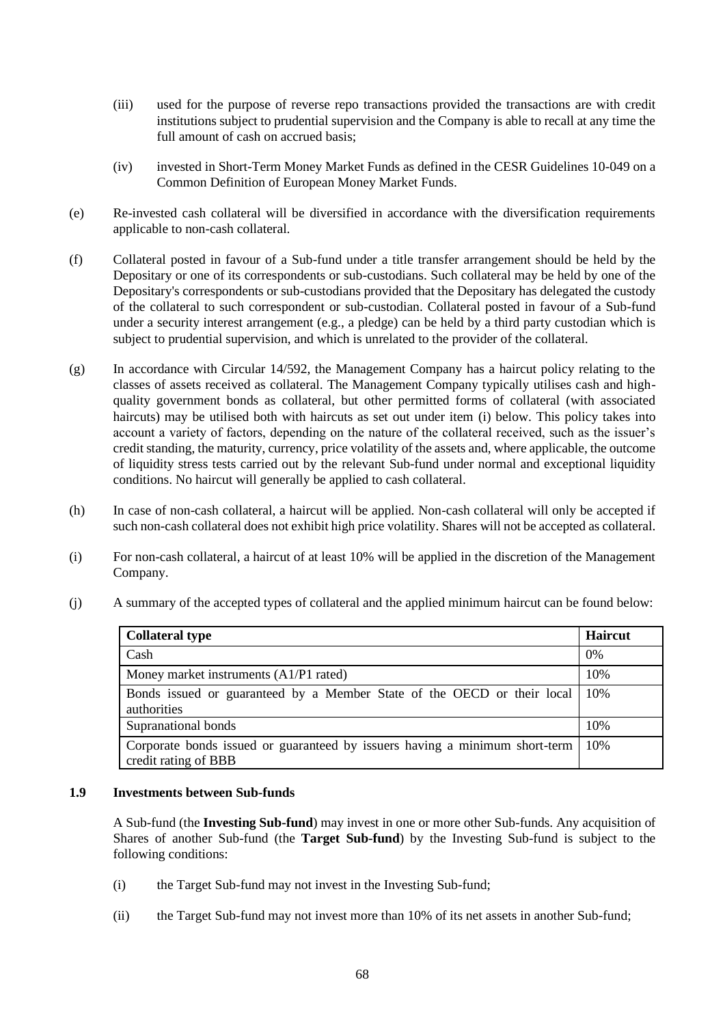- (iii) used for the purpose of reverse repo transactions provided the transactions are with credit institutions subject to prudential supervision and the Company is able to recall at any time the full amount of cash on accrued basis;
- (iv) invested in Short-Term Money Market Funds as defined in the CESR Guidelines 10-049 on a Common Definition of European Money Market Funds.
- (e) Re-invested cash collateral will be diversified in accordance with the diversification requirements applicable to non-cash collateral.
- <span id="page-67-0"></span>(f) Collateral posted in favour of a Sub-fund under a title transfer arrangement should be held by the Depositary or one of its correspondents or sub-custodians. Such collateral may be held by one of the Depositary's correspondents or sub-custodians provided that the Depositary has delegated the custody of the collateral to such correspondent or sub-custodian. Collateral posted in favour of a Sub-fund under a security interest arrangement (e.g., a pledge) can be held by a third party custodian which is subject to prudential supervision, and which is unrelated to the provider of the collateral.
- (g) In accordance with Circular 14/592, the Management Company has a haircut policy relating to the classes of assets received as collateral. The Management Company typically utilises cash and highquality government bonds as collateral, but other permitted forms of collateral (with associated haircuts) may be utilised both with haircuts as set out under item [\(i\)](#page-67-1) below. This policy takes into account a variety of factors, depending on the nature of the collateral received, such as the issuer's credit standing, the maturity, currency, price volatility of the assets and, where applicable, the outcome of liquidity stress tests carried out by the relevant Sub-fund under normal and exceptional liquidity conditions. No haircut will generally be applied to cash collateral.
- (h) In case of non-cash collateral, a haircut will be applied. Non-cash collateral will only be accepted if such non-cash collateral does not exhibit high price volatility. Shares will not be accepted as collateral.
- <span id="page-67-1"></span>(i) For non-cash collateral, a haircut of at least 10% will be applied in the discretion of the Management Company.

| <b>Collateral type</b>                                                                              |       |
|-----------------------------------------------------------------------------------------------------|-------|
| Cash                                                                                                | $0\%$ |
| Money market instruments $(A1/P1$ rated)                                                            |       |
| Bonds issued or guaranteed by a Member State of the OECD or their local<br>authorities              |       |
| Supranational bonds                                                                                 |       |
| Corporate bonds issued or guaranteed by issuers having a minimum short-term<br>credit rating of BBB | 10%   |

(j) A summary of the accepted types of collateral and the applied minimum haircut can be found below:

#### **1.9 Investments between Sub-funds**

A Sub-fund (the **Investing Sub-fund**) may invest in one or more other Sub-funds. Any acquisition of Shares of another Sub-fund (the **Target Sub-fund**) by the Investing Sub-fund is subject to the following conditions:

- (i) the Target Sub-fund may not invest in the Investing Sub-fund;
- (ii) the Target Sub-fund may not invest more than 10% of its net assets in another Sub-fund;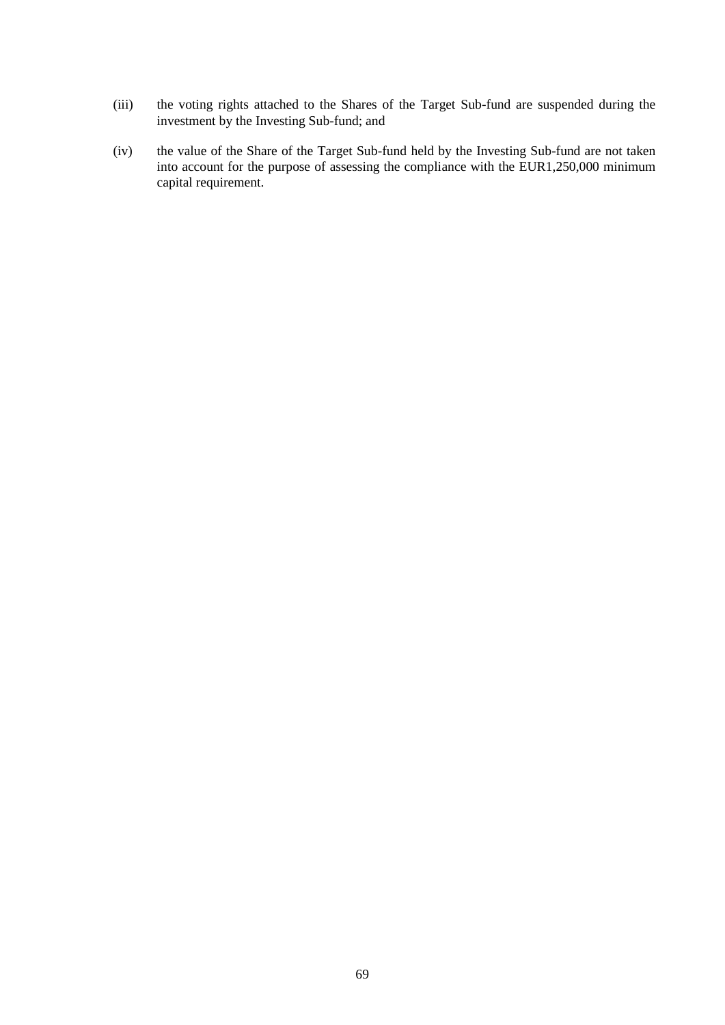- (iii) the voting rights attached to the Shares of the Target Sub-fund are suspended during the investment by the Investing Sub-fund; and
- (iv) the value of the Share of the Target Sub-fund held by the Investing Sub-fund are not taken into account for the purpose of assessing the compliance with the EUR1,250,000 minimum capital requirement.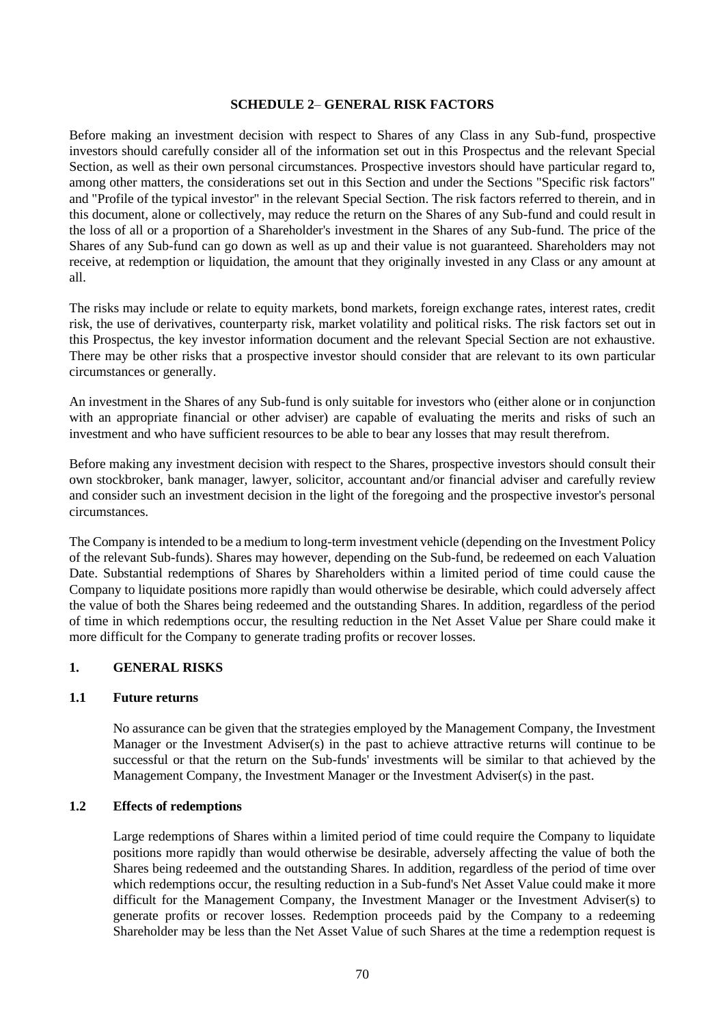### **SCHEDULE 2**– **GENERAL RISK FACTORS**

<span id="page-69-0"></span>Before making an investment decision with respect to Shares of any Class in any Sub-fund, prospective investors should carefully consider all of the information set out in this Prospectus and the relevant Special Section, as well as their own personal circumstances. Prospective investors should have particular regard to, among other matters, the considerations set out in this Section and under the Sections "Specific risk factors" and "Profile of the typical investor" in the relevant Special Section. The risk factors referred to therein, and in this document, alone or collectively, may reduce the return on the Shares of any Sub-fund and could result in the loss of all or a proportion of a Shareholder's investment in the Shares of any Sub-fund. The price of the Shares of any Sub-fund can go down as well as up and their value is not guaranteed. Shareholders may not receive, at redemption or liquidation, the amount that they originally invested in any Class or any amount at all.

The risks may include or relate to equity markets, bond markets, foreign exchange rates, interest rates, credit risk, the use of derivatives, counterparty risk, market volatility and political risks. The risk factors set out in this Prospectus, the key investor information document and the relevant Special Section are not exhaustive. There may be other risks that a prospective investor should consider that are relevant to its own particular circumstances or generally.

An investment in the Shares of any Sub-fund is only suitable for investors who (either alone or in conjunction with an appropriate financial or other adviser) are capable of evaluating the merits and risks of such an investment and who have sufficient resources to be able to bear any losses that may result therefrom.

Before making any investment decision with respect to the Shares, prospective investors should consult their own stockbroker, bank manager, lawyer, solicitor, accountant and/or financial adviser and carefully review and consider such an investment decision in the light of the foregoing and the prospective investor's personal circumstances.

The Company is intended to be a medium to long-term investment vehicle (depending on the Investment Policy of the relevant Sub-funds). Shares may however, depending on the Sub-fund, be redeemed on each Valuation Date. Substantial redemptions of Shares by Shareholders within a limited period of time could cause the Company to liquidate positions more rapidly than would otherwise be desirable, which could adversely affect the value of both the Shares being redeemed and the outstanding Shares. In addition, regardless of the period of time in which redemptions occur, the resulting reduction in the Net Asset Value per Share could make it more difficult for the Company to generate trading profits or recover losses.

## **1. GENERAL RISKS**

#### **1.1 Future returns**

No assurance can be given that the strategies employed by the Management Company, the Investment Manager or the Investment Adviser(s) in the past to achieve attractive returns will continue to be successful or that the return on the Sub-funds' investments will be similar to that achieved by the Management Company, the Investment Manager or the Investment Adviser(s) in the past.

#### **1.2 Effects of redemptions**

Large redemptions of Shares within a limited period of time could require the Company to liquidate positions more rapidly than would otherwise be desirable, adversely affecting the value of both the Shares being redeemed and the outstanding Shares. In addition, regardless of the period of time over which redemptions occur, the resulting reduction in a Sub-fund's Net Asset Value could make it more difficult for the Management Company, the Investment Manager or the Investment Adviser(s) to generate profits or recover losses. Redemption proceeds paid by the Company to a redeeming Shareholder may be less than the Net Asset Value of such Shares at the time a redemption request is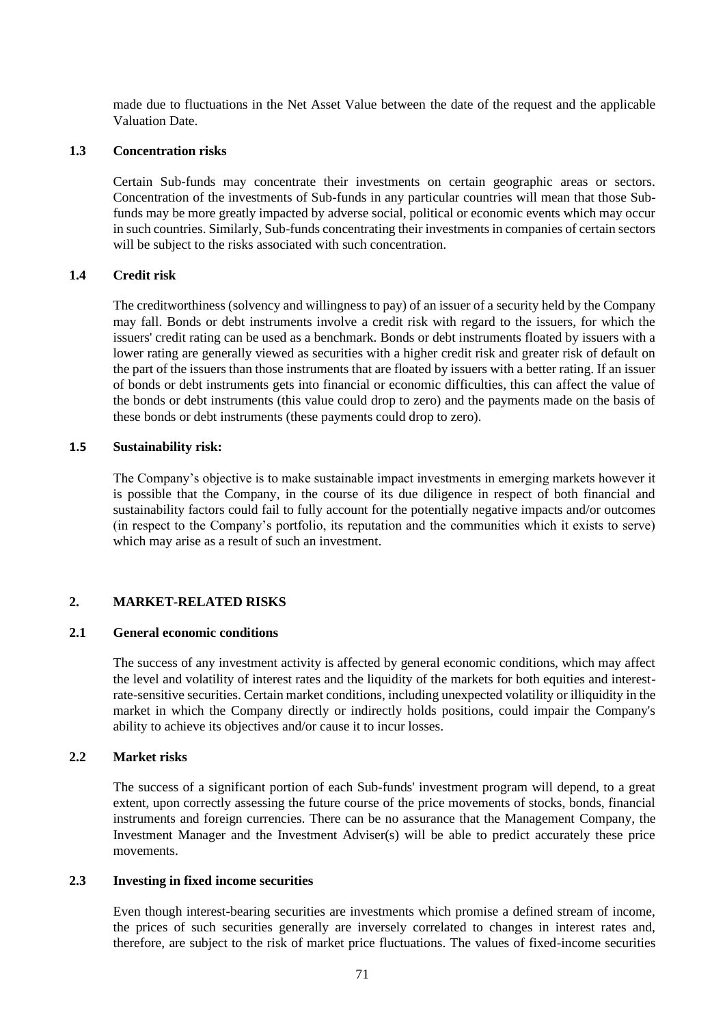made due to fluctuations in the Net Asset Value between the date of the request and the applicable Valuation Date.

#### **1.3 Concentration risks**

Certain Sub-funds may concentrate their investments on certain geographic areas or sectors. Concentration of the investments of Sub-funds in any particular countries will mean that those Subfunds may be more greatly impacted by adverse social, political or economic events which may occur in such countries. Similarly, Sub-funds concentrating their investments in companies of certain sectors will be subject to the risks associated with such concentration.

#### **1.4 Credit risk**

The creditworthiness (solvency and willingness to pay) of an issuer of a security held by the Company may fall. Bonds or debt instruments involve a credit risk with regard to the issuers, for which the issuers' credit rating can be used as a benchmark. Bonds or debt instruments floated by issuers with a lower rating are generally viewed as securities with a higher credit risk and greater risk of default on the part of the issuers than those instruments that are floated by issuers with a better rating. If an issuer of bonds or debt instruments gets into financial or economic difficulties, this can affect the value of the bonds or debt instruments (this value could drop to zero) and the payments made on the basis of these bonds or debt instruments (these payments could drop to zero).

#### **1.5 Sustainability risk:**

The Company's objective is to make sustainable impact investments in emerging markets however it is possible that the Company, in the course of its due diligence in respect of both financial and sustainability factors could fail to fully account for the potentially negative impacts and/or outcomes (in respect to the Company's portfolio, its reputation and the communities which it exists to serve) which may arise as a result of such an investment.

#### **2. MARKET-RELATED RISKS**

#### **2.1 General economic conditions**

The success of any investment activity is affected by general economic conditions, which may affect the level and volatility of interest rates and the liquidity of the markets for both equities and interestrate-sensitive securities. Certain market conditions, including unexpected volatility or illiquidity in the market in which the Company directly or indirectly holds positions, could impair the Company's ability to achieve its objectives and/or cause it to incur losses.

### **2.2 Market risks**

The success of a significant portion of each Sub-funds' investment program will depend, to a great extent, upon correctly assessing the future course of the price movements of stocks, bonds, financial instruments and foreign currencies. There can be no assurance that the Management Company, the Investment Manager and the Investment Adviser(s) will be able to predict accurately these price movements.

#### **2.3 Investing in fixed income securities**

Even though interest-bearing securities are investments which promise a defined stream of income, the prices of such securities generally are inversely correlated to changes in interest rates and, therefore, are subject to the risk of market price fluctuations. The values of fixed-income securities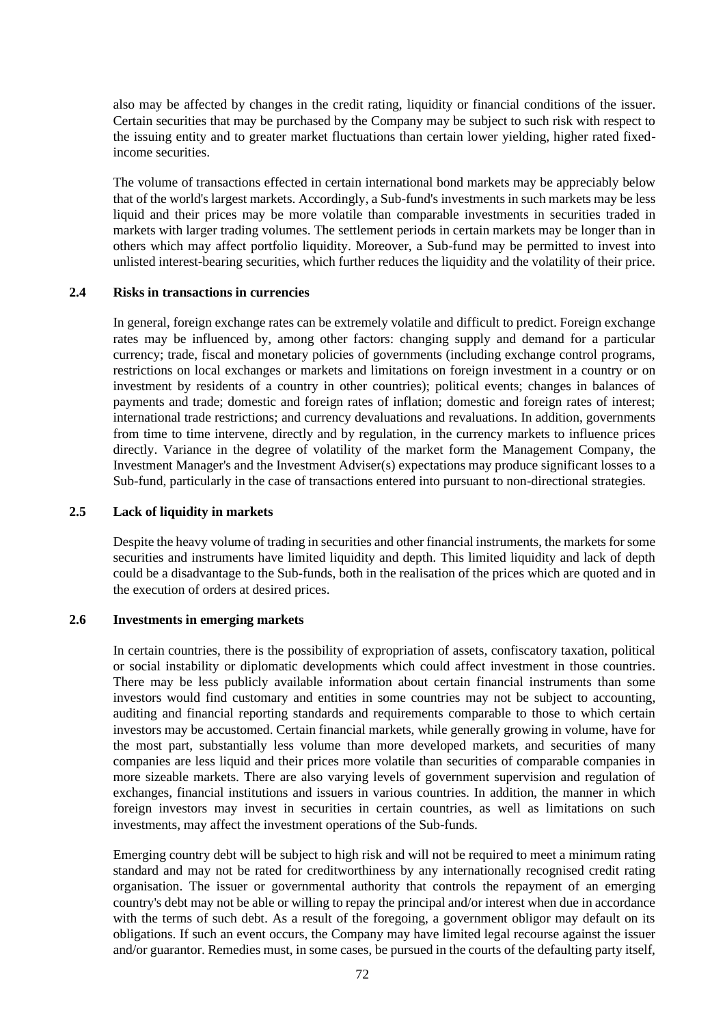also may be affected by changes in the credit rating, liquidity or financial conditions of the issuer. Certain securities that may be purchased by the Company may be subject to such risk with respect to the issuing entity and to greater market fluctuations than certain lower yielding, higher rated fixedincome securities.

The volume of transactions effected in certain international bond markets may be appreciably below that of the world's largest markets. Accordingly, a Sub-fund's investments in such markets may be less liquid and their prices may be more volatile than comparable investments in securities traded in markets with larger trading volumes. The settlement periods in certain markets may be longer than in others which may affect portfolio liquidity. Moreover, a Sub-fund may be permitted to invest into unlisted interest-bearing securities, which further reduces the liquidity and the volatility of their price.

#### **2.4 Risks in transactions in currencies**

In general, foreign exchange rates can be extremely volatile and difficult to predict. Foreign exchange rates may be influenced by, among other factors: changing supply and demand for a particular currency; trade, fiscal and monetary policies of governments (including exchange control programs, restrictions on local exchanges or markets and limitations on foreign investment in a country or on investment by residents of a country in other countries); political events; changes in balances of payments and trade; domestic and foreign rates of inflation; domestic and foreign rates of interest; international trade restrictions; and currency devaluations and revaluations. In addition, governments from time to time intervene, directly and by regulation, in the currency markets to influence prices directly. Variance in the degree of volatility of the market form the Management Company, the Investment Manager's and the Investment Adviser(s) expectations may produce significant losses to a Sub-fund, particularly in the case of transactions entered into pursuant to non-directional strategies.

#### **2.5 Lack of liquidity in markets**

Despite the heavy volume of trading in securities and other financial instruments, the markets for some securities and instruments have limited liquidity and depth. This limited liquidity and lack of depth could be a disadvantage to the Sub-funds, both in the realisation of the prices which are quoted and in the execution of orders at desired prices.

#### **2.6 Investments in emerging markets**

In certain countries, there is the possibility of expropriation of assets, confiscatory taxation, political or social instability or diplomatic developments which could affect investment in those countries. There may be less publicly available information about certain financial instruments than some investors would find customary and entities in some countries may not be subject to accounting, auditing and financial reporting standards and requirements comparable to those to which certain investors may be accustomed. Certain financial markets, while generally growing in volume, have for the most part, substantially less volume than more developed markets, and securities of many companies are less liquid and their prices more volatile than securities of comparable companies in more sizeable markets. There are also varying levels of government supervision and regulation of exchanges, financial institutions and issuers in various countries. In addition, the manner in which foreign investors may invest in securities in certain countries, as well as limitations on such investments, may affect the investment operations of the Sub-funds.

Emerging country debt will be subject to high risk and will not be required to meet a minimum rating standard and may not be rated for creditworthiness by any internationally recognised credit rating organisation. The issuer or governmental authority that controls the repayment of an emerging country's debt may not be able or willing to repay the principal and/or interest when due in accordance with the terms of such debt. As a result of the foregoing, a government obligor may default on its obligations. If such an event occurs, the Company may have limited legal recourse against the issuer and/or guarantor. Remedies must, in some cases, be pursued in the courts of the defaulting party itself,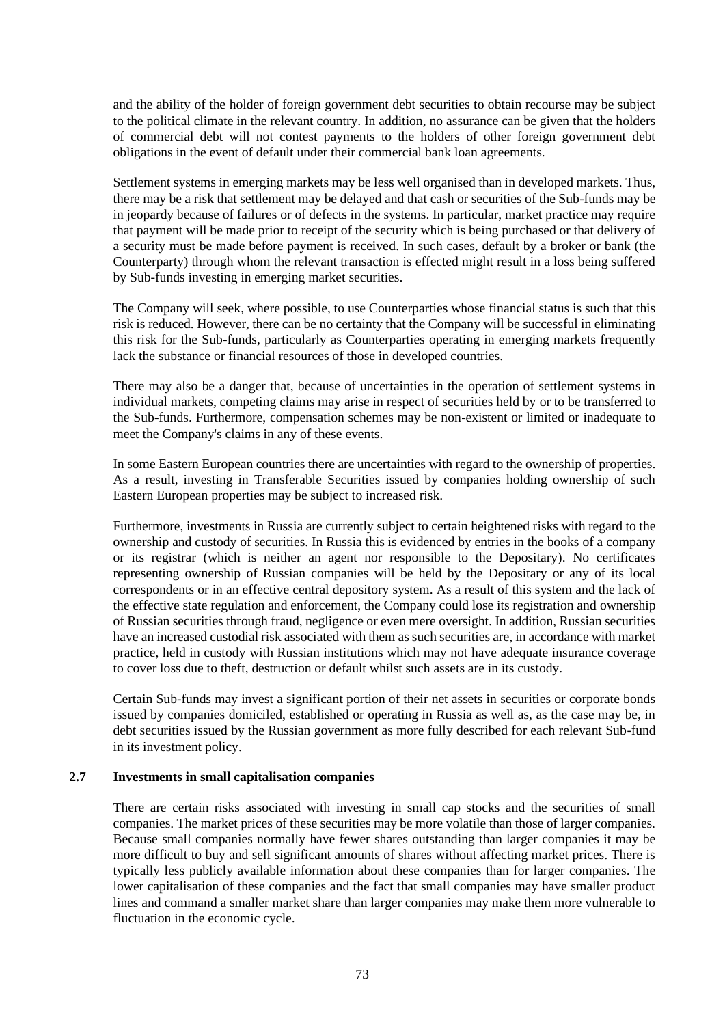and the ability of the holder of foreign government debt securities to obtain recourse may be subject to the political climate in the relevant country. In addition, no assurance can be given that the holders of commercial debt will not contest payments to the holders of other foreign government debt obligations in the event of default under their commercial bank loan agreements.

Settlement systems in emerging markets may be less well organised than in developed markets. Thus, there may be a risk that settlement may be delayed and that cash or securities of the Sub-funds may be in jeopardy because of failures or of defects in the systems. In particular, market practice may require that payment will be made prior to receipt of the security which is being purchased or that delivery of a security must be made before payment is received. In such cases, default by a broker or bank (the Counterparty) through whom the relevant transaction is effected might result in a loss being suffered by Sub-funds investing in emerging market securities.

The Company will seek, where possible, to use Counterparties whose financial status is such that this risk is reduced. However, there can be no certainty that the Company will be successful in eliminating this risk for the Sub-funds, particularly as Counterparties operating in emerging markets frequently lack the substance or financial resources of those in developed countries.

There may also be a danger that, because of uncertainties in the operation of settlement systems in individual markets, competing claims may arise in respect of securities held by or to be transferred to the Sub-funds. Furthermore, compensation schemes may be non-existent or limited or inadequate to meet the Company's claims in any of these events.

In some Eastern European countries there are uncertainties with regard to the ownership of properties. As a result, investing in Transferable Securities issued by companies holding ownership of such Eastern European properties may be subject to increased risk.

Furthermore, investments in Russia are currently subject to certain heightened risks with regard to the ownership and custody of securities. In Russia this is evidenced by entries in the books of a company or its registrar (which is neither an agent nor responsible to the Depositary). No certificates representing ownership of Russian companies will be held by the Depositary or any of its local correspondents or in an effective central depository system. As a result of this system and the lack of the effective state regulation and enforcement, the Company could lose its registration and ownership of Russian securities through fraud, negligence or even mere oversight. In addition, Russian securities have an increased custodial risk associated with them as such securities are, in accordance with market practice, held in custody with Russian institutions which may not have adequate insurance coverage to cover loss due to theft, destruction or default whilst such assets are in its custody.

Certain Sub-funds may invest a significant portion of their net assets in securities or corporate bonds issued by companies domiciled, established or operating in Russia as well as, as the case may be, in debt securities issued by the Russian government as more fully described for each relevant Sub-fund in its investment policy.

#### **2.7 Investments in small capitalisation companies**

There are certain risks associated with investing in small cap stocks and the securities of small companies. The market prices of these securities may be more volatile than those of larger companies. Because small companies normally have fewer shares outstanding than larger companies it may be more difficult to buy and sell significant amounts of shares without affecting market prices. There is typically less publicly available information about these companies than for larger companies. The lower capitalisation of these companies and the fact that small companies may have smaller product lines and command a smaller market share than larger companies may make them more vulnerable to fluctuation in the economic cycle.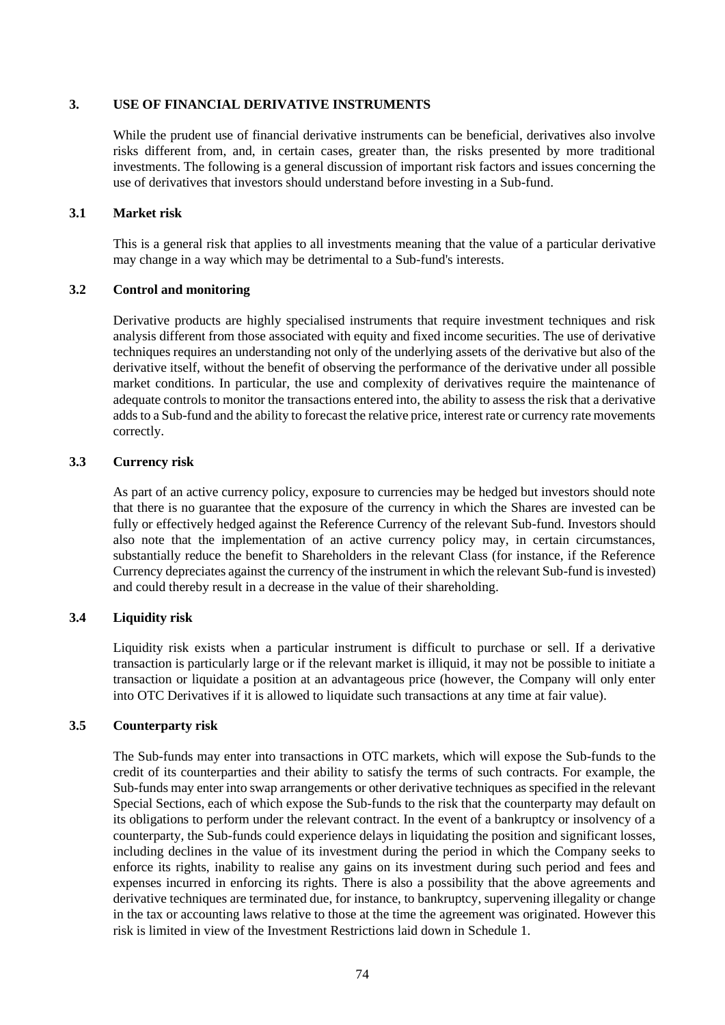#### **3. USE OF FINANCIAL DERIVATIVE INSTRUMENTS**

While the prudent use of financial derivative instruments can be beneficial, derivatives also involve risks different from, and, in certain cases, greater than, the risks presented by more traditional investments. The following is a general discussion of important risk factors and issues concerning the use of derivatives that investors should understand before investing in a Sub-fund.

#### **3.1 Market risk**

This is a general risk that applies to all investments meaning that the value of a particular derivative may change in a way which may be detrimental to a Sub-fund's interests.

#### **3.2 Control and monitoring**

Derivative products are highly specialised instruments that require investment techniques and risk analysis different from those associated with equity and fixed income securities. The use of derivative techniques requires an understanding not only of the underlying assets of the derivative but also of the derivative itself, without the benefit of observing the performance of the derivative under all possible market conditions. In particular, the use and complexity of derivatives require the maintenance of adequate controls to monitor the transactions entered into, the ability to assess the risk that a derivative adds to a Sub-fund and the ability to forecast the relative price, interest rate or currency rate movements correctly.

#### **3.3 Currency risk**

As part of an active currency policy, exposure to currencies may be hedged but investors should note that there is no guarantee that the exposure of the currency in which the Shares are invested can be fully or effectively hedged against the Reference Currency of the relevant Sub-fund. Investors should also note that the implementation of an active currency policy may, in certain circumstances, substantially reduce the benefit to Shareholders in the relevant Class (for instance, if the Reference Currency depreciates against the currency of the instrument in which the relevant Sub-fund is invested) and could thereby result in a decrease in the value of their shareholding.

#### **3.4 Liquidity risk**

Liquidity risk exists when a particular instrument is difficult to purchase or sell. If a derivative transaction is particularly large or if the relevant market is illiquid, it may not be possible to initiate a transaction or liquidate a position at an advantageous price (however, the Company will only enter into OTC Derivatives if it is allowed to liquidate such transactions at any time at fair value).

#### **3.5 Counterparty risk**

The Sub-funds may enter into transactions in OTC markets, which will expose the Sub-funds to the credit of its counterparties and their ability to satisfy the terms of such contracts. For example, the Sub-funds may enter into swap arrangements or other derivative techniques as specified in the relevant Special Sections, each of which expose the Sub-funds to the risk that the counterparty may default on its obligations to perform under the relevant contract. In the event of a bankruptcy or insolvency of a counterparty, the Sub-funds could experience delays in liquidating the position and significant losses, including declines in the value of its investment during the period in which the Company seeks to enforce its rights, inability to realise any gains on its investment during such period and fees and expenses incurred in enforcing its rights. There is also a possibility that the above agreements and derivative techniques are terminated due, for instance, to bankruptcy, supervening illegality or change in the tax or accounting laws relative to those at the time the agreement was originated. However this risk is limited in view of the Investment Restrictions laid down in [Schedule 1.](#page-58-0)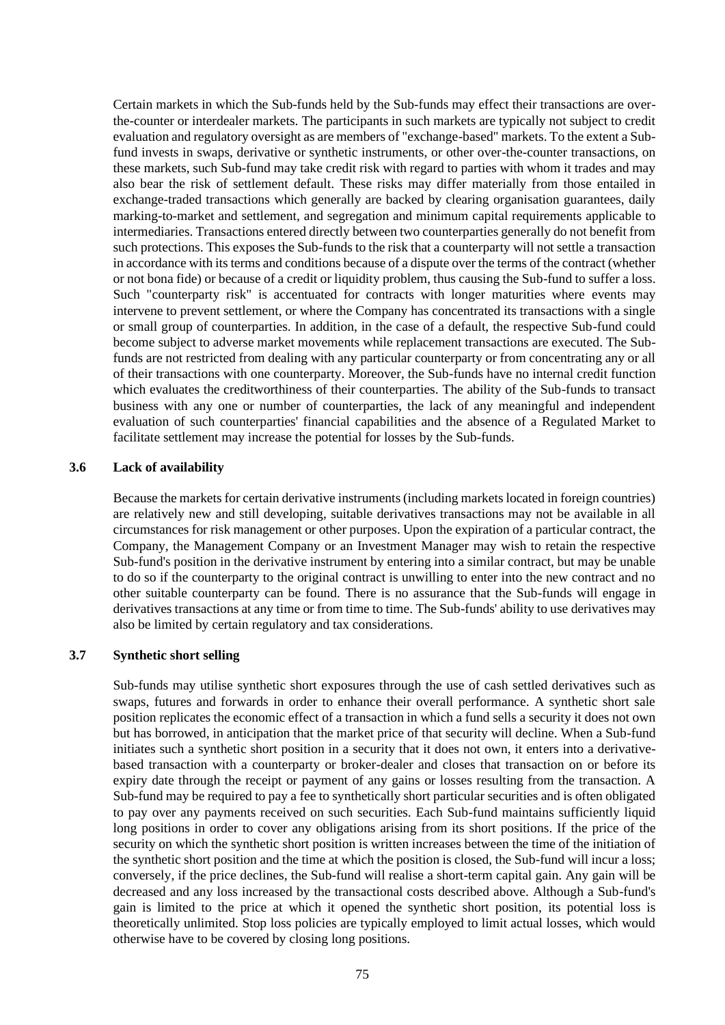Certain markets in which the Sub-funds held by the Sub-funds may effect their transactions are overthe-counter or interdealer markets. The participants in such markets are typically not subject to credit evaluation and regulatory oversight as are members of "exchange-based" markets. To the extent a Subfund invests in swaps, derivative or synthetic instruments, or other over-the-counter transactions, on these markets, such Sub-fund may take credit risk with regard to parties with whom it trades and may also bear the risk of settlement default. These risks may differ materially from those entailed in exchange-traded transactions which generally are backed by clearing organisation guarantees, daily marking-to-market and settlement, and segregation and minimum capital requirements applicable to intermediaries. Transactions entered directly between two counterparties generally do not benefit from such protections. This exposes the Sub-funds to the risk that a counterparty will not settle a transaction in accordance with its terms and conditions because of a dispute over the terms of the contract (whether or not bona fide) or because of a credit or liquidity problem, thus causing the Sub-fund to suffer a loss. Such "counterparty risk" is accentuated for contracts with longer maturities where events may intervene to prevent settlement, or where the Company has concentrated its transactions with a single or small group of counterparties. In addition, in the case of a default, the respective Sub-fund could become subject to adverse market movements while replacement transactions are executed. The Subfunds are not restricted from dealing with any particular counterparty or from concentrating any or all of their transactions with one counterparty. Moreover, the Sub-funds have no internal credit function which evaluates the creditworthiness of their counterparties. The ability of the Sub-funds to transact business with any one or number of counterparties, the lack of any meaningful and independent evaluation of such counterparties' financial capabilities and the absence of a Regulated Market to facilitate settlement may increase the potential for losses by the Sub-funds.

#### **3.6 Lack of availability**

Because the markets for certain derivative instruments (including markets located in foreign countries) are relatively new and still developing, suitable derivatives transactions may not be available in all circumstances for risk management or other purposes. Upon the expiration of a particular contract, the Company, the Management Company or an Investment Manager may wish to retain the respective Sub-fund's position in the derivative instrument by entering into a similar contract, but may be unable to do so if the counterparty to the original contract is unwilling to enter into the new contract and no other suitable counterparty can be found. There is no assurance that the Sub-funds will engage in derivatives transactions at any time or from time to time. The Sub-funds' ability to use derivatives may also be limited by certain regulatory and tax considerations.

### **3.7 Synthetic short selling**

Sub-funds may utilise synthetic short exposures through the use of cash settled derivatives such as swaps, futures and forwards in order to enhance their overall performance. A synthetic short sale position replicates the economic effect of a transaction in which a fund sells a security it does not own but has borrowed, in anticipation that the market price of that security will decline. When a Sub-fund initiates such a synthetic short position in a security that it does not own, it enters into a derivativebased transaction with a counterparty or broker-dealer and closes that transaction on or before its expiry date through the receipt or payment of any gains or losses resulting from the transaction. A Sub-fund may be required to pay a fee to synthetically short particular securities and is often obligated to pay over any payments received on such securities. Each Sub-fund maintains sufficiently liquid long positions in order to cover any obligations arising from its short positions. If the price of the security on which the synthetic short position is written increases between the time of the initiation of the synthetic short position and the time at which the position is closed, the Sub-fund will incur a loss; conversely, if the price declines, the Sub-fund will realise a short-term capital gain. Any gain will be decreased and any loss increased by the transactional costs described above. Although a Sub-fund's gain is limited to the price at which it opened the synthetic short position, its potential loss is theoretically unlimited. Stop loss policies are typically employed to limit actual losses, which would otherwise have to be covered by closing long positions.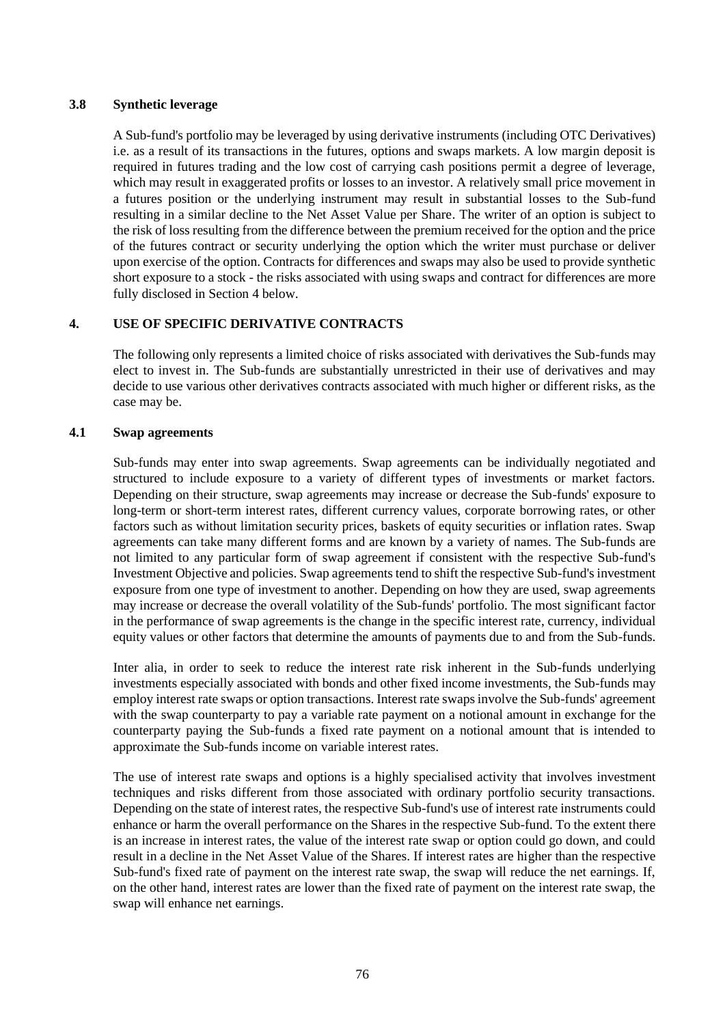#### **3.8 Synthetic leverage**

A Sub-fund's portfolio may be leveraged by using derivative instruments (including OTC Derivatives) i.e. as a result of its transactions in the futures, options and swaps markets. A low margin deposit is required in futures trading and the low cost of carrying cash positions permit a degree of leverage, which may result in exaggerated profits or losses to an investor. A relatively small price movement in a futures position or the underlying instrument may result in substantial losses to the Sub-fund resulting in a similar decline to the Net Asset Value per Share. The writer of an option is subject to the risk of loss resulting from the difference between the premium received for the option and the price of the futures contract or security underlying the option which the writer must purchase or deliver upon exercise of the option. Contracts for differences and swaps may also be used to provide synthetic short exposure to a stock - the risks associated with using swaps and contract for differences are more fully disclosed in Section [4 below.](#page-75-0)

## <span id="page-75-0"></span>**4. USE OF SPECIFIC DERIVATIVE CONTRACTS**

The following only represents a limited choice of risks associated with derivatives the Sub-funds may elect to invest in. The Sub-funds are substantially unrestricted in their use of derivatives and may decide to use various other derivatives contracts associated with much higher or different risks, as the case may be.

## **4.1 Swap agreements**

Sub-funds may enter into swap agreements. Swap agreements can be individually negotiated and structured to include exposure to a variety of different types of investments or market factors. Depending on their structure, swap agreements may increase or decrease the Sub-funds' exposure to long-term or short-term interest rates, different currency values, corporate borrowing rates, or other factors such as without limitation security prices, baskets of equity securities or inflation rates. Swap agreements can take many different forms and are known by a variety of names. The Sub-funds are not limited to any particular form of swap agreement if consistent with the respective Sub-fund's Investment Objective and policies. Swap agreements tend to shift the respective Sub-fund's investment exposure from one type of investment to another. Depending on how they are used, swap agreements may increase or decrease the overall volatility of the Sub-funds' portfolio. The most significant factor in the performance of swap agreements is the change in the specific interest rate, currency, individual equity values or other factors that determine the amounts of payments due to and from the Sub-funds.

Inter alia, in order to seek to reduce the interest rate risk inherent in the Sub-funds underlying investments especially associated with bonds and other fixed income investments, the Sub-funds may employ interest rate swaps or option transactions. Interest rate swaps involve the Sub-funds' agreement with the swap counterparty to pay a variable rate payment on a notional amount in exchange for the counterparty paying the Sub-funds a fixed rate payment on a notional amount that is intended to approximate the Sub-funds income on variable interest rates.

The use of interest rate swaps and options is a highly specialised activity that involves investment techniques and risks different from those associated with ordinary portfolio security transactions. Depending on the state of interest rates, the respective Sub-fund's use of interest rate instruments could enhance or harm the overall performance on the Shares in the respective Sub-fund. To the extent there is an increase in interest rates, the value of the interest rate swap or option could go down, and could result in a decline in the Net Asset Value of the Shares. If interest rates are higher than the respective Sub-fund's fixed rate of payment on the interest rate swap, the swap will reduce the net earnings. If, on the other hand, interest rates are lower than the fixed rate of payment on the interest rate swap, the swap will enhance net earnings.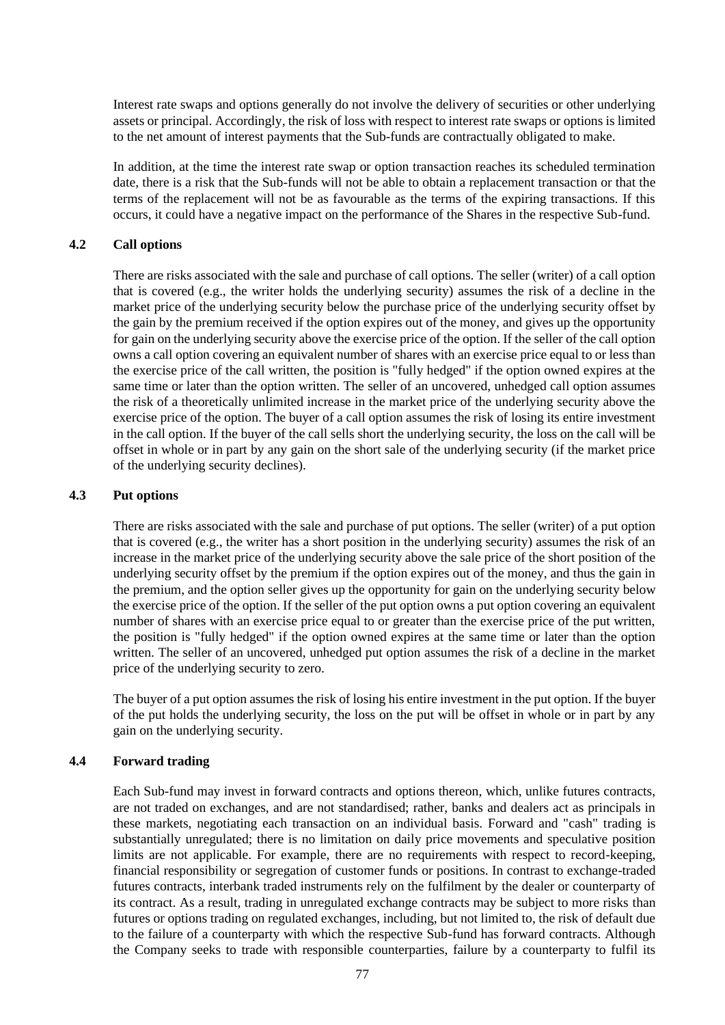Interest rate swaps and options generally do not involve the delivery of securities or other underlying assets or principal. Accordingly, the risk of loss with respect to interest rate swaps or options is limited to the net amount of interest payments that the Sub-funds are contractually obligated to make.

In addition, at the time the interest rate swap or option transaction reaches its scheduled termination date, there is a risk that the Sub-funds will not be able to obtain a replacement transaction or that the terms of the replacement will not be as favourable as the terms of the expiring transactions. If this occurs, it could have a negative impact on the performance of the Shares in the respective Sub-fund.

#### **4.2 Call options**

There are risks associated with the sale and purchase of call options. The seller (writer) of a call option that is covered (e.g., the writer holds the underlying security) assumes the risk of a decline in the market price of the underlying security below the purchase price of the underlying security offset by the gain by the premium received if the option expires out of the money, and gives up the opportunity for gain on the underlying security above the exercise price of the option. If the seller of the call option owns a call option covering an equivalent number of shares with an exercise price equal to or less than the exercise price of the call written, the position is "fully hedged" if the option owned expires at the same time or later than the option written. The seller of an uncovered, unhedged call option assumes the risk of a theoretically unlimited increase in the market price of the underlying security above the exercise price of the option. The buyer of a call option assumes the risk of losing its entire investment in the call option. If the buyer of the call sells short the underlying security, the loss on the call will be offset in whole or in part by any gain on the short sale of the underlying security (if the market price of the underlying security declines).

#### **4.3 Put options**

There are risks associated with the sale and purchase of put options. The seller (writer) of a put option that is covered (e.g., the writer has a short position in the underlying security) assumes the risk of an increase in the market price of the underlying security above the sale price of the short position of the underlying security offset by the premium if the option expires out of the money, and thus the gain in the premium, and the option seller gives up the opportunity for gain on the underlying security below the exercise price of the option. If the seller of the put option owns a put option covering an equivalent number of shares with an exercise price equal to or greater than the exercise price of the put written, the position is "fully hedged" if the option owned expires at the same time or later than the option written. The seller of an uncovered, unhedged put option assumes the risk of a decline in the market price of the underlying security to zero.

The buyer of a put option assumes the risk of losing his entire investment in the put option. If the buyer of the put holds the underlying security, the loss on the put will be offset in whole or in part by any gain on the underlying security.

#### **4.4 Forward trading**

Each Sub-fund may invest in forward contracts and options thereon, which, unlike futures contracts, are not traded on exchanges, and are not standardised; rather, banks and dealers act as principals in these markets, negotiating each transaction on an individual basis. Forward and "cash" trading is substantially unregulated; there is no limitation on daily price movements and speculative position limits are not applicable. For example, there are no requirements with respect to record-keeping, financial responsibility or segregation of customer funds or positions. In contrast to exchange-traded futures contracts, interbank traded instruments rely on the fulfilment by the dealer or counterparty of its contract. As a result, trading in unregulated exchange contracts may be subject to more risks than futures or options trading on regulated exchanges, including, but not limited to, the risk of default due to the failure of a counterparty with which the respective Sub-fund has forward contracts. Although the Company seeks to trade with responsible counterparties, failure by a counterparty to fulfil its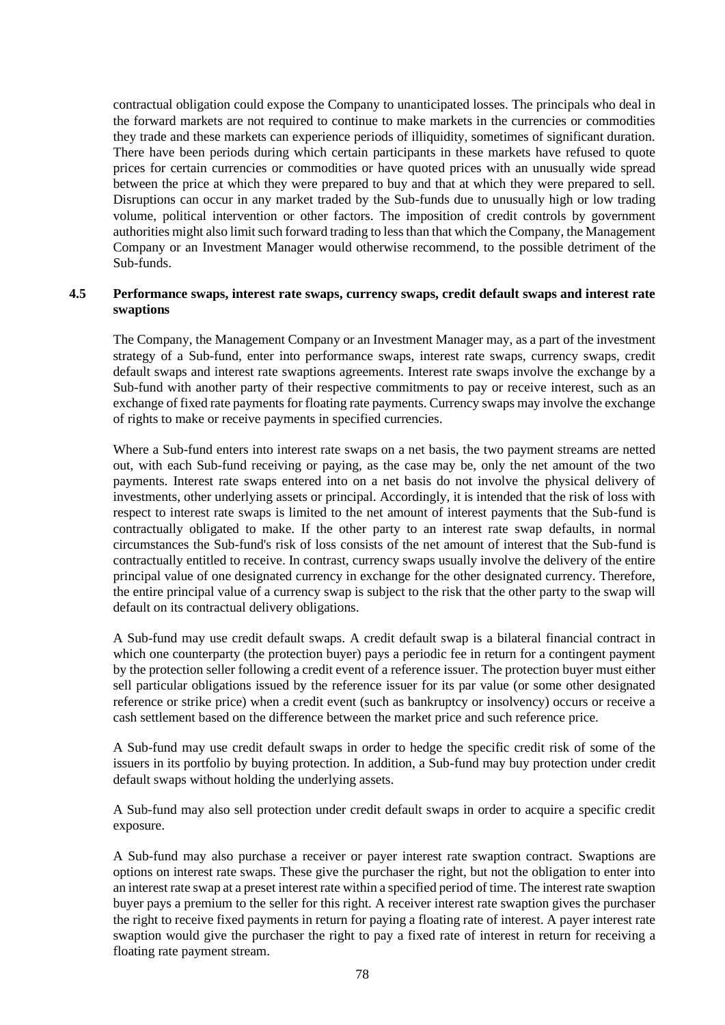contractual obligation could expose the Company to unanticipated losses. The principals who deal in the forward markets are not required to continue to make markets in the currencies or commodities they trade and these markets can experience periods of illiquidity, sometimes of significant duration. There have been periods during which certain participants in these markets have refused to quote prices for certain currencies or commodities or have quoted prices with an unusually wide spread between the price at which they were prepared to buy and that at which they were prepared to sell. Disruptions can occur in any market traded by the Sub-funds due to unusually high or low trading volume, political intervention or other factors. The imposition of credit controls by government authorities might also limit such forward trading to less than that which the Company, the Management Company or an Investment Manager would otherwise recommend, to the possible detriment of the Sub-funds.

## **4.5 Performance swaps, interest rate swaps, currency swaps, credit default swaps and interest rate swaptions**

The Company, the Management Company or an Investment Manager may, as a part of the investment strategy of a Sub-fund, enter into performance swaps, interest rate swaps, currency swaps, credit default swaps and interest rate swaptions agreements. Interest rate swaps involve the exchange by a Sub-fund with another party of their respective commitments to pay or receive interest, such as an exchange of fixed rate payments for floating rate payments. Currency swaps may involve the exchange of rights to make or receive payments in specified currencies.

Where a Sub-fund enters into interest rate swaps on a net basis, the two payment streams are netted out, with each Sub-fund receiving or paying, as the case may be, only the net amount of the two payments. Interest rate swaps entered into on a net basis do not involve the physical delivery of investments, other underlying assets or principal. Accordingly, it is intended that the risk of loss with respect to interest rate swaps is limited to the net amount of interest payments that the Sub-fund is contractually obligated to make. If the other party to an interest rate swap defaults, in normal circumstances the Sub-fund's risk of loss consists of the net amount of interest that the Sub-fund is contractually entitled to receive. In contrast, currency swaps usually involve the delivery of the entire principal value of one designated currency in exchange for the other designated currency. Therefore, the entire principal value of a currency swap is subject to the risk that the other party to the swap will default on its contractual delivery obligations.

A Sub-fund may use credit default swaps. A credit default swap is a bilateral financial contract in which one counterparty (the protection buyer) pays a periodic fee in return for a contingent payment by the protection seller following a credit event of a reference issuer. The protection buyer must either sell particular obligations issued by the reference issuer for its par value (or some other designated reference or strike price) when a credit event (such as bankruptcy or insolvency) occurs or receive a cash settlement based on the difference between the market price and such reference price.

A Sub-fund may use credit default swaps in order to hedge the specific credit risk of some of the issuers in its portfolio by buying protection. In addition, a Sub-fund may buy protection under credit default swaps without holding the underlying assets.

A Sub-fund may also sell protection under credit default swaps in order to acquire a specific credit exposure.

A Sub-fund may also purchase a receiver or payer interest rate swaption contract. Swaptions are options on interest rate swaps. These give the purchaser the right, but not the obligation to enter into an interest rate swap at a preset interest rate within a specified period of time. The interest rate swaption buyer pays a premium to the seller for this right. A receiver interest rate swaption gives the purchaser the right to receive fixed payments in return for paying a floating rate of interest. A payer interest rate swaption would give the purchaser the right to pay a fixed rate of interest in return for receiving a floating rate payment stream.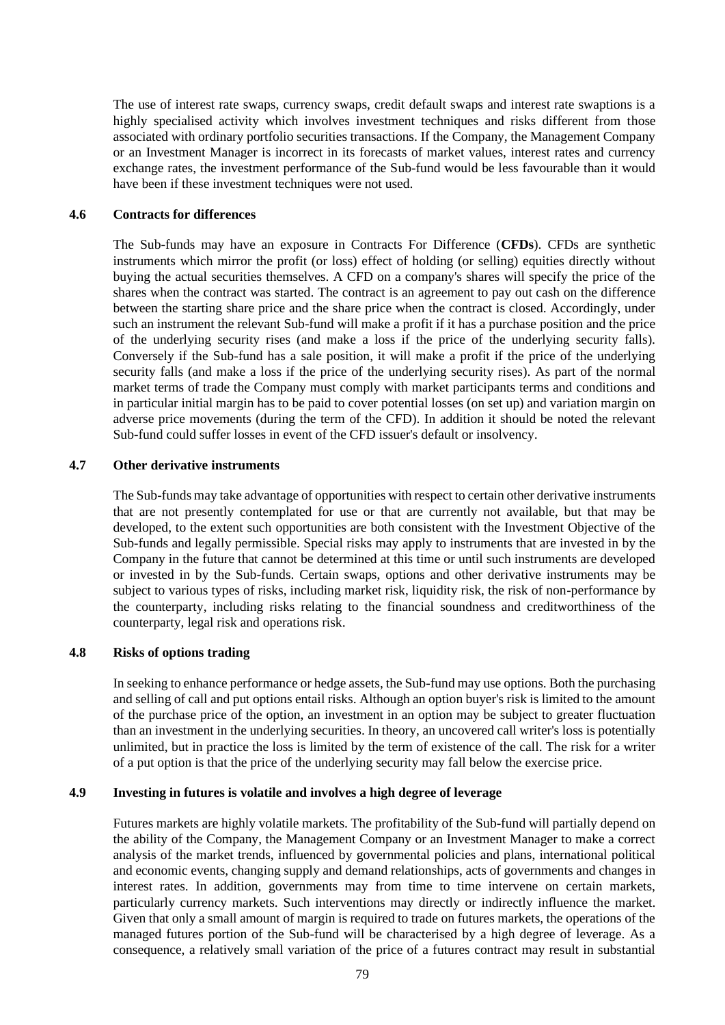The use of interest rate swaps, currency swaps, credit default swaps and interest rate swaptions is a highly specialised activity which involves investment techniques and risks different from those associated with ordinary portfolio securities transactions. If the Company, the Management Company or an Investment Manager is incorrect in its forecasts of market values, interest rates and currency exchange rates, the investment performance of the Sub-fund would be less favourable than it would have been if these investment techniques were not used.

#### **4.6 Contracts for differences**

The Sub-funds may have an exposure in Contracts For Difference (**CFDs**). CFDs are synthetic instruments which mirror the profit (or loss) effect of holding (or selling) equities directly without buying the actual securities themselves. A CFD on a company's shares will specify the price of the shares when the contract was started. The contract is an agreement to pay out cash on the difference between the starting share price and the share price when the contract is closed. Accordingly, under such an instrument the relevant Sub-fund will make a profit if it has a purchase position and the price of the underlying security rises (and make a loss if the price of the underlying security falls). Conversely if the Sub-fund has a sale position, it will make a profit if the price of the underlying security falls (and make a loss if the price of the underlying security rises). As part of the normal market terms of trade the Company must comply with market participants terms and conditions and in particular initial margin has to be paid to cover potential losses (on set up) and variation margin on adverse price movements (during the term of the CFD). In addition it should be noted the relevant Sub-fund could suffer losses in event of the CFD issuer's default or insolvency.

#### **4.7 Other derivative instruments**

The Sub-funds may take advantage of opportunities with respect to certain other derivative instruments that are not presently contemplated for use or that are currently not available, but that may be developed, to the extent such opportunities are both consistent with the Investment Objective of the Sub-funds and legally permissible. Special risks may apply to instruments that are invested in by the Company in the future that cannot be determined at this time or until such instruments are developed or invested in by the Sub-funds. Certain swaps, options and other derivative instruments may be subject to various types of risks, including market risk, liquidity risk, the risk of non-performance by the counterparty, including risks relating to the financial soundness and creditworthiness of the counterparty, legal risk and operations risk.

## **4.8 Risks of options trading**

In seeking to enhance performance or hedge assets, the Sub-fund may use options. Both the purchasing and selling of call and put options entail risks. Although an option buyer's risk is limited to the amount of the purchase price of the option, an investment in an option may be subject to greater fluctuation than an investment in the underlying securities. In theory, an uncovered call writer's loss is potentially unlimited, but in practice the loss is limited by the term of existence of the call. The risk for a writer of a put option is that the price of the underlying security may fall below the exercise price.

#### **4.9 Investing in futures is volatile and involves a high degree of leverage**

Futures markets are highly volatile markets. The profitability of the Sub-fund will partially depend on the ability of the Company, the Management Company or an Investment Manager to make a correct analysis of the market trends, influenced by governmental policies and plans, international political and economic events, changing supply and demand relationships, acts of governments and changes in interest rates. In addition, governments may from time to time intervene on certain markets, particularly currency markets. Such interventions may directly or indirectly influence the market. Given that only a small amount of margin is required to trade on futures markets, the operations of the managed futures portion of the Sub-fund will be characterised by a high degree of leverage. As a consequence, a relatively small variation of the price of a futures contract may result in substantial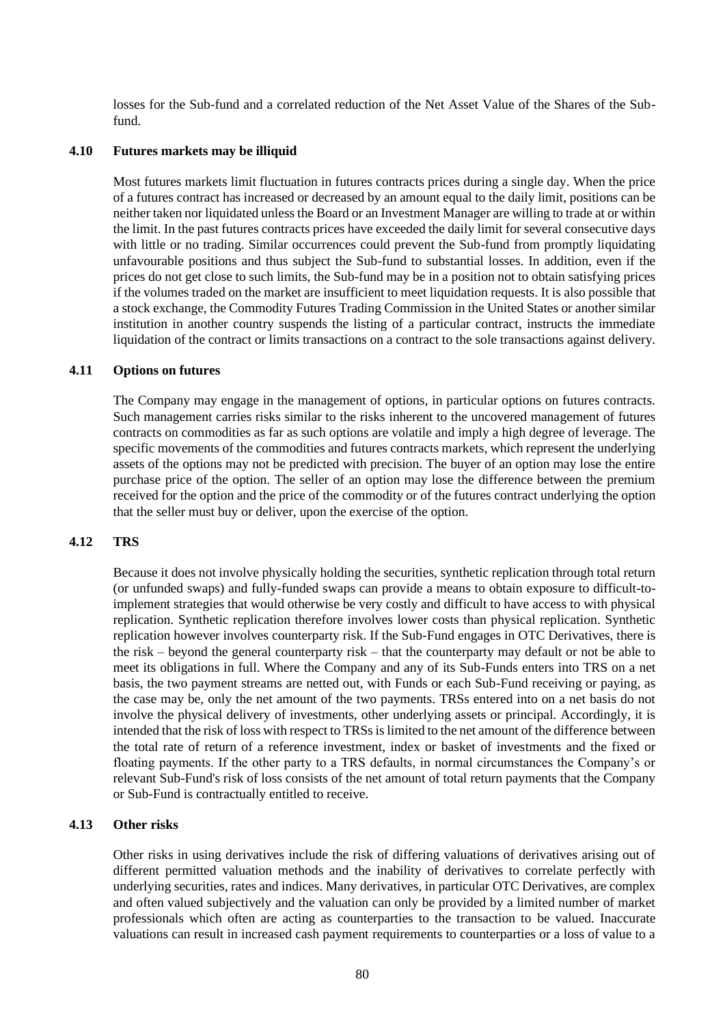losses for the Sub-fund and a correlated reduction of the Net Asset Value of the Shares of the Subfund.

#### **4.10 Futures markets may be illiquid**

Most futures markets limit fluctuation in futures contracts prices during a single day. When the price of a futures contract has increased or decreased by an amount equal to the daily limit, positions can be neither taken nor liquidated unless the Board or an Investment Manager are willing to trade at or within the limit. In the past futures contracts prices have exceeded the daily limit for several consecutive days with little or no trading. Similar occurrences could prevent the Sub-fund from promptly liquidating unfavourable positions and thus subject the Sub-fund to substantial losses. In addition, even if the prices do not get close to such limits, the Sub-fund may be in a position not to obtain satisfying prices if the volumes traded on the market are insufficient to meet liquidation requests. It is also possible that a stock exchange, the Commodity Futures Trading Commission in the United States or another similar institution in another country suspends the listing of a particular contract, instructs the immediate liquidation of the contract or limits transactions on a contract to the sole transactions against delivery.

#### **4.11 Options on futures**

The Company may engage in the management of options, in particular options on futures contracts. Such management carries risks similar to the risks inherent to the uncovered management of futures contracts on commodities as far as such options are volatile and imply a high degree of leverage. The specific movements of the commodities and futures contracts markets, which represent the underlying assets of the options may not be predicted with precision. The buyer of an option may lose the entire purchase price of the option. The seller of an option may lose the difference between the premium received for the option and the price of the commodity or of the futures contract underlying the option that the seller must buy or deliver, upon the exercise of the option.

## **4.12 TRS**

Because it does not involve physically holding the securities, synthetic replication through total return (or unfunded swaps) and fully-funded swaps can provide a means to obtain exposure to difficult-toimplement strategies that would otherwise be very costly and difficult to have access to with physical replication. Synthetic replication therefore involves lower costs than physical replication. Synthetic replication however involves counterparty risk. If the Sub-Fund engages in OTC Derivatives, there is the risk – beyond the general counterparty risk – that the counterparty may default or not be able to meet its obligations in full. Where the Company and any of its Sub-Funds enters into TRS on a net basis, the two payment streams are netted out, with Funds or each Sub-Fund receiving or paying, as the case may be, only the net amount of the two payments. TRSs entered into on a net basis do not involve the physical delivery of investments, other underlying assets or principal. Accordingly, it is intended that the risk of loss with respect to TRSs is limited to the net amount of the difference between the total rate of return of a reference investment, index or basket of investments and the fixed or floating payments. If the other party to a TRS defaults, in normal circumstances the Company's or relevant Sub-Fund's risk of loss consists of the net amount of total return payments that the Company or Sub-Fund is contractually entitled to receive.

## **4.13 Other risks**

Other risks in using derivatives include the risk of differing valuations of derivatives arising out of different permitted valuation methods and the inability of derivatives to correlate perfectly with underlying securities, rates and indices. Many derivatives, in particular OTC Derivatives, are complex and often valued subjectively and the valuation can only be provided by a limited number of market professionals which often are acting as counterparties to the transaction to be valued. Inaccurate valuations can result in increased cash payment requirements to counterparties or a loss of value to a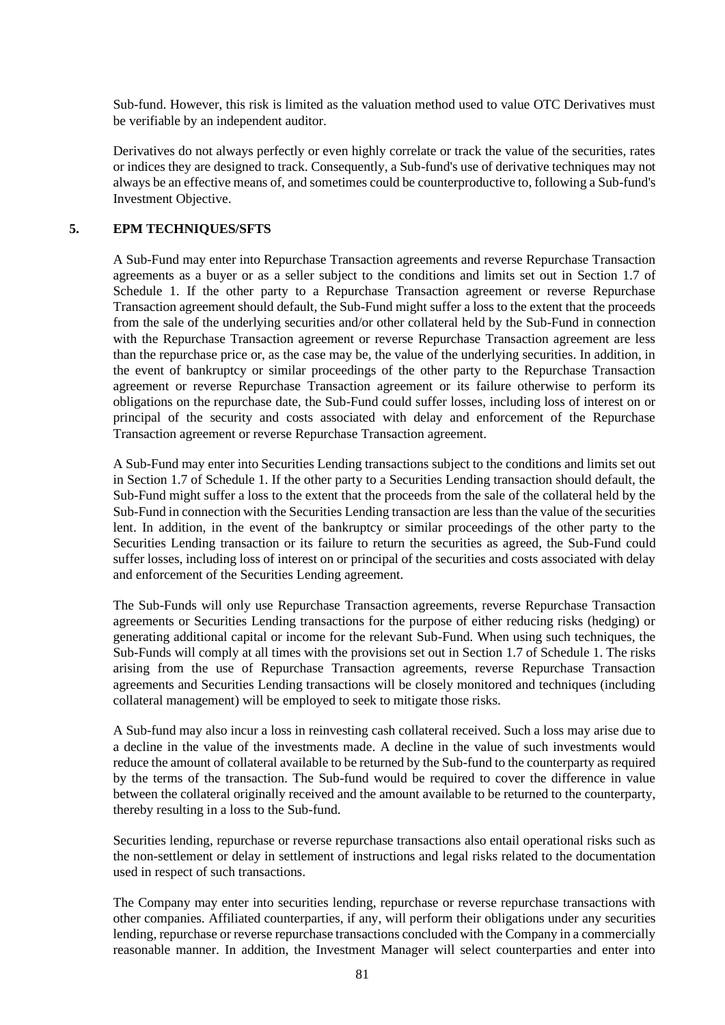Sub-fund. However, this risk is limited as the valuation method used to value OTC Derivatives must be verifiable by an independent auditor.

Derivatives do not always perfectly or even highly correlate or track the value of the securities, rates or indices they are designed to track. Consequently, a Sub-fund's use of derivative techniques may not always be an effective means of, and sometimes could be counterproductive to, following a Sub-fund's Investment Objective.

#### **5. EPM TECHNIQUES/SFTS**

A Sub-Fund may enter into Repurchase Transaction agreements and reverse Repurchase Transaction agreements as a buyer or as a seller subject to the conditions and limits set out in Section [1.7](#page-63-0) of [Schedule 1.](#page-58-0) If the other party to a Repurchase Transaction agreement or reverse Repurchase Transaction agreement should default, the Sub-Fund might suffer a loss to the extent that the proceeds from the sale of the underlying securities and/or other collateral held by the Sub-Fund in connection with the Repurchase Transaction agreement or reverse Repurchase Transaction agreement are less than the repurchase price or, as the case may be, the value of the underlying securities. In addition, in the event of bankruptcy or similar proceedings of the other party to the Repurchase Transaction agreement or reverse Repurchase Transaction agreement or its failure otherwise to perform its obligations on the repurchase date, the Sub-Fund could suffer losses, including loss of interest on or principal of the security and costs associated with delay and enforcement of the Repurchase Transaction agreement or reverse Repurchase Transaction agreement.

A Sub-Fund may enter into Securities Lending transactions subject to the conditions and limits set out in Section [1.7](#page-63-0) of [Schedule 1.](#page-58-0) If the other party to a Securities Lending transaction should default, the Sub-Fund might suffer a loss to the extent that the proceeds from the sale of the collateral held by the Sub-Fund in connection with the Securities Lending transaction are less than the value of the securities lent. In addition, in the event of the bankruptcy or similar proceedings of the other party to the Securities Lending transaction or its failure to return the securities as agreed, the Sub-Fund could suffer losses, including loss of interest on or principal of the securities and costs associated with delay and enforcement of the Securities Lending agreement.

The Sub-Funds will only use Repurchase Transaction agreements, reverse Repurchase Transaction agreements or Securities Lending transactions for the purpose of either reducing risks (hedging) or generating additional capital or income for the relevant Sub-Fund. When using such techniques, the Sub-Funds will comply at all times with the provisions set out in Section [1.7](#page-63-0) of [Schedule 1.](#page-58-0) The risks arising from the use of Repurchase Transaction agreements, reverse Repurchase Transaction agreements and Securities Lending transactions will be closely monitored and techniques (including collateral management) will be employed to seek to mitigate those risks.

A Sub-fund may also incur a loss in reinvesting cash collateral received. Such a loss may arise due to a decline in the value of the investments made. A decline in the value of such investments would reduce the amount of collateral available to be returned by the Sub-fund to the counterparty as required by the terms of the transaction. The Sub-fund would be required to cover the difference in value between the collateral originally received and the amount available to be returned to the counterparty, thereby resulting in a loss to the Sub-fund.

Securities lending, repurchase or reverse repurchase transactions also entail operational risks such as the non-settlement or delay in settlement of instructions and legal risks related to the documentation used in respect of such transactions.

The Company may enter into securities lending, repurchase or reverse repurchase transactions with other companies. Affiliated counterparties, if any, will perform their obligations under any securities lending, repurchase or reverse repurchase transactions concluded with the Company in a commercially reasonable manner. In addition, the Investment Manager will select counterparties and enter into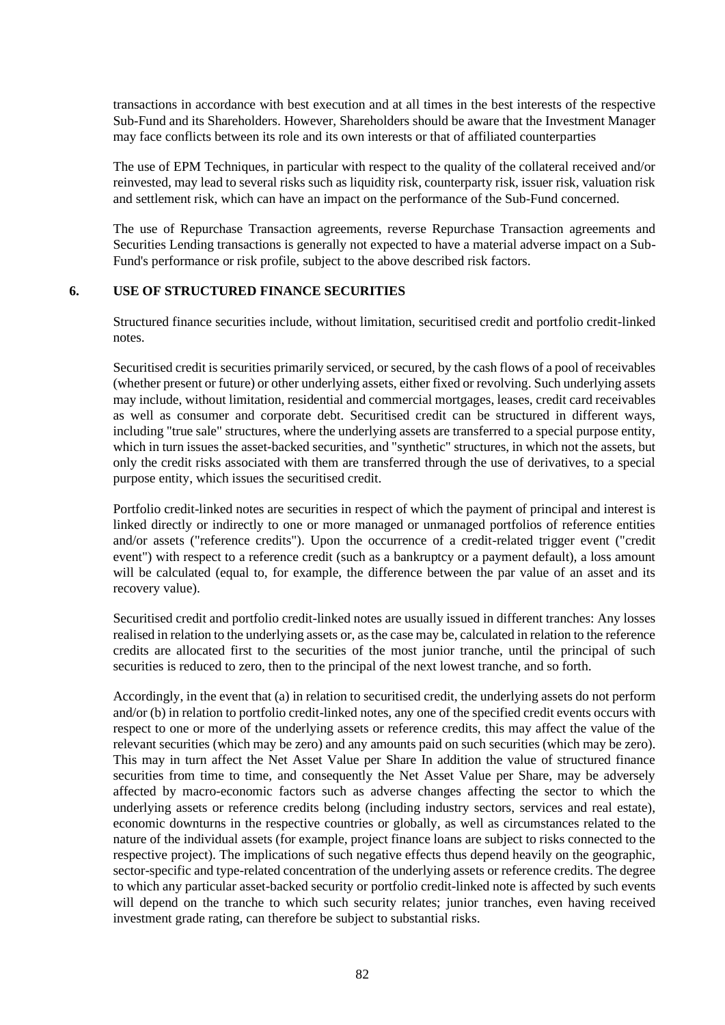transactions in accordance with best execution and at all times in the best interests of the respective Sub-Fund and its Shareholders. However, Shareholders should be aware that the Investment Manager may face conflicts between its role and its own interests or that of affiliated counterparties

The use of EPM Techniques, in particular with respect to the quality of the collateral received and/or reinvested, may lead to several risks such as liquidity risk, counterparty risk, issuer risk, valuation risk and settlement risk, which can have an impact on the performance of the Sub-Fund concerned.

The use of Repurchase Transaction agreements, reverse Repurchase Transaction agreements and Securities Lending transactions is generally not expected to have a material adverse impact on a Sub-Fund's performance or risk profile, subject to the above described risk factors.

#### **6. USE OF STRUCTURED FINANCE SECURITIES**

Structured finance securities include, without limitation, securitised credit and portfolio credit-linked notes.

Securitised credit is securities primarily serviced, or secured, by the cash flows of a pool of receivables (whether present or future) or other underlying assets, either fixed or revolving. Such underlying assets may include, without limitation, residential and commercial mortgages, leases, credit card receivables as well as consumer and corporate debt. Securitised credit can be structured in different ways, including "true sale" structures, where the underlying assets are transferred to a special purpose entity, which in turn issues the asset-backed securities, and "synthetic" structures, in which not the assets, but only the credit risks associated with them are transferred through the use of derivatives, to a special purpose entity, which issues the securitised credit.

Portfolio credit-linked notes are securities in respect of which the payment of principal and interest is linked directly or indirectly to one or more managed or unmanaged portfolios of reference entities and/or assets ("reference credits"). Upon the occurrence of a credit-related trigger event ("credit event") with respect to a reference credit (such as a bankruptcy or a payment default), a loss amount will be calculated (equal to, for example, the difference between the par value of an asset and its recovery value).

Securitised credit and portfolio credit-linked notes are usually issued in different tranches: Any losses realised in relation to the underlying assets or, as the case may be, calculated in relation to the reference credits are allocated first to the securities of the most junior tranche, until the principal of such securities is reduced to zero, then to the principal of the next lowest tranche, and so forth.

Accordingly, in the event that (a) in relation to securitised credit, the underlying assets do not perform and/or (b) in relation to portfolio credit-linked notes, any one of the specified credit events occurs with respect to one or more of the underlying assets or reference credits, this may affect the value of the relevant securities (which may be zero) and any amounts paid on such securities (which may be zero). This may in turn affect the Net Asset Value per Share In addition the value of structured finance securities from time to time, and consequently the Net Asset Value per Share, may be adversely affected by macro-economic factors such as adverse changes affecting the sector to which the underlying assets or reference credits belong (including industry sectors, services and real estate), economic downturns in the respective countries or globally, as well as circumstances related to the nature of the individual assets (for example, project finance loans are subject to risks connected to the respective project). The implications of such negative effects thus depend heavily on the geographic, sector-specific and type-related concentration of the underlying assets or reference credits. The degree to which any particular asset-backed security or portfolio credit-linked note is affected by such events will depend on the tranche to which such security relates; junior tranches, even having received investment grade rating, can therefore be subject to substantial risks.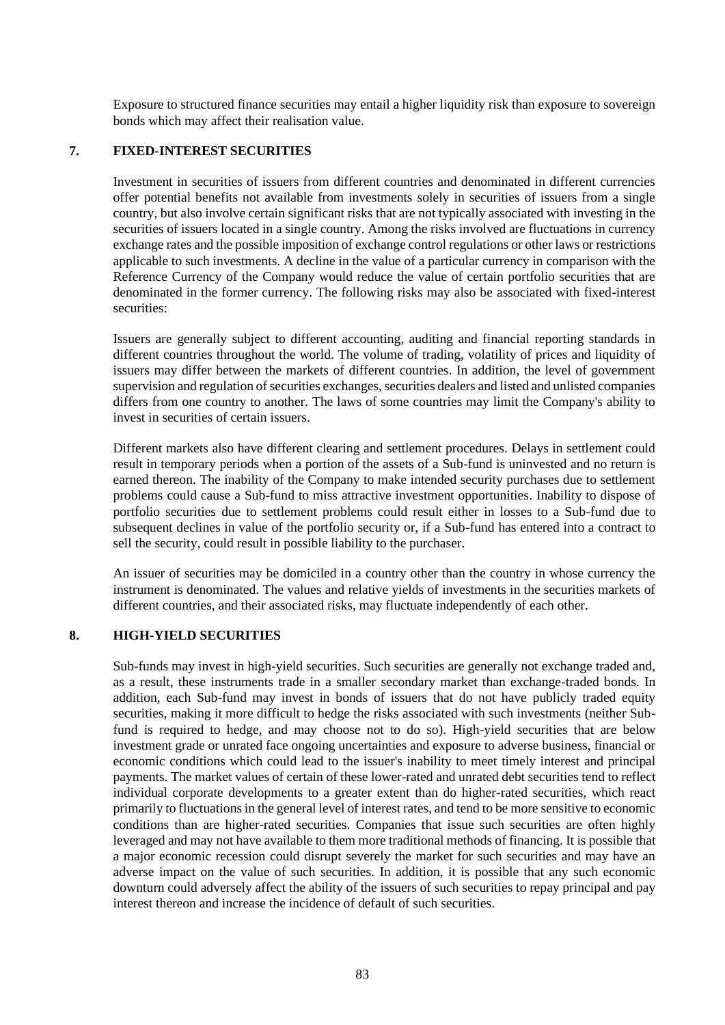Exposure to structured finance securities may entail a higher liquidity risk than exposure to sovereign bonds which may affect their realisation value.

#### **7. FIXED-INTEREST SECURITIES**

Investment in securities of issuers from different countries and denominated in different currencies offer potential benefits not available from investments solely in securities of issuers from a single country, but also involve certain significant risks that are not typically associated with investing in the securities of issuers located in a single country. Among the risks involved are fluctuations in currency exchange rates and the possible imposition of exchange control regulations or other laws or restrictions applicable to such investments. A decline in the value of a particular currency in comparison with the Reference Currency of the Company would reduce the value of certain portfolio securities that are denominated in the former currency. The following risks may also be associated with fixed-interest securities:

Issuers are generally subject to different accounting, auditing and financial reporting standards in different countries throughout the world. The volume of trading, volatility of prices and liquidity of issuers may differ between the markets of different countries. In addition, the level of government supervision and regulation of securities exchanges, securities dealers and listed and unlisted companies differs from one country to another. The laws of some countries may limit the Company's ability to invest in securities of certain issuers.

Different markets also have different clearing and settlement procedures. Delays in settlement could result in temporary periods when a portion of the assets of a Sub-fund is uninvested and no return is earned thereon. The inability of the Company to make intended security purchases due to settlement problems could cause a Sub-fund to miss attractive investment opportunities. Inability to dispose of portfolio securities due to settlement problems could result either in losses to a Sub-fund due to subsequent declines in value of the portfolio security or, if a Sub-fund has entered into a contract to sell the security, could result in possible liability to the purchaser.

An issuer of securities may be domiciled in a country other than the country in whose currency the instrument is denominated. The values and relative yields of investments in the securities markets of different countries, and their associated risks, may fluctuate independently of each other.

#### **8. HIGH-YIELD SECURITIES**

Sub-funds may invest in high-yield securities. Such securities are generally not exchange traded and, as a result, these instruments trade in a smaller secondary market than exchange-traded bonds. In addition, each Sub-fund may invest in bonds of issuers that do not have publicly traded equity securities, making it more difficult to hedge the risks associated with such investments (neither Subfund is required to hedge, and may choose not to do so). High-yield securities that are below investment grade or unrated face ongoing uncertainties and exposure to adverse business, financial or economic conditions which could lead to the issuer's inability to meet timely interest and principal payments. The market values of certain of these lower-rated and unrated debt securities tend to reflect individual corporate developments to a greater extent than do higher-rated securities, which react primarily to fluctuations in the general level of interest rates, and tend to be more sensitive to economic conditions than are higher-rated securities. Companies that issue such securities are often highly leveraged and may not have available to them more traditional methods of financing. It is possible that a major economic recession could disrupt severely the market for such securities and may have an adverse impact on the value of such securities. In addition, it is possible that any such economic downturn could adversely affect the ability of the issuers of such securities to repay principal and pay interest thereon and increase the incidence of default of such securities.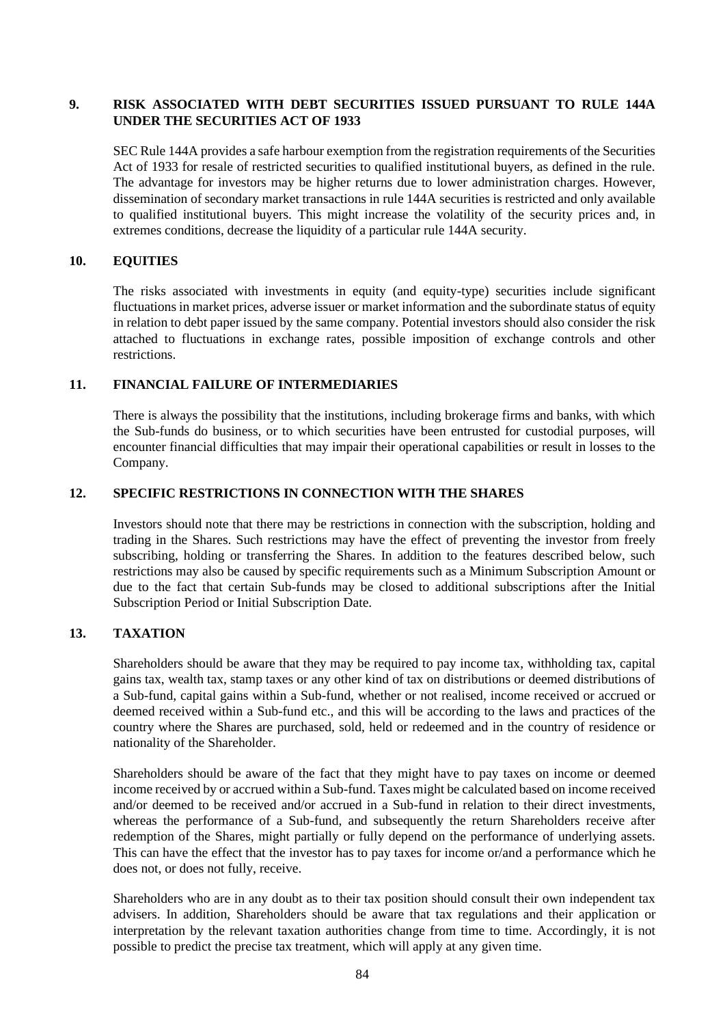## **9. RISK ASSOCIATED WITH DEBT SECURITIES ISSUED PURSUANT TO RULE 144A UNDER THE SECURITIES ACT OF 1933**

SEC Rule 144A provides a safe harbour exemption from the registration requirements of the Securities Act of 1933 for resale of restricted securities to qualified institutional buyers, as defined in the rule. The advantage for investors may be higher returns due to lower administration charges. However, dissemination of secondary market transactions in rule 144A securities is restricted and only available to qualified institutional buyers. This might increase the volatility of the security prices and, in extremes conditions, decrease the liquidity of a particular rule 144A security.

#### **10. EQUITIES**

The risks associated with investments in equity (and equity-type) securities include significant fluctuations in market prices, adverse issuer or market information and the subordinate status of equity in relation to debt paper issued by the same company. Potential investors should also consider the risk attached to fluctuations in exchange rates, possible imposition of exchange controls and other restrictions.

#### **11. FINANCIAL FAILURE OF INTERMEDIARIES**

There is always the possibility that the institutions, including brokerage firms and banks, with which the Sub-funds do business, or to which securities have been entrusted for custodial purposes, will encounter financial difficulties that may impair their operational capabilities or result in losses to the Company.

#### **12. SPECIFIC RESTRICTIONS IN CONNECTION WITH THE SHARES**

Investors should note that there may be restrictions in connection with the subscription, holding and trading in the Shares. Such restrictions may have the effect of preventing the investor from freely subscribing, holding or transferring the Shares. In addition to the features described below, such restrictions may also be caused by specific requirements such as a Minimum Subscription Amount or due to the fact that certain Sub-funds may be closed to additional subscriptions after the Initial Subscription Period or Initial Subscription Date.

## **13. TAXATION**

Shareholders should be aware that they may be required to pay income tax, withholding tax, capital gains tax, wealth tax, stamp taxes or any other kind of tax on distributions or deemed distributions of a Sub-fund, capital gains within a Sub-fund, whether or not realised, income received or accrued or deemed received within a Sub-fund etc., and this will be according to the laws and practices of the country where the Shares are purchased, sold, held or redeemed and in the country of residence or nationality of the Shareholder.

Shareholders should be aware of the fact that they might have to pay taxes on income or deemed income received by or accrued within a Sub-fund. Taxes might be calculated based on income received and/or deemed to be received and/or accrued in a Sub-fund in relation to their direct investments, whereas the performance of a Sub-fund, and subsequently the return Shareholders receive after redemption of the Shares, might partially or fully depend on the performance of underlying assets. This can have the effect that the investor has to pay taxes for income or/and a performance which he does not, or does not fully, receive.

Shareholders who are in any doubt as to their tax position should consult their own independent tax advisers. In addition, Shareholders should be aware that tax regulations and their application or interpretation by the relevant taxation authorities change from time to time. Accordingly, it is not possible to predict the precise tax treatment, which will apply at any given time.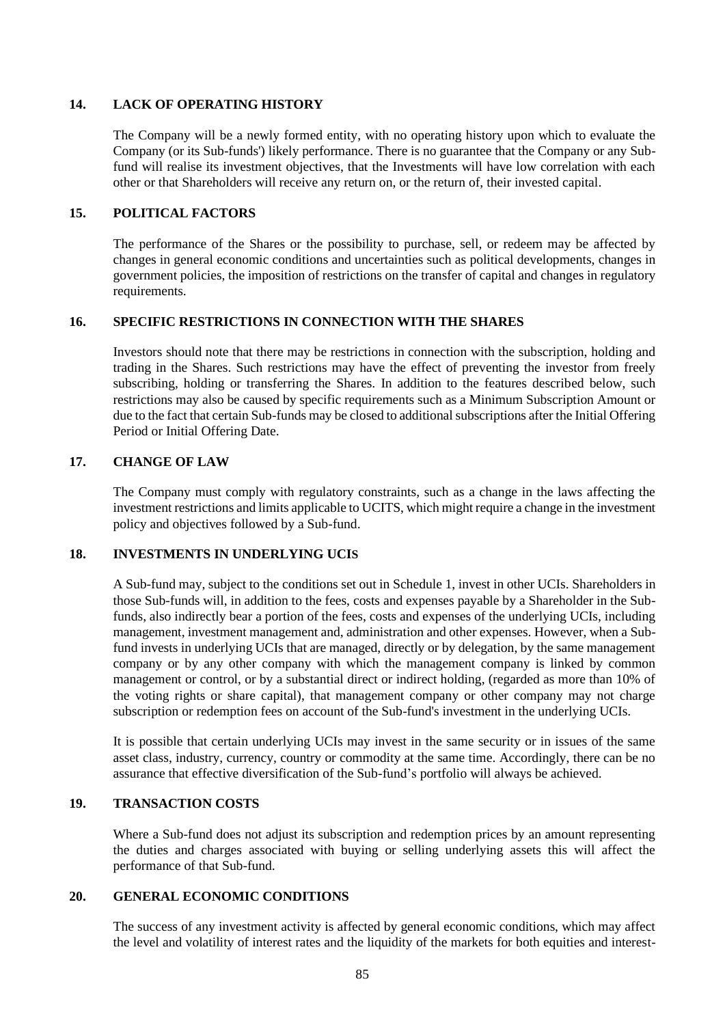## **14. LACK OF OPERATING HISTORY**

The Company will be a newly formed entity, with no operating history upon which to evaluate the Company (or its Sub-funds') likely performance. There is no guarantee that the Company or any Subfund will realise its investment objectives, that the Investments will have low correlation with each other or that Shareholders will receive any return on, or the return of, their invested capital.

## **15. POLITICAL FACTORS**

The performance of the Shares or the possibility to purchase, sell, or redeem may be affected by changes in general economic conditions and uncertainties such as political developments, changes in government policies, the imposition of restrictions on the transfer of capital and changes in regulatory requirements.

## **16. SPECIFIC RESTRICTIONS IN CONNECTION WITH THE SHARES**

Investors should note that there may be restrictions in connection with the subscription, holding and trading in the Shares. Such restrictions may have the effect of preventing the investor from freely subscribing, holding or transferring the Shares. In addition to the features described below, such restrictions may also be caused by specific requirements such as a Minimum Subscription Amount or due to the fact that certain Sub-funds may be closed to additional subscriptions after the Initial Offering Period or Initial Offering Date.

## **17. CHANGE OF LAW**

The Company must comply with regulatory constraints, such as a change in the laws affecting the investment restrictions and limits applicable to UCITS, which might require a change in the investment policy and objectives followed by a Sub-fund.

## **18. INVESTMENTS IN UNDERLYING UCIS**

A Sub-fund may, subject to the conditions set out i[n Schedule 1,](#page-58-0) invest in other UCIs. Shareholders in those Sub-funds will, in addition to the fees, costs and expenses payable by a Shareholder in the Subfunds, also indirectly bear a portion of the fees, costs and expenses of the underlying UCIs, including management, investment management and, administration and other expenses. However, when a Subfund invests in underlying UCIs that are managed, directly or by delegation, by the same management company or by any other company with which the management company is linked by common management or control, or by a substantial direct or indirect holding, (regarded as more than 10% of the voting rights or share capital), that management company or other company may not charge subscription or redemption fees on account of the Sub-fund's investment in the underlying UCIs.

It is possible that certain underlying UCIs may invest in the same security or in issues of the same asset class, industry, currency, country or commodity at the same time. Accordingly, there can be no assurance that effective diversification of the Sub-fund's portfolio will always be achieved.

## **19. TRANSACTION COSTS**

Where a Sub-fund does not adjust its subscription and redemption prices by an amount representing the duties and charges associated with buying or selling underlying assets this will affect the performance of that Sub-fund.

#### **20. GENERAL ECONOMIC CONDITIONS**

The success of any investment activity is affected by general economic conditions, which may affect the level and volatility of interest rates and the liquidity of the markets for both equities and interest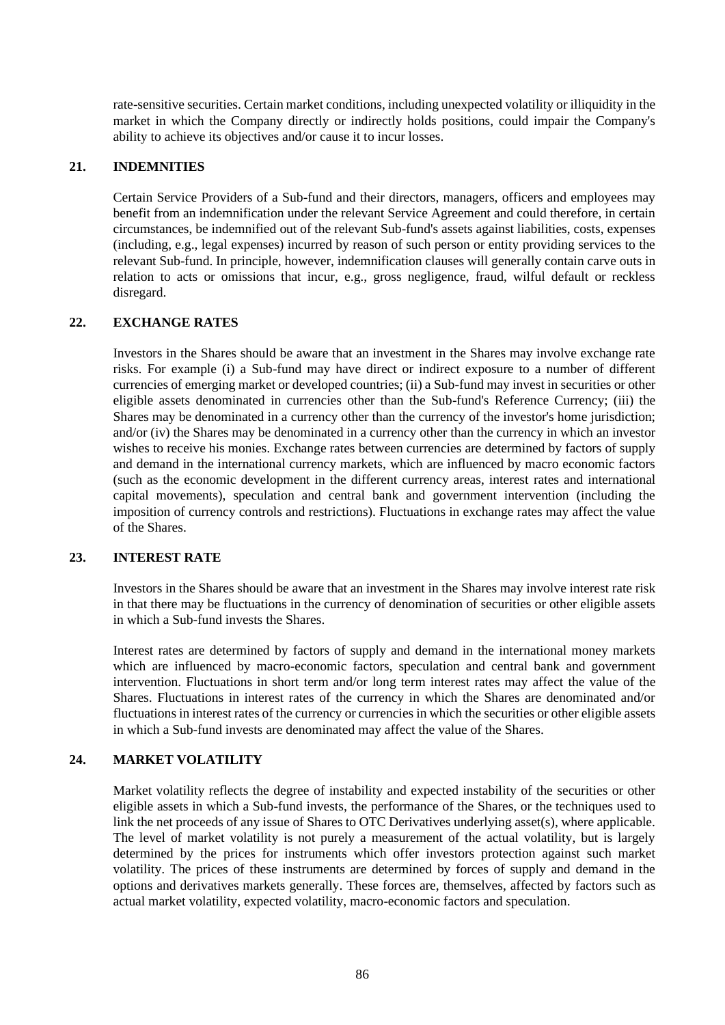rate-sensitive securities. Certain market conditions, including unexpected volatility or illiquidity in the market in which the Company directly or indirectly holds positions, could impair the Company's ability to achieve its objectives and/or cause it to incur losses.

## **21. INDEMNITIES**

Certain Service Providers of a Sub-fund and their directors, managers, officers and employees may benefit from an indemnification under the relevant Service Agreement and could therefore, in certain circumstances, be indemnified out of the relevant Sub-fund's assets against liabilities, costs, expenses (including, e.g., legal expenses) incurred by reason of such person or entity providing services to the relevant Sub-fund. In principle, however, indemnification clauses will generally contain carve outs in relation to acts or omissions that incur, e.g., gross negligence, fraud, wilful default or reckless disregard.

## **22. EXCHANGE RATES**

Investors in the Shares should be aware that an investment in the Shares may involve exchange rate risks. For example (i) a Sub-fund may have direct or indirect exposure to a number of different currencies of emerging market or developed countries; (ii) a Sub-fund may invest in securities or other eligible assets denominated in currencies other than the Sub-fund's Reference Currency; (iii) the Shares may be denominated in a currency other than the currency of the investor's home jurisdiction; and/or (iv) the Shares may be denominated in a currency other than the currency in which an investor wishes to receive his monies. Exchange rates between currencies are determined by factors of supply and demand in the international currency markets, which are influenced by macro economic factors (such as the economic development in the different currency areas, interest rates and international capital movements), speculation and central bank and government intervention (including the imposition of currency controls and restrictions). Fluctuations in exchange rates may affect the value of the Shares.

#### **23. INTEREST RATE**

Investors in the Shares should be aware that an investment in the Shares may involve interest rate risk in that there may be fluctuations in the currency of denomination of securities or other eligible assets in which a Sub-fund invests the Shares.

Interest rates are determined by factors of supply and demand in the international money markets which are influenced by macro-economic factors, speculation and central bank and government intervention. Fluctuations in short term and/or long term interest rates may affect the value of the Shares. Fluctuations in interest rates of the currency in which the Shares are denominated and/or fluctuations in interest rates of the currency or currencies in which the securities or other eligible assets in which a Sub-fund invests are denominated may affect the value of the Shares.

## **24. MARKET VOLATILITY**

Market volatility reflects the degree of instability and expected instability of the securities or other eligible assets in which a Sub-fund invests, the performance of the Shares, or the techniques used to link the net proceeds of any issue of Shares to OTC Derivatives underlying asset(s), where applicable. The level of market volatility is not purely a measurement of the actual volatility, but is largely determined by the prices for instruments which offer investors protection against such market volatility. The prices of these instruments are determined by forces of supply and demand in the options and derivatives markets generally. These forces are, themselves, affected by factors such as actual market volatility, expected volatility, macro-economic factors and speculation.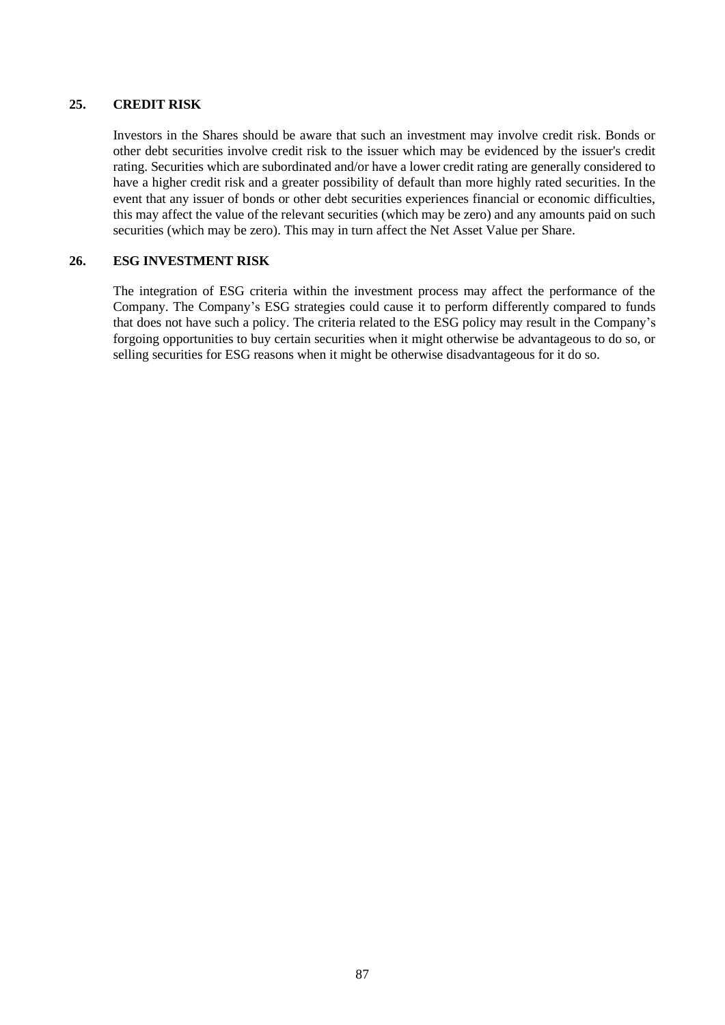## **25. CREDIT RISK**

Investors in the Shares should be aware that such an investment may involve credit risk. Bonds or other debt securities involve credit risk to the issuer which may be evidenced by the issuer's credit rating. Securities which are subordinated and/or have a lower credit rating are generally considered to have a higher credit risk and a greater possibility of default than more highly rated securities. In the event that any issuer of bonds or other debt securities experiences financial or economic difficulties, this may affect the value of the relevant securities (which may be zero) and any amounts paid on such securities (which may be zero). This may in turn affect the Net Asset Value per Share.

## **26. ESG INVESTMENT RISK**

The integration of ESG criteria within the investment process may affect the performance of the Company. The Company's ESG strategies could cause it to perform differently compared to funds that does not have such a policy. The criteria related to the ESG policy may result in the Company's forgoing opportunities to buy certain securities when it might otherwise be advantageous to do so, or selling securities for ESG reasons when it might be otherwise disadvantageous for it do so.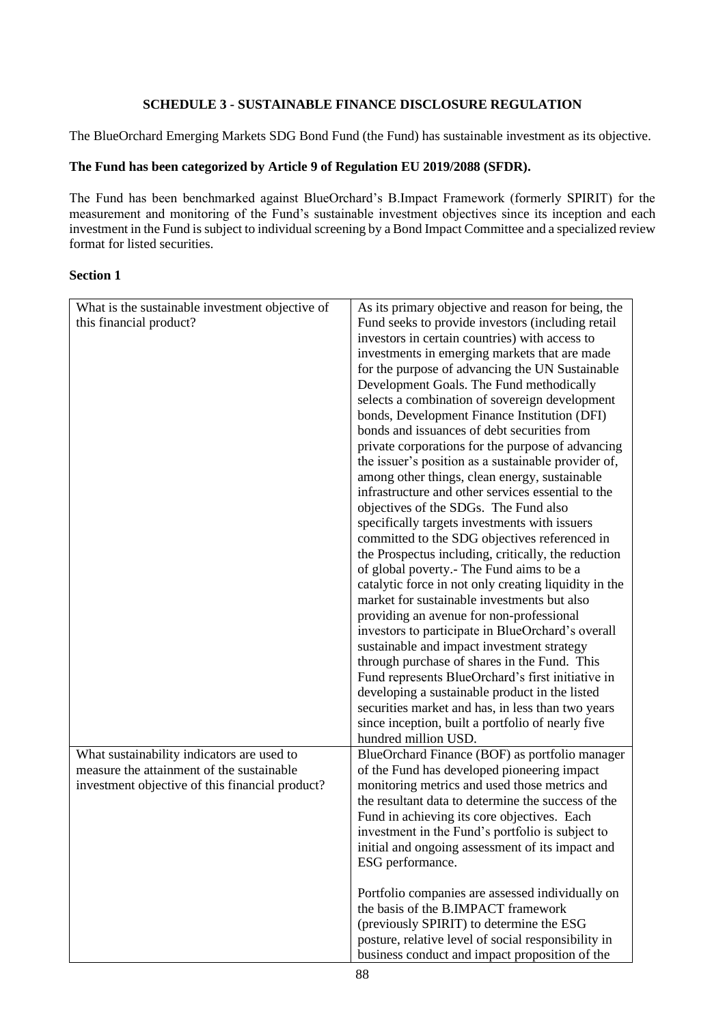## **SCHEDULE 3 - SUSTAINABLE FINANCE DISCLOSURE REGULATION**

The BlueOrchard Emerging Markets SDG Bond Fund (the Fund) has sustainable investment as its objective.

## **The Fund has been categorized by Article 9 of Regulation EU 2019/2088 (SFDR).**

The Fund has been benchmarked against BlueOrchard's B.Impact Framework (formerly SPIRIT) for the measurement and monitoring of the Fund's sustainable investment objectives since its inception and each investment in the Fund is subject to individual screening by a Bond Impact Committee and a specialized review format for listed securities.

## **Section 1**

| What is the sustainable investment objective of | As its primary objective and reason for being, the    |
|-------------------------------------------------|-------------------------------------------------------|
| this financial product?                         | Fund seeks to provide investors (including retail     |
|                                                 | investors in certain countries) with access to        |
|                                                 | investments in emerging markets that are made         |
|                                                 |                                                       |
|                                                 | for the purpose of advancing the UN Sustainable       |
|                                                 | Development Goals. The Fund methodically              |
|                                                 | selects a combination of sovereign development        |
|                                                 | bonds, Development Finance Institution (DFI)          |
|                                                 | bonds and issuances of debt securities from           |
|                                                 | private corporations for the purpose of advancing     |
|                                                 | the issuer's position as a sustainable provider of,   |
|                                                 | among other things, clean energy, sustainable         |
|                                                 | infrastructure and other services essential to the    |
|                                                 | objectives of the SDGs. The Fund also                 |
|                                                 | specifically targets investments with issuers         |
|                                                 | committed to the SDG objectives referenced in         |
|                                                 | the Prospectus including, critically, the reduction   |
|                                                 | of global poverty.- The Fund aims to be a             |
|                                                 | catalytic force in not only creating liquidity in the |
|                                                 | market for sustainable investments but also           |
|                                                 | providing an avenue for non-professional              |
|                                                 | investors to participate in BlueOrchard's overall     |
|                                                 | sustainable and impact investment strategy            |
|                                                 | through purchase of shares in the Fund. This          |
|                                                 | Fund represents BlueOrchard's first initiative in     |
|                                                 | developing a sustainable product in the listed        |
|                                                 | securities market and has, in less than two years     |
|                                                 | since inception, built a portfolio of nearly five     |
|                                                 | hundred million USD.                                  |
| What sustainability indicators are used to      | BlueOrchard Finance (BOF) as portfolio manager        |
| measure the attainment of the sustainable       | of the Fund has developed pioneering impact           |
| investment objective of this financial product? | monitoring metrics and used those metrics and         |
|                                                 | the resultant data to determine the success of the    |
|                                                 | Fund in achieving its core objectives. Each           |
|                                                 | investment in the Fund's portfolio is subject to      |
|                                                 | initial and ongoing assessment of its impact and      |
|                                                 | ESG performance.                                      |
|                                                 |                                                       |
|                                                 | Portfolio companies are assessed individually on      |
|                                                 | the basis of the B.IMPACT framework                   |
|                                                 | (previously SPIRIT) to determine the ESG              |
|                                                 | posture, relative level of social responsibility in   |
|                                                 |                                                       |
|                                                 | business conduct and impact proposition of the        |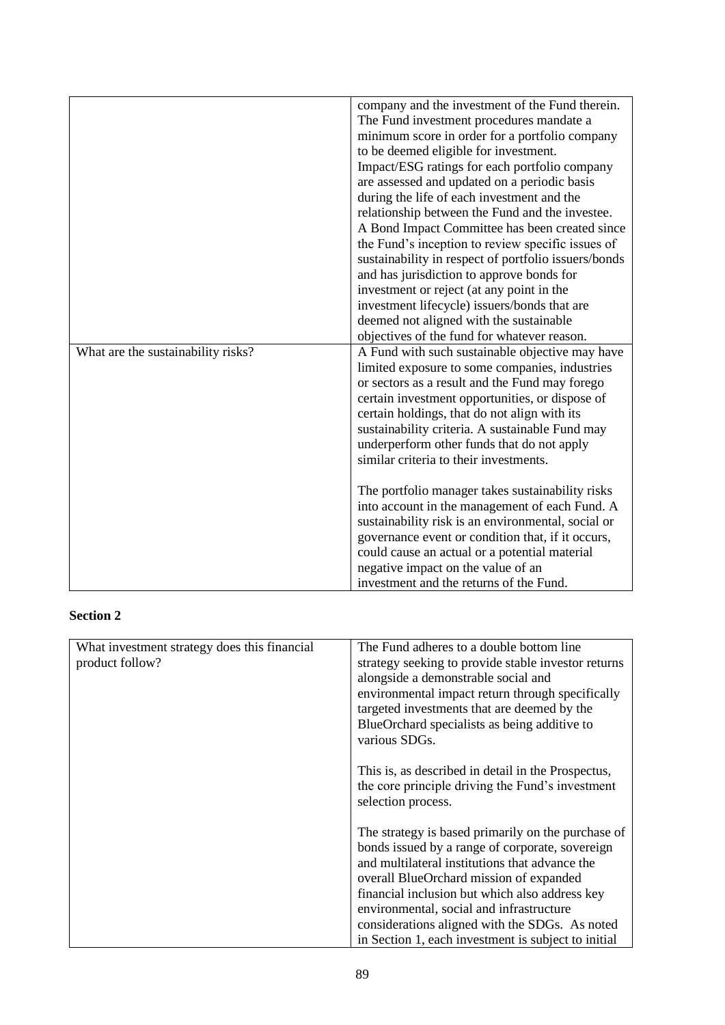|                                    | company and the investment of the Fund therein.      |
|------------------------------------|------------------------------------------------------|
|                                    | The Fund investment procedures mandate a             |
|                                    | minimum score in order for a portfolio company       |
|                                    | to be deemed eligible for investment.                |
|                                    | Impact/ESG ratings for each portfolio company        |
|                                    | are assessed and updated on a periodic basis         |
|                                    | during the life of each investment and the           |
|                                    | relationship between the Fund and the investee.      |
|                                    | A Bond Impact Committee has been created since       |
|                                    | the Fund's inception to review specific issues of    |
|                                    | sustainability in respect of portfolio issuers/bonds |
|                                    | and has jurisdiction to approve bonds for            |
|                                    | investment or reject (at any point in the            |
|                                    | investment lifecycle) issuers/bonds that are         |
|                                    | deemed not aligned with the sustainable              |
|                                    | objectives of the fund for whatever reason.          |
| What are the sustainability risks? | A Fund with such sustainable objective may have      |
|                                    | limited exposure to some companies, industries       |
|                                    | or sectors as a result and the Fund may forego       |
|                                    | certain investment opportunities, or dispose of      |
|                                    | certain holdings, that do not align with its         |
|                                    | sustainability criteria. A sustainable Fund may      |
|                                    | underperform other funds that do not apply           |
|                                    | similar criteria to their investments.               |
|                                    |                                                      |
|                                    | The portfolio manager takes sustainability risks     |
|                                    | into account in the management of each Fund. A       |
|                                    | sustainability risk is an environmental, social or   |
|                                    | governance event or condition that, if it occurs,    |
|                                    | could cause an actual or a potential material        |
|                                    | negative impact on the value of an                   |
|                                    | investment and the returns of the Fund.              |

# **Section 2**

| What investment strategy does this financial | The Fund adheres to a double bottom line            |
|----------------------------------------------|-----------------------------------------------------|
| product follow?                              | strategy seeking to provide stable investor returns |
|                                              | alongside a demonstrable social and                 |
|                                              | environmental impact return through specifically    |
|                                              | targeted investments that are deemed by the         |
|                                              | BlueOrchard specialists as being additive to        |
|                                              | various SDGs.                                       |
|                                              |                                                     |
|                                              | This is, as described in detail in the Prospectus,  |
|                                              | the core principle driving the Fund's investment    |
|                                              | selection process.                                  |
|                                              |                                                     |
|                                              | The strategy is based primarily on the purchase of  |
|                                              | bonds issued by a range of corporate, sovereign     |
|                                              | and multilateral institutions that advance the      |
|                                              | overall BlueOrchard mission of expanded             |
|                                              | financial inclusion but which also address key      |
|                                              | environmental, social and infrastructure            |
|                                              | considerations aligned with the SDGs. As noted      |
|                                              | in Section 1, each investment is subject to initial |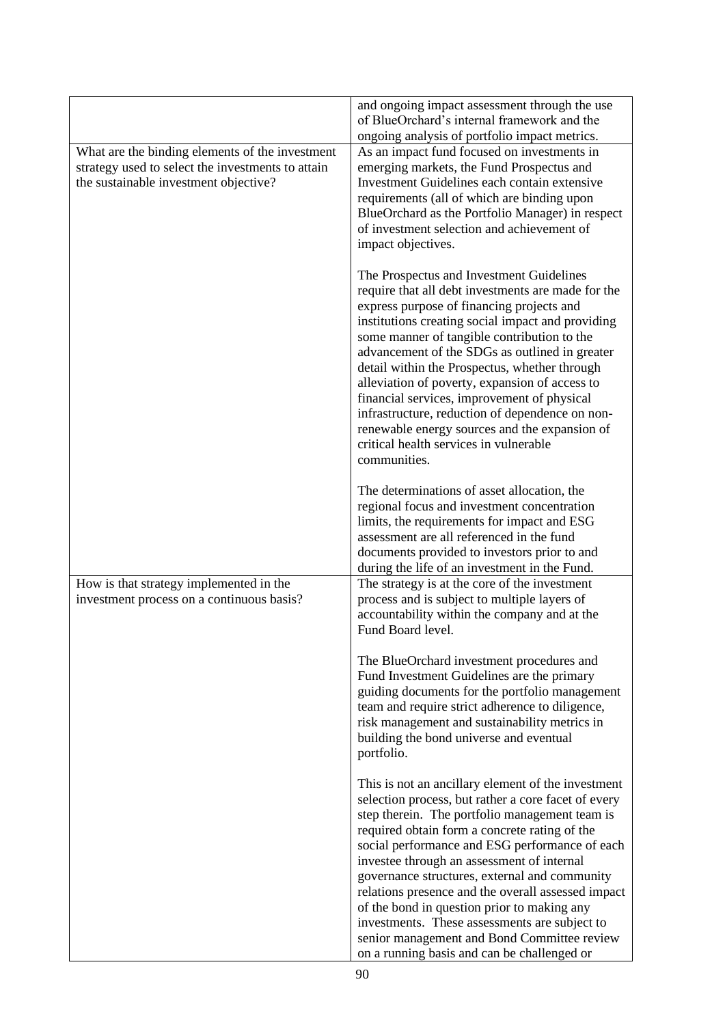|                                                                                                                                               | and ongoing impact assessment through the use<br>of BlueOrchard's internal framework and the<br>ongoing analysis of portfolio impact metrics.                                                                                                                                                                                                                                                                                                                                                                                                                                                                     |
|-----------------------------------------------------------------------------------------------------------------------------------------------|-------------------------------------------------------------------------------------------------------------------------------------------------------------------------------------------------------------------------------------------------------------------------------------------------------------------------------------------------------------------------------------------------------------------------------------------------------------------------------------------------------------------------------------------------------------------------------------------------------------------|
| What are the binding elements of the investment<br>strategy used to select the investments to attain<br>the sustainable investment objective? | As an impact fund focused on investments in<br>emerging markets, the Fund Prospectus and<br>Investment Guidelines each contain extensive<br>requirements (all of which are binding upon<br>BlueOrchard as the Portfolio Manager) in respect<br>of investment selection and achievement of<br>impact objectives.                                                                                                                                                                                                                                                                                                   |
|                                                                                                                                               | The Prospectus and Investment Guidelines<br>require that all debt investments are made for the<br>express purpose of financing projects and<br>institutions creating social impact and providing<br>some manner of tangible contribution to the<br>advancement of the SDGs as outlined in greater<br>detail within the Prospectus, whether through<br>alleviation of poverty, expansion of access to<br>financial services, improvement of physical<br>infrastructure, reduction of dependence on non-<br>renewable energy sources and the expansion of<br>critical health services in vulnerable<br>communities. |
|                                                                                                                                               | The determinations of asset allocation, the<br>regional focus and investment concentration<br>limits, the requirements for impact and ESG<br>assessment are all referenced in the fund<br>documents provided to investors prior to and<br>during the life of an investment in the Fund.                                                                                                                                                                                                                                                                                                                           |
| How is that strategy implemented in the<br>investment process on a continuous basis?                                                          | The strategy is at the core of the investment<br>process and is subject to multiple layers of<br>accountability within the company and at the<br>Fund Board level.                                                                                                                                                                                                                                                                                                                                                                                                                                                |
|                                                                                                                                               | The BlueOrchard investment procedures and<br>Fund Investment Guidelines are the primary<br>guiding documents for the portfolio management<br>team and require strict adherence to diligence,<br>risk management and sustainability metrics in<br>building the bond universe and eventual<br>portfolio.                                                                                                                                                                                                                                                                                                            |
|                                                                                                                                               | This is not an ancillary element of the investment<br>selection process, but rather a core facet of every<br>step therein. The portfolio management team is<br>required obtain form a concrete rating of the<br>social performance and ESG performance of each<br>investee through an assessment of internal<br>governance structures, external and community<br>relations presence and the overall assessed impact<br>of the bond in question prior to making any<br>investments. These assessments are subject to<br>senior management and Bond Committee review<br>on a running basis and can be challenged or |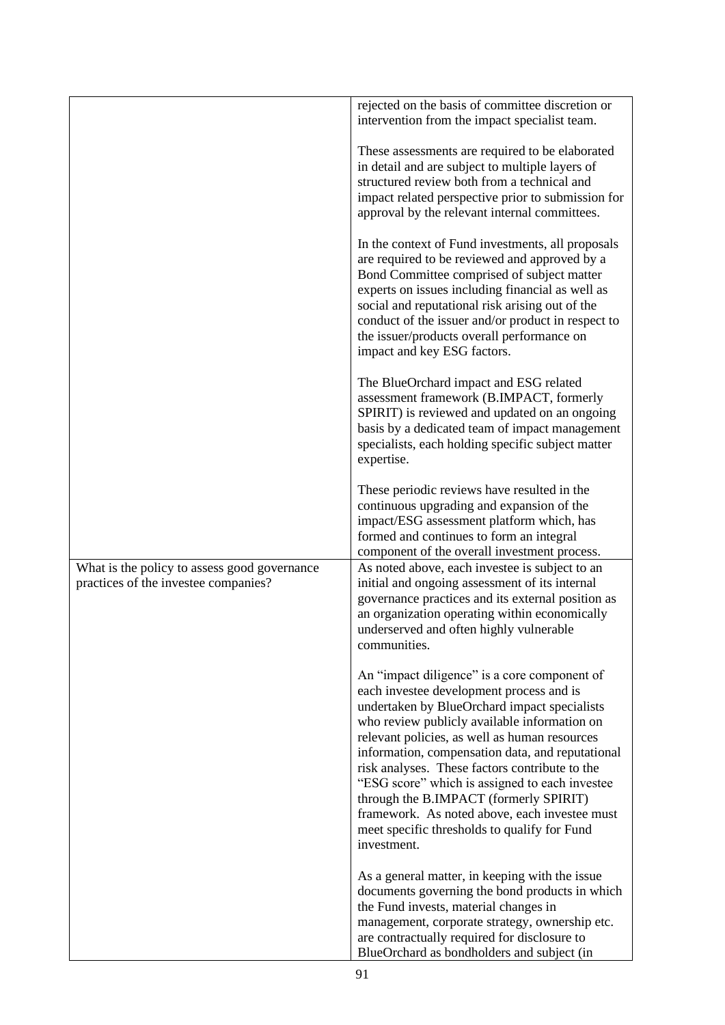|                                                                                      | rejected on the basis of committee discretion or<br>intervention from the impact specialist team.                                                                                                                                                                                                                                                                                                                                                                                                                                                           |
|--------------------------------------------------------------------------------------|-------------------------------------------------------------------------------------------------------------------------------------------------------------------------------------------------------------------------------------------------------------------------------------------------------------------------------------------------------------------------------------------------------------------------------------------------------------------------------------------------------------------------------------------------------------|
|                                                                                      | These assessments are required to be elaborated<br>in detail and are subject to multiple layers of<br>structured review both from a technical and<br>impact related perspective prior to submission for<br>approval by the relevant internal committees.                                                                                                                                                                                                                                                                                                    |
|                                                                                      | In the context of Fund investments, all proposals<br>are required to be reviewed and approved by a<br>Bond Committee comprised of subject matter<br>experts on issues including financial as well as<br>social and reputational risk arising out of the<br>conduct of the issuer and/or product in respect to<br>the issuer/products overall performance on<br>impact and key ESG factors.                                                                                                                                                                  |
|                                                                                      | The BlueOrchard impact and ESG related<br>assessment framework (B.IMPACT, formerly<br>SPIRIT) is reviewed and updated on an ongoing<br>basis by a dedicated team of impact management<br>specialists, each holding specific subject matter<br>expertise.                                                                                                                                                                                                                                                                                                    |
|                                                                                      | These periodic reviews have resulted in the<br>continuous upgrading and expansion of the<br>impact/ESG assessment platform which, has<br>formed and continues to form an integral<br>component of the overall investment process.                                                                                                                                                                                                                                                                                                                           |
| What is the policy to assess good governance<br>practices of the investee companies? | As noted above, each investee is subject to an<br>initial and ongoing assessment of its internal<br>governance practices and its external position as<br>an organization operating within economically<br>underserved and often highly vulnerable<br>communities.                                                                                                                                                                                                                                                                                           |
|                                                                                      | An "impact diligence" is a core component of<br>each investee development process and is<br>undertaken by BlueOrchard impact specialists<br>who review publicly available information on<br>relevant policies, as well as human resources<br>information, compensation data, and reputational<br>risk analyses. These factors contribute to the<br>"ESG score" which is assigned to each investee<br>through the B.IMPACT (formerly SPIRIT)<br>framework. As noted above, each investee must<br>meet specific thresholds to qualify for Fund<br>investment. |
|                                                                                      | As a general matter, in keeping with the issue<br>documents governing the bond products in which<br>the Fund invests, material changes in<br>management, corporate strategy, ownership etc.<br>are contractually required for disclosure to<br>BlueOrchard as bondholders and subject (in                                                                                                                                                                                                                                                                   |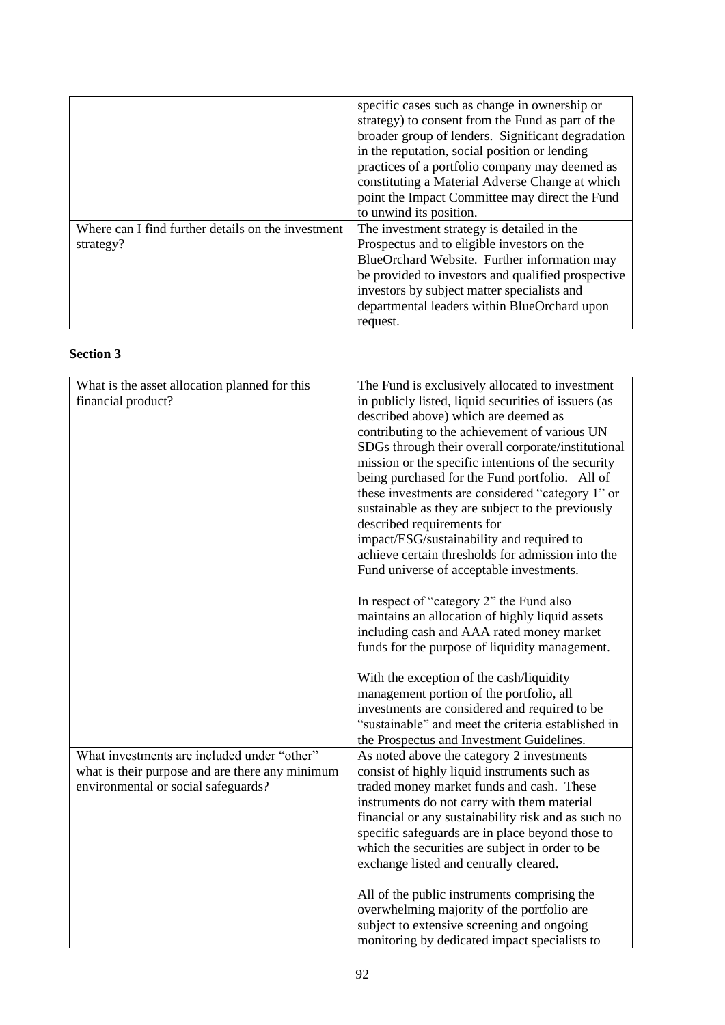|                                                                 | specific cases such as change in ownership or<br>strategy) to consent from the Fund as part of the<br>broader group of lenders. Significant degradation<br>in the reputation, social position or lending<br>practices of a portfolio company may deemed as<br>constituting a Material Adverse Change at which<br>point the Impact Committee may direct the Fund<br>to unwind its position. |
|-----------------------------------------------------------------|--------------------------------------------------------------------------------------------------------------------------------------------------------------------------------------------------------------------------------------------------------------------------------------------------------------------------------------------------------------------------------------------|
| Where can I find further details on the investment<br>strategy? | The investment strategy is detailed in the<br>Prospectus and to eligible investors on the<br>BlueOrchard Website. Further information may<br>be provided to investors and qualified prospective<br>investors by subject matter specialists and<br>departmental leaders within BlueOrchard upon<br>request.                                                                                 |

## **Section 3**

| What is the asset allocation planned for this   | The Fund is exclusively allocated to investment      |
|-------------------------------------------------|------------------------------------------------------|
| financial product?                              | in publicly listed, liquid securities of issuers (as |
|                                                 | described above) which are deemed as                 |
|                                                 | contributing to the achievement of various UN        |
|                                                 | SDGs through their overall corporate/institutional   |
|                                                 | mission or the specific intentions of the security   |
|                                                 | being purchased for the Fund portfolio. All of       |
|                                                 | these investments are considered "category 1" or     |
|                                                 | sustainable as they are subject to the previously    |
|                                                 | described requirements for                           |
|                                                 | impact/ESG/sustainability and required to            |
|                                                 | achieve certain thresholds for admission into the    |
|                                                 | Fund universe of acceptable investments.             |
|                                                 |                                                      |
|                                                 | In respect of "category 2" the Fund also             |
|                                                 | maintains an allocation of highly liquid assets      |
|                                                 | including cash and AAA rated money market            |
|                                                 | funds for the purpose of liquidity management.       |
|                                                 |                                                      |
|                                                 | With the exception of the cash/liquidity             |
|                                                 | management portion of the portfolio, all             |
|                                                 | investments are considered and required to be        |
|                                                 | "sustainable" and meet the criteria established in   |
|                                                 | the Prospectus and Investment Guidelines.            |
| What investments are included under "other"     | As noted above the category 2 investments            |
| what is their purpose and are there any minimum | consist of highly liquid instruments such as         |
| environmental or social safeguards?             | traded money market funds and cash. These            |
|                                                 | instruments do not carry with them material          |
|                                                 | financial or any sustainability risk and as such no  |
|                                                 | specific safeguards are in place beyond those to     |
|                                                 | which the securities are subject in order to be      |
|                                                 | exchange listed and centrally cleared.               |
|                                                 |                                                      |
|                                                 | All of the public instruments comprising the         |
|                                                 | overwhelming majority of the portfolio are           |
|                                                 | subject to extensive screening and ongoing           |
|                                                 | monitoring by dedicated impact specialists to        |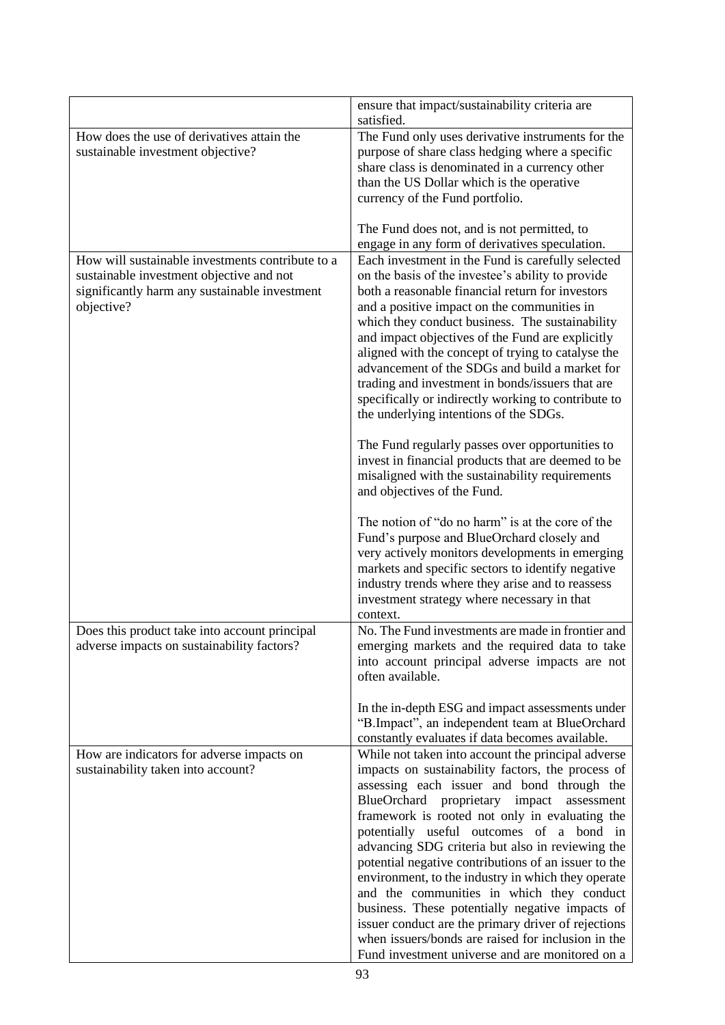|                                                                                                                                                             | ensure that impact/sustainability criteria are<br>satisfied.                                                                                                                                                                                                                                                                                                                                                                                                                                                                                                                                                                                                                                                                                                                                                                                                                                                                                                                                                                                                                                      |
|-------------------------------------------------------------------------------------------------------------------------------------------------------------|---------------------------------------------------------------------------------------------------------------------------------------------------------------------------------------------------------------------------------------------------------------------------------------------------------------------------------------------------------------------------------------------------------------------------------------------------------------------------------------------------------------------------------------------------------------------------------------------------------------------------------------------------------------------------------------------------------------------------------------------------------------------------------------------------------------------------------------------------------------------------------------------------------------------------------------------------------------------------------------------------------------------------------------------------------------------------------------------------|
| How does the use of derivatives attain the<br>sustainable investment objective?                                                                             | The Fund only uses derivative instruments for the<br>purpose of share class hedging where a specific<br>share class is denominated in a currency other<br>than the US Dollar which is the operative<br>currency of the Fund portfolio.                                                                                                                                                                                                                                                                                                                                                                                                                                                                                                                                                                                                                                                                                                                                                                                                                                                            |
|                                                                                                                                                             | The Fund does not, and is not permitted, to<br>engage in any form of derivatives speculation.                                                                                                                                                                                                                                                                                                                                                                                                                                                                                                                                                                                                                                                                                                                                                                                                                                                                                                                                                                                                     |
| How will sustainable investments contribute to a<br>sustainable investment objective and not<br>significantly harm any sustainable investment<br>objective? | Each investment in the Fund is carefully selected<br>on the basis of the investee's ability to provide<br>both a reasonable financial return for investors<br>and a positive impact on the communities in<br>which they conduct business. The sustainability<br>and impact objectives of the Fund are explicitly<br>aligned with the concept of trying to catalyse the<br>advancement of the SDGs and build a market for<br>trading and investment in bonds/issuers that are<br>specifically or indirectly working to contribute to<br>the underlying intentions of the SDGs.<br>The Fund regularly passes over opportunities to<br>invest in financial products that are deemed to be<br>misaligned with the sustainability requirements<br>and objectives of the Fund.<br>The notion of "do no harm" is at the core of the<br>Fund's purpose and BlueOrchard closely and<br>very actively monitors developments in emerging<br>markets and specific sectors to identify negative<br>industry trends where they arise and to reassess<br>investment strategy where necessary in that<br>context. |
| Does this product take into account principal<br>adverse impacts on sustainability factors?                                                                 | No. The Fund investments are made in frontier and<br>emerging markets and the required data to take<br>into account principal adverse impacts are not<br>often available.                                                                                                                                                                                                                                                                                                                                                                                                                                                                                                                                                                                                                                                                                                                                                                                                                                                                                                                         |
|                                                                                                                                                             | In the in-depth ESG and impact assessments under<br>"B.Impact", an independent team at BlueOrchard<br>constantly evaluates if data becomes available.                                                                                                                                                                                                                                                                                                                                                                                                                                                                                                                                                                                                                                                                                                                                                                                                                                                                                                                                             |
| How are indicators for adverse impacts on<br>sustainability taken into account?                                                                             | While not taken into account the principal adverse<br>impacts on sustainability factors, the process of<br>assessing each issuer and bond through the<br>BlueOrchard proprietary impact<br>assessment<br>framework is rooted not only in evaluating the<br>potentially useful outcomes of a bond in<br>advancing SDG criteria but also in reviewing the<br>potential negative contributions of an issuer to the<br>environment, to the industry in which they operate<br>and the communities in which they conduct<br>business. These potentially negative impacts of<br>issuer conduct are the primary driver of rejections<br>when issuers/bonds are raised for inclusion in the<br>Fund investment universe and are monitored on a                                                                                                                                                                                                                                                                                                                                                             |